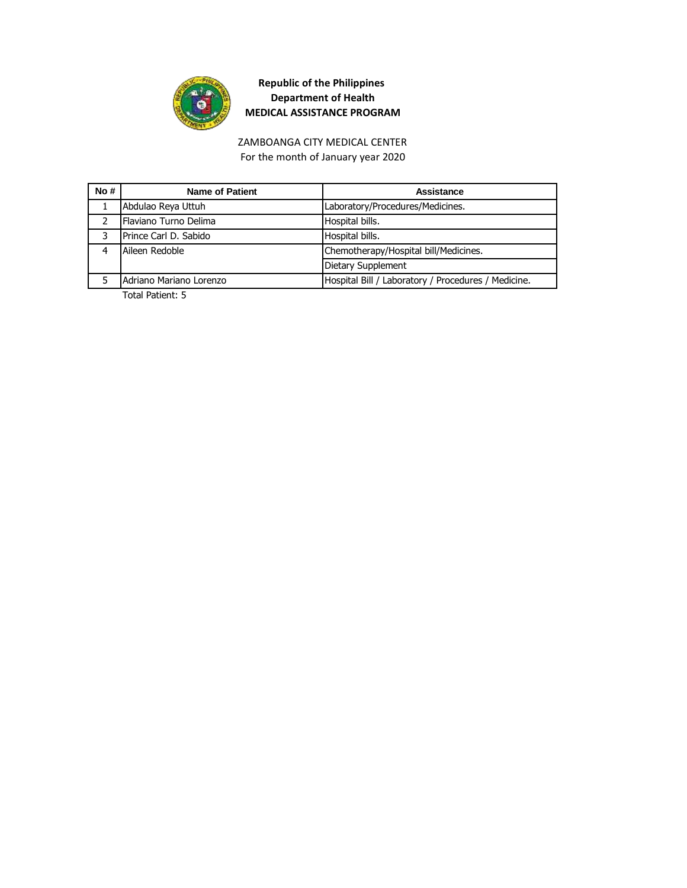

## ZAMBOANGA CITY MEDICAL CENTER For the month of January year 2020

| <b>Name of Patient</b>        | Assistance                                          |
|-------------------------------|-----------------------------------------------------|
| Abdulao Reya Uttuh            | Laboratory/Procedures/Medicines.                    |
| <b>IFlaviano Turno Delima</b> | Hospital bills.                                     |
| Prince Carl D. Sabido         | Hospital bills.                                     |
| Aileen Redoble                | Chemotherapy/Hospital bill/Medicines.               |
|                               | Dietary Supplement                                  |
| Adriano Mariano Lorenzo       | Hospital Bill / Laboratory / Procedures / Medicine. |
|                               |                                                     |

Total Patient: 5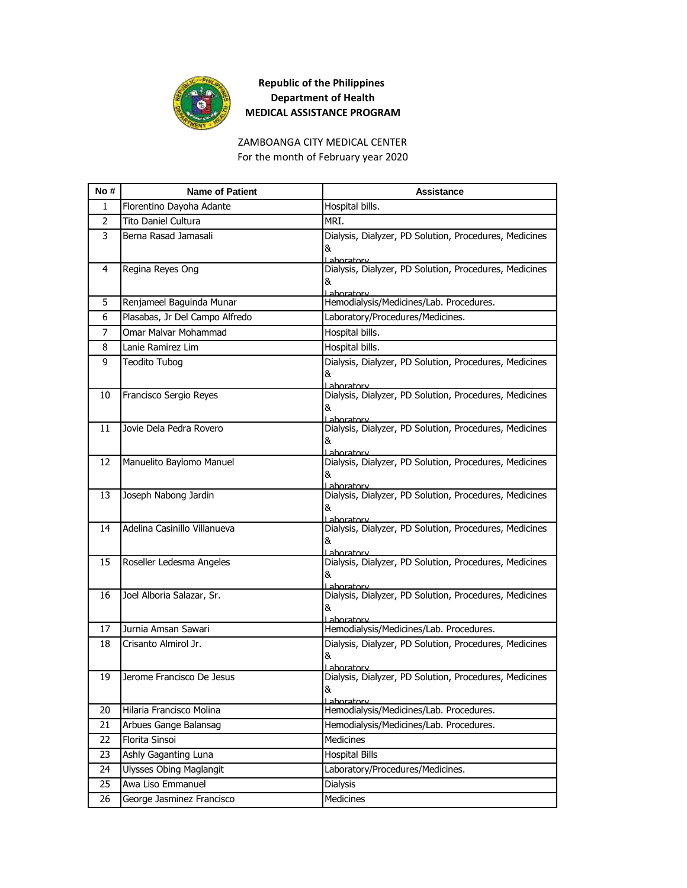

## ZAMBOANGA CITY MEDICAL CENTER For the month of February year 2020

| No# | <b>Name of Patient</b>         | <b>Assistance</b>                                                                 |
|-----|--------------------------------|-----------------------------------------------------------------------------------|
| 1   | Florentino Dayoha Adante       | Hospital bills.                                                                   |
| 2   | Tito Daniel Cultura            | MRI.                                                                              |
| 3   | Berna Rasad Jamasali           | Dialysis, Dialyzer, PD Solution, Procedures, Medicines<br>&<br>Laboratory         |
| 4   | Regina Reyes Ong               | Dialysis, Dialyzer, PD Solution, Procedures, Medicines<br>&<br>Laboratory         |
| 5   | Renjameel Baguinda Munar       | Hemodialysis/Medicines/Lab. Procedures.                                           |
| 6   | Plasabas, Jr Del Campo Alfredo | Laboratory/Procedures/Medicines.                                                  |
| 7   | Omar Malvar Mohammad           | Hospital bills.                                                                   |
| 8   | Lanie Ramirez Lim              | Hospital bills.                                                                   |
| 9   | Teodito Tubog                  | Dialysis, Dialyzer, PD Solution, Procedures, Medicines<br>&<br>Laboratorv         |
| 10  | Francisco Sergio Reyes         | Dialysis, Dialyzer, PD Solution, Procedures, Medicines<br>&<br>Laboratory         |
| 11  | Jovie Dela Pedra Rovero        | Dialysis, Dialyzer, PD Solution, Procedures, Medicines<br>&<br>Laboratory         |
| 12  | Manuelito Baylomo Manuel       | Dialysis, Dialyzer, PD Solution, Procedures, Medicines<br>&ι<br>Lahoratory        |
| 13  | Joseph Nabong Jardin           | Dialysis, Dialyzer, PD Solution, Procedures, Medicines<br>&<br>l ahoratorv        |
| 14  | Adelina Casinillo Villanueva   | Dialysis, Dialyzer, PD Solution, Procedures, Medicines<br>&<br>Lahoratory         |
| 15  | Roseller Ledesma Angeles       | Dialysis, Dialyzer, PD Solution, Procedures, Medicines<br>&<br>Lahoratory         |
| 16  | Joel Alboria Salazar, Sr.      | Dialysis, Dialyzer, PD Solution, Procedures, Medicines<br>&<br>Laboratory         |
| 17  | Jurnia Amsan Sawari            | Hemodialysis/Medicines/Lab. Procedures.                                           |
| 18  | Crisanto Almirol Jr.           | Dialysis, Dialyzer, PD Solution, Procedures, Medicines<br>&<br>aboratory          |
| 19  | Jerome Francisco De Jesus      | Dialysis, Dialyzer, PD Solution, Procedures, Medicines<br>ŏ.<br><u>Laboratorv</u> |
| 20  | Hilaria Francisco Molina       | Hemodialysis/Medicines/Lab. Procedures.                                           |
| 21  | Arbues Gange Balansag          | Hemodialysis/Medicines/Lab. Procedures.                                           |
| 22  | Florita Sinsoi                 | Medicines                                                                         |
| 23  | Ashly Gaganting Luna           | <b>Hospital Bills</b>                                                             |
| 24  | <b>Ulysses Obing Maglangit</b> | Laboratory/Procedures/Medicines.                                                  |
| 25  | Awa Liso Emmanuel              | Dialysis                                                                          |
| 26  | George Jasminez Francisco      | Medicines                                                                         |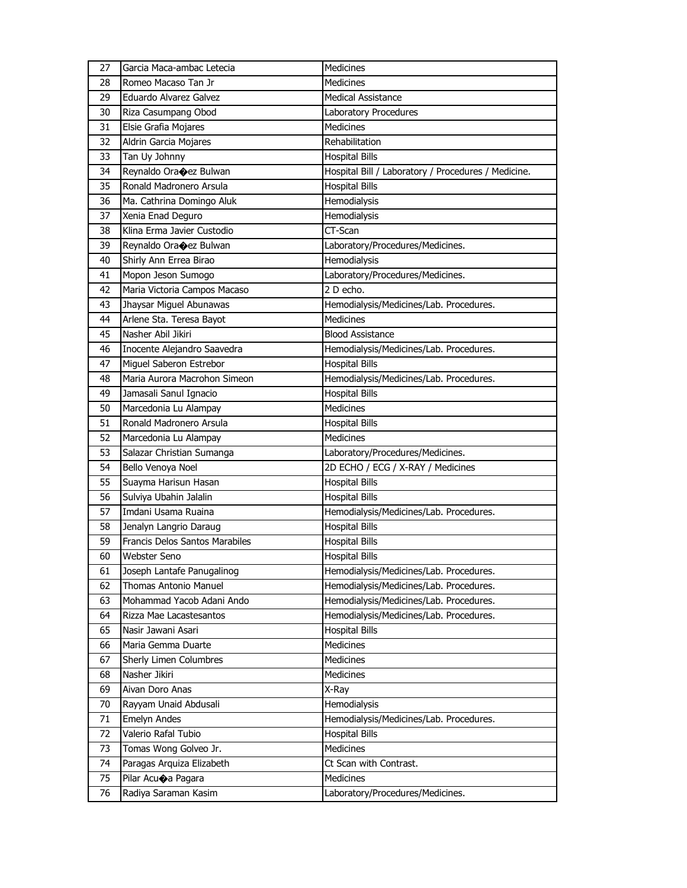| 27 | Garcia Maca-ambac Letecia         | Medicines                                           |
|----|-----------------------------------|-----------------------------------------------------|
| 28 | Romeo Macaso Tan Jr               | <b>Medicines</b>                                    |
| 29 | Eduardo Alvarez Galvez            | <b>Medical Assistance</b>                           |
| 30 | Riza Casumpang Obod               | Laboratory Procedures                               |
| 31 | Elsie Grafia Mojares              | <b>Medicines</b>                                    |
| 32 | Aldrin Garcia Mojares             | Rehabilitation                                      |
| 33 | Tan Uy Johnny                     | <b>Hospital Bills</b>                               |
| 34 | Reynaldo Ora $\bigcirc$ ez Bulwan | Hospital Bill / Laboratory / Procedures / Medicine. |
| 35 | Ronald Madronero Arsula           | <b>Hospital Bills</b>                               |
| 36 | Ma. Cathrina Domingo Aluk         | Hemodialysis                                        |
| 37 | Xenia Enad Deguro                 | Hemodialysis                                        |
| 38 | Klina Erma Javier Custodio        | CT-Scan                                             |
| 39 | Reynaldo Ora $\bigcirc$ ez Bulwan | Laboratory/Procedures/Medicines.                    |
| 40 | Shirly Ann Errea Birao            | Hemodialysis                                        |
| 41 | Mopon Jeson Sumogo                | Laboratory/Procedures/Medicines.                    |
| 42 | Maria Victoria Campos Macaso      | 2 D echo.                                           |
| 43 | Jhaysar Miguel Abunawas           | Hemodialysis/Medicines/Lab. Procedures.             |
| 44 | Arlene Sta. Teresa Bayot          | <b>Medicines</b>                                    |
| 45 | Nasher Abil Jikiri                | <b>Blood Assistance</b>                             |
| 46 | Inocente Alejandro Saavedra       | Hemodialysis/Medicines/Lab. Procedures.             |
| 47 | Miguel Saberon Estrebor           | <b>Hospital Bills</b>                               |
| 48 | Maria Aurora Macrohon Simeon      | Hemodialysis/Medicines/Lab. Procedures.             |
| 49 | Jamasali Sanul Ignacio            | <b>Hospital Bills</b>                               |
| 50 | Marcedonia Lu Alampay             | <b>Medicines</b>                                    |
| 51 | Ronald Madronero Arsula           | <b>Hospital Bills</b>                               |
|    |                                   |                                                     |
| 52 | Marcedonia Lu Alampay             | Medicines                                           |
| 53 | Salazar Christian Sumanga         | Laboratory/Procedures/Medicines.                    |
| 54 | Bello Venoya Noel                 | 2D ECHO / ECG / X-RAY / Medicines                   |
| 55 | Suayma Harisun Hasan              | <b>Hospital Bills</b>                               |
| 56 | Sulviya Ubahin Jalalin            | <b>Hospital Bills</b>                               |
| 57 | Imdani Usama Ruaina               | Hemodialysis/Medicines/Lab. Procedures.             |
| 58 | Jenalyn Langrio Daraug            | <b>Hospital Bills</b>                               |
| 59 | Francis Delos Santos Marabiles    | <b>Hospital Bills</b>                               |
| 60 | Webster Seno                      | <b>Hospital Bills</b>                               |
| 61 | Joseph Lantafe Panugalinog        | Hemodialysis/Medicines/Lab. Procedures.             |
| 62 | Thomas Antonio Manuel             | Hemodialysis/Medicines/Lab. Procedures.             |
| 63 | Mohammad Yacob Adani Ando         | Hemodialysis/Medicines/Lab. Procedures.             |
| 64 | Rizza Mae Lacastesantos           | Hemodialysis/Medicines/Lab. Procedures.             |
| 65 | Nasir Jawani Asari                | <b>Hospital Bills</b>                               |
| 66 | Maria Gemma Duarte                | Medicines                                           |
| 67 | Sherly Limen Columbres            | Medicines                                           |
| 68 | Nasher Jikiri                     | <b>Medicines</b>                                    |
| 69 | Aivan Doro Anas                   | X-Ray                                               |
| 70 | Rayyam Unaid Abdusali             | Hemodialysis                                        |
| 71 | Emelyn Andes                      | Hemodialysis/Medicines/Lab. Procedures.             |
| 72 | Valerio Rafal Tubio               | <b>Hospital Bills</b>                               |
| 73 | Tomas Wong Golveo Jr.             | Medicines                                           |
| 74 | Paragas Arquiza Elizabeth         | Ct Scan with Contrast.                              |
| 75 | Pilar Acuoa Pagara                | Medicines                                           |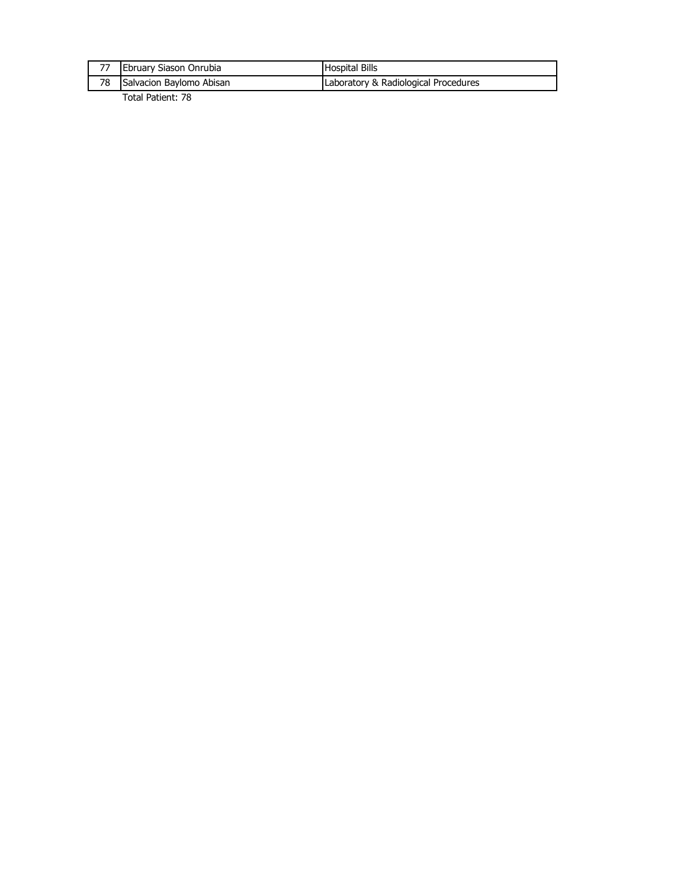| Salvacion Baylomo Abisan | Laboratory & Radiological Procedures |
|--------------------------|--------------------------------------|
| Ebruary Siason Onrubia   | <b>Hospital Bills</b>                |

Total Patient: 78

 $\mathbf l$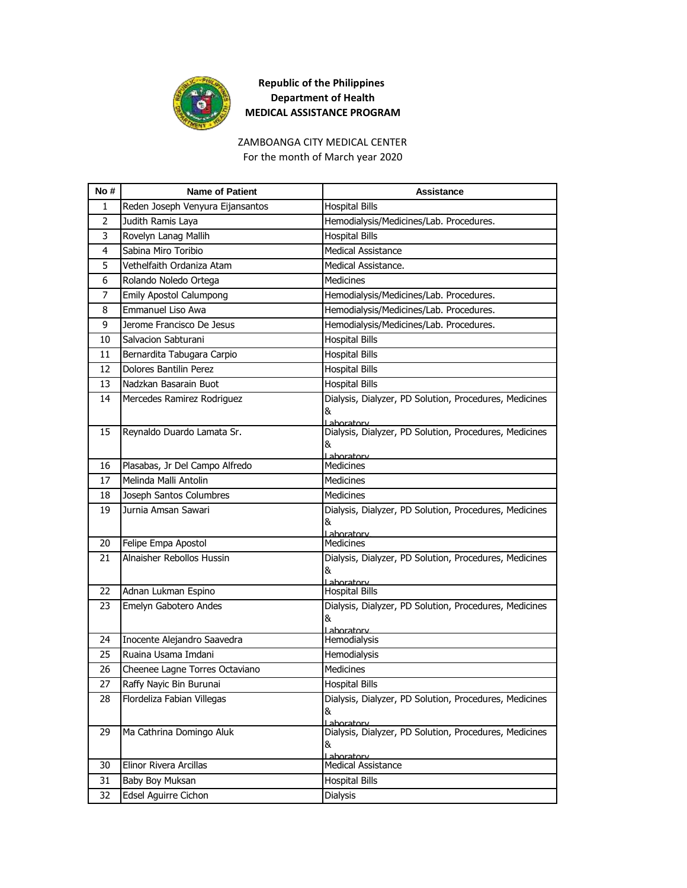

#### ZAMBOANGA CITY MEDICAL CENTER For the month of March year 2020

| No #           | <b>Name of Patient</b>           | <b>Assistance</b>                                                         |
|----------------|----------------------------------|---------------------------------------------------------------------------|
| 1              | Reden Joseph Venyura Eijansantos | <b>Hospital Bills</b>                                                     |
| $\overline{2}$ | Judith Ramis Laya                | Hemodialysis/Medicines/Lab. Procedures.                                   |
| 3              | Rovelyn Lanag Mallih             | <b>Hospital Bills</b>                                                     |
| 4              | Sabina Miro Toribio              | <b>Medical Assistance</b>                                                 |
| 5              | Vethelfaith Ordaniza Atam        | Medical Assistance.                                                       |
| 6              | Rolando Noledo Ortega            | Medicines                                                                 |
| 7              | <b>Emily Apostol Calumpong</b>   | Hemodialysis/Medicines/Lab. Procedures.                                   |
| 8              | <b>Emmanuel Liso Awa</b>         | Hemodialysis/Medicines/Lab. Procedures.                                   |
| 9              | Jerome Francisco De Jesus        | Hemodialysis/Medicines/Lab. Procedures.                                   |
| 10             | Salvacion Sabturani              | <b>Hospital Bills</b>                                                     |
| 11             | Bernardita Tabugara Carpio       | <b>Hospital Bills</b>                                                     |
| 12             | Dolores Bantilin Perez           | <b>Hospital Bills</b>                                                     |
| 13             | Nadzkan Basarain Buot            | <b>Hospital Bills</b>                                                     |
| 14             | Mercedes Ramirez Rodriguez       | Dialysis, Dialyzer, PD Solution, Procedures, Medicines<br>&<br>Laboratory |
| 15             | Reynaldo Duardo Lamata Sr.       | Dialysis, Dialyzer, PD Solution, Procedures, Medicines<br>&<br>Laboratory |
| 16             | Plasabas, Jr Del Campo Alfredo   | <b>Medicines</b>                                                          |
| 17             | Melinda Malli Antolin            | <b>Medicines</b>                                                          |
| 18             | Joseph Santos Columbres          | <b>Medicines</b>                                                          |
| 19             | Jurnia Amsan Sawari              | Dialysis, Dialyzer, PD Solution, Procedures, Medicines<br>&<br>Laboratory |
| 20             | Felipe Empa Apostol              | Medicines                                                                 |
| 21             | Alnaisher Rebollos Hussin        | Dialysis, Dialyzer, PD Solution, Procedures, Medicines<br>&<br>Lahoratory |
| 22             | Adnan Lukman Espino              | <b>Hospital Bills</b>                                                     |
| 23             | Emelyn Gabotero Andes            | Dialysis, Dialyzer, PD Solution, Procedures, Medicines<br>&<br>aboratory  |
| 24             | Inocente Alejandro Saavedra      | Hemodialysis                                                              |
| 25             | Ruaina Usama Imdani              | Hemodialysis                                                              |
| 26             | Cheenee Lagne Torres Octaviano   | <b>Medicines</b>                                                          |
| 27             | Raffy Nayic Bin Burunai          | <b>Hospital Bills</b>                                                     |
| 28             | Flordeliza Fabian Villegas       | Dialysis, Dialyzer, PD Solution, Procedures, Medicines<br>&<br>Laboratory |
| 29             | Ma Cathrina Domingo Aluk         | Dialysis, Dialyzer, PD Solution, Procedures, Medicines<br>&<br>Laboratory |
| 30             | Elinor Rivera Arcillas           | <b>Medical Assistance</b>                                                 |
| 31             | Baby Boy Muksan                  | <b>Hospital Bills</b>                                                     |
| 32             | Edsel Aguirre Cichon             | Dialysis                                                                  |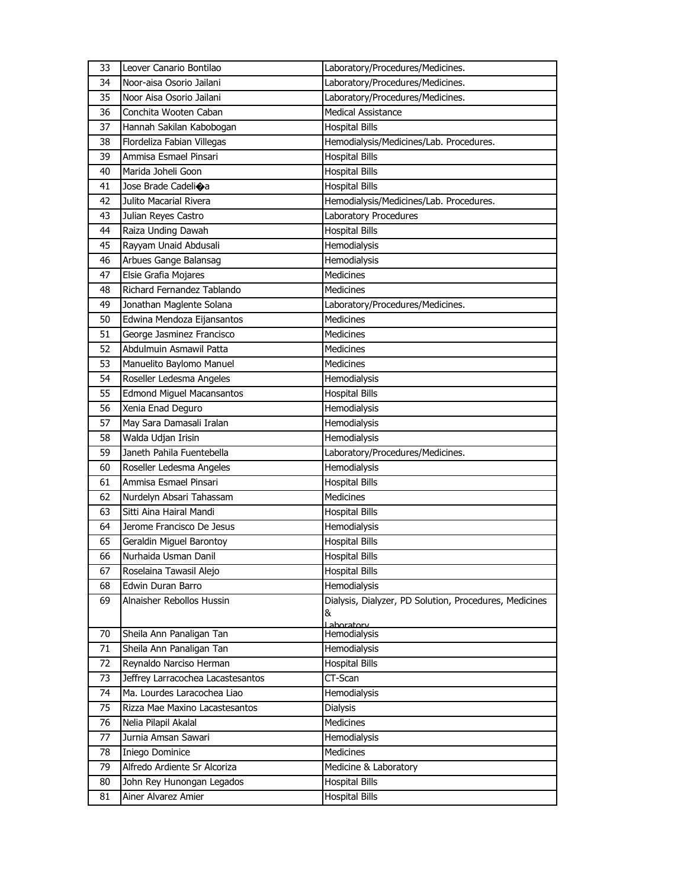| 33 | Leover Canario Bontilao           | Laboratory/Procedures/Medicines.                            |
|----|-----------------------------------|-------------------------------------------------------------|
| 34 | Noor-aisa Osorio Jailani          | Laboratory/Procedures/Medicines.                            |
| 35 | Noor Aisa Osorio Jailani          | Laboratory/Procedures/Medicines.                            |
| 36 | Conchita Wooten Caban             | <b>Medical Assistance</b>                                   |
| 37 | Hannah Sakilan Kabobogan          | <b>Hospital Bills</b>                                       |
| 38 | Flordeliza Fabian Villegas        | Hemodialysis/Medicines/Lab. Procedures.                     |
| 39 | Ammisa Esmael Pinsari             | <b>Hospital Bills</b>                                       |
| 40 | Marida Joheli Goon                | <b>Hospital Bills</b>                                       |
| 41 | Jose Brade Cadeli $\bigcirc$ a    | <b>Hospital Bills</b>                                       |
| 42 | Julito Macarial Rivera            | Hemodialysis/Medicines/Lab. Procedures.                     |
| 43 | Julian Reyes Castro               | Laboratory Procedures                                       |
| 44 | Raiza Unding Dawah                | <b>Hospital Bills</b>                                       |
| 45 | Rayyam Unaid Abdusali             | Hemodialysis                                                |
| 46 | Arbues Gange Balansag             | Hemodialysis                                                |
| 47 | Elsie Grafia Mojares              | <b>Medicines</b>                                            |
| 48 | Richard Fernandez Tablando        | Medicines                                                   |
| 49 | Jonathan Maglente Solana          | Laboratory/Procedures/Medicines.                            |
| 50 | Edwina Mendoza Eijansantos        | <b>Medicines</b>                                            |
| 51 | George Jasminez Francisco         | <b>Medicines</b>                                            |
| 52 | Abdulmuin Asmawil Patta           | <b>Medicines</b>                                            |
| 53 | Manuelito Baylomo Manuel          | <b>Medicines</b>                                            |
| 54 | Roseller Ledesma Angeles          | Hemodialysis                                                |
| 55 | <b>Edmond Miguel Macansantos</b>  | <b>Hospital Bills</b>                                       |
| 56 | Xenia Enad Deguro                 | Hemodialysis                                                |
| 57 | May Sara Damasali Iralan          | <b>Hemodialysis</b>                                         |
| 58 | Walda Udjan Irisin                | Hemodialysis                                                |
| 59 | Janeth Pahila Fuentebella         | Laboratory/Procedures/Medicines.                            |
| 60 | Roseller Ledesma Angeles          | Hemodialysis                                                |
| 61 | Ammisa Esmael Pinsari             | <b>Hospital Bills</b>                                       |
| 62 | Nurdelyn Absari Tahassam          | <b>Medicines</b>                                            |
| 63 | Sitti Aina Hairal Mandi           | <b>Hospital Bills</b>                                       |
| 64 | Jerome Francisco De Jesus         | Hemodialysis                                                |
| 65 | Geraldin Miguel Barontoy          | <b>Hospital Bills</b>                                       |
| 66 | Nurhaida Usman Danil              | <b>Hospital Bills</b>                                       |
| 67 | Roselaina Tawasil Alejo           | <b>Hospital Bills</b>                                       |
| 68 | Edwin Duran Barro                 | <b>Hemodialysis</b>                                         |
| 69 | Alnaisher Rebollos Hussin         | Dialysis, Dialyzer, PD Solution, Procedures, Medicines<br>& |
|    |                                   | Laboratory                                                  |
| 70 | Sheila Ann Panaligan Tan          | Hemodialysis                                                |
| 71 | Sheila Ann Panaligan Tan          | Hemodialysis                                                |
| 72 | Reynaldo Narciso Herman           | <b>Hospital Bills</b>                                       |
| 73 | Jeffrey Larracochea Lacastesantos | CT-Scan                                                     |
| 74 | Ma. Lourdes Laracochea Liao       | Hemodialysis                                                |
| 75 | Rizza Mae Maxino Lacastesantos    | Dialysis                                                    |
| 76 | Nelia Pilapil Akalal              | <b>Medicines</b>                                            |
| 77 | Jurnia Amsan Sawari               | Hemodialysis                                                |
| 78 | Iniego Dominice                   | Medicines                                                   |
| 79 | Alfredo Ardiente Sr Alcoriza      | Medicine & Laboratory                                       |
| 80 | John Rey Hunongan Legados         | <b>Hospital Bills</b>                                       |
| 81 | Ainer Alvarez Amier               | <b>Hospital Bills</b>                                       |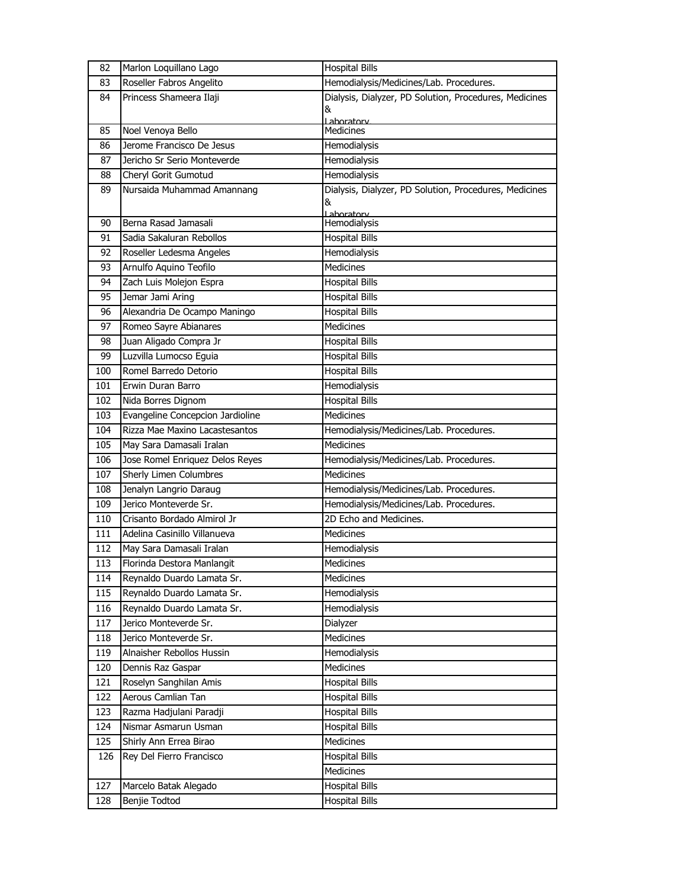| 82  | Marlon Loquillano Lago           | <b>Hospital Bills</b>                                  |
|-----|----------------------------------|--------------------------------------------------------|
| 83  | Roseller Fabros Angelito         | Hemodialysis/Medicines/Lab. Procedures.                |
| 84  | Princess Shameera Ilaji          | Dialysis, Dialyzer, PD Solution, Procedures, Medicines |
|     |                                  | &                                                      |
| 85  | Noel Venoya Bello                | Laboratory<br><b>Medicines</b>                         |
| 86  | Jerome Francisco De Jesus        | Hemodialysis                                           |
| 87  | Jericho Sr Serio Monteverde      | Hemodialysis                                           |
| 88  | Cheryl Gorit Gumotud             | Hemodialysis                                           |
| 89  | Nursaida Muhammad Amannang       | Dialysis, Dialyzer, PD Solution, Procedures, Medicines |
|     |                                  | &                                                      |
|     |                                  | Lahoratory                                             |
| 90  | Berna Rasad Jamasali             | Hemodialysis                                           |
| 91  | Sadia Sakaluran Rebollos         | <b>Hospital Bills</b>                                  |
| 92  | Roseller Ledesma Angeles         | Hemodialysis                                           |
| 93  | Arnulfo Aquino Teofilo           | <b>Medicines</b>                                       |
| 94  | Zach Luis Molejon Espra          | <b>Hospital Bills</b>                                  |
| 95  | Jemar Jami Aring                 | <b>Hospital Bills</b>                                  |
| 96  | Alexandria De Ocampo Maningo     | <b>Hospital Bills</b>                                  |
| 97  | Romeo Sayre Abianares            | <b>Medicines</b>                                       |
| 98  | Juan Aligado Compra Jr           | <b>Hospital Bills</b>                                  |
| 99  | Luzvilla Lumocso Eguia           | <b>Hospital Bills</b>                                  |
| 100 | Romel Barredo Detorio            | <b>Hospital Bills</b>                                  |
| 101 | Erwin Duran Barro                | Hemodialysis                                           |
| 102 | Nida Borres Dignom               | <b>Hospital Bills</b>                                  |
| 103 | Evangeline Concepcion Jardioline | <b>Medicines</b>                                       |
| 104 | Rizza Mae Maxino Lacastesantos   | Hemodialysis/Medicines/Lab. Procedures.                |
| 105 | May Sara Damasali Iralan         | <b>Medicines</b>                                       |
| 106 | Jose Romel Enriquez Delos Reyes  | Hemodialysis/Medicines/Lab. Procedures.                |
| 107 | Sherly Limen Columbres           | <b>Medicines</b>                                       |
| 108 | Jenalyn Langrio Daraug           | Hemodialysis/Medicines/Lab. Procedures.                |
| 109 | Jerico Monteverde Sr.            | Hemodialysis/Medicines/Lab. Procedures.                |
| 110 | Crisanto Bordado Almirol Jr      | 2D Echo and Medicines.                                 |
| 111 | Adelina Casinillo Villanueva     | Medicines                                              |
| 112 | May Sara Damasali Iralan         | Hemodialysis                                           |
| 113 | Florinda Destora Manlangit       | Medicines                                              |
| 114 | Reynaldo Duardo Lamata Sr.       | Medicines                                              |
| 115 | Reynaldo Duardo Lamata Sr.       | Hemodialysis                                           |
| 116 | Reynaldo Duardo Lamata Sr.       | Hemodialysis                                           |
| 117 | Jerico Monteverde Sr.            | Dialyzer                                               |
| 118 | Jerico Monteverde Sr.            | <b>Medicines</b>                                       |
| 119 | Alnaisher Rebollos Hussin        | Hemodialysis                                           |
| 120 | Dennis Raz Gaspar                | Medicines                                              |
| 121 | Roselyn Sanghilan Amis           | <b>Hospital Bills</b>                                  |
| 122 | Aerous Camlian Tan               | <b>Hospital Bills</b>                                  |
| 123 | Razma Hadjulani Paradji          | <b>Hospital Bills</b>                                  |
| 124 | Nismar Asmarun Usman             | <b>Hospital Bills</b>                                  |
| 125 | Shirly Ann Errea Birao           | Medicines                                              |
| 126 | Rey Del Fierro Francisco         | <b>Hospital Bills</b>                                  |
|     |                                  | Medicines                                              |
| 127 | Marcelo Batak Alegado            | <b>Hospital Bills</b>                                  |
| 128 | Benjie Todtod                    | <b>Hospital Bills</b>                                  |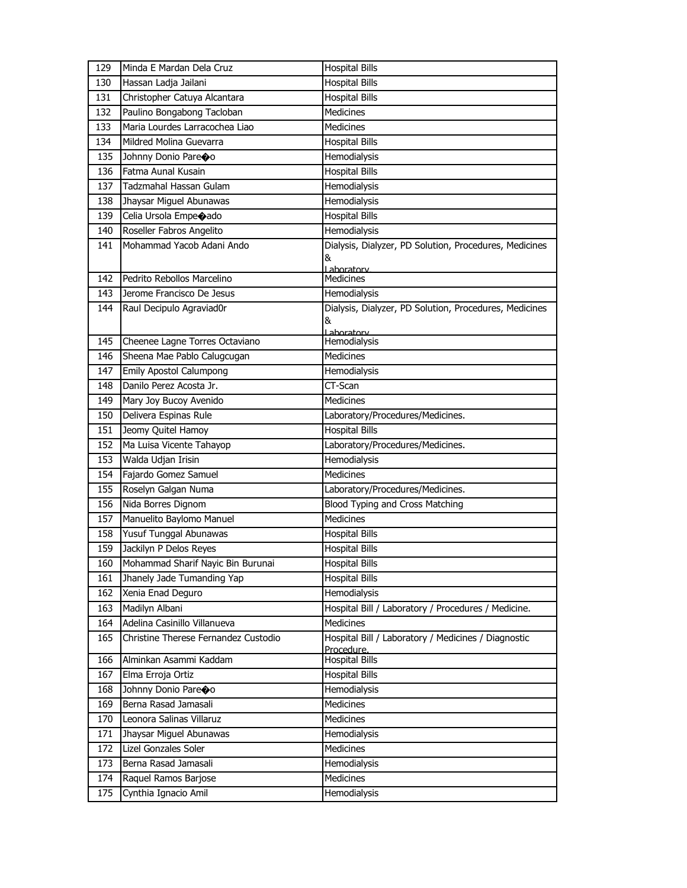| 129 | Minda E Mardan Dela Cruz             | <b>Hospital Bills</b>                                             |
|-----|--------------------------------------|-------------------------------------------------------------------|
| 130 | Hassan Ladja Jailani                 | <b>Hospital Bills</b>                                             |
| 131 | Christopher Catuya Alcantara         | <b>Hospital Bills</b>                                             |
| 132 | Paulino Bongabong Tacloban           | <b>Medicines</b>                                                  |
| 133 | Maria Lourdes Larracochea Liao       | <b>Medicines</b>                                                  |
| 134 | Mildred Molina Guevarra              | <b>Hospital Bills</b>                                             |
| 135 | Johnny Donio Pareoo                  | Hemodialysis                                                      |
| 136 | Fatma Aunal Kusain                   | <b>Hospital Bills</b>                                             |
| 137 | Tadzmahal Hassan Gulam               | Hemodialysis                                                      |
| 138 | Jhaysar Miguel Abunawas              | Hemodialysis                                                      |
| 139 | Celia Ursola Empe $\bigcirc$ ado     | <b>Hospital Bills</b>                                             |
| 140 | Roseller Fabros Angelito             | Hemodialysis                                                      |
| 141 | Mohammad Yacob Adani Ando            | Dialysis, Dialyzer, PD Solution, Procedures, Medicines<br>&       |
| 142 | Pedrito Rebollos Marcelino           | Laboratory<br>Medicines                                           |
| 143 | Jerome Francisco De Jesus            | Hemodialysis                                                      |
| 144 | Raul Decipulo Agraviad0r             | Dialysis, Dialyzer, PD Solution, Procedures, Medicines            |
|     |                                      | &                                                                 |
| 145 | Cheenee Lagne Torres Octaviano       | Laboratory<br>Hemodialysis                                        |
| 146 | Sheena Mae Pablo Calugcugan          | <b>Medicines</b>                                                  |
| 147 | Emily Apostol Calumpong              | Hemodialysis                                                      |
| 148 | Danilo Perez Acosta Jr.              | CT-Scan                                                           |
| 149 | Mary Joy Bucoy Avenido               | <b>Medicines</b>                                                  |
| 150 | Delivera Espinas Rule                | Laboratory/Procedures/Medicines.                                  |
| 151 | Jeomy Quitel Hamoy                   | <b>Hospital Bills</b>                                             |
| 152 | Ma Luisa Vicente Tahayop             | Laboratory/Procedures/Medicines.                                  |
| 153 | Walda Udjan Irisin                   | Hemodialysis                                                      |
| 154 | Fajardo Gomez Samuel                 | <b>Medicines</b>                                                  |
| 155 | Roselyn Galgan Numa                  | Laboratory/Procedures/Medicines.                                  |
| 156 | Nida Borres Dignom                   | Blood Typing and Cross Matching                                   |
| 157 | Manuelito Baylomo Manuel             | Medicines                                                         |
| 158 | Yusuf Tunggal Abunawas               | <b>Hospital Bills</b>                                             |
| 159 | Jackilyn P Delos Reyes               | <b>Hospital Bills</b>                                             |
| 160 | Mohammad Sharif Nayic Bin Burunai    | <b>Hospital Bills</b>                                             |
| 161 | Jhanely Jade Tumanding Yap           | <b>Hospital Bills</b>                                             |
| 162 | Xenia Enad Deguro                    | Hemodialysis                                                      |
| 163 | Madilyn Albani                       | Hospital Bill / Laboratory / Procedures / Medicine.               |
| 164 | Adelina Casinillo Villanueva         | <b>Medicines</b>                                                  |
| 165 | Christine Therese Fernandez Custodio | Hospital Bill / Laboratory / Medicines / Diagnostic<br>Procedure. |
| 166 | Alminkan Asammi Kaddam               | <b>Hospital Bills</b>                                             |
| 167 | Elma Erroja Ortiz                    | <b>Hospital Bills</b>                                             |
| 168 | Johnny Donio Pareoo                  | Hemodialysis                                                      |
| 169 | Berna Rasad Jamasali                 | Medicines                                                         |
| 170 | Leonora Salinas Villaruz             | <b>Medicines</b>                                                  |
| 171 | Jhaysar Miguel Abunawas              | Hemodialysis                                                      |
| 172 | Lizel Gonzales Soler                 | Medicines                                                         |
| 173 | Berna Rasad Jamasali                 | Hemodialysis                                                      |
| 174 | Raquel Ramos Barjose                 | Medicines                                                         |
| 175 | Cynthia Ignacio Amil                 | Hemodialysis                                                      |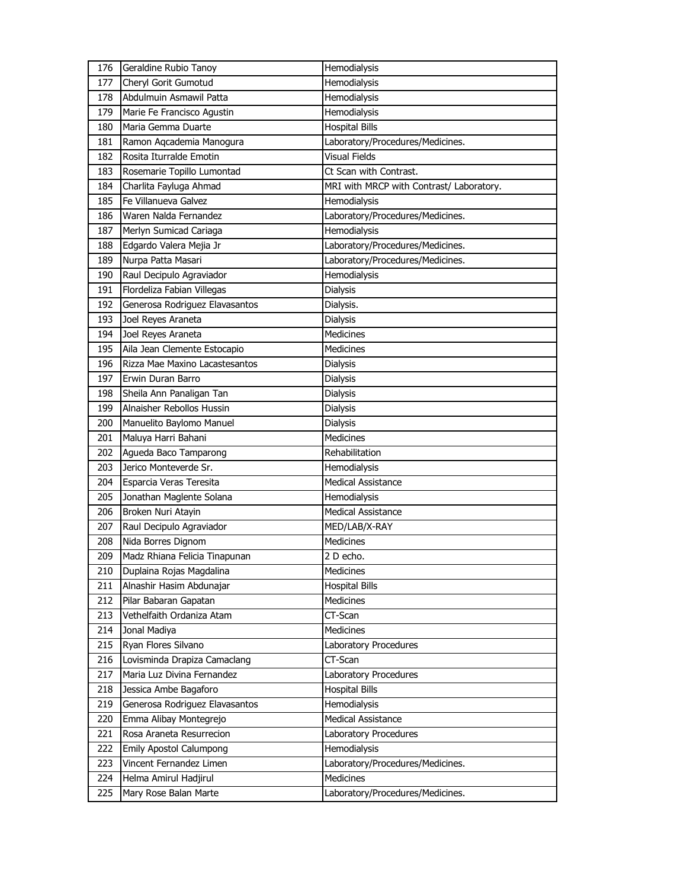| 176 | Geraldine Rubio Tanoy          | Hemodialysis                             |
|-----|--------------------------------|------------------------------------------|
| 177 | Cheryl Gorit Gumotud           | Hemodialysis                             |
| 178 | Abdulmuin Asmawil Patta        | Hemodialysis                             |
| 179 | Marie Fe Francisco Agustin     | Hemodialysis                             |
| 180 | Maria Gemma Duarte             | <b>Hospital Bills</b>                    |
| 181 | Ramon Aqcademia Manogura       | Laboratory/Procedures/Medicines.         |
| 182 | Rosita Iturralde Emotin        | <b>Visual Fields</b>                     |
| 183 | Rosemarie Topillo Lumontad     | Ct Scan with Contrast.                   |
| 184 | Charlita Fayluga Ahmad         | MRI with MRCP with Contrast/ Laboratory. |
| 185 | Fe Villanueva Galvez           | Hemodialysis                             |
| 186 | Waren Nalda Fernandez          | Laboratory/Procedures/Medicines.         |
| 187 | Merlyn Sumicad Cariaga         | Hemodialysis                             |
| 188 | Edgardo Valera Mejia Jr        | Laboratory/Procedures/Medicines.         |
| 189 | Nurpa Patta Masari             | Laboratory/Procedures/Medicines.         |
| 190 | Raul Decipulo Agraviador       | Hemodialysis                             |
| 191 | Flordeliza Fabian Villegas     | <b>Dialysis</b>                          |
| 192 | Generosa Rodriguez Elavasantos | Dialysis.                                |
| 193 | Joel Reyes Araneta             | <b>Dialysis</b>                          |
| 194 | Joel Reyes Araneta             | <b>Medicines</b>                         |
| 195 | Aila Jean Clemente Estocapio   | <b>Medicines</b>                         |
| 196 | Rizza Mae Maxino Lacastesantos | <b>Dialysis</b>                          |
| 197 | Erwin Duran Barro              | Dialysis                                 |
| 198 | Sheila Ann Panaligan Tan       | <b>Dialysis</b>                          |
| 199 | Alnaisher Rebollos Hussin      | <b>Dialysis</b>                          |
| 200 | Manuelito Baylomo Manuel       | <b>Dialysis</b>                          |
| 201 | Maluya Harri Bahani            | Medicines                                |
| 202 | Agueda Baco Tamparong          | Rehabilitation                           |
| 203 | Jerico Monteverde Sr.          | Hemodialysis                             |
| 204 | Esparcia Veras Teresita        | <b>Medical Assistance</b>                |
| 205 |                                |                                          |
|     | Jonathan Maglente Solana       | Hemodialysis                             |
| 206 | Broken Nuri Atayin             | <b>Medical Assistance</b>                |
| 207 | Raul Decipulo Agraviador       | MED/LAB/X-RAY                            |
| 208 | Nida Borres Dignom             | Medicines                                |
| 209 | Madz Rhiana Felicia Tinapunan  | $\overline{2}$ D echo.                   |
| 210 | Duplaina Rojas Magdalina       | Medicines                                |
| 211 | Alnashir Hasim Abdunajar       | <b>Hospital Bills</b>                    |
| 212 | Pilar Babaran Gapatan          | <b>Medicines</b>                         |
| 213 | Vethelfaith Ordaniza Atam      | CT-Scan                                  |
| 214 | Jonal Madiya                   | Medicines                                |
| 215 | Ryan Flores Silvano            | Laboratory Procedures                    |
| 216 | Lovisminda Drapiza Camaclang   | CT-Scan                                  |
| 217 | Maria Luz Divina Fernandez     | Laboratory Procedures                    |
| 218 | Jessica Ambe Bagaforo          | <b>Hospital Bills</b>                    |
| 219 | Generosa Rodriguez Elavasantos | Hemodialysis                             |
| 220 | Emma Alibay Montegrejo         | Medical Assistance                       |
| 221 | Rosa Araneta Resurrecion       | Laboratory Procedures                    |
| 222 | <b>Emily Apostol Calumpong</b> | Hemodialysis                             |
| 223 | Vincent Fernandez Limen        | Laboratory/Procedures/Medicines.         |
| 224 | Helma Amirul Hadjirul          | Medicines                                |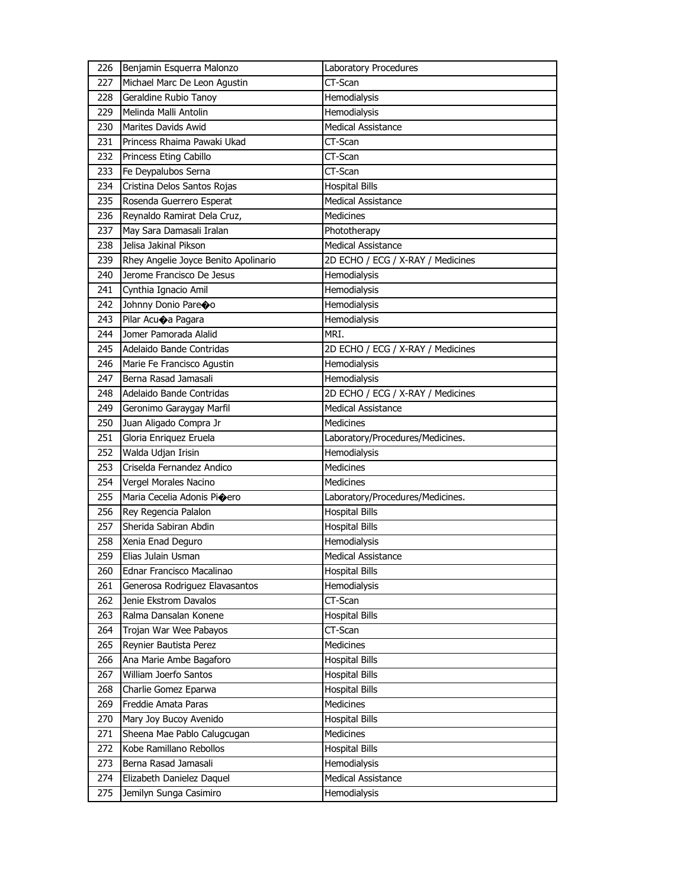| 226 | Benjamin Esquerra Malonzo            | Laboratory Procedures             |
|-----|--------------------------------------|-----------------------------------|
| 227 | Michael Marc De Leon Agustin         | CT-Scan                           |
| 228 | Geraldine Rubio Tanoy                | Hemodialysis                      |
| 229 | Melinda Malli Antolin                | Hemodialysis                      |
| 230 | Marites Davids Awid                  | <b>Medical Assistance</b>         |
| 231 | Princess Rhaima Pawaki Ukad          | CT-Scan                           |
| 232 | Princess Eting Cabillo               | CT-Scan                           |
| 233 | Fe Deypalubos Serna                  | CT-Scan                           |
| 234 | Cristina Delos Santos Rojas          | <b>Hospital Bills</b>             |
| 235 | Rosenda Guerrero Esperat             | Medical Assistance                |
| 236 | Reynaldo Ramirat Dela Cruz,          | <b>Medicines</b>                  |
| 237 | May Sara Damasali Iralan             | Phototherapy                      |
| 238 | Jelisa Jakinal Pikson                | <b>Medical Assistance</b>         |
| 239 | Rhey Angelie Joyce Benito Apolinario | 2D ECHO / ECG / X-RAY / Medicines |
| 240 | Jerome Francisco De Jesus            | Hemodialysis                      |
| 241 | Cynthia Ignacio Amil                 | Hemodialysis                      |
| 242 | Johnny Donio Pareoo                  | Hemodialysis                      |
| 243 | Pilar Acuoa Pagara                   | Hemodialysis                      |
| 244 | Jomer Pamorada Alalid                | MRI.                              |
| 245 | Adelaido Bande Contridas             | 2D ECHO / ECG / X-RAY / Medicines |
| 246 | Marie Fe Francisco Agustin           | Hemodialysis                      |
| 247 | Berna Rasad Jamasali                 | Hemodialysis                      |
| 248 | Adelaido Bande Contridas             | 2D ECHO / ECG / X-RAY / Medicines |
| 249 | Geronimo Garaygay Marfil             | <b>Medical Assistance</b>         |
| 250 | Juan Aligado Compra Jr               | <b>Medicines</b>                  |
| 251 | Gloria Enriquez Eruela               | Laboratory/Procedures/Medicines.  |
| 252 | Walda Udjan Irisin                   | Hemodialysis                      |
| 253 | Criselda Fernandez Andico            | Medicines                         |
| 254 | Vergel Morales Nacino                | <b>Medicines</b>                  |
| 255 | Maria Cecelia Adonis Pioero          | Laboratory/Procedures/Medicines.  |
| 256 | Rey Regencia Palalon                 | <b>Hospital Bills</b>             |
| 257 | Sherida Sabiran Abdin                | <b>Hospital Bills</b>             |
| 258 | Xenia Enad Deguro                    | Hemodialysis                      |
| 259 | Elias Julain Usman                   | <b>Medical Assistance</b>         |
| 260 | Ednar Francisco Macalinao            | <b>Hospital Bills</b>             |
| 261 | Generosa Rodriguez Elavasantos       | Hemodialysis                      |
| 262 | Jenie Ekstrom Davalos                | CT-Scan                           |
| 263 | Ralma Dansalan Konene                | <b>Hospital Bills</b>             |
| 264 | Trojan War Wee Pabayos               | CT-Scan                           |
| 265 | Reynier Bautista Perez               | <b>Medicines</b>                  |
| 266 | Ana Marie Ambe Bagaforo              | <b>Hospital Bills</b>             |
| 267 | William Joerfo Santos                | <b>Hospital Bills</b>             |
| 268 | Charlie Gomez Eparwa                 | <b>Hospital Bills</b>             |
| 269 | Freddie Amata Paras                  | Medicines                         |
| 270 | Mary Joy Bucoy Avenido               | <b>Hospital Bills</b>             |
| 271 | Sheena Mae Pablo Calugcugan          | Medicines                         |
| 272 | Kobe Ramillano Rebollos              | <b>Hospital Bills</b>             |
| 273 | Berna Rasad Jamasali                 | Hemodialysis                      |
| 274 | Elizabeth Danielez Daquel            | Medical Assistance                |
| 275 | Jemilyn Sunga Casimiro               | Hemodialysis                      |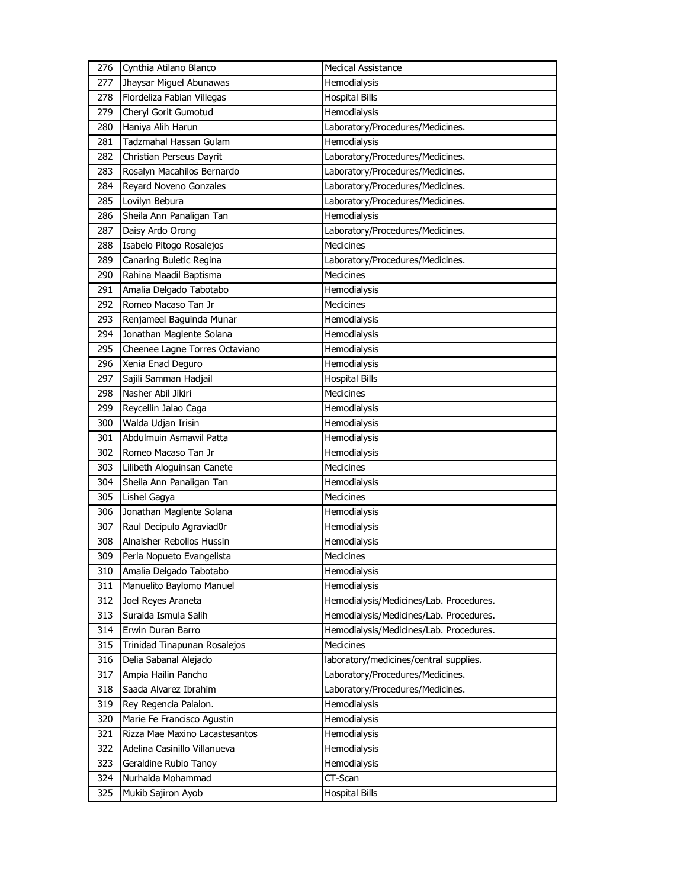| 276 | Cynthia Atilano Blanco         | <b>Medical Assistance</b>               |
|-----|--------------------------------|-----------------------------------------|
| 277 | Jhaysar Miguel Abunawas        | Hemodialysis                            |
| 278 | Flordeliza Fabian Villegas     | <b>Hospital Bills</b>                   |
| 279 | Cheryl Gorit Gumotud           | Hemodialysis                            |
| 280 | Haniya Alih Harun              | Laboratory/Procedures/Medicines.        |
| 281 | Tadzmahal Hassan Gulam         | Hemodialysis                            |
| 282 | Christian Perseus Dayrit       | Laboratory/Procedures/Medicines.        |
| 283 | Rosalyn Macahilos Bernardo     | Laboratory/Procedures/Medicines.        |
| 284 | Reyard Noveno Gonzales         | Laboratory/Procedures/Medicines.        |
| 285 | Lovilyn Bebura                 | Laboratory/Procedures/Medicines.        |
| 286 | Sheila Ann Panaligan Tan       | Hemodialysis                            |
| 287 | Daisy Ardo Orong               | Laboratory/Procedures/Medicines.        |
| 288 | Isabelo Pitogo Rosalejos       | <b>Medicines</b>                        |
| 289 | Canaring Buletic Regina        | Laboratory/Procedures/Medicines.        |
| 290 | Rahina Maadil Baptisma         | <b>Medicines</b>                        |
| 291 | Amalia Delgado Tabotabo        | Hemodialysis                            |
| 292 | Romeo Macaso Tan Jr            | <b>Medicines</b>                        |
| 293 | Renjameel Baguinda Munar       | Hemodialysis                            |
| 294 | Jonathan Maglente Solana       | Hemodialysis                            |
| 295 | Cheenee Lagne Torres Octaviano | Hemodialysis                            |
| 296 | Xenia Enad Deguro              | Hemodialysis                            |
| 297 | Sajili Samman Hadjail          | <b>Hospital Bills</b>                   |
| 298 | Nasher Abil Jikiri             | <b>Medicines</b>                        |
| 299 | Reycellin Jalao Caga           | Hemodialysis                            |
| 300 | Walda Udjan Irisin             | Hemodialysis                            |
| 301 | Abdulmuin Asmawil Patta        | Hemodialysis                            |
| 302 | Romeo Macaso Tan Jr            | Hemodialysis                            |
| 303 | Lilibeth Aloguinsan Canete     | <b>Medicines</b>                        |
| 304 | Sheila Ann Panaligan Tan       | Hemodialysis                            |
| 305 | Lishel Gagya                   | <b>Medicines</b>                        |
| 306 | Jonathan Maglente Solana       | Hemodialysis                            |
| 307 | Raul Decipulo Agraviad0r       | Hemodialysis                            |
| 308 | Alnaisher Rebollos Hussin      | Hemodialysis                            |
| 309 | Perla Nopueto Evangelista      | <b>Medicines</b>                        |
| 310 | Amalia Delgado Tabotabo        | Hemodialysis                            |
| 311 | Manuelito Baylomo Manuel       | Hemodialysis                            |
| 312 | Joel Reyes Araneta             | Hemodialysis/Medicines/Lab. Procedures. |
| 313 | Suraida Ismula Salih           | Hemodialysis/Medicines/Lab. Procedures. |
| 314 | Erwin Duran Barro              | Hemodialysis/Medicines/Lab. Procedures. |
| 315 | Trinidad Tinapunan Rosalejos   | Medicines                               |
| 316 | Delia Sabanal Alejado          | laboratory/medicines/central supplies.  |
| 317 | Ampia Hailin Pancho            | Laboratory/Procedures/Medicines.        |
| 318 | Saada Alvarez Ibrahim          | Laboratory/Procedures/Medicines.        |
| 319 | Rey Regencia Palalon.          | Hemodialysis                            |
| 320 | Marie Fe Francisco Agustin     | Hemodialysis                            |
| 321 | Rizza Mae Maxino Lacastesantos | Hemodialysis                            |
| 322 | Adelina Casinillo Villanueva   | Hemodialysis                            |
| 323 | Geraldine Rubio Tanoy          | Hemodialysis                            |
| 324 | Nurhaida Mohammad              | CT-Scan                                 |
| 325 | Mukib Sajiron Ayob             | <b>Hospital Bills</b>                   |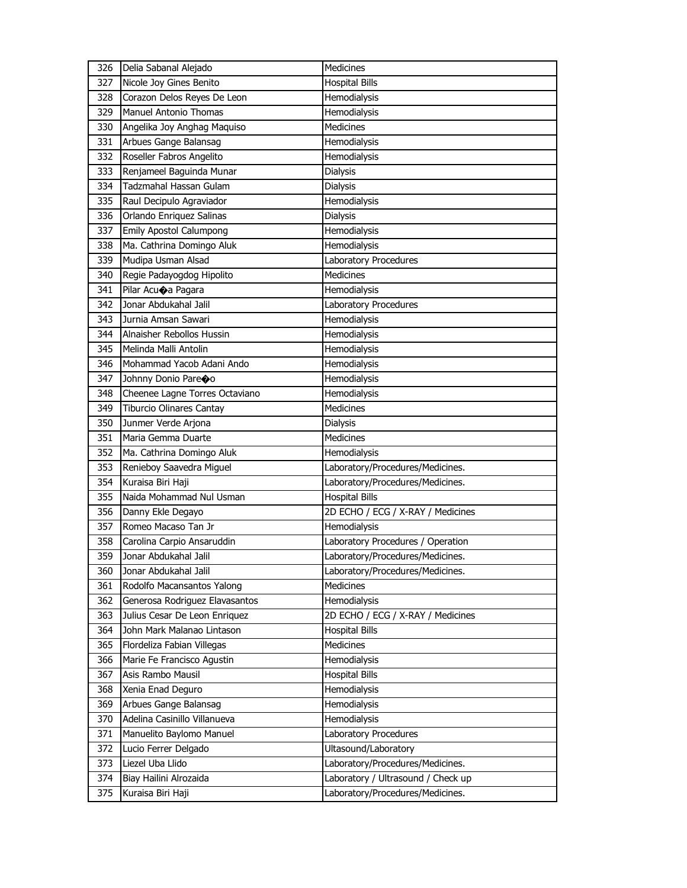|     | Delia Sabanal Alejado                               | Medicines                                                 |
|-----|-----------------------------------------------------|-----------------------------------------------------------|
| 327 | Nicole Joy Gines Benito                             | <b>Hospital Bills</b>                                     |
| 328 | Corazon Delos Reyes De Leon                         | Hemodialysis                                              |
| 329 | <b>Manuel Antonio Thomas</b>                        | Hemodialysis                                              |
| 330 | Angelika Joy Anghag Maquiso                         | <b>Medicines</b>                                          |
| 331 | Arbues Gange Balansag                               | Hemodialysis                                              |
| 332 | Roseller Fabros Angelito                            | Hemodialysis                                              |
| 333 | Renjameel Baguinda Munar                            | Dialysis                                                  |
| 334 | Tadzmahal Hassan Gulam                              | Dialysis                                                  |
| 335 | Raul Decipulo Agraviador                            | Hemodialysis                                              |
| 336 | Orlando Enriquez Salinas                            | Dialysis                                                  |
| 337 | Emily Apostol Calumpong                             | Hemodialysis                                              |
| 338 | Ma. Cathrina Domingo Aluk                           | Hemodialysis                                              |
| 339 | Mudipa Usman Alsad                                  | Laboratory Procedures                                     |
| 340 | Regie Padayogdog Hipolito                           | <b>Medicines</b>                                          |
| 341 | Pilar Acuoa Pagara                                  | Hemodialysis                                              |
| 342 | Jonar Abdukahal Jalil                               | Laboratory Procedures                                     |
| 343 | Jurnia Amsan Sawari                                 | Hemodialysis                                              |
| 344 | Alnaisher Rebollos Hussin                           | Hemodialysis                                              |
| 345 | Melinda Malli Antolin                               | Hemodialysis                                              |
| 346 | Mohammad Yacob Adani Ando                           | Hemodialysis                                              |
| 347 | Johnny Donio Pareoo                                 | Hemodialysis                                              |
| 348 | Cheenee Lagne Torres Octaviano                      | Hemodialysis                                              |
| 349 | <b>Tiburcio Olinares Cantay</b>                     | Medicines                                                 |
| 350 | Junmer Verde Arjona                                 | Dialysis                                                  |
| 351 | Maria Gemma Duarte                                  | <b>Medicines</b>                                          |
|     |                                                     |                                                           |
| 352 | Ma. Cathrina Domingo Aluk                           | Hemodialysis                                              |
| 353 | Renieboy Saavedra Miguel                            | Laboratory/Procedures/Medicines.                          |
| 354 | Kuraisa Biri Haji                                   |                                                           |
| 355 | Naida Mohammad Nul Usman                            | Laboratory/Procedures/Medicines.<br><b>Hospital Bills</b> |
| 356 | Danny Ekle Degayo                                   | 2D ECHO / ECG / X-RAY / Medicines                         |
| 357 | Romeo Macaso Tan Jr                                 | Hemodialysis                                              |
| 358 |                                                     | Laboratory Procedures / Operation                         |
| 359 | Carolina Carpio Ansaruddin<br>Jonar Abdukahal Jalil | Laboratory/Procedures/Medicines.                          |
| 360 | Jonar Abdukahal Jalil                               | Laboratory/Procedures/Medicines.                          |
| 361 | Rodolfo Macansantos Yalong                          | Medicines                                                 |
| 362 | Generosa Rodriguez Elavasantos                      | <b>Hemodialysis</b>                                       |
| 363 | Julius Cesar De Leon Enriquez                       | 2D ECHO / ECG / X-RAY / Medicines                         |
| 364 | John Mark Malanao Lintason                          | <b>Hospital Bills</b>                                     |
| 365 | Flordeliza Fabian Villegas                          | Medicines                                                 |
| 366 | Marie Fe Francisco Agustin                          | Hemodialysis                                              |
| 367 | Asis Rambo Mausil                                   | Hospital Bills                                            |
| 368 |                                                     | Hemodialysis                                              |
| 369 | Xenia Enad Deguro<br>Arbues Gange Balansag          | Hemodialysis                                              |
| 370 | Adelina Casinillo Villanueva                        | Hemodialysis                                              |
| 371 | Manuelito Baylomo Manuel                            | Laboratory Procedures                                     |
| 372 | Lucio Ferrer Delgado                                | Ultasound/Laboratory                                      |
| 373 | Liezel Uba Llido                                    | Laboratory/Procedures/Medicines.                          |
| 374 | Biay Hailini Alrozaida                              | Laboratory / Ultrasound / Check up                        |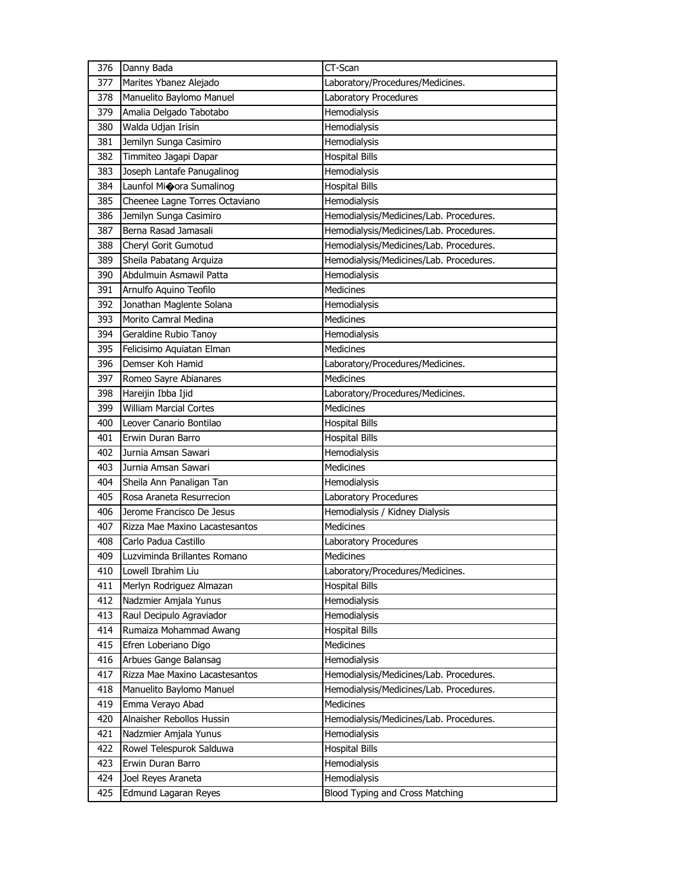| 376        | Danny Bada                                 | CT-Scan                                         |
|------------|--------------------------------------------|-------------------------------------------------|
| 377        | Marites Ybanez Alejado                     | Laboratory/Procedures/Medicines.                |
| 378        | Manuelito Baylomo Manuel                   | <b>Laboratory Procedures</b>                    |
| 379        | Amalia Delgado Tabotabo                    | Hemodialysis                                    |
| 380        | Walda Udjan Irisin                         | Hemodialysis                                    |
| 381        | Jemilyn Sunga Casimiro                     | Hemodialysis                                    |
| 382        | Timmiteo Jagapi Dapar                      | <b>Hospital Bills</b>                           |
| 383        | Joseph Lantafe Panugalinog                 | Hemodialysis                                    |
| 384        | Launfol Mioora Sumalinog                   | <b>Hospital Bills</b>                           |
| 385        | Cheenee Lagne Torres Octaviano             | Hemodialysis                                    |
| 386        | Jemilyn Sunga Casimiro                     | Hemodialysis/Medicines/Lab. Procedures.         |
| 387        | Berna Rasad Jamasali                       | Hemodialysis/Medicines/Lab. Procedures.         |
| 388        | Cheryl Gorit Gumotud                       | Hemodialysis/Medicines/Lab. Procedures.         |
| 389        | Sheila Pabatang Arquiza                    | Hemodialysis/Medicines/Lab. Procedures.         |
| 390        | Abdulmuin Asmawil Patta                    | Hemodialysis                                    |
| 391        | Arnulfo Aquino Teofilo                     | <b>Medicines</b>                                |
| 392        | Jonathan Maglente Solana                   | Hemodialysis                                    |
| 393        | Morito Camral Medina                       | <b>Medicines</b>                                |
| 394        | Geraldine Rubio Tanoy                      | Hemodialysis                                    |
| 395        | Felicisimo Aquiatan Elman                  | Medicines                                       |
| 396        | Demser Koh Hamid                           | Laboratory/Procedures/Medicines.                |
| 397        | Romeo Sayre Abianares                      | <b>Medicines</b>                                |
| 398        | Hareijin Ibba Ijid                         | Laboratory/Procedures/Medicines.                |
| 399        | <b>William Marcial Cortes</b>              | <b>Medicines</b>                                |
| 400        | Leover Canario Bontilao                    | <b>Hospital Bills</b>                           |
| 401        | Erwin Duran Barro                          | <b>Hospital Bills</b>                           |
| 402        | Jurnia Amsan Sawari                        | Hemodialysis                                    |
| 403        | Jurnia Amsan Sawari                        | <b>Medicines</b>                                |
| 404        | Sheila Ann Panaligan Tan                   | Hemodialysis                                    |
| 405        |                                            |                                                 |
|            | Rosa Araneta Resurrecion                   | Laboratory Procedures                           |
| 406        | Jerome Francisco De Jesus                  | Hemodialysis / Kidney Dialysis                  |
| 407        | Rizza Mae Maxino Lacastesantos             | <b>Medicines</b>                                |
| 408        | Carlo Padua Castillo                       | Laboratory Procedures                           |
| 409        | Luzviminda Brillantes Romano               | Medicines                                       |
| 410        | Lowell Ibrahim Liu                         | Laboratory/Procedures/Medicines.                |
| 411        | Merlyn Rodriguez Almazan                   | <b>Hospital Bills</b>                           |
| 412        | Nadzmier Amjala Yunus                      | Hemodialysis                                    |
| 413        | Raul Decipulo Agraviador                   | Hemodialysis                                    |
| 414        | Rumaiza Mohammad Awang                     | <b>Hospital Bills</b>                           |
| 415        | Efren Loberiano Digo                       | Medicines                                       |
| 416        | Arbues Gange Balansag                      | Hemodialysis                                    |
| 417        | Rizza Mae Maxino Lacastesantos             | Hemodialysis/Medicines/Lab. Procedures.         |
| 418        | Manuelito Baylomo Manuel                   | Hemodialysis/Medicines/Lab. Procedures.         |
| 419        | Emma Verayo Abad                           | Medicines                                       |
| 420        | Alnaisher Rebollos Hussin                  | Hemodialysis/Medicines/Lab. Procedures.         |
| 421        | Nadzmier Amjala Yunus                      | Hemodialysis                                    |
| 422        | Rowel Telespurok Salduwa                   | <b>Hospital Bills</b>                           |
| 423        | Erwin Duran Barro                          | Hemodialysis                                    |
| 424<br>425 | Joel Reyes Araneta<br>Edmund Lagaran Reyes | Hemodialysis<br>Blood Typing and Cross Matching |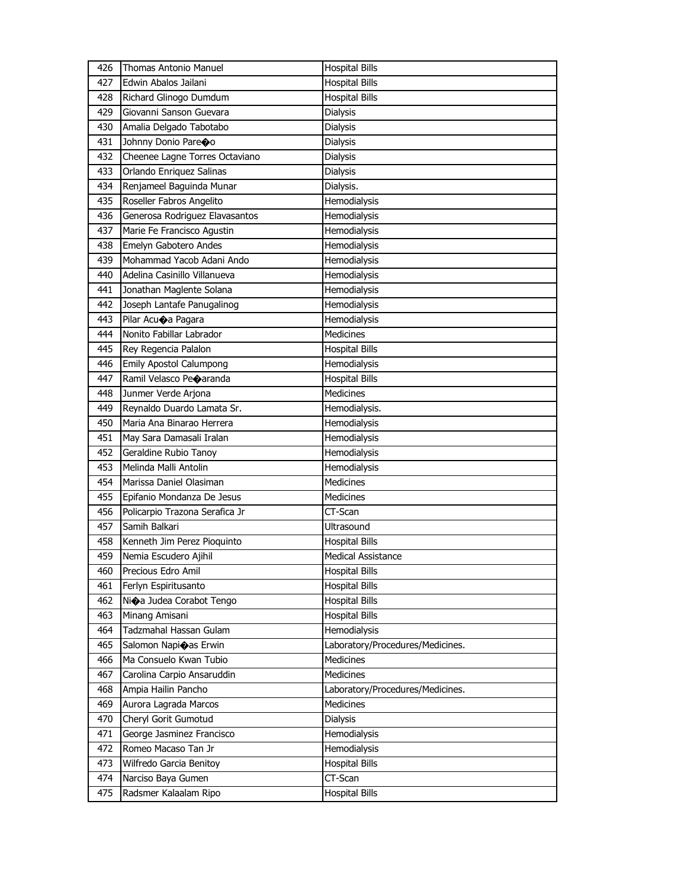| 426 | <b>Thomas Antonio Manuel</b>   | <b>Hospital Bills</b>            |
|-----|--------------------------------|----------------------------------|
| 427 | Edwin Abalos Jailani           | <b>Hospital Bills</b>            |
| 428 | Richard Glinogo Dumdum         | <b>Hospital Bills</b>            |
| 429 | Giovanni Sanson Guevara        | <b>Dialysis</b>                  |
| 430 | Amalia Delgado Tabotabo        | <b>Dialysis</b>                  |
| 431 | Johnny Donio Pareco            | <b>Dialysis</b>                  |
| 432 | Cheenee Lagne Torres Octaviano | Dialysis                         |
| 433 | Orlando Enriquez Salinas       | Dialysis                         |
| 434 | Renjameel Baguinda Munar       | Dialysis.                        |
| 435 | Roseller Fabros Angelito       | Hemodialysis                     |
| 436 | Generosa Rodriguez Elavasantos | <b>Hemodialysis</b>              |
| 437 | Marie Fe Francisco Agustin     | Hemodialysis                     |
| 438 | Emelyn Gabotero Andes          | Hemodialysis                     |
| 439 | Mohammad Yacob Adani Ando      | <b>Hemodialysis</b>              |
| 440 | Adelina Casinillo Villanueva   | Hemodialysis                     |
| 441 | Jonathan Maglente Solana       | Hemodialysis                     |
| 442 | Joseph Lantafe Panugalinog     | Hemodialysis                     |
| 443 | Pilar Acuoa Pagara             | Hemodialysis                     |
| 444 | Nonito Fabillar Labrador       | <b>Medicines</b>                 |
| 445 | Rey Regencia Palalon           | <b>Hospital Bills</b>            |
| 446 | <b>Emily Apostol Calumpong</b> | Hemodialysis                     |
| 447 | Ramil Velasco Peoaranda        | <b>Hospital Bills</b>            |
| 448 | Junmer Verde Arjona            | <b>Medicines</b>                 |
| 449 | Reynaldo Duardo Lamata Sr.     | Hemodialysis.                    |
| 450 | Maria Ana Binarao Herrera      | Hemodialysis                     |
| 451 | May Sara Damasali Iralan       | Hemodialysis                     |
| 452 | Geraldine Rubio Tanoy          | Hemodialysis                     |
| 453 | Melinda Malli Antolin          | Hemodialysis                     |
| 454 | Marissa Daniel Olasiman        | <b>Medicines</b>                 |
| 455 | Epifanio Mondanza De Jesus     | <b>Medicines</b>                 |
| 456 | Policarpio Trazona Serafica Jr | CT-Scan                          |
| 457 | Samih Balkari                  | <b>Ultrasound</b>                |
| 458 | Kenneth Jim Perez Pioquinto    | <b>Hospital Bills</b>            |
| 459 | Nemia Escudero Ajihil          | Medical Assistance               |
| 460 | Precious Edro Amil             | <b>Hospital Bills</b>            |
| 461 | Ferlyn Espiritusanto           | <b>Hospital Bills</b>            |
| 462 | Nioa Judea Corabot Tengo       | <b>Hospital Bills</b>            |
| 463 | Minang Amisani                 | <b>Hospital Bills</b>            |
| 464 | Tadzmahal Hassan Gulam         | Hemodialysis                     |
| 465 | Salomon Napioas Erwin          | Laboratory/Procedures/Medicines. |
| 466 | Ma Consuelo Kwan Tubio         | Medicines                        |
| 467 | Carolina Carpio Ansaruddin     | <b>Medicines</b>                 |
| 468 | Ampia Hailin Pancho            | Laboratory/Procedures/Medicines. |
| 469 | Aurora Lagrada Marcos          | Medicines                        |
| 470 | Cheryl Gorit Gumotud           | Dialysis                         |
| 471 | George Jasminez Francisco      | Hemodialysis                     |
| 472 | Romeo Macaso Tan Jr            | Hemodialysis                     |
| 473 | Wilfredo Garcia Benitoy        | <b>Hospital Bills</b>            |
| 474 | Narciso Baya Gumen             | CT-Scan                          |
| 475 | Radsmer Kalaalam Ripo          | <b>Hospital Bills</b>            |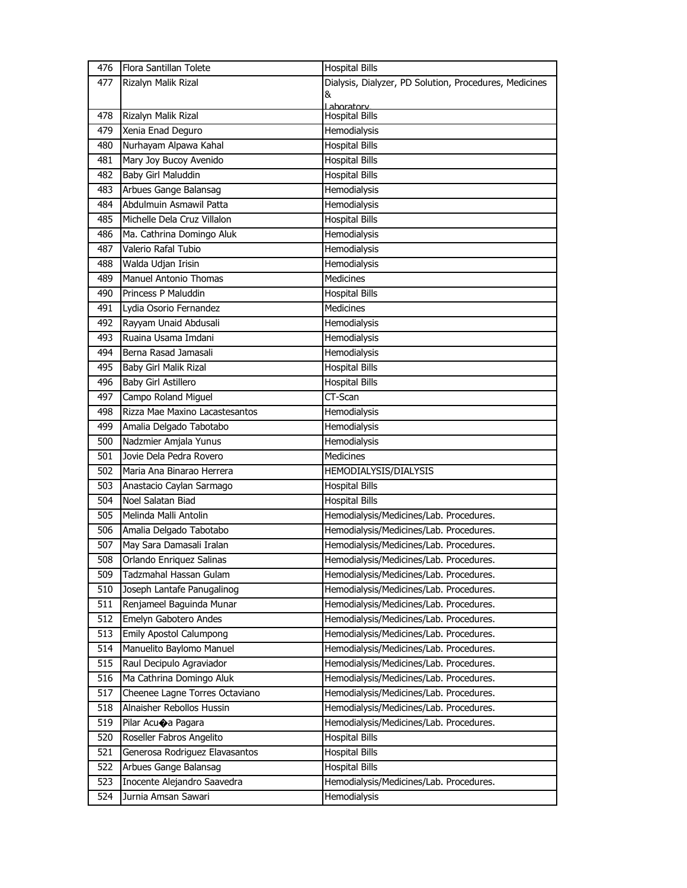| 476 | Flora Santillan Tolete         | <b>Hospital Bills</b>                                  |
|-----|--------------------------------|--------------------------------------------------------|
| 477 | Rizalyn Malik Rizal            | Dialysis, Dialyzer, PD Solution, Procedures, Medicines |
|     |                                | &                                                      |
| 478 | Rizalyn Malik Rizal            | aboratory<br><b>Hospital Bills</b>                     |
| 479 | Xenia Enad Deguro              | Hemodialysis                                           |
| 480 | Nurhayam Alpawa Kahal          | <b>Hospital Bills</b>                                  |
| 481 | Mary Joy Bucoy Avenido         | <b>Hospital Bills</b>                                  |
| 482 | Baby Girl Maluddin             | <b>Hospital Bills</b>                                  |
| 483 | Arbues Gange Balansag          | Hemodialysis                                           |
| 484 | Abdulmuin Asmawil Patta        | Hemodialysis                                           |
| 485 | Michelle Dela Cruz Villalon    | <b>Hospital Bills</b>                                  |
| 486 | Ma. Cathrina Domingo Aluk      | Hemodialysis                                           |
| 487 | Valerio Rafal Tubio            | Hemodialysis                                           |
| 488 | Walda Udjan Irisin             | Hemodialysis                                           |
| 489 | <b>Manuel Antonio Thomas</b>   | <b>Medicines</b>                                       |
| 490 | Princess P Maluddin            | <b>Hospital Bills</b>                                  |
| 491 | Lydia Osorio Fernandez         | <b>Medicines</b>                                       |
| 492 | Rayyam Unaid Abdusali          | Hemodialysis                                           |
| 493 | Ruaina Usama Imdani            | Hemodialysis                                           |
| 494 | Berna Rasad Jamasali           | Hemodialysis                                           |
| 495 | Baby Girl Malik Rizal          | <b>Hospital Bills</b>                                  |
| 496 | Baby Girl Astillero            | <b>Hospital Bills</b>                                  |
| 497 | Campo Roland Miguel            | CT-Scan                                                |
| 498 | Rizza Mae Maxino Lacastesantos | Hemodialysis                                           |
| 499 | Amalia Delgado Tabotabo        | Hemodialysis                                           |
| 500 | Nadzmier Amjala Yunus          | Hemodialysis                                           |
| 501 | Jovie Dela Pedra Rovero        | <b>Medicines</b>                                       |
| 502 | Maria Ana Binarao Herrera      | HEMODIALYSIS/DIALYSIS                                  |
| 503 | Anastacio Caylan Sarmago       | <b>Hospital Bills</b>                                  |
| 504 | Noel Salatan Biad              | <b>Hospital Bills</b>                                  |
| 505 | Melinda Malli Antolin          | Hemodialysis/Medicines/Lab. Procedures.                |
| 506 | Amalia Delgado Tabotabo        | Hemodialysis/Medicines/Lab. Procedures.                |
| 507 | May Sara Damasali Iralan       | Hemodialysis/Medicines/Lab. Procedures.                |
| 508 | Orlando Enriguez Salinas       | Hemodialysis/Medicines/Lab. Procedures.                |
| 509 | Tadzmahal Hassan Gulam         | Hemodialysis/Medicines/Lab. Procedures.                |
| 510 | Joseph Lantafe Panugalinog     | Hemodialysis/Medicines/Lab. Procedures.                |
| 511 | Renjameel Baguinda Munar       | Hemodialysis/Medicines/Lab. Procedures.                |
| 512 | Emelyn Gabotero Andes          | Hemodialysis/Medicines/Lab. Procedures.                |
| 513 | <b>Emily Apostol Calumpong</b> | Hemodialysis/Medicines/Lab. Procedures.                |
| 514 | Manuelito Baylomo Manuel       | Hemodialysis/Medicines/Lab. Procedures.                |
| 515 | Raul Decipulo Agraviador       | Hemodialysis/Medicines/Lab. Procedures.                |
| 516 | Ma Cathrina Domingo Aluk       | Hemodialysis/Medicines/Lab. Procedures.                |
| 517 | Cheenee Lagne Torres Octaviano | Hemodialysis/Medicines/Lab. Procedures.                |
| 518 | Alnaisher Rebollos Hussin      | Hemodialysis/Medicines/Lab. Procedures.                |
| 519 | Pilar Acuoa Pagara             | Hemodialysis/Medicines/Lab. Procedures.                |
| 520 | Roseller Fabros Angelito       | <b>Hospital Bills</b>                                  |
| 521 | Generosa Rodriguez Elavasantos | <b>Hospital Bills</b>                                  |
| 522 | Arbues Gange Balansag          | <b>Hospital Bills</b>                                  |
| 523 | Inocente Alejandro Saavedra    | Hemodialysis/Medicines/Lab. Procedures.                |
| 524 | Jurnia Amsan Sawari            | Hemodialysis                                           |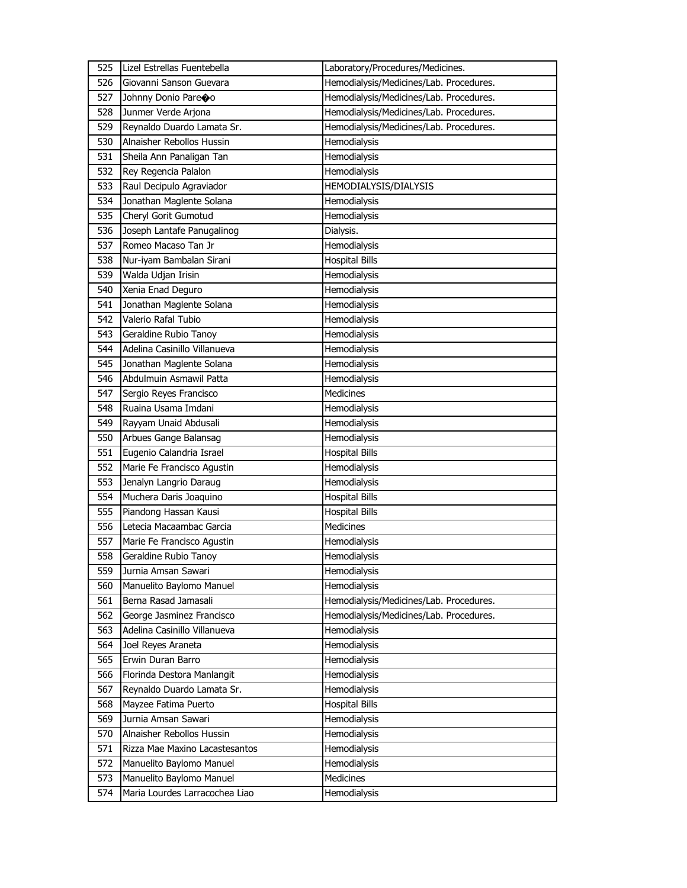| 525 | Lizel Estrellas Fuentebella    | Laboratory/Procedures/Medicines.        |
|-----|--------------------------------|-----------------------------------------|
| 526 | Giovanni Sanson Guevara        | Hemodialysis/Medicines/Lab. Procedures. |
| 527 | Johnny Donio Pareoo            | Hemodialysis/Medicines/Lab. Procedures. |
| 528 | Junmer Verde Arjona            | Hemodialysis/Medicines/Lab. Procedures. |
| 529 | Reynaldo Duardo Lamata Sr.     | Hemodialysis/Medicines/Lab. Procedures. |
| 530 | Alnaisher Rebollos Hussin      | Hemodialysis                            |
| 531 | Sheila Ann Panaligan Tan       | Hemodialysis                            |
| 532 | Rey Regencia Palalon           | Hemodialysis                            |
| 533 | Raul Decipulo Agraviador       | HEMODIALYSIS/DIALYSIS                   |
| 534 | Jonathan Maglente Solana       | Hemodialysis                            |
| 535 | Cheryl Gorit Gumotud           | Hemodialysis                            |
| 536 | Joseph Lantafe Panugalinog     | Dialysis.                               |
| 537 | Romeo Macaso Tan Jr            | Hemodialysis                            |
| 538 | Nur-iyam Bambalan Sirani       | <b>Hospital Bills</b>                   |
| 539 | Walda Udjan Irisin             | Hemodialysis                            |
| 540 | Xenia Enad Deguro              | Hemodialysis                            |
| 541 | Jonathan Maglente Solana       | Hemodialysis                            |
| 542 | Valerio Rafal Tubio            | Hemodialysis                            |
| 543 | Geraldine Rubio Tanoy          | <b>Hemodialysis</b>                     |
| 544 | Adelina Casinillo Villanueva   | Hemodialysis                            |
| 545 | Jonathan Maglente Solana       | Hemodialysis                            |
| 546 | Abdulmuin Asmawil Patta        | Hemodialysis                            |
| 547 | Sergio Reyes Francisco         | <b>Medicines</b>                        |
| 548 | Ruaina Usama Imdani            | Hemodialysis                            |
| 549 | Rayyam Unaid Abdusali          | Hemodialysis                            |
| 550 | Arbues Gange Balansag          | Hemodialysis                            |
| 551 | Eugenio Calandria Israel       | <b>Hospital Bills</b>                   |
| 552 | Marie Fe Francisco Agustin     | Hemodialysis                            |
| 553 | Jenalyn Langrio Daraug         | Hemodialysis                            |
| 554 | Muchera Daris Joaquino         | <b>Hospital Bills</b>                   |
| 555 | Piandong Hassan Kausi          | <b>Hospital Bills</b>                   |
| 556 | Letecia Macaambac Garcia       | Medicines                               |
| 557 | Marie Fe Francisco Agustin     | Hemodialysis                            |
| 558 | Geraldine Rubio Tanoy          | Hemodialysis                            |
| 559 | Jurnia Amsan Sawari            | Hemodialysis                            |
| 560 | Manuelito Baylomo Manuel       | Hemodialysis                            |
| 561 | Berna Rasad Jamasali           | Hemodialysis/Medicines/Lab. Procedures. |
| 562 | George Jasminez Francisco      | Hemodialysis/Medicines/Lab. Procedures. |
| 563 | Adelina Casinillo Villanueva   | Hemodialysis                            |
| 564 | Joel Reyes Araneta             | Hemodialysis                            |
| 565 | Erwin Duran Barro              | Hemodialysis                            |
| 566 | Florinda Destora Manlangit     | Hemodialysis                            |
| 567 | Reynaldo Duardo Lamata Sr.     | Hemodialysis                            |
| 568 | Mayzee Fatima Puerto           | <b>Hospital Bills</b>                   |
| 569 | Jurnia Amsan Sawari            | Hemodialysis                            |
| 570 | Alnaisher Rebollos Hussin      | Hemodialysis                            |
| 571 | Rizza Mae Maxino Lacastesantos | Hemodialysis                            |
| 572 | Manuelito Baylomo Manuel       | Hemodialysis                            |
| 573 | Manuelito Baylomo Manuel       | <b>Medicines</b>                        |
| 574 | Maria Lourdes Larracochea Liao | Hemodialysis                            |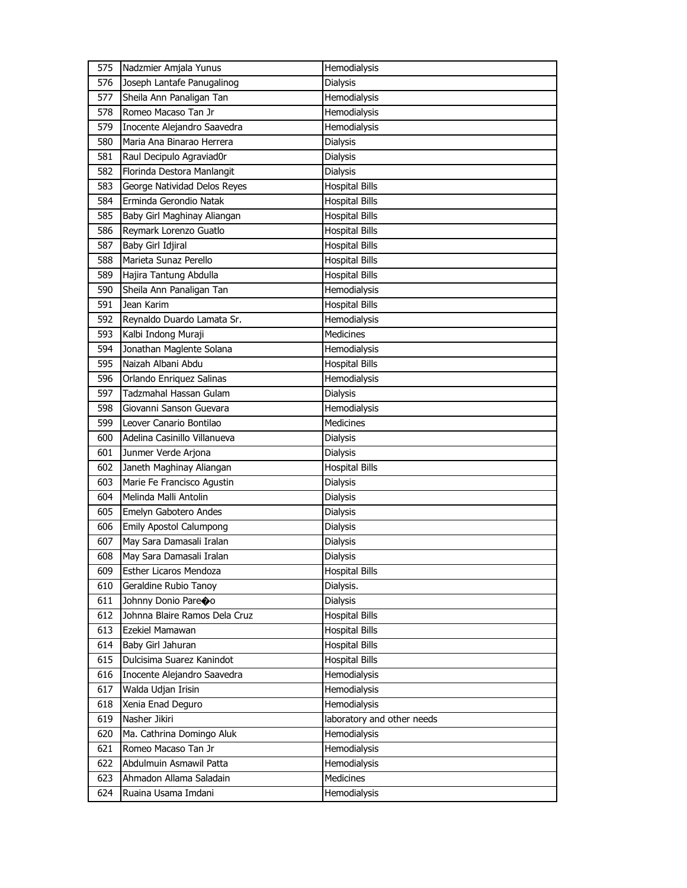| 575 | Nadzmier Amjala Yunus         | Hemodialysis               |
|-----|-------------------------------|----------------------------|
| 576 | Joseph Lantafe Panugalinog    | Dialysis                   |
| 577 | Sheila Ann Panaligan Tan      | Hemodialysis               |
| 578 | Romeo Macaso Tan Jr           | Hemodialysis               |
| 579 | Inocente Alejandro Saavedra   | Hemodialysis               |
| 580 | Maria Ana Binarao Herrera     | Dialysis                   |
| 581 | Raul Decipulo Agraviad0r      | Dialysis                   |
| 582 | Florinda Destora Manlangit    | Dialysis                   |
| 583 | George Natividad Delos Reyes  | <b>Hospital Bills</b>      |
| 584 | Erminda Gerondio Natak        | <b>Hospital Bills</b>      |
| 585 | Baby Girl Maghinay Aliangan   | <b>Hospital Bills</b>      |
| 586 | Reymark Lorenzo Guatlo        | <b>Hospital Bills</b>      |
| 587 | Baby Girl Idjiral             | <b>Hospital Bills</b>      |
| 588 | Marieta Sunaz Perello         | <b>Hospital Bills</b>      |
| 589 | Hajira Tantung Abdulla        | <b>Hospital Bills</b>      |
| 590 | Sheila Ann Panaligan Tan      | Hemodialysis               |
| 591 | Jean Karim                    | <b>Hospital Bills</b>      |
| 592 | Reynaldo Duardo Lamata Sr.    | Hemodialysis               |
| 593 | Kalbi Indong Muraji           | <b>Medicines</b>           |
| 594 | Jonathan Maglente Solana      | Hemodialysis               |
| 595 | Naizah Albani Abdu            | <b>Hospital Bills</b>      |
| 596 | Orlando Enriquez Salinas      | <b>Hemodialysis</b>        |
| 597 | Tadzmahal Hassan Gulam        | <b>Dialysis</b>            |
| 598 | Giovanni Sanson Guevara       | Hemodialysis               |
| 599 | Leover Canario Bontilao       | <b>Medicines</b>           |
| 600 | Adelina Casinillo Villanueva  | Dialysis                   |
| 601 | Junmer Verde Arjona           | Dialysis                   |
| 602 | Janeth Maghinay Aliangan      | <b>Hospital Bills</b>      |
| 603 | Marie Fe Francisco Agustin    | <b>Dialysis</b>            |
| 604 | Melinda Malli Antolin         | Dialysis                   |
| 605 | Emelyn Gabotero Andes         | Dialysis                   |
| 606 | Emily Apostol Calumpong       | Dialysis                   |
| 607 | May Sara Damasali Iralan      | <b>Dialysis</b>            |
| 608 | May Sara Damasali Iralan      | <b>Dialysis</b>            |
| 609 | Esther Licaros Mendoza        | <b>Hospital Bills</b>      |
| 610 | Geraldine Rubio Tanoy         | Dialysis.                  |
| 611 | Johnny Donio Pareoo           | <b>Dialysis</b>            |
| 612 | Johnna Blaire Ramos Dela Cruz | <b>Hospital Bills</b>      |
| 613 | Ezekiel Mamawan               | <b>Hospital Bills</b>      |
| 614 | Baby Girl Jahuran             | <b>Hospital Bills</b>      |
| 615 | Dulcisima Suarez Kanindot     | <b>Hospital Bills</b>      |
| 616 | Inocente Alejandro Saavedra   | Hemodialysis               |
| 617 | Walda Udjan Irisin            | Hemodialysis               |
| 618 | Xenia Enad Deguro             | Hemodialysis               |
| 619 | Nasher Jikiri                 | laboratory and other needs |
| 620 | Ma. Cathrina Domingo Aluk     | Hemodialysis               |
| 621 | Romeo Macaso Tan Jr           | Hemodialysis               |
| 622 | Abdulmuin Asmawil Patta       | Hemodialysis               |
| 623 | Ahmadon Allama Saladain       | Medicines                  |
| 624 | Ruaina Usama Imdani           | Hemodialysis               |
|     |                               |                            |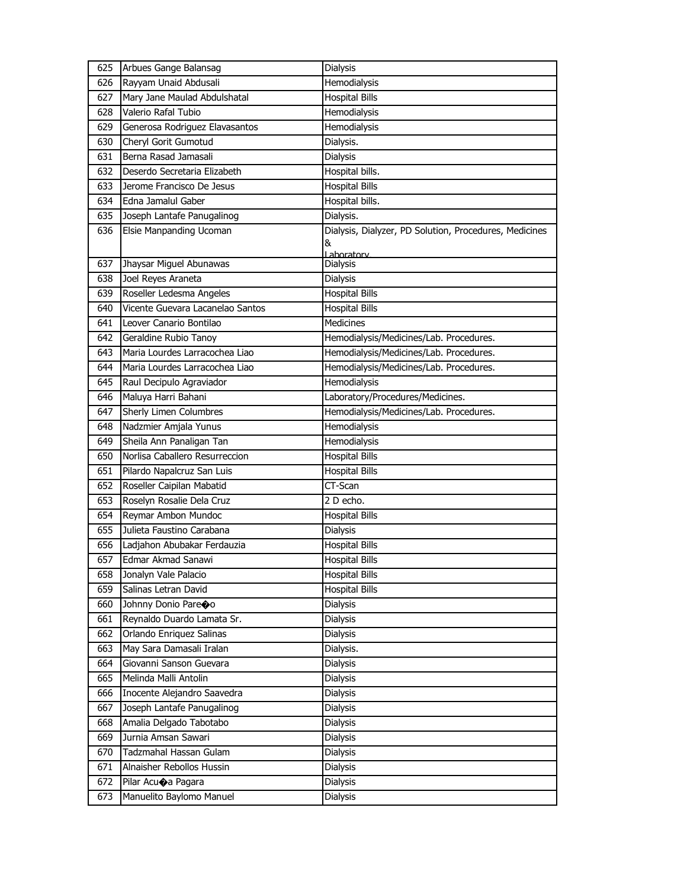| 625 | Arbues Gange Balansag            | Dialysis                                               |
|-----|----------------------------------|--------------------------------------------------------|
| 626 | Rayyam Unaid Abdusali            | Hemodialysis                                           |
| 627 | Mary Jane Maulad Abdulshatal     | <b>Hospital Bills</b>                                  |
| 628 | Valerio Rafal Tubio              | Hemodialysis                                           |
| 629 | Generosa Rodriguez Elavasantos   | Hemodialysis                                           |
| 630 | Cheryl Gorit Gumotud             | Dialysis.                                              |
| 631 | Berna Rasad Jamasali             | Dialysis                                               |
| 632 | Deserdo Secretaria Elizabeth     | Hospital bills.                                        |
| 633 | Jerome Francisco De Jesus        | <b>Hospital Bills</b>                                  |
| 634 | Edna Jamalul Gaber               | Hospital bills.                                        |
| 635 | Joseph Lantafe Panugalinog       | Dialysis.                                              |
| 636 | Elsie Manpanding Ucoman          | Dialysis, Dialyzer, PD Solution, Procedures, Medicines |
|     |                                  | &<br>Lahoratory                                        |
| 637 | Jhaysar Miguel Abunawas          | Dialysis                                               |
| 638 | Joel Reyes Araneta               | <b>Dialysis</b>                                        |
| 639 | Roseller Ledesma Angeles         | <b>Hospital Bills</b>                                  |
| 640 | Vicente Guevara Lacanelao Santos | <b>Hospital Bills</b>                                  |
| 641 | Leover Canario Bontilao          | <b>Medicines</b>                                       |
| 642 | Geraldine Rubio Tanoy            | Hemodialysis/Medicines/Lab. Procedures.                |
| 643 | Maria Lourdes Larracochea Liao   | Hemodialysis/Medicines/Lab. Procedures.                |
| 644 | Maria Lourdes Larracochea Liao   | Hemodialysis/Medicines/Lab. Procedures.                |
| 645 | Raul Decipulo Agraviador         | Hemodialysis                                           |
| 646 | Maluya Harri Bahani              | Laboratory/Procedures/Medicines.                       |
| 647 | Sherly Limen Columbres           | Hemodialysis/Medicines/Lab. Procedures.                |
| 648 | Nadzmier Amjala Yunus            | Hemodialysis                                           |
| 649 | Sheila Ann Panaligan Tan         | Hemodialysis                                           |
| 650 | Norlisa Caballero Resurreccion   | <b>Hospital Bills</b>                                  |
| 651 | Pilardo Napalcruz San Luis       | <b>Hospital Bills</b>                                  |
| 652 | Roseller Caipilan Mabatid        | CT-Scan                                                |
| 653 | Roselyn Rosalie Dela Cruz        | 2 D echo.                                              |
| 654 | Reymar Ambon Mundoc              | <b>Hospital Bills</b>                                  |
| 655 | Julieta Faustino Carabana        | Dialysis                                               |
| 656 | Ladjahon Abubakar Ferdauzia      | <b>Hospital Bills</b>                                  |
| 657 | Edmar Akmad Sanawi               | <b>Hospital Bills</b>                                  |
| 658 | Jonalyn Vale Palacio             | <b>Hospital Bills</b>                                  |
| 659 | Salinas Letran David             | <b>Hospital Bills</b>                                  |
| 660 | Johnny Donio Pareoo              | <b>Dialysis</b>                                        |
| 661 | Reynaldo Duardo Lamata Sr.       | Dialysis                                               |
| 662 | Orlando Enriquez Salinas         | Dialysis                                               |
| 663 | May Sara Damasali Iralan         | Dialysis.                                              |
| 664 | Giovanni Sanson Guevara          | Dialysis                                               |
| 665 | Melinda Malli Antolin            | Dialysis                                               |
| 666 | Inocente Alejandro Saavedra      | Dialysis                                               |
| 667 | Joseph Lantafe Panugalinog       | Dialysis                                               |
| 668 | Amalia Delgado Tabotabo          | Dialysis                                               |
| 669 | Jurnia Amsan Sawari              | Dialysis                                               |
| 670 | Tadzmahal Hassan Gulam           | Dialysis                                               |
| 671 | Alnaisher Rebollos Hussin        | Dialysis                                               |
| 672 | Pilar Acuoa Pagara               | Dialysis                                               |
| 673 | Manuelito Baylomo Manuel         | Dialysis                                               |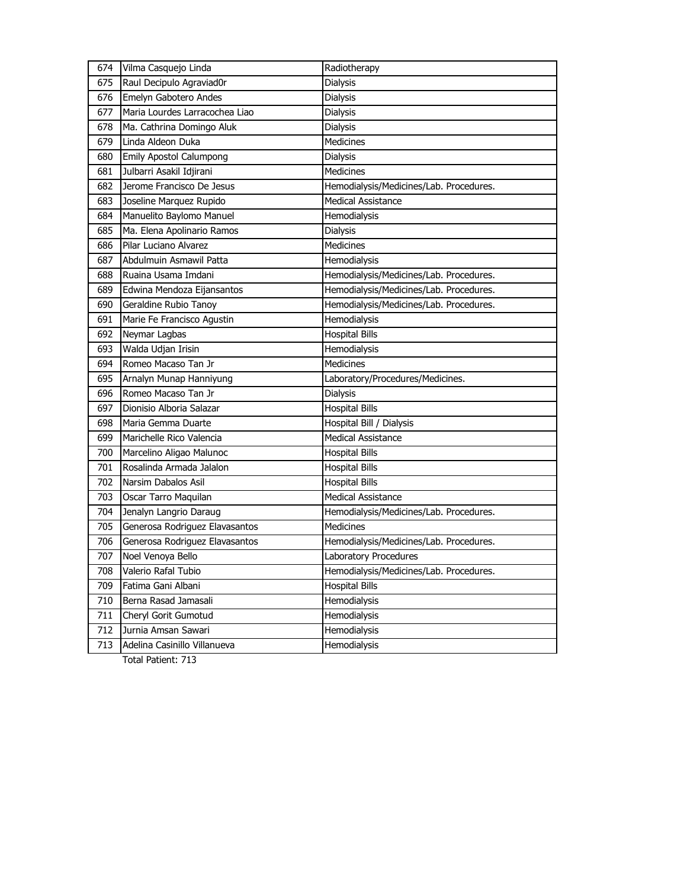| 674 | Vilma Casquejo Linda           | Radiotherapy                            |
|-----|--------------------------------|-----------------------------------------|
| 675 | Raul Decipulo Agraviad0r       | Dialysis                                |
| 676 | Emelyn Gabotero Andes          | <b>Dialysis</b>                         |
| 677 | Maria Lourdes Larracochea Liao | Dialysis                                |
| 678 | Ma. Cathrina Domingo Aluk      | <b>Dialysis</b>                         |
| 679 | Linda Aldeon Duka              | <b>Medicines</b>                        |
| 680 | <b>Emily Apostol Calumpong</b> | Dialysis                                |
| 681 | Julbarri Asakil Idjirani       | Medicines                               |
| 682 | Jerome Francisco De Jesus      | Hemodialysis/Medicines/Lab. Procedures. |
| 683 | Joseline Marquez Rupido        | <b>Medical Assistance</b>               |
| 684 | Manuelito Baylomo Manuel       | Hemodialysis                            |
| 685 | Ma. Elena Apolinario Ramos     | Dialysis                                |
| 686 | Pilar Luciano Alvarez          | <b>Medicines</b>                        |
| 687 | Abdulmuin Asmawil Patta        | Hemodialysis                            |
| 688 | Ruaina Usama Imdani            | Hemodialysis/Medicines/Lab. Procedures. |
| 689 | Edwina Mendoza Eijansantos     | Hemodialysis/Medicines/Lab. Procedures. |
| 690 | Geraldine Rubio Tanoy          | Hemodialysis/Medicines/Lab. Procedures. |
| 691 | Marie Fe Francisco Agustin     | Hemodialysis                            |
| 692 | Neymar Lagbas                  | <b>Hospital Bills</b>                   |
| 693 | Walda Udjan Irisin             | Hemodialysis                            |
| 694 | Romeo Macaso Tan Jr            | <b>Medicines</b>                        |
| 695 | Arnalyn Munap Hanniyung        | Laboratory/Procedures/Medicines.        |
| 696 | Romeo Macaso Tan Jr            | <b>Dialysis</b>                         |
| 697 | Dionisio Alboria Salazar       | <b>Hospital Bills</b>                   |
| 698 | Maria Gemma Duarte             | Hospital Bill / Dialysis                |
| 699 | Marichelle Rico Valencia       | <b>Medical Assistance</b>               |
| 700 | Marcelino Aligao Malunoc       | <b>Hospital Bills</b>                   |
| 701 | Rosalinda Armada Jalalon       | <b>Hospital Bills</b>                   |
| 702 | Narsim Dabalos Asil            | <b>Hospital Bills</b>                   |
| 703 | Oscar Tarro Maquilan           | Medical Assistance                      |
| 704 | Jenalyn Langrio Daraug         | Hemodialysis/Medicines/Lab. Procedures. |
| 705 | Generosa Rodriguez Elavasantos | Medicines                               |
| 706 | Generosa Rodriguez Elavasantos | Hemodialysis/Medicines/Lab. Procedures. |
| 707 | Noel Venoya Bello              | Laboratory Procedures                   |
| 708 | Valerio Rafal Tubio            | Hemodialysis/Medicines/Lab. Procedures. |
| 709 | Fatima Gani Albani             | <b>Hospital Bills</b>                   |
| 710 | Berna Rasad Jamasali           | Hemodialysis                            |
| 711 | Cheryl Gorit Gumotud           | Hemodialysis                            |
| 712 | Jurnia Amsan Sawari            | Hemodialysis                            |
| 713 | Adelina Casinillo Villanueva   | Hemodialysis                            |
|     |                                |                                         |

Total Patient: 713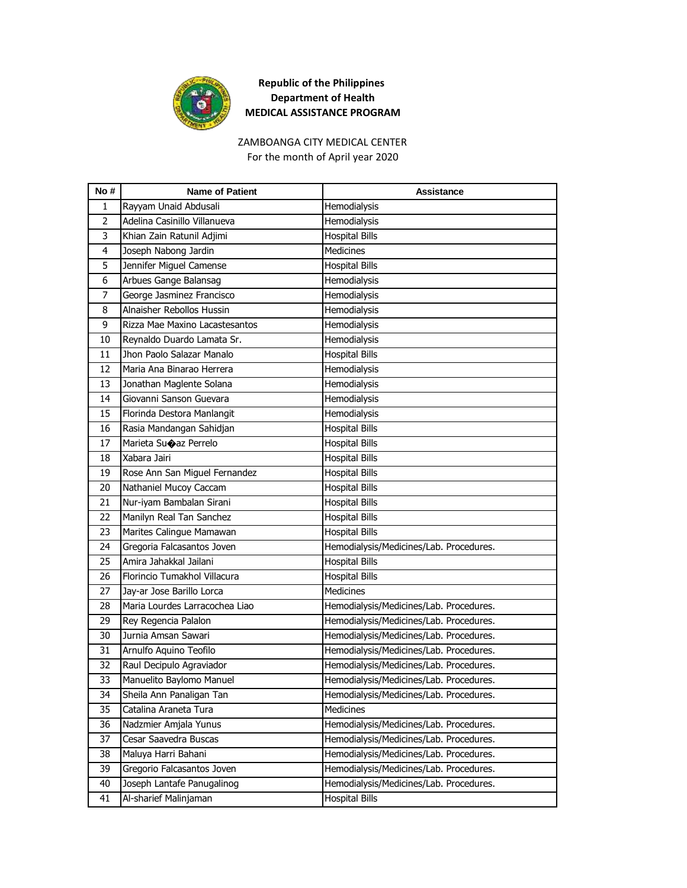

#### ZAMBOANGA CITY MEDICAL CENTER For the month of April year 2020

| No#            | <b>Name of Patient</b>         | Assistance                              |
|----------------|--------------------------------|-----------------------------------------|
| 1              | Rayyam Unaid Abdusali          | Hemodialysis                            |
| $\overline{2}$ | Adelina Casinillo Villanueva   | Hemodialysis                            |
| 3              | Khian Zain Ratunil Adjimi      | <b>Hospital Bills</b>                   |
| $\overline{4}$ | Joseph Nabong Jardin           | <b>Medicines</b>                        |
| 5              | Jennifer Miguel Camense        | <b>Hospital Bills</b>                   |
| 6              | Arbues Gange Balansag          | Hemodialysis                            |
| 7              | George Jasminez Francisco      | Hemodialysis                            |
| 8              | Alnaisher Rebollos Hussin      | Hemodialysis                            |
| 9              | Rizza Mae Maxino Lacastesantos | Hemodialysis                            |
| 10             | Reynaldo Duardo Lamata Sr.     | Hemodialysis                            |
| 11             | Jhon Paolo Salazar Manalo      | <b>Hospital Bills</b>                   |
| 12             | Maria Ana Binarao Herrera      | Hemodialysis                            |
| 13             | Jonathan Maglente Solana       | Hemodialysis                            |
| 14             | Giovanni Sanson Guevara        | Hemodialysis                            |
| 15             | Florinda Destora Manlangit     | Hemodialysis                            |
| 16             | Rasia Mandangan Sahidjan       | <b>Hospital Bills</b>                   |
| 17             | Marieta Suoaz Perrelo          | <b>Hospital Bills</b>                   |
| 18             | Xabara Jairi                   | <b>Hospital Bills</b>                   |
| 19             | Rose Ann San Miguel Fernandez  | <b>Hospital Bills</b>                   |
| 20             | Nathaniel Mucoy Caccam         | <b>Hospital Bills</b>                   |
| 21             | Nur-iyam Bambalan Sirani       | <b>Hospital Bills</b>                   |
| 22             | Manilyn Real Tan Sanchez       | <b>Hospital Bills</b>                   |
| 23             | Marites Calingue Mamawan       | <b>Hospital Bills</b>                   |
| 24             | Gregoria Falcasantos Joven     | Hemodialysis/Medicines/Lab. Procedures. |
| 25             | Amira Jahakkal Jailani         | <b>Hospital Bills</b>                   |
| 26             | Florincio Tumakhol Villacura   | <b>Hospital Bills</b>                   |
| 27             | Jay-ar Jose Barillo Lorca      | <b>Medicines</b>                        |
| 28             | Maria Lourdes Larracochea Liao | Hemodialysis/Medicines/Lab. Procedures. |
| 29             | Rey Regencia Palalon           | Hemodialysis/Medicines/Lab. Procedures. |
| 30             | Jurnia Amsan Sawari            | Hemodialysis/Medicines/Lab. Procedures. |
| 31             | Arnulfo Aquino Teofilo         | Hemodialysis/Medicines/Lab. Procedures. |
| 32             | Raul Decipulo Agraviador       | Hemodialysis/Medicines/Lab. Procedures. |
| 33             | Manuelito Baylomo Manuel       | Hemodialysis/Medicines/Lab. Procedures. |
| 34             | Sheila Ann Panaligan Tan       | Hemodialysis/Medicines/Lab. Procedures. |
| 35             | Catalina Araneta Tura          | <b>Medicines</b>                        |
| 36             | Nadzmier Amjala Yunus          | Hemodialysis/Medicines/Lab. Procedures. |
| 37             | Cesar Saavedra Buscas          | Hemodialysis/Medicines/Lab. Procedures. |
| 38             | Maluya Harri Bahani            | Hemodialysis/Medicines/Lab. Procedures. |
| 39             | Gregorio Falcasantos Joven     | Hemodialysis/Medicines/Lab. Procedures. |
| 40             | Joseph Lantafe Panugalinog     | Hemodialysis/Medicines/Lab. Procedures. |
| 41             | Al-sharief Malinjaman          | <b>Hospital Bills</b>                   |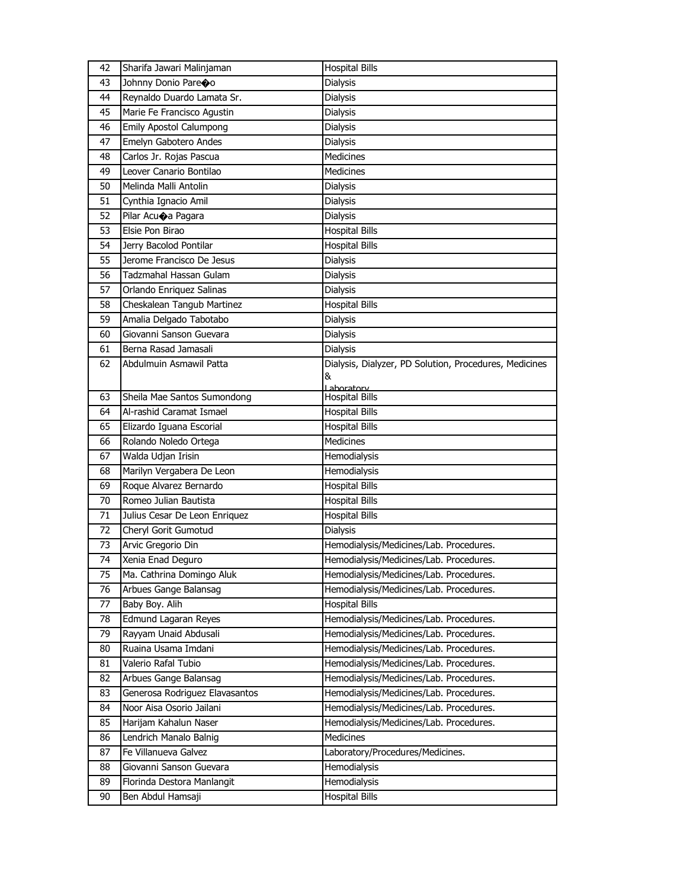| 42 | Sharifa Jawari Malinjaman      | <b>Hospital Bills</b>                                  |
|----|--------------------------------|--------------------------------------------------------|
| 43 | Johnny Donio Pareco            | Dialysis                                               |
| 44 | Reynaldo Duardo Lamata Sr.     | Dialysis                                               |
| 45 | Marie Fe Francisco Agustin     | Dialysis                                               |
| 46 | <b>Emily Apostol Calumpong</b> | Dialysis                                               |
| 47 | Emelyn Gabotero Andes          | Dialysis                                               |
| 48 | Carlos Jr. Rojas Pascua        | <b>Medicines</b>                                       |
| 49 | Leover Canario Bontilao        | Medicines                                              |
| 50 | Melinda Malli Antolin          | Dialysis                                               |
| 51 | Cynthia Ignacio Amil           | Dialysis                                               |
| 52 | Pilar Acuoa Pagara             | Dialysis                                               |
| 53 | Elsie Pon Birao                | <b>Hospital Bills</b>                                  |
| 54 | Jerry Bacolod Pontilar         | <b>Hospital Bills</b>                                  |
| 55 | Jerome Francisco De Jesus      | Dialysis                                               |
| 56 | Tadzmahal Hassan Gulam         | Dialysis                                               |
| 57 | Orlando Enriquez Salinas       | Dialysis                                               |
| 58 | Cheskalean Tangub Martinez     | <b>Hospital Bills</b>                                  |
| 59 | Amalia Delgado Tabotabo        | Dialysis                                               |
| 60 | Giovanni Sanson Guevara        | Dialysis                                               |
| 61 | Berna Rasad Jamasali           | <b>Dialysis</b>                                        |
| 62 | Abdulmuin Asmawil Patta        | Dialysis, Dialyzer, PD Solution, Procedures, Medicines |
|    |                                | &                                                      |
| 63 | Sheila Mae Santos Sumondong    | Laboratory<br><b>Hospital Bills</b>                    |
| 64 | Al-rashid Caramat Ismael       | <b>Hospital Bills</b>                                  |
| 65 | Elizardo Iguana Escorial       | <b>Hospital Bills</b>                                  |
| 66 | Rolando Noledo Ortega          | Medicines                                              |
| 67 | Walda Udjan Irisin             | Hemodialysis                                           |
| 68 | Marilyn Vergabera De Leon      | Hemodialysis                                           |
| 69 | Roque Alvarez Bernardo         | <b>Hospital Bills</b>                                  |
| 70 | Romeo Julian Bautista          | <b>Hospital Bills</b>                                  |
| 71 | Julius Cesar De Leon Enriquez  | <b>Hospital Bills</b>                                  |
| 72 | Cheryl Gorit Gumotud           | Dialysis                                               |
| 73 | Arvic Gregorio Din             | Hemodialysis/Medicines/Lab. Procedures.                |
| 74 | Xenia Enad Deguro              | Hemodialysis/Medicines/Lab. Procedures.                |
| 75 | Ma. Cathrina Domingo Aluk      | Hemodialysis/Medicines/Lab. Procedures.                |
| 76 | Arbues Gange Balansag          | Hemodialysis/Medicines/Lab. Procedures.                |
| 77 | Baby Boy. Alih                 | <b>Hospital Bills</b>                                  |
| 78 | Edmund Lagaran Reyes           | Hemodialysis/Medicines/Lab. Procedures.                |
| 79 | Rayyam Unaid Abdusali          | Hemodialysis/Medicines/Lab. Procedures.                |
| 80 | Ruaina Usama Imdani            | Hemodialysis/Medicines/Lab. Procedures.                |
| 81 | Valerio Rafal Tubio            | Hemodialysis/Medicines/Lab. Procedures.                |
| 82 | Arbues Gange Balansag          | Hemodialysis/Medicines/Lab. Procedures.                |
| 83 | Generosa Rodriguez Elavasantos | Hemodialysis/Medicines/Lab. Procedures.                |
| 84 | Noor Aisa Osorio Jailani       | Hemodialysis/Medicines/Lab. Procedures.                |
| 85 | Harijam Kahalun Naser          | Hemodialysis/Medicines/Lab. Procedures.                |
| 86 | Lendrich Manalo Balnig         | Medicines                                              |
| 87 | Fe Villanueva Galvez           | Laboratory/Procedures/Medicines.                       |
| 88 | Giovanni Sanson Guevara        | Hemodialysis                                           |
| 89 |                                |                                                        |
|    | Florinda Destora Manlangit     | Hemodialysis                                           |
| 90 | Ben Abdul Hamsaji              | <b>Hospital Bills</b>                                  |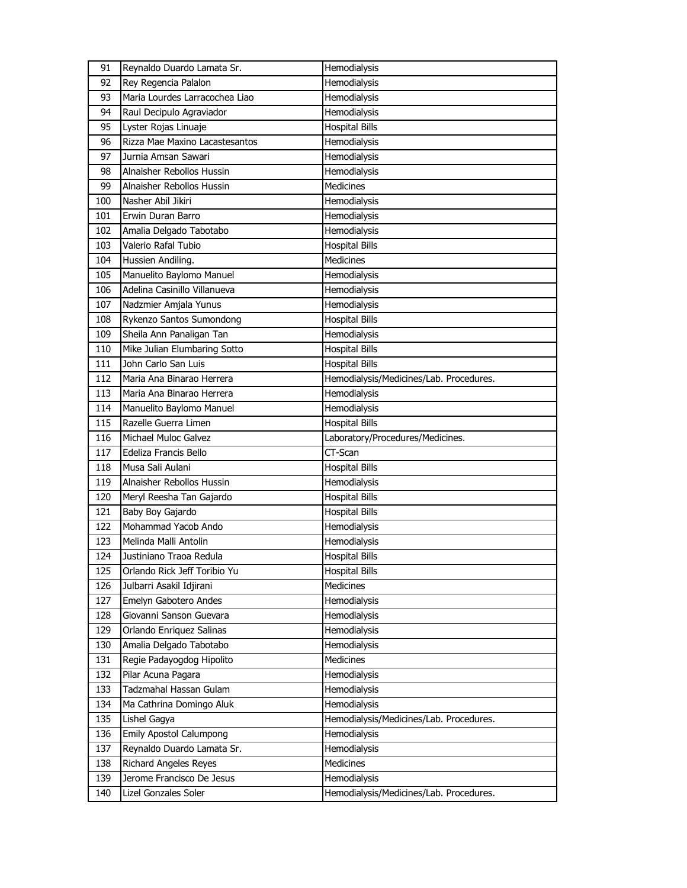| Hemodialysis<br>92<br>Rey Regencia Palalon<br>Maria Lourdes Larracochea Liao<br>93<br>Hemodialysis<br>Raul Decipulo Agraviador<br>Hemodialysis<br>94<br>95<br><b>Hospital Bills</b><br>Lyster Rojas Linuaje<br>Rizza Mae Maxino Lacastesantos<br>96<br>Hemodialysis<br>97<br>Hemodialysis<br>Jurnia Amsan Sawari<br>Hemodialysis<br>98<br>Alnaisher Rebollos Hussin<br><b>Medicines</b><br>99<br>Alnaisher Rebollos Hussin<br>100<br>Nasher Abil Jikiri<br>Hemodialysis<br>101<br>Erwin Duran Barro<br>Hemodialysis<br>102<br>Hemodialysis<br>Amalia Delgado Tabotabo<br>Valerio Rafal Tubio<br>103<br><b>Hospital Bills</b><br>Medicines<br>104<br>Hussien Andiling.<br>Manuelito Baylomo Manuel<br>105<br>Hemodialysis<br>Adelina Casinillo Villanueva<br>Hemodialysis<br>106<br>107<br>Hemodialysis<br>Nadzmier Amjala Yunus<br>Rykenzo Santos Sumondong<br>108<br><b>Hospital Bills</b><br>Sheila Ann Panaligan Tan<br>109<br>Hemodialysis<br>Mike Julian Elumbaring Sotto<br><b>Hospital Bills</b><br>110<br>John Carlo San Luis<br>111<br><b>Hospital Bills</b><br>112<br>Hemodialysis/Medicines/Lab. Procedures.<br>Maria Ana Binarao Herrera<br>Hemodialysis<br>113<br>Maria Ana Binarao Herrera<br>Hemodialysis<br>114<br>Manuelito Baylomo Manuel<br><b>Hospital Bills</b><br>115<br>Razelle Guerra Limen<br>Laboratory/Procedures/Medicines.<br>116<br>Michael Muloc Galvez<br>117<br>Edeliza Francis Bello<br>CT-Scan<br>Musa Sali Aulani<br>118<br><b>Hospital Bills</b><br>119<br>Alnaisher Rebollos Hussin<br>Hemodialysis<br>Meryl Reesha Tan Gajardo<br><b>Hospital Bills</b><br>120<br>Baby Boy Gajardo<br>121<br><b>Hospital Bills</b><br>Mohammad Yacob Ando<br>122<br>Hemodialysis<br>123<br>Melinda Malli Antolin<br>Hemodialysis<br>124<br><b>Hospital Bills</b><br>Justiniano Traoa Redula<br>125<br><b>Hospital Bills</b><br>Orlando Rick Jeff Toribio Yu<br>Medicines<br>126<br>Julbarri Asakil Idjirani<br>127<br>Emelyn Gabotero Andes<br>Hemodialysis<br>128<br>Giovanni Sanson Guevara<br>Hemodialysis<br>129<br>Hemodialysis<br>Orlando Enriquez Salinas<br>Amalia Delgado Tabotabo<br>130<br>Hemodialysis<br>Regie Padayogdog Hipolito<br>131<br><b>Medicines</b><br>132<br>Pilar Acuna Pagara<br>Hemodialysis<br>133<br>Tadzmahal Hassan Gulam<br>Hemodialysis<br>134<br>Hemodialysis<br>Ma Cathrina Domingo Aluk<br>135<br>Lishel Gagya<br>Hemodialysis/Medicines/Lab. Procedures.<br>136<br><b>Emily Apostol Calumpong</b><br>Hemodialysis<br>Reynaldo Duardo Lamata Sr.<br>Hemodialysis<br>137<br>Medicines<br>138<br>Richard Angeles Reyes<br>139<br>Jerome Francisco De Jesus<br>Hemodialysis<br>140<br>Lizel Gonzales Soler<br>Hemodialysis/Medicines/Lab. Procedures. | 91 | Reynaldo Duardo Lamata Sr. | Hemodialysis |
|---------------------------------------------------------------------------------------------------------------------------------------------------------------------------------------------------------------------------------------------------------------------------------------------------------------------------------------------------------------------------------------------------------------------------------------------------------------------------------------------------------------------------------------------------------------------------------------------------------------------------------------------------------------------------------------------------------------------------------------------------------------------------------------------------------------------------------------------------------------------------------------------------------------------------------------------------------------------------------------------------------------------------------------------------------------------------------------------------------------------------------------------------------------------------------------------------------------------------------------------------------------------------------------------------------------------------------------------------------------------------------------------------------------------------------------------------------------------------------------------------------------------------------------------------------------------------------------------------------------------------------------------------------------------------------------------------------------------------------------------------------------------------------------------------------------------------------------------------------------------------------------------------------------------------------------------------------------------------------------------------------------------------------------------------------------------------------------------------------------------------------------------------------------------------------------------------------------------------------------------------------------------------------------------------------------------------------------------------------------------------------------------------------------------------------------------------------------------------------------------------------------------------------------------------------------------------------------------------------------------------------------------------------------------------------------------------------------|----|----------------------------|--------------|
|                                                                                                                                                                                                                                                                                                                                                                                                                                                                                                                                                                                                                                                                                                                                                                                                                                                                                                                                                                                                                                                                                                                                                                                                                                                                                                                                                                                                                                                                                                                                                                                                                                                                                                                                                                                                                                                                                                                                                                                                                                                                                                                                                                                                                                                                                                                                                                                                                                                                                                                                                                                                                                                                                                               |    |                            |              |
|                                                                                                                                                                                                                                                                                                                                                                                                                                                                                                                                                                                                                                                                                                                                                                                                                                                                                                                                                                                                                                                                                                                                                                                                                                                                                                                                                                                                                                                                                                                                                                                                                                                                                                                                                                                                                                                                                                                                                                                                                                                                                                                                                                                                                                                                                                                                                                                                                                                                                                                                                                                                                                                                                                               |    |                            |              |
|                                                                                                                                                                                                                                                                                                                                                                                                                                                                                                                                                                                                                                                                                                                                                                                                                                                                                                                                                                                                                                                                                                                                                                                                                                                                                                                                                                                                                                                                                                                                                                                                                                                                                                                                                                                                                                                                                                                                                                                                                                                                                                                                                                                                                                                                                                                                                                                                                                                                                                                                                                                                                                                                                                               |    |                            |              |
|                                                                                                                                                                                                                                                                                                                                                                                                                                                                                                                                                                                                                                                                                                                                                                                                                                                                                                                                                                                                                                                                                                                                                                                                                                                                                                                                                                                                                                                                                                                                                                                                                                                                                                                                                                                                                                                                                                                                                                                                                                                                                                                                                                                                                                                                                                                                                                                                                                                                                                                                                                                                                                                                                                               |    |                            |              |
|                                                                                                                                                                                                                                                                                                                                                                                                                                                                                                                                                                                                                                                                                                                                                                                                                                                                                                                                                                                                                                                                                                                                                                                                                                                                                                                                                                                                                                                                                                                                                                                                                                                                                                                                                                                                                                                                                                                                                                                                                                                                                                                                                                                                                                                                                                                                                                                                                                                                                                                                                                                                                                                                                                               |    |                            |              |
|                                                                                                                                                                                                                                                                                                                                                                                                                                                                                                                                                                                                                                                                                                                                                                                                                                                                                                                                                                                                                                                                                                                                                                                                                                                                                                                                                                                                                                                                                                                                                                                                                                                                                                                                                                                                                                                                                                                                                                                                                                                                                                                                                                                                                                                                                                                                                                                                                                                                                                                                                                                                                                                                                                               |    |                            |              |
|                                                                                                                                                                                                                                                                                                                                                                                                                                                                                                                                                                                                                                                                                                                                                                                                                                                                                                                                                                                                                                                                                                                                                                                                                                                                                                                                                                                                                                                                                                                                                                                                                                                                                                                                                                                                                                                                                                                                                                                                                                                                                                                                                                                                                                                                                                                                                                                                                                                                                                                                                                                                                                                                                                               |    |                            |              |
|                                                                                                                                                                                                                                                                                                                                                                                                                                                                                                                                                                                                                                                                                                                                                                                                                                                                                                                                                                                                                                                                                                                                                                                                                                                                                                                                                                                                                                                                                                                                                                                                                                                                                                                                                                                                                                                                                                                                                                                                                                                                                                                                                                                                                                                                                                                                                                                                                                                                                                                                                                                                                                                                                                               |    |                            |              |
|                                                                                                                                                                                                                                                                                                                                                                                                                                                                                                                                                                                                                                                                                                                                                                                                                                                                                                                                                                                                                                                                                                                                                                                                                                                                                                                                                                                                                                                                                                                                                                                                                                                                                                                                                                                                                                                                                                                                                                                                                                                                                                                                                                                                                                                                                                                                                                                                                                                                                                                                                                                                                                                                                                               |    |                            |              |
|                                                                                                                                                                                                                                                                                                                                                                                                                                                                                                                                                                                                                                                                                                                                                                                                                                                                                                                                                                                                                                                                                                                                                                                                                                                                                                                                                                                                                                                                                                                                                                                                                                                                                                                                                                                                                                                                                                                                                                                                                                                                                                                                                                                                                                                                                                                                                                                                                                                                                                                                                                                                                                                                                                               |    |                            |              |
|                                                                                                                                                                                                                                                                                                                                                                                                                                                                                                                                                                                                                                                                                                                                                                                                                                                                                                                                                                                                                                                                                                                                                                                                                                                                                                                                                                                                                                                                                                                                                                                                                                                                                                                                                                                                                                                                                                                                                                                                                                                                                                                                                                                                                                                                                                                                                                                                                                                                                                                                                                                                                                                                                                               |    |                            |              |
|                                                                                                                                                                                                                                                                                                                                                                                                                                                                                                                                                                                                                                                                                                                                                                                                                                                                                                                                                                                                                                                                                                                                                                                                                                                                                                                                                                                                                                                                                                                                                                                                                                                                                                                                                                                                                                                                                                                                                                                                                                                                                                                                                                                                                                                                                                                                                                                                                                                                                                                                                                                                                                                                                                               |    |                            |              |
|                                                                                                                                                                                                                                                                                                                                                                                                                                                                                                                                                                                                                                                                                                                                                                                                                                                                                                                                                                                                                                                                                                                                                                                                                                                                                                                                                                                                                                                                                                                                                                                                                                                                                                                                                                                                                                                                                                                                                                                                                                                                                                                                                                                                                                                                                                                                                                                                                                                                                                                                                                                                                                                                                                               |    |                            |              |
|                                                                                                                                                                                                                                                                                                                                                                                                                                                                                                                                                                                                                                                                                                                                                                                                                                                                                                                                                                                                                                                                                                                                                                                                                                                                                                                                                                                                                                                                                                                                                                                                                                                                                                                                                                                                                                                                                                                                                                                                                                                                                                                                                                                                                                                                                                                                                                                                                                                                                                                                                                                                                                                                                                               |    |                            |              |
|                                                                                                                                                                                                                                                                                                                                                                                                                                                                                                                                                                                                                                                                                                                                                                                                                                                                                                                                                                                                                                                                                                                                                                                                                                                                                                                                                                                                                                                                                                                                                                                                                                                                                                                                                                                                                                                                                                                                                                                                                                                                                                                                                                                                                                                                                                                                                                                                                                                                                                                                                                                                                                                                                                               |    |                            |              |
|                                                                                                                                                                                                                                                                                                                                                                                                                                                                                                                                                                                                                                                                                                                                                                                                                                                                                                                                                                                                                                                                                                                                                                                                                                                                                                                                                                                                                                                                                                                                                                                                                                                                                                                                                                                                                                                                                                                                                                                                                                                                                                                                                                                                                                                                                                                                                                                                                                                                                                                                                                                                                                                                                                               |    |                            |              |
|                                                                                                                                                                                                                                                                                                                                                                                                                                                                                                                                                                                                                                                                                                                                                                                                                                                                                                                                                                                                                                                                                                                                                                                                                                                                                                                                                                                                                                                                                                                                                                                                                                                                                                                                                                                                                                                                                                                                                                                                                                                                                                                                                                                                                                                                                                                                                                                                                                                                                                                                                                                                                                                                                                               |    |                            |              |
|                                                                                                                                                                                                                                                                                                                                                                                                                                                                                                                                                                                                                                                                                                                                                                                                                                                                                                                                                                                                                                                                                                                                                                                                                                                                                                                                                                                                                                                                                                                                                                                                                                                                                                                                                                                                                                                                                                                                                                                                                                                                                                                                                                                                                                                                                                                                                                                                                                                                                                                                                                                                                                                                                                               |    |                            |              |
|                                                                                                                                                                                                                                                                                                                                                                                                                                                                                                                                                                                                                                                                                                                                                                                                                                                                                                                                                                                                                                                                                                                                                                                                                                                                                                                                                                                                                                                                                                                                                                                                                                                                                                                                                                                                                                                                                                                                                                                                                                                                                                                                                                                                                                                                                                                                                                                                                                                                                                                                                                                                                                                                                                               |    |                            |              |
|                                                                                                                                                                                                                                                                                                                                                                                                                                                                                                                                                                                                                                                                                                                                                                                                                                                                                                                                                                                                                                                                                                                                                                                                                                                                                                                                                                                                                                                                                                                                                                                                                                                                                                                                                                                                                                                                                                                                                                                                                                                                                                                                                                                                                                                                                                                                                                                                                                                                                                                                                                                                                                                                                                               |    |                            |              |
|                                                                                                                                                                                                                                                                                                                                                                                                                                                                                                                                                                                                                                                                                                                                                                                                                                                                                                                                                                                                                                                                                                                                                                                                                                                                                                                                                                                                                                                                                                                                                                                                                                                                                                                                                                                                                                                                                                                                                                                                                                                                                                                                                                                                                                                                                                                                                                                                                                                                                                                                                                                                                                                                                                               |    |                            |              |
|                                                                                                                                                                                                                                                                                                                                                                                                                                                                                                                                                                                                                                                                                                                                                                                                                                                                                                                                                                                                                                                                                                                                                                                                                                                                                                                                                                                                                                                                                                                                                                                                                                                                                                                                                                                                                                                                                                                                                                                                                                                                                                                                                                                                                                                                                                                                                                                                                                                                                                                                                                                                                                                                                                               |    |                            |              |
|                                                                                                                                                                                                                                                                                                                                                                                                                                                                                                                                                                                                                                                                                                                                                                                                                                                                                                                                                                                                                                                                                                                                                                                                                                                                                                                                                                                                                                                                                                                                                                                                                                                                                                                                                                                                                                                                                                                                                                                                                                                                                                                                                                                                                                                                                                                                                                                                                                                                                                                                                                                                                                                                                                               |    |                            |              |
|                                                                                                                                                                                                                                                                                                                                                                                                                                                                                                                                                                                                                                                                                                                                                                                                                                                                                                                                                                                                                                                                                                                                                                                                                                                                                                                                                                                                                                                                                                                                                                                                                                                                                                                                                                                                                                                                                                                                                                                                                                                                                                                                                                                                                                                                                                                                                                                                                                                                                                                                                                                                                                                                                                               |    |                            |              |
|                                                                                                                                                                                                                                                                                                                                                                                                                                                                                                                                                                                                                                                                                                                                                                                                                                                                                                                                                                                                                                                                                                                                                                                                                                                                                                                                                                                                                                                                                                                                                                                                                                                                                                                                                                                                                                                                                                                                                                                                                                                                                                                                                                                                                                                                                                                                                                                                                                                                                                                                                                                                                                                                                                               |    |                            |              |
|                                                                                                                                                                                                                                                                                                                                                                                                                                                                                                                                                                                                                                                                                                                                                                                                                                                                                                                                                                                                                                                                                                                                                                                                                                                                                                                                                                                                                                                                                                                                                                                                                                                                                                                                                                                                                                                                                                                                                                                                                                                                                                                                                                                                                                                                                                                                                                                                                                                                                                                                                                                                                                                                                                               |    |                            |              |
|                                                                                                                                                                                                                                                                                                                                                                                                                                                                                                                                                                                                                                                                                                                                                                                                                                                                                                                                                                                                                                                                                                                                                                                                                                                                                                                                                                                                                                                                                                                                                                                                                                                                                                                                                                                                                                                                                                                                                                                                                                                                                                                                                                                                                                                                                                                                                                                                                                                                                                                                                                                                                                                                                                               |    |                            |              |
|                                                                                                                                                                                                                                                                                                                                                                                                                                                                                                                                                                                                                                                                                                                                                                                                                                                                                                                                                                                                                                                                                                                                                                                                                                                                                                                                                                                                                                                                                                                                                                                                                                                                                                                                                                                                                                                                                                                                                                                                                                                                                                                                                                                                                                                                                                                                                                                                                                                                                                                                                                                                                                                                                                               |    |                            |              |
|                                                                                                                                                                                                                                                                                                                                                                                                                                                                                                                                                                                                                                                                                                                                                                                                                                                                                                                                                                                                                                                                                                                                                                                                                                                                                                                                                                                                                                                                                                                                                                                                                                                                                                                                                                                                                                                                                                                                                                                                                                                                                                                                                                                                                                                                                                                                                                                                                                                                                                                                                                                                                                                                                                               |    |                            |              |
|                                                                                                                                                                                                                                                                                                                                                                                                                                                                                                                                                                                                                                                                                                                                                                                                                                                                                                                                                                                                                                                                                                                                                                                                                                                                                                                                                                                                                                                                                                                                                                                                                                                                                                                                                                                                                                                                                                                                                                                                                                                                                                                                                                                                                                                                                                                                                                                                                                                                                                                                                                                                                                                                                                               |    |                            |              |
|                                                                                                                                                                                                                                                                                                                                                                                                                                                                                                                                                                                                                                                                                                                                                                                                                                                                                                                                                                                                                                                                                                                                                                                                                                                                                                                                                                                                                                                                                                                                                                                                                                                                                                                                                                                                                                                                                                                                                                                                                                                                                                                                                                                                                                                                                                                                                                                                                                                                                                                                                                                                                                                                                                               |    |                            |              |
|                                                                                                                                                                                                                                                                                                                                                                                                                                                                                                                                                                                                                                                                                                                                                                                                                                                                                                                                                                                                                                                                                                                                                                                                                                                                                                                                                                                                                                                                                                                                                                                                                                                                                                                                                                                                                                                                                                                                                                                                                                                                                                                                                                                                                                                                                                                                                                                                                                                                                                                                                                                                                                                                                                               |    |                            |              |
|                                                                                                                                                                                                                                                                                                                                                                                                                                                                                                                                                                                                                                                                                                                                                                                                                                                                                                                                                                                                                                                                                                                                                                                                                                                                                                                                                                                                                                                                                                                                                                                                                                                                                                                                                                                                                                                                                                                                                                                                                                                                                                                                                                                                                                                                                                                                                                                                                                                                                                                                                                                                                                                                                                               |    |                            |              |
|                                                                                                                                                                                                                                                                                                                                                                                                                                                                                                                                                                                                                                                                                                                                                                                                                                                                                                                                                                                                                                                                                                                                                                                                                                                                                                                                                                                                                                                                                                                                                                                                                                                                                                                                                                                                                                                                                                                                                                                                                                                                                                                                                                                                                                                                                                                                                                                                                                                                                                                                                                                                                                                                                                               |    |                            |              |
|                                                                                                                                                                                                                                                                                                                                                                                                                                                                                                                                                                                                                                                                                                                                                                                                                                                                                                                                                                                                                                                                                                                                                                                                                                                                                                                                                                                                                                                                                                                                                                                                                                                                                                                                                                                                                                                                                                                                                                                                                                                                                                                                                                                                                                                                                                                                                                                                                                                                                                                                                                                                                                                                                                               |    |                            |              |
|                                                                                                                                                                                                                                                                                                                                                                                                                                                                                                                                                                                                                                                                                                                                                                                                                                                                                                                                                                                                                                                                                                                                                                                                                                                                                                                                                                                                                                                                                                                                                                                                                                                                                                                                                                                                                                                                                                                                                                                                                                                                                                                                                                                                                                                                                                                                                                                                                                                                                                                                                                                                                                                                                                               |    |                            |              |
|                                                                                                                                                                                                                                                                                                                                                                                                                                                                                                                                                                                                                                                                                                                                                                                                                                                                                                                                                                                                                                                                                                                                                                                                                                                                                                                                                                                                                                                                                                                                                                                                                                                                                                                                                                                                                                                                                                                                                                                                                                                                                                                                                                                                                                                                                                                                                                                                                                                                                                                                                                                                                                                                                                               |    |                            |              |
|                                                                                                                                                                                                                                                                                                                                                                                                                                                                                                                                                                                                                                                                                                                                                                                                                                                                                                                                                                                                                                                                                                                                                                                                                                                                                                                                                                                                                                                                                                                                                                                                                                                                                                                                                                                                                                                                                                                                                                                                                                                                                                                                                                                                                                                                                                                                                                                                                                                                                                                                                                                                                                                                                                               |    |                            |              |
|                                                                                                                                                                                                                                                                                                                                                                                                                                                                                                                                                                                                                                                                                                                                                                                                                                                                                                                                                                                                                                                                                                                                                                                                                                                                                                                                                                                                                                                                                                                                                                                                                                                                                                                                                                                                                                                                                                                                                                                                                                                                                                                                                                                                                                                                                                                                                                                                                                                                                                                                                                                                                                                                                                               |    |                            |              |
|                                                                                                                                                                                                                                                                                                                                                                                                                                                                                                                                                                                                                                                                                                                                                                                                                                                                                                                                                                                                                                                                                                                                                                                                                                                                                                                                                                                                                                                                                                                                                                                                                                                                                                                                                                                                                                                                                                                                                                                                                                                                                                                                                                                                                                                                                                                                                                                                                                                                                                                                                                                                                                                                                                               |    |                            |              |
|                                                                                                                                                                                                                                                                                                                                                                                                                                                                                                                                                                                                                                                                                                                                                                                                                                                                                                                                                                                                                                                                                                                                                                                                                                                                                                                                                                                                                                                                                                                                                                                                                                                                                                                                                                                                                                                                                                                                                                                                                                                                                                                                                                                                                                                                                                                                                                                                                                                                                                                                                                                                                                                                                                               |    |                            |              |
|                                                                                                                                                                                                                                                                                                                                                                                                                                                                                                                                                                                                                                                                                                                                                                                                                                                                                                                                                                                                                                                                                                                                                                                                                                                                                                                                                                                                                                                                                                                                                                                                                                                                                                                                                                                                                                                                                                                                                                                                                                                                                                                                                                                                                                                                                                                                                                                                                                                                                                                                                                                                                                                                                                               |    |                            |              |
|                                                                                                                                                                                                                                                                                                                                                                                                                                                                                                                                                                                                                                                                                                                                                                                                                                                                                                                                                                                                                                                                                                                                                                                                                                                                                                                                                                                                                                                                                                                                                                                                                                                                                                                                                                                                                                                                                                                                                                                                                                                                                                                                                                                                                                                                                                                                                                                                                                                                                                                                                                                                                                                                                                               |    |                            |              |
|                                                                                                                                                                                                                                                                                                                                                                                                                                                                                                                                                                                                                                                                                                                                                                                                                                                                                                                                                                                                                                                                                                                                                                                                                                                                                                                                                                                                                                                                                                                                                                                                                                                                                                                                                                                                                                                                                                                                                                                                                                                                                                                                                                                                                                                                                                                                                                                                                                                                                                                                                                                                                                                                                                               |    |                            |              |
|                                                                                                                                                                                                                                                                                                                                                                                                                                                                                                                                                                                                                                                                                                                                                                                                                                                                                                                                                                                                                                                                                                                                                                                                                                                                                                                                                                                                                                                                                                                                                                                                                                                                                                                                                                                                                                                                                                                                                                                                                                                                                                                                                                                                                                                                                                                                                                                                                                                                                                                                                                                                                                                                                                               |    |                            |              |
|                                                                                                                                                                                                                                                                                                                                                                                                                                                                                                                                                                                                                                                                                                                                                                                                                                                                                                                                                                                                                                                                                                                                                                                                                                                                                                                                                                                                                                                                                                                                                                                                                                                                                                                                                                                                                                                                                                                                                                                                                                                                                                                                                                                                                                                                                                                                                                                                                                                                                                                                                                                                                                                                                                               |    |                            |              |
|                                                                                                                                                                                                                                                                                                                                                                                                                                                                                                                                                                                                                                                                                                                                                                                                                                                                                                                                                                                                                                                                                                                                                                                                                                                                                                                                                                                                                                                                                                                                                                                                                                                                                                                                                                                                                                                                                                                                                                                                                                                                                                                                                                                                                                                                                                                                                                                                                                                                                                                                                                                                                                                                                                               |    |                            |              |
|                                                                                                                                                                                                                                                                                                                                                                                                                                                                                                                                                                                                                                                                                                                                                                                                                                                                                                                                                                                                                                                                                                                                                                                                                                                                                                                                                                                                                                                                                                                                                                                                                                                                                                                                                                                                                                                                                                                                                                                                                                                                                                                                                                                                                                                                                                                                                                                                                                                                                                                                                                                                                                                                                                               |    |                            |              |
|                                                                                                                                                                                                                                                                                                                                                                                                                                                                                                                                                                                                                                                                                                                                                                                                                                                                                                                                                                                                                                                                                                                                                                                                                                                                                                                                                                                                                                                                                                                                                                                                                                                                                                                                                                                                                                                                                                                                                                                                                                                                                                                                                                                                                                                                                                                                                                                                                                                                                                                                                                                                                                                                                                               |    |                            |              |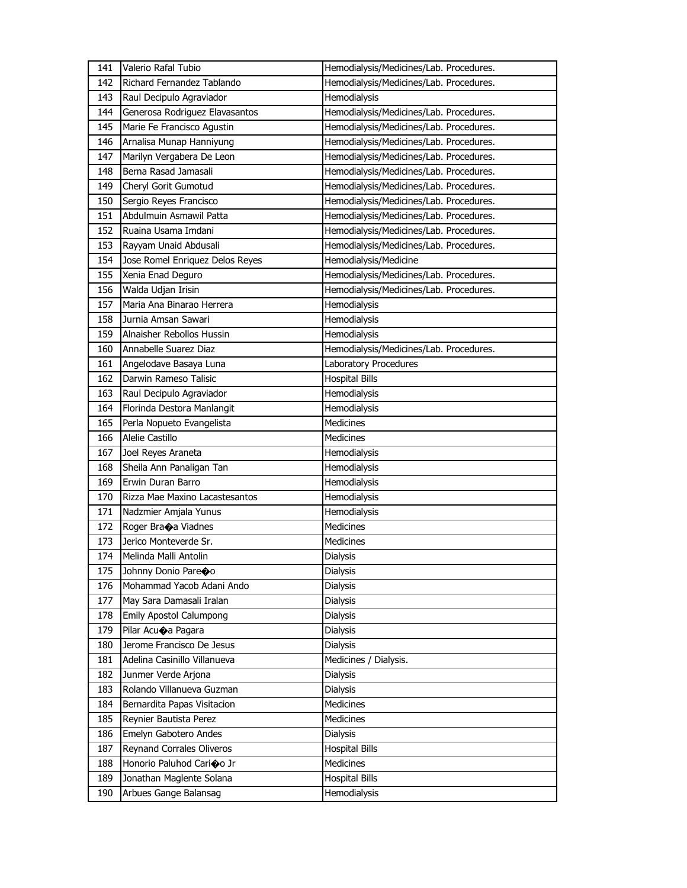| 141 | Valerio Rafal Tubio             | Hemodialysis/Medicines/Lab. Procedures. |
|-----|---------------------------------|-----------------------------------------|
| 142 | Richard Fernandez Tablando      | Hemodialysis/Medicines/Lab. Procedures. |
| 143 | Raul Decipulo Agraviador        | Hemodialysis                            |
| 144 | Generosa Rodriguez Elavasantos  | Hemodialysis/Medicines/Lab. Procedures. |
| 145 | Marie Fe Francisco Agustin      | Hemodialysis/Medicines/Lab. Procedures. |
| 146 | Arnalisa Munap Hanniyung        | Hemodialysis/Medicines/Lab. Procedures. |
| 147 | Marilyn Vergabera De Leon       | Hemodialysis/Medicines/Lab. Procedures. |
| 148 | Berna Rasad Jamasali            | Hemodialysis/Medicines/Lab. Procedures. |
| 149 | Cheryl Gorit Gumotud            | Hemodialysis/Medicines/Lab. Procedures. |
| 150 | Sergio Reyes Francisco          | Hemodialysis/Medicines/Lab. Procedures. |
| 151 | Abdulmuin Asmawil Patta         | Hemodialysis/Medicines/Lab. Procedures. |
| 152 | Ruaina Usama Imdani             | Hemodialysis/Medicines/Lab. Procedures. |
| 153 | Rayyam Unaid Abdusali           | Hemodialysis/Medicines/Lab. Procedures. |
| 154 | Jose Romel Enriquez Delos Reyes | Hemodialysis/Medicine                   |
| 155 | Xenia Enad Deguro               | Hemodialysis/Medicines/Lab. Procedures. |
| 156 | Walda Udjan Irisin              | Hemodialysis/Medicines/Lab. Procedures. |
| 157 | Maria Ana Binarao Herrera       | Hemodialysis                            |
| 158 | Jurnia Amsan Sawari             | Hemodialysis                            |
| 159 | Alnaisher Rebollos Hussin       | Hemodialysis                            |
| 160 | Annabelle Suarez Diaz           | Hemodialysis/Medicines/Lab. Procedures. |
| 161 | Angelodave Basaya Luna          | Laboratory Procedures                   |
| 162 | Darwin Rameso Talisic           | <b>Hospital Bills</b>                   |
| 163 | Raul Decipulo Agraviador        | Hemodialysis                            |
| 164 | Florinda Destora Manlangit      | Hemodialysis                            |
| 165 | Perla Nopueto Evangelista       | <b>Medicines</b>                        |
|     |                                 |                                         |
| 166 | Alelie Castillo                 | Medicines                               |
| 167 | Joel Reyes Araneta              | Hemodialysis                            |
| 168 | Sheila Ann Panaligan Tan        | Hemodialysis                            |
| 169 | Erwin Duran Barro               | Hemodialysis                            |
| 170 | Rizza Mae Maxino Lacastesantos  | Hemodialysis                            |
| 171 | Nadzmier Amjala Yunus           | Hemodialysis                            |
| 172 | Roger Bra $\bigcirc$ a Viadnes  | <b>Medicines</b>                        |
| 173 | Jerico Monteverde Sr.           | Medicines                               |
| 174 | Melinda Malli Antolin           | <b>Dialysis</b>                         |
| 175 | Johnny Donio Pareco             | Dialysis                                |
| 176 | Mohammad Yacob Adani Ando       | <b>Dialysis</b>                         |
| 177 | May Sara Damasali Iralan        | Dialysis                                |
| 178 | Emily Apostol Calumpong         | <b>Dialysis</b>                         |
| 179 | Pilar Acuoa Pagara              | Dialysis                                |
| 180 | Jerome Francisco De Jesus       | Dialysis                                |
| 181 | Adelina Casinillo Villanueva    | Medicines / Dialysis.                   |
| 182 | Junmer Verde Arjona             | Dialysis                                |
| 183 | Rolando Villanueva Guzman       | Dialysis                                |
| 184 | Bernardita Papas Visitacion     | Medicines                               |
| 185 | Reynier Bautista Perez          | <b>Medicines</b>                        |
| 186 | Emelyn Gabotero Andes           | <b>Dialysis</b>                         |
| 187 | Reynand Corrales Oliveros       | <b>Hospital Bills</b>                   |
| 188 | Honorio Paluhod Carioo Jr       | Medicines                               |
| 189 | Jonathan Maglente Solana        | <b>Hospital Bills</b>                   |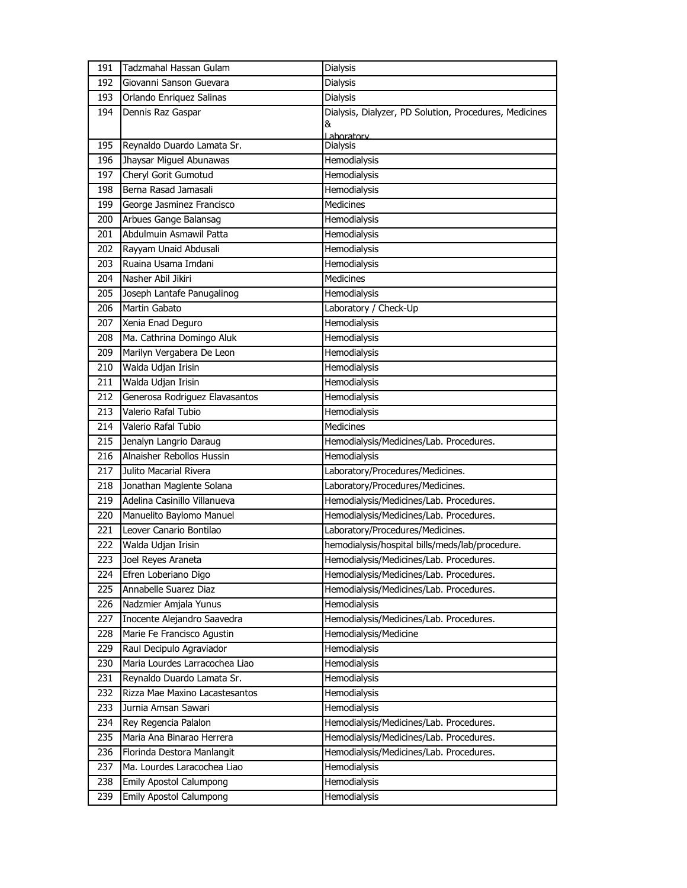| 191 | Tadzmahal Hassan Gulam         | Dialysis                                               |
|-----|--------------------------------|--------------------------------------------------------|
| 192 | Giovanni Sanson Guevara        | <b>Dialysis</b>                                        |
| 193 | Orlando Enriquez Salinas       | <b>Dialysis</b>                                        |
| 194 | Dennis Raz Gaspar              | Dialysis, Dialyzer, PD Solution, Procedures, Medicines |
|     |                                | &                                                      |
| 195 | Reynaldo Duardo Lamata Sr.     | Laboratory<br>Dialysis                                 |
| 196 | Jhaysar Miguel Abunawas        | Hemodialysis                                           |
| 197 | Cheryl Gorit Gumotud           | Hemodialysis                                           |
| 198 | Berna Rasad Jamasali           | Hemodialysis                                           |
| 199 | George Jasminez Francisco      | <b>Medicines</b>                                       |
| 200 | Arbues Gange Balansag          | Hemodialysis                                           |
| 201 | Abdulmuin Asmawil Patta        | Hemodialysis                                           |
| 202 | Rayyam Unaid Abdusali          | Hemodialysis                                           |
| 203 | Ruaina Usama Imdani            | Hemodialysis                                           |
| 204 | Nasher Abil Jikiri             | <b>Medicines</b>                                       |
| 205 | Joseph Lantafe Panugalinog     | Hemodialysis                                           |
| 206 | Martin Gabato                  | Laboratory / Check-Up                                  |
| 207 | Xenia Enad Deguro              | Hemodialysis                                           |
| 208 | Ma. Cathrina Domingo Aluk      | Hemodialysis                                           |
| 209 | Marilyn Vergabera De Leon      | Hemodialysis                                           |
| 210 | Walda Udjan Irisin             | Hemodialysis                                           |
| 211 | Walda Udjan Irisin             | Hemodialysis                                           |
| 212 | Generosa Rodriguez Elavasantos | Hemodialysis                                           |
| 213 | Valerio Rafal Tubio            | Hemodialysis                                           |
| 214 | Valerio Rafal Tubio            | <b>Medicines</b>                                       |
| 215 | Jenalyn Langrio Daraug         | Hemodialysis/Medicines/Lab. Procedures.                |
| 216 | Alnaisher Rebollos Hussin      | Hemodialysis                                           |
| 217 | Julito Macarial Rivera         | Laboratory/Procedures/Medicines.                       |
| 218 | Jonathan Maglente Solana       | Laboratory/Procedures/Medicines.                       |
| 219 | Adelina Casinillo Villanueva   | Hemodialysis/Medicines/Lab. Procedures.                |
| 220 | Manuelito Baylomo Manuel       | Hemodialysis/Medicines/Lab. Procedures.                |
| 221 | Leover Canario Bontilao        | Laboratory/Procedures/Medicines.                       |
| 222 | Walda Udjan Irisin             | hemodialysis/hospital bills/meds/lab/procedure.        |
| 223 | Joel Reyes Araneta             | Hemodialysis/Medicines/Lab. Procedures.                |
| 224 | Efren Loberiano Digo           | Hemodialysis/Medicines/Lab. Procedures.                |
| 225 | Annabelle Suarez Diaz          | Hemodialysis/Medicines/Lab. Procedures.                |
| 226 | Nadzmier Amjala Yunus          | Hemodialysis                                           |
| 227 | Inocente Alejandro Saavedra    | Hemodialysis/Medicines/Lab. Procedures.                |
| 228 | Marie Fe Francisco Agustin     | Hemodialysis/Medicine                                  |
| 229 | Raul Decipulo Agraviador       | Hemodialysis                                           |
| 230 | Maria Lourdes Larracochea Liao | Hemodialysis                                           |
| 231 | Reynaldo Duardo Lamata Sr.     | Hemodialysis                                           |
| 232 | Rizza Mae Maxino Lacastesantos | Hemodialysis                                           |
| 233 | Jurnia Amsan Sawari            | Hemodialysis                                           |
| 234 | Rey Regencia Palalon           | Hemodialysis/Medicines/Lab. Procedures.                |
| 235 | Maria Ana Binarao Herrera      | Hemodialysis/Medicines/Lab. Procedures.                |
| 236 | Florinda Destora Manlangit     | Hemodialysis/Medicines/Lab. Procedures.                |
| 237 | Ma. Lourdes Laracochea Liao    | Hemodialysis                                           |
| 238 | <b>Emily Apostol Calumpong</b> | Hemodialysis                                           |
| 239 | Emily Apostol Calumpong        | Hemodialysis                                           |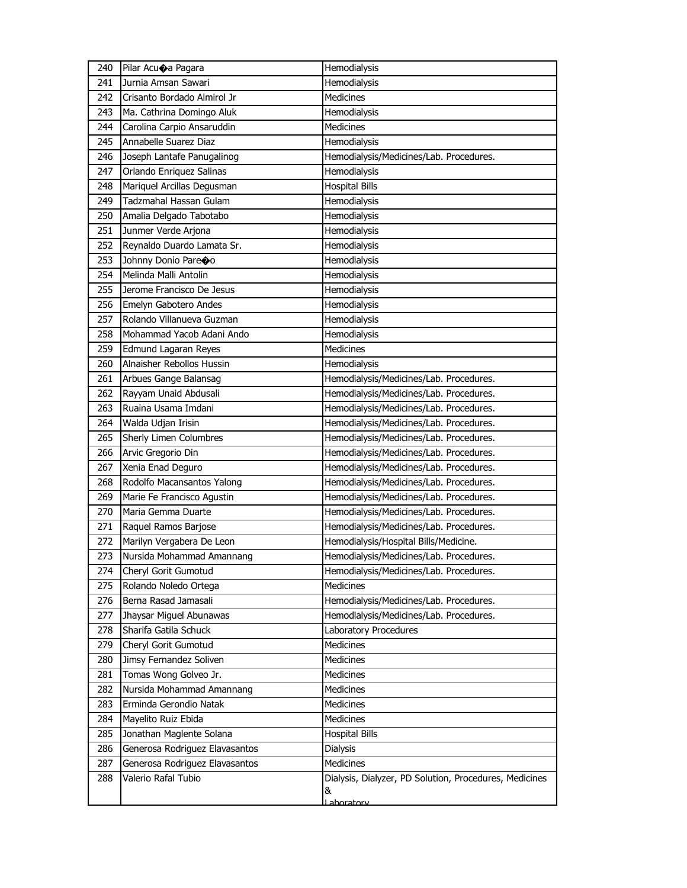| 240 | Pilar Acu $\bigcirc$ a Pagara  | Hemodialysis                                           |
|-----|--------------------------------|--------------------------------------------------------|
| 241 | Jurnia Amsan Sawari            | Hemodialysis                                           |
| 242 | Crisanto Bordado Almirol Jr    | Medicines                                              |
| 243 | Ma. Cathrina Domingo Aluk      | Hemodialysis                                           |
| 244 | Carolina Carpio Ansaruddin     | <b>Medicines</b>                                       |
| 245 | Annabelle Suarez Diaz          | Hemodialysis                                           |
| 246 | Joseph Lantafe Panugalinog     | Hemodialysis/Medicines/Lab. Procedures.                |
| 247 | Orlando Enriquez Salinas       | Hemodialysis                                           |
| 248 | Mariquel Arcillas Degusman     | <b>Hospital Bills</b>                                  |
| 249 | Tadzmahal Hassan Gulam         | Hemodialysis                                           |
| 250 | Amalia Delgado Tabotabo        | Hemodialysis                                           |
| 251 | Junmer Verde Arjona            | Hemodialysis                                           |
| 252 | Reynaldo Duardo Lamata Sr.     | Hemodialysis                                           |
| 253 | Johnny Donio Pareoo            | Hemodialysis                                           |
| 254 | Melinda Malli Antolin          | Hemodialysis                                           |
| 255 | Jerome Francisco De Jesus      | Hemodialysis                                           |
| 256 | Emelyn Gabotero Andes          | Hemodialysis                                           |
| 257 | Rolando Villanueva Guzman      | Hemodialysis                                           |
| 258 | Mohammad Yacob Adani Ando      | Hemodialysis                                           |
| 259 | Edmund Lagaran Reyes           | <b>Medicines</b>                                       |
| 260 | Alnaisher Rebollos Hussin      | Hemodialysis                                           |
| 261 | Arbues Gange Balansag          | Hemodialysis/Medicines/Lab. Procedures.                |
| 262 | Rayyam Unaid Abdusali          | Hemodialysis/Medicines/Lab. Procedures.                |
| 263 | Ruaina Usama Imdani            | Hemodialysis/Medicines/Lab. Procedures.                |
| 264 | Walda Udjan Irisin             | Hemodialysis/Medicines/Lab. Procedures.                |
| 265 | Sherly Limen Columbres         | Hemodialysis/Medicines/Lab. Procedures.                |
| 266 | Arvic Gregorio Din             | Hemodialysis/Medicines/Lab. Procedures.                |
| 267 | Xenia Enad Deguro              | Hemodialysis/Medicines/Lab. Procedures.                |
| 268 | Rodolfo Macansantos Yalong     | Hemodialysis/Medicines/Lab. Procedures.                |
| 269 | Marie Fe Francisco Agustin     | Hemodialysis/Medicines/Lab. Procedures.                |
| 270 | Maria Gemma Duarte             | Hemodialysis/Medicines/Lab. Procedures.                |
| 271 | Raquel Ramos Barjose           | Hemodialysis/Medicines/Lab. Procedures.                |
| 272 | Marilyn Vergabera De Leon      | Hemodialysis/Hospital Bills/Medicine.                  |
| 273 | Nursida Mohammad Amannang      | Hemodialysis/Medicines/Lab. Procedures.                |
| 274 | Cheryl Gorit Gumotud           | Hemodialysis/Medicines/Lab. Procedures.                |
| 275 | Rolando Noledo Ortega          | Medicines                                              |
| 276 | Berna Rasad Jamasali           | Hemodialysis/Medicines/Lab. Procedures.                |
| 277 | Jhaysar Miguel Abunawas        | Hemodialysis/Medicines/Lab. Procedures.                |
| 278 | Sharifa Gatila Schuck          | Laboratory Procedures                                  |
| 279 | Cheryl Gorit Gumotud           | <b>Medicines</b>                                       |
| 280 | Jimsy Fernandez Soliven        | Medicines                                              |
| 281 | Tomas Wong Golveo Jr.          | <b>Medicines</b>                                       |
| 282 | Nursida Mohammad Amannang      | Medicines                                              |
| 283 | Erminda Gerondio Natak         | Medicines                                              |
| 284 | Mayelito Ruiz Ebida            | Medicines                                              |
| 285 | Jonathan Maglente Solana       | <b>Hospital Bills</b>                                  |
| 286 | Generosa Rodriguez Elavasantos | Dialysis                                               |
| 287 | Generosa Rodriguez Elavasantos | Medicines                                              |
| 288 | Valerio Rafal Tubio            | Dialysis, Dialyzer, PD Solution, Procedures, Medicines |
|     |                                | &                                                      |
|     |                                | aboratory                                              |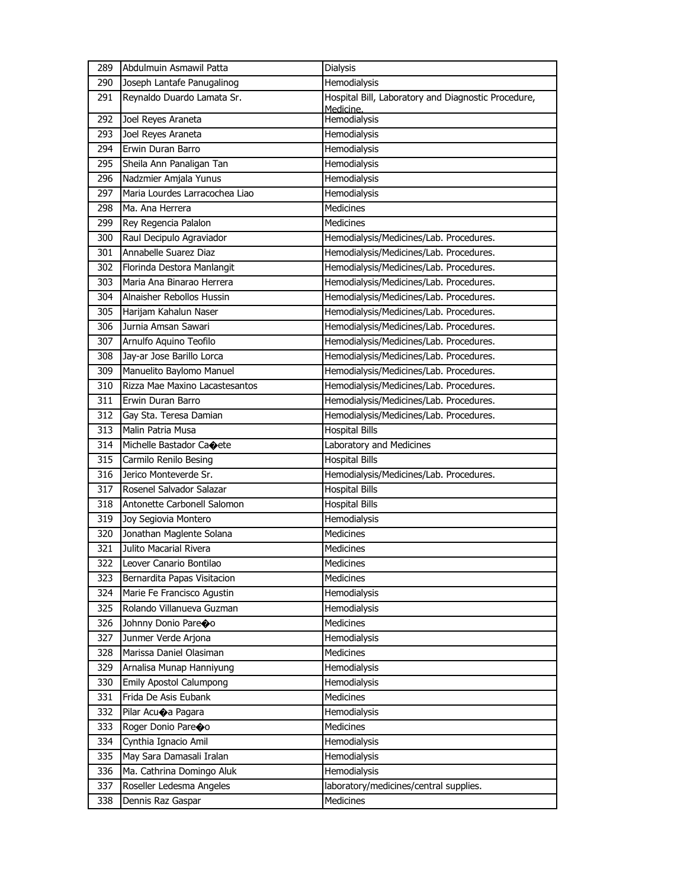| 289 | Abdulmuin Asmawil Patta        | <b>Dialysis</b>                                                  |
|-----|--------------------------------|------------------------------------------------------------------|
| 290 | Joseph Lantafe Panugalinog     | Hemodialysis                                                     |
| 291 | Reynaldo Duardo Lamata Sr.     | Hospital Bill, Laboratory and Diagnostic Procedure,<br>Medicine. |
| 292 | Joel Reyes Araneta             | Hemodialysis                                                     |
| 293 | Joel Reyes Araneta             | Hemodialysis                                                     |
| 294 | Erwin Duran Barro              | Hemodialysis                                                     |
| 295 | Sheila Ann Panaligan Tan       | Hemodialysis                                                     |
| 296 | Nadzmier Amjala Yunus          | Hemodialysis                                                     |
| 297 | Maria Lourdes Larracochea Liao | Hemodialysis                                                     |
| 298 | Ma. Ana Herrera                | <b>Medicines</b>                                                 |
| 299 | Rey Regencia Palalon           | <b>Medicines</b>                                                 |
| 300 | Raul Decipulo Agraviador       | Hemodialysis/Medicines/Lab. Procedures.                          |
| 301 | Annabelle Suarez Diaz          | Hemodialysis/Medicines/Lab. Procedures.                          |
| 302 | Florinda Destora Manlangit     | Hemodialysis/Medicines/Lab. Procedures.                          |
| 303 | Maria Ana Binarao Herrera      | Hemodialysis/Medicines/Lab. Procedures.                          |
| 304 | Alnaisher Rebollos Hussin      | Hemodialysis/Medicines/Lab. Procedures.                          |
| 305 | Harijam Kahalun Naser          | Hemodialysis/Medicines/Lab. Procedures.                          |
| 306 | Jurnia Amsan Sawari            | Hemodialysis/Medicines/Lab. Procedures.                          |
| 307 | Arnulfo Aquino Teofilo         | Hemodialysis/Medicines/Lab. Procedures.                          |
| 308 | Jay-ar Jose Barillo Lorca      | Hemodialysis/Medicines/Lab. Procedures.                          |
| 309 | Manuelito Baylomo Manuel       | Hemodialysis/Medicines/Lab. Procedures.                          |
| 310 | Rizza Mae Maxino Lacastesantos | Hemodialysis/Medicines/Lab. Procedures.                          |
| 311 | Erwin Duran Barro              | Hemodialysis/Medicines/Lab. Procedures.                          |
| 312 | Gay Sta. Teresa Damian         | Hemodialysis/Medicines/Lab. Procedures.                          |
| 313 | Malin Patria Musa              | <b>Hospital Bills</b>                                            |
| 314 | Michelle Bastador Caoete       | Laboratory and Medicines                                         |
| 315 | Carmilo Renilo Besing          | <b>Hospital Bills</b>                                            |
| 316 | Jerico Monteverde Sr.          | Hemodialysis/Medicines/Lab. Procedures.                          |
| 317 | Rosenel Salvador Salazar       | <b>Hospital Bills</b>                                            |
| 318 | Antonette Carbonell Salomon    | <b>Hospital Bills</b>                                            |
| 319 | Joy Segiovia Montero           | Hemodialysis                                                     |
| 320 | Jonathan Maglente Solana       | Medicines                                                        |
| 321 | Julito Macarial Rivera         | <b>Medicines</b>                                                 |
| 322 | Leover Canario Bontilao        | Medicines                                                        |
| 323 | Bernardita Papas Visitacion    | Medicines                                                        |
| 324 | Marie Fe Francisco Agustin     | Hemodialysis                                                     |
| 325 | Rolando Villanueva Guzman      | Hemodialysis                                                     |
| 326 | Johnny Donio Pareco            | Medicines                                                        |
| 327 | Junmer Verde Arjona            | Hemodialysis                                                     |
| 328 | Marissa Daniel Olasiman        | Medicines                                                        |
| 329 | Arnalisa Munap Hanniyung       | Hemodialysis                                                     |
| 330 | Emily Apostol Calumpong        | Hemodialysis                                                     |
| 331 | Frida De Asis Eubank           | <b>Medicines</b>                                                 |
| 332 | Pilar Acuoa Pagara             | Hemodialysis                                                     |
| 333 | Roger Donio Pareoo             | Medicines                                                        |
| 334 | Cynthia Ignacio Amil           | Hemodialysis                                                     |
| 335 | May Sara Damasali Iralan       | Hemodialysis                                                     |
| 336 | Ma. Cathrina Domingo Aluk      | Hemodialysis                                                     |
| 337 | Roseller Ledesma Angeles       | laboratory/medicines/central supplies.                           |
| 338 | Dennis Raz Gaspar              | Medicines                                                        |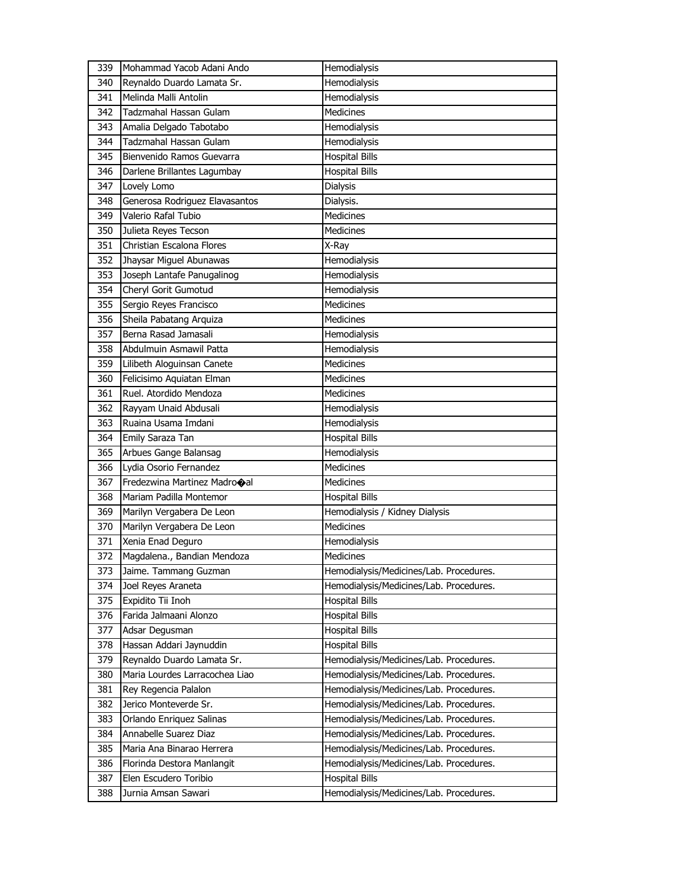| 339 | Mohammad Yacob Adani Ando      | Hemodialysis                            |
|-----|--------------------------------|-----------------------------------------|
| 340 | Reynaldo Duardo Lamata Sr.     | Hemodialysis                            |
| 341 | Melinda Malli Antolin          | <b>Hemodialysis</b>                     |
| 342 | Tadzmahal Hassan Gulam         | <b>Medicines</b>                        |
| 343 | Amalia Delgado Tabotabo        | Hemodialysis                            |
| 344 | Tadzmahal Hassan Gulam         | <b>Hemodialysis</b>                     |
| 345 | Bienvenido Ramos Guevarra      | <b>Hospital Bills</b>                   |
| 346 | Darlene Brillantes Lagumbay    | <b>Hospital Bills</b>                   |
| 347 | Lovely Lomo                    | <b>Dialysis</b>                         |
| 348 | Generosa Rodriguez Elavasantos | Dialysis.                               |
| 349 | Valerio Rafal Tubio            | Medicines                               |
| 350 | Julieta Reyes Tecson           | <b>Medicines</b>                        |
| 351 | Christian Escalona Flores      | X-Ray                                   |
| 352 | Jhaysar Miguel Abunawas        | Hemodialysis                            |
| 353 | Joseph Lantafe Panugalinog     | Hemodialysis                            |
| 354 | Cheryl Gorit Gumotud           | <b>Hemodialysis</b>                     |
| 355 | Sergio Reyes Francisco         | Medicines                               |
| 356 | Sheila Pabatang Arquiza        | <b>Medicines</b>                        |
| 357 | Berna Rasad Jamasali           | Hemodialysis                            |
| 358 | Abdulmuin Asmawil Patta        | Hemodialysis                            |
| 359 | Lilibeth Aloguinsan Canete     | <b>Medicines</b>                        |
| 360 | Felicisimo Aquiatan Elman      | <b>Medicines</b>                        |
| 361 | Ruel. Atordido Mendoza         | <b>Medicines</b>                        |
| 362 | Rayyam Unaid Abdusali          | Hemodialysis                            |
| 363 | Ruaina Usama Imdani            | Hemodialysis                            |
| 364 | Emily Saraza Tan               | <b>Hospital Bills</b>                   |
| 365 | Arbues Gange Balansag          | Hemodialysis                            |
| 366 | Lydia Osorio Fernandez         | Medicines                               |
| 367 | Fredezwina Martinez Madrooal   | <b>Medicines</b>                        |
| 368 | Mariam Padilla Montemor        | <b>Hospital Bills</b>                   |
| 369 | Marilyn Vergabera De Leon      | Hemodialysis / Kidney Dialysis          |
| 370 | Marilyn Vergabera De Leon      | <b>Medicines</b>                        |
| 371 | Xenia Enad Deguro              | Hemodialysis                            |
| 372 | Magdalena., Bandian Mendoza    | Medicines                               |
| 373 | Jaime. Tammang Guzman          | Hemodialysis/Medicines/Lab. Procedures. |
| 374 | Joel Reyes Araneta             | Hemodialysis/Medicines/Lab. Procedures. |
| 375 | Expidito Tii Inoh              | <b>Hospital Bills</b>                   |
| 376 | Farida Jalmaani Alonzo         | <b>Hospital Bills</b>                   |
| 377 | Adsar Degusman                 | <b>Hospital Bills</b>                   |
| 378 | Hassan Addari Jaynuddin        | <b>Hospital Bills</b>                   |
| 379 | Reynaldo Duardo Lamata Sr.     | Hemodialysis/Medicines/Lab. Procedures. |
| 380 | Maria Lourdes Larracochea Liao | Hemodialysis/Medicines/Lab. Procedures. |
| 381 | Rey Regencia Palalon           | Hemodialysis/Medicines/Lab. Procedures. |
| 382 | Jerico Monteverde Sr.          | Hemodialysis/Medicines/Lab. Procedures. |
| 383 | Orlando Enriquez Salinas       | Hemodialysis/Medicines/Lab. Procedures. |
| 384 | Annabelle Suarez Diaz          | Hemodialysis/Medicines/Lab. Procedures. |
| 385 | Maria Ana Binarao Herrera      | Hemodialysis/Medicines/Lab. Procedures. |
| 386 | Florinda Destora Manlangit     | Hemodialysis/Medicines/Lab. Procedures. |
| 387 |                                |                                         |
|     | Elen Escudero Toribio          | <b>Hospital Bills</b>                   |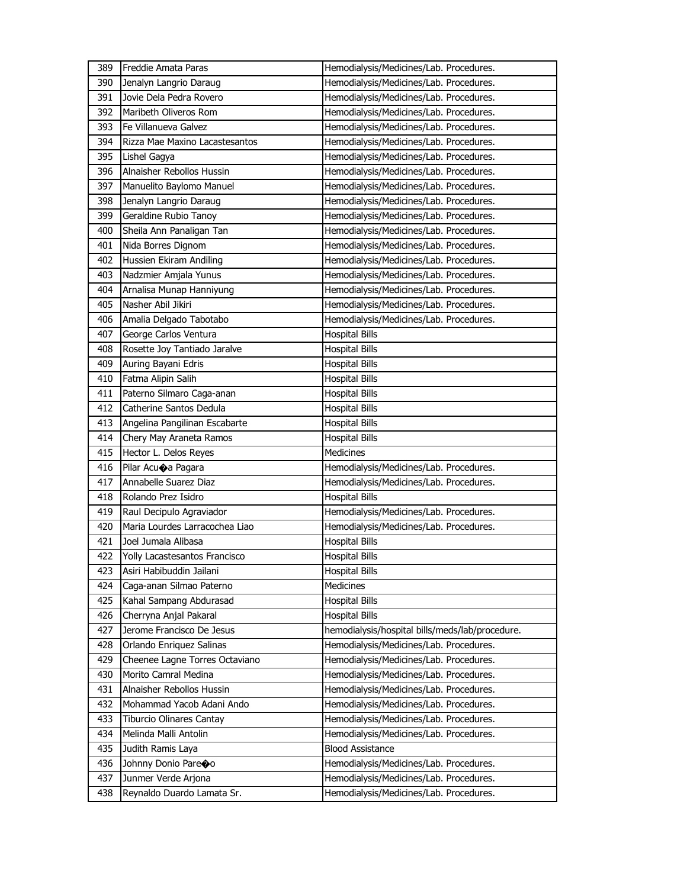| 389 | Freddie Amata Paras            | Hemodialysis/Medicines/Lab. Procedures.         |
|-----|--------------------------------|-------------------------------------------------|
| 390 | Jenalyn Langrio Daraug         | Hemodialysis/Medicines/Lab. Procedures.         |
| 391 | Jovie Dela Pedra Rovero        | Hemodialysis/Medicines/Lab. Procedures.         |
| 392 | Maribeth Oliveros Rom          | Hemodialysis/Medicines/Lab. Procedures.         |
| 393 | Fe Villanueva Galvez           | Hemodialysis/Medicines/Lab. Procedures.         |
| 394 | Rizza Mae Maxino Lacastesantos | Hemodialysis/Medicines/Lab. Procedures.         |
| 395 | Lishel Gagya                   | Hemodialysis/Medicines/Lab. Procedures.         |
| 396 | Alnaisher Rebollos Hussin      | Hemodialysis/Medicines/Lab. Procedures.         |
| 397 | Manuelito Baylomo Manuel       | Hemodialysis/Medicines/Lab. Procedures.         |
| 398 | Jenalyn Langrio Daraug         | Hemodialysis/Medicines/Lab. Procedures.         |
| 399 | Geraldine Rubio Tanoy          | Hemodialysis/Medicines/Lab. Procedures.         |
| 400 | Sheila Ann Panaligan Tan       | Hemodialysis/Medicines/Lab. Procedures.         |
| 401 | Nida Borres Dignom             | Hemodialysis/Medicines/Lab. Procedures.         |
| 402 | Hussien Ekiram Andiling        | Hemodialysis/Medicines/Lab. Procedures.         |
| 403 | Nadzmier Amjala Yunus          | Hemodialysis/Medicines/Lab. Procedures.         |
| 404 | Arnalisa Munap Hanniyung       | Hemodialysis/Medicines/Lab. Procedures.         |
| 405 | Nasher Abil Jikiri             | Hemodialysis/Medicines/Lab. Procedures.         |
| 406 | Amalia Delgado Tabotabo        | Hemodialysis/Medicines/Lab. Procedures.         |
| 407 | George Carlos Ventura          | <b>Hospital Bills</b>                           |
| 408 | Rosette Joy Tantiado Jaralve   | <b>Hospital Bills</b>                           |
| 409 | Auring Bayani Edris            | <b>Hospital Bills</b>                           |
| 410 | Fatma Alipin Salih             | <b>Hospital Bills</b>                           |
| 411 | Paterno Silmaro Caga-anan      | <b>Hospital Bills</b>                           |
| 412 | Catherine Santos Dedula        | <b>Hospital Bills</b>                           |
| 413 | Angelina Pangilinan Escabarte  | <b>Hospital Bills</b>                           |
|     |                                |                                                 |
| 414 | Chery May Araneta Ramos        | <b>Hospital Bills</b>                           |
| 415 | Hector L. Delos Reyes          | Medicines                                       |
| 416 | Pilar Acuoa Pagara             | Hemodialysis/Medicines/Lab. Procedures.         |
| 417 | Annabelle Suarez Diaz          | Hemodialysis/Medicines/Lab. Procedures.         |
| 418 | Rolando Prez Isidro            | <b>Hospital Bills</b>                           |
| 419 | Raul Decipulo Agraviador       | Hemodialysis/Medicines/Lab. Procedures.         |
| 420 | Maria Lourdes Larracochea Liao | Hemodialysis/Medicines/Lab. Procedures.         |
| 421 | Joel Jumala Alibasa            | <b>Hospital Bills</b>                           |
| 422 | Yolly Lacastesantos Francisco  | <b>Hospital Bills</b>                           |
| 423 | Asiri Habibuddin Jailani       | <b>Hospital Bills</b>                           |
| 424 | Caga-anan Silmao Paterno       | Medicines                                       |
| 425 | Kahal Sampang Abdurasad        | <b>Hospital Bills</b>                           |
| 426 | Cherryna Anjal Pakaral         | <b>Hospital Bills</b>                           |
| 427 | Jerome Francisco De Jesus      | hemodialysis/hospital bills/meds/lab/procedure. |
| 428 | Orlando Enriquez Salinas       | Hemodialysis/Medicines/Lab. Procedures.         |
| 429 | Cheenee Lagne Torres Octaviano | Hemodialysis/Medicines/Lab. Procedures.         |
| 430 | Morito Camral Medina           | Hemodialysis/Medicines/Lab. Procedures.         |
| 431 | Alnaisher Rebollos Hussin      | Hemodialysis/Medicines/Lab. Procedures.         |
| 432 | Mohammad Yacob Adani Ando      | Hemodialysis/Medicines/Lab. Procedures.         |
| 433 | Tiburcio Olinares Cantay       | Hemodialysis/Medicines/Lab. Procedures.         |
| 434 | Melinda Malli Antolin          | Hemodialysis/Medicines/Lab. Procedures.         |
| 435 | Judith Ramis Laya              | <b>Blood Assistance</b>                         |
| 436 | Johnny Donio Pareoo            | Hemodialysis/Medicines/Lab. Procedures.         |
| 437 | Junmer Verde Arjona            | Hemodialysis/Medicines/Lab. Procedures.         |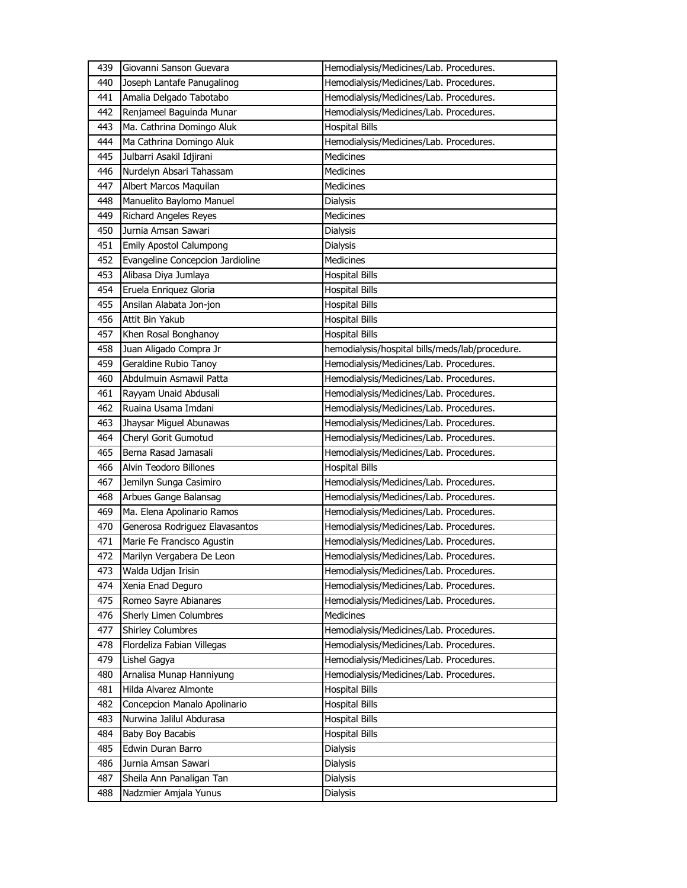| 439 | Giovanni Sanson Guevara          | Hemodialysis/Medicines/Lab. Procedures.         |
|-----|----------------------------------|-------------------------------------------------|
| 440 | Joseph Lantafe Panugalinog       | Hemodialysis/Medicines/Lab. Procedures.         |
| 441 | Amalia Delgado Tabotabo          | Hemodialysis/Medicines/Lab. Procedures.         |
| 442 | Renjameel Baguinda Munar         | Hemodialysis/Medicines/Lab. Procedures.         |
| 443 | Ma. Cathrina Domingo Aluk        | <b>Hospital Bills</b>                           |
| 444 | Ma Cathrina Domingo Aluk         | Hemodialysis/Medicines/Lab. Procedures.         |
| 445 | Julbarri Asakil Idjirani         | <b>Medicines</b>                                |
| 446 | Nurdelyn Absari Tahassam         | Medicines                                       |
| 447 | Albert Marcos Maquilan           | Medicines                                       |
| 448 | Manuelito Baylomo Manuel         | Dialysis                                        |
| 449 | Richard Angeles Reyes            | Medicines                                       |
| 450 | Jurnia Amsan Sawari              | Dialysis                                        |
| 451 | <b>Emily Apostol Calumpong</b>   | Dialysis                                        |
| 452 | Evangeline Concepcion Jardioline | Medicines                                       |
| 453 | Alibasa Diya Jumlaya             | <b>Hospital Bills</b>                           |
| 454 | Eruela Enriquez Gloria           | <b>Hospital Bills</b>                           |
| 455 | Ansilan Alabata Jon-jon          | <b>Hospital Bills</b>                           |
| 456 | Attit Bin Yakub                  | <b>Hospital Bills</b>                           |
| 457 | Khen Rosal Bonghanoy             | <b>Hospital Bills</b>                           |
| 458 | Juan Aligado Compra Jr           | hemodialysis/hospital bills/meds/lab/procedure. |
| 459 | Geraldine Rubio Tanoy            | Hemodialysis/Medicines/Lab. Procedures.         |
| 460 | Abdulmuin Asmawil Patta          | Hemodialysis/Medicines/Lab. Procedures.         |
| 461 | Rayyam Unaid Abdusali            | Hemodialysis/Medicines/Lab. Procedures.         |
| 462 | Ruaina Usama Imdani              | Hemodialysis/Medicines/Lab. Procedures.         |
| 463 | Jhaysar Miguel Abunawas          | Hemodialysis/Medicines/Lab. Procedures.         |
| 464 | Cheryl Gorit Gumotud             | Hemodialysis/Medicines/Lab. Procedures.         |
|     |                                  |                                                 |
| 465 | Berna Rasad Jamasali             | Hemodialysis/Medicines/Lab. Procedures.         |
| 466 | Alvin Teodoro Billones           | <b>Hospital Bills</b>                           |
| 467 | Jemilyn Sunga Casimiro           | Hemodialysis/Medicines/Lab. Procedures.         |
| 468 | Arbues Gange Balansag            | Hemodialysis/Medicines/Lab. Procedures.         |
| 469 | Ma. Elena Apolinario Ramos       | Hemodialysis/Medicines/Lab. Procedures.         |
| 470 | Generosa Rodriguez Elavasantos   | Hemodialysis/Medicines/Lab. Procedures.         |
| 471 | Marie Fe Francisco Agustin       | Hemodialysis/Medicines/Lab. Procedures.         |
| 472 | Marilyn Vergabera De Leon        | Hemodialysis/Medicines/Lab. Procedures.         |
| 473 | Walda Udjan Irisin               | Hemodialysis/Medicines/Lab. Procedures.         |
| 474 | Xenia Enad Deguro                | Hemodialysis/Medicines/Lab. Procedures.         |
| 475 | Romeo Sayre Abianares            | Hemodialysis/Medicines/Lab. Procedures.         |
| 476 | <b>Sherly Limen Columbres</b>    | Medicines                                       |
| 477 | <b>Shirley Columbres</b>         | Hemodialysis/Medicines/Lab. Procedures.         |
| 478 | Flordeliza Fabian Villegas       | Hemodialysis/Medicines/Lab. Procedures.         |
| 479 | Lishel Gagya                     | Hemodialysis/Medicines/Lab. Procedures.         |
| 480 | Arnalisa Munap Hanniyung         | Hemodialysis/Medicines/Lab. Procedures.         |
| 481 | Hilda Alvarez Almonte            | <b>Hospital Bills</b>                           |
| 482 | Concepcion Manalo Apolinario     | <b>Hospital Bills</b>                           |
| 483 | Nurwina Jalilul Abdurasa         | <b>Hospital Bills</b>                           |
| 484 | Baby Boy Bacabis                 | <b>Hospital Bills</b>                           |
| 485 | Edwin Duran Barro                | Dialysis                                        |
| 486 | Jurnia Amsan Sawari              | Dialysis                                        |
| 487 | Sheila Ann Panaligan Tan         | Dialysis                                        |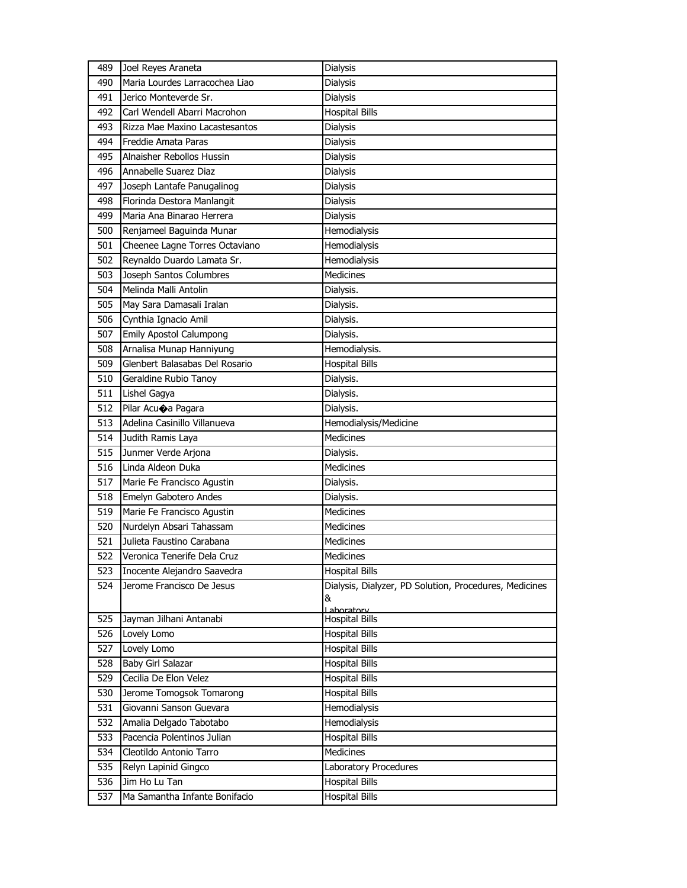| 489 | Joel Reyes Araneta             | Dialysis                                               |
|-----|--------------------------------|--------------------------------------------------------|
| 490 | Maria Lourdes Larracochea Liao | Dialysis                                               |
| 491 | Jerico Monteverde Sr.          | Dialysis                                               |
| 492 | Carl Wendell Abarri Macrohon   | <b>Hospital Bills</b>                                  |
| 493 | Rizza Mae Maxino Lacastesantos | Dialysis                                               |
| 494 | Freddie Amata Paras            | Dialysis                                               |
| 495 | Alnaisher Rebollos Hussin      | Dialysis                                               |
| 496 | Annabelle Suarez Diaz          | Dialysis                                               |
| 497 | Joseph Lantafe Panugalinog     | <b>Dialysis</b>                                        |
| 498 | Florinda Destora Manlangit     | Dialysis                                               |
| 499 | Maria Ana Binarao Herrera      | Dialysis                                               |
| 500 | Renjameel Baguinda Munar       | Hemodialysis                                           |
| 501 | Cheenee Lagne Torres Octaviano | Hemodialysis                                           |
| 502 | Reynaldo Duardo Lamata Sr.     | Hemodialysis                                           |
| 503 | Joseph Santos Columbres        | <b>Medicines</b>                                       |
| 504 | Melinda Malli Antolin          | Dialysis.                                              |
| 505 | May Sara Damasali Iralan       | Dialysis.                                              |
| 506 | Cynthia Ignacio Amil           | Dialysis.                                              |
| 507 | <b>Emily Apostol Calumpong</b> | Dialysis.                                              |
| 508 | Arnalisa Munap Hanniyung       | Hemodialysis.                                          |
| 509 | Glenbert Balasabas Del Rosario | <b>Hospital Bills</b>                                  |
| 510 | Geraldine Rubio Tanoy          | Dialysis.                                              |
| 511 | Lishel Gagya                   | Dialysis.                                              |
| 512 | Pilar Acuoa Pagara             | Dialysis.                                              |
| 513 | Adelina Casinillo Villanueva   | Hemodialysis/Medicine                                  |
| 514 | Judith Ramis Laya              | <b>Medicines</b>                                       |
| 515 | Junmer Verde Arjona            | Dialysis.                                              |
| 516 | Linda Aldeon Duka              | Medicines                                              |
| 517 | Marie Fe Francisco Agustin     | Dialysis.                                              |
| 518 | Emelyn Gabotero Andes          | Dialysis.                                              |
| 519 | Marie Fe Francisco Agustin     | <b>Medicines</b>                                       |
| 520 | Nurdelyn Absari Tahassam       | Medicines                                              |
| 521 | Julieta Faustino Carabana      | Medicines                                              |
| 522 | Veronica Tenerife Dela Cruz    | <b>Medicines</b>                                       |
| 523 | Inocente Alejandro Saavedra    | <b>Hospital Bills</b>                                  |
| 524 | Jerome Francisco De Jesus      | Dialysis, Dialyzer, PD Solution, Procedures, Medicines |
|     |                                | &                                                      |
| 525 | Jayman Jilhani Antanabi        | Laboratory<br><b>Hospital Bills</b>                    |
| 526 | Lovely Lomo                    | <b>Hospital Bills</b>                                  |
| 527 | Lovely Lomo                    | <b>Hospital Bills</b>                                  |
| 528 | Baby Girl Salazar              | <b>Hospital Bills</b>                                  |
| 529 | Cecilia De Elon Velez          | <b>Hospital Bills</b>                                  |
| 530 | Jerome Tomogsok Tomarong       | <b>Hospital Bills</b>                                  |
| 531 | Giovanni Sanson Guevara        | Hemodialysis                                           |
| 532 | Amalia Delgado Tabotabo        | Hemodialysis                                           |
| 533 | Pacencia Polentinos Julian     | <b>Hospital Bills</b>                                  |
| 534 | Cleotildo Antonio Tarro        | Medicines                                              |
| 535 | Relyn Lapinid Gingco           | Laboratory Procedures                                  |
| 536 | Jim Ho Lu Tan                  | <b>Hospital Bills</b>                                  |
| 537 | Ma Samantha Infante Bonifacio  | Hospital Bills                                         |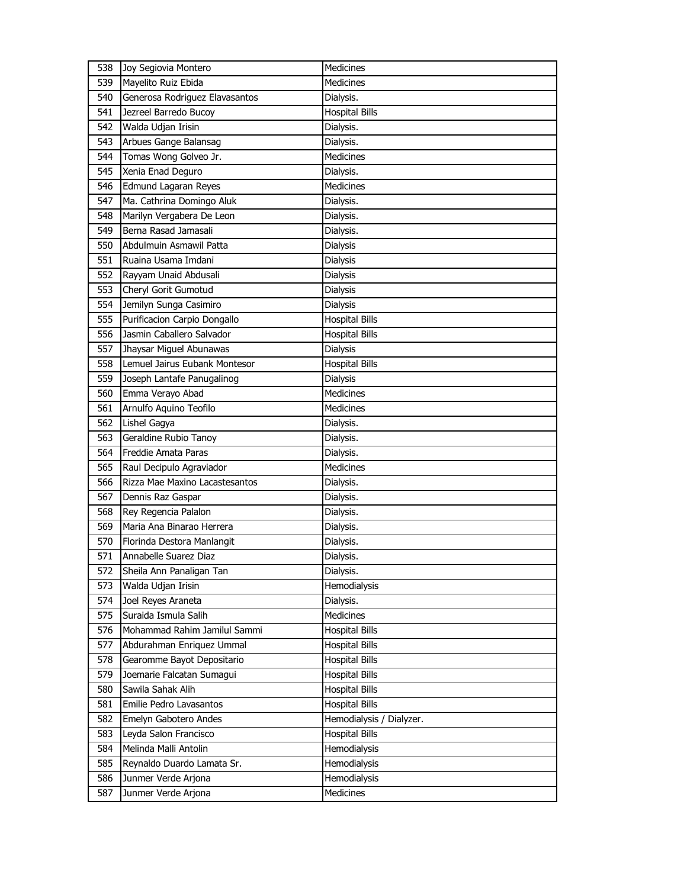| 538 | Joy Segiovia Montero           | <b>Medicines</b>         |
|-----|--------------------------------|--------------------------|
| 539 | Mayelito Ruiz Ebida            | Medicines                |
| 540 | Generosa Rodriguez Elavasantos | Dialysis.                |
| 541 | Jezreel Barredo Bucoy          | <b>Hospital Bills</b>    |
| 542 | Walda Udjan Irisin             | Dialysis.                |
| 543 | Arbues Gange Balansag          | Dialysis.                |
| 544 | Tomas Wong Golveo Jr.          | <b>Medicines</b>         |
| 545 | Xenia Enad Deguro              | Dialysis.                |
| 546 | Edmund Lagaran Reyes           | Medicines                |
| 547 | Ma. Cathrina Domingo Aluk      | Dialysis.                |
| 548 | Marilyn Vergabera De Leon      | Dialysis.                |
| 549 | Berna Rasad Jamasali           | Dialysis.                |
| 550 | Abdulmuin Asmawil Patta        | Dialysis                 |
| 551 | Ruaina Usama Imdani            | Dialysis                 |
| 552 | Rayyam Unaid Abdusali          | Dialysis                 |
| 553 | Cheryl Gorit Gumotud           | <b>Dialysis</b>          |
| 554 | Jemilyn Sunga Casimiro         | Dialysis                 |
| 555 | Purificacion Carpio Dongallo   | <b>Hospital Bills</b>    |
| 556 | Jasmin Caballero Salvador      | <b>Hospital Bills</b>    |
| 557 | Jhaysar Miguel Abunawas        | Dialysis                 |
| 558 | Lemuel Jairus Eubank Montesor  | <b>Hospital Bills</b>    |
| 559 | Joseph Lantafe Panugalinog     | Dialysis                 |
| 560 | Emma Verayo Abad               | <b>Medicines</b>         |
| 561 | Arnulfo Aquino Teofilo         | Medicines                |
| 562 | Lishel Gagya                   | Dialysis.                |
| 563 | Geraldine Rubio Tanoy          | Dialysis.                |
| 564 | Freddie Amata Paras            | Dialysis.                |
| 565 | Raul Decipulo Agraviador       | Medicines                |
| 566 | Rizza Mae Maxino Lacastesantos | Dialysis.                |
| 567 | Dennis Raz Gaspar              | Dialysis.                |
| 568 | Rey Regencia Palalon           | Dialysis.                |
| 569 | Maria Ana Binarao Herrera      | Dialysis.                |
| 570 | Florinda Destora Manlangit     | Dialysis.                |
| 571 | Annabelle Suarez Diaz          | Dialysis.                |
| 572 | Sheila Ann Panaligan Tan       | Dialysis.                |
| 573 | Walda Udjan Irisin             | Hemodialysis             |
| 574 | Joel Reyes Araneta             | Dialysis.                |
| 575 | Suraida Ismula Salih           | Medicines                |
| 576 | Mohammad Rahim Jamilul Sammi   | <b>Hospital Bills</b>    |
| 577 | Abdurahman Enriquez Ummal      | <b>Hospital Bills</b>    |
| 578 | Gearomme Bayot Depositario     | <b>Hospital Bills</b>    |
| 579 | Joemarie Falcatan Sumagui      | Hospital Bills           |
| 580 | Sawila Sahak Alih              | <b>Hospital Bills</b>    |
| 581 | Emilie Pedro Lavasantos        | <b>Hospital Bills</b>    |
| 582 | Emelyn Gabotero Andes          | Hemodialysis / Dialyzer. |
| 583 | Leyda Salon Francisco          | <b>Hospital Bills</b>    |
| 584 | Melinda Malli Antolin          | <b>Hemodialysis</b>      |
| 585 | Reynaldo Duardo Lamata Sr.     | Hemodialysis             |
| 586 | Junmer Verde Arjona            | Hemodialysis             |
| 587 | Junmer Verde Arjona            | Medicines                |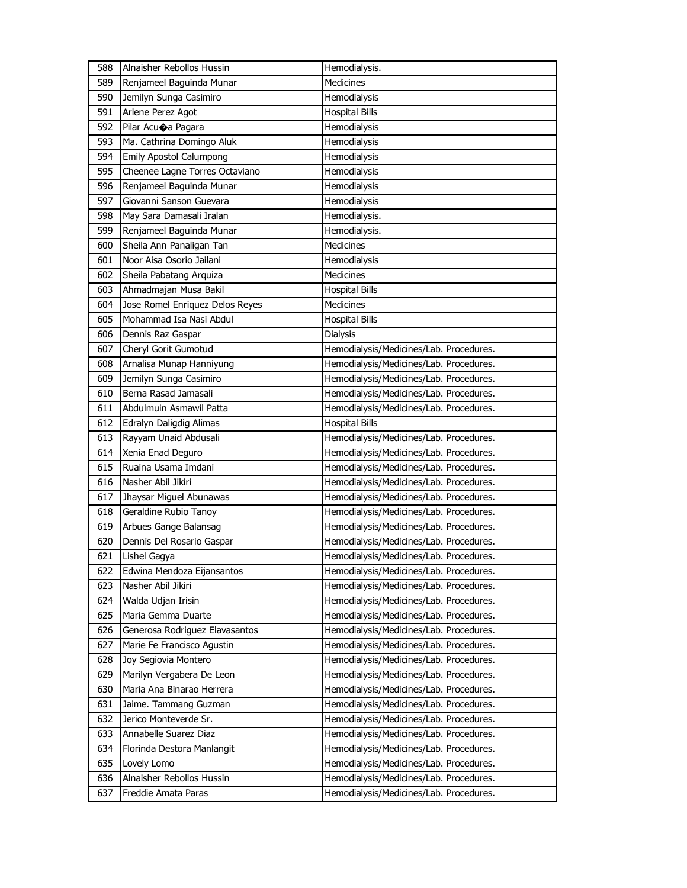| 588 | Alnaisher Rebollos Hussin       | Hemodialysis.                           |
|-----|---------------------------------|-----------------------------------------|
| 589 | Renjameel Baguinda Munar        | <b>Medicines</b>                        |
| 590 | Jemilyn Sunga Casimiro          | Hemodialysis                            |
| 591 | Arlene Perez Agot               | <b>Hospital Bills</b>                   |
| 592 | Pilar Acuoa Pagara              | Hemodialysis                            |
| 593 | Ma. Cathrina Domingo Aluk       | Hemodialysis                            |
| 594 | <b>Emily Apostol Calumpong</b>  | Hemodialysis                            |
| 595 | Cheenee Lagne Torres Octaviano  | Hemodialysis                            |
| 596 | Renjameel Baguinda Munar        | Hemodialysis                            |
| 597 | Giovanni Sanson Guevara         | Hemodialysis                            |
| 598 | May Sara Damasali Iralan        | Hemodialysis.                           |
| 599 | Renjameel Baguinda Munar        | Hemodialysis.                           |
| 600 | Sheila Ann Panaligan Tan        | Medicines                               |
| 601 | Noor Aisa Osorio Jailani        | Hemodialysis                            |
| 602 | Sheila Pabatang Arquiza         | <b>Medicines</b>                        |
| 603 | Ahmadmajan Musa Bakil           | <b>Hospital Bills</b>                   |
| 604 | Jose Romel Enriquez Delos Reyes | <b>Medicines</b>                        |
| 605 | Mohammad Isa Nasi Abdul         | <b>Hospital Bills</b>                   |
| 606 | Dennis Raz Gaspar               | Dialysis                                |
| 607 | Cheryl Gorit Gumotud            | Hemodialysis/Medicines/Lab. Procedures. |
| 608 | Arnalisa Munap Hanniyung        | Hemodialysis/Medicines/Lab. Procedures. |
| 609 | Jemilyn Sunga Casimiro          | Hemodialysis/Medicines/Lab. Procedures. |
| 610 | Berna Rasad Jamasali            | Hemodialysis/Medicines/Lab. Procedures. |
| 611 | Abdulmuin Asmawil Patta         | Hemodialysis/Medicines/Lab. Procedures. |
| 612 | Edralyn Daligdig Alimas         | <b>Hospital Bills</b>                   |
|     |                                 |                                         |
| 613 | Rayyam Unaid Abdusali           | Hemodialysis/Medicines/Lab. Procedures. |
| 614 | Xenia Enad Deguro               | Hemodialysis/Medicines/Lab. Procedures. |
| 615 | Ruaina Usama Imdani             | Hemodialysis/Medicines/Lab. Procedures. |
| 616 | Nasher Abil Jikiri              | Hemodialysis/Medicines/Lab. Procedures. |
| 617 | Jhaysar Miguel Abunawas         | Hemodialysis/Medicines/Lab. Procedures. |
| 618 | Geraldine Rubio Tanoy           | Hemodialysis/Medicines/Lab. Procedures. |
| 619 | Arbues Gange Balansag           | Hemodialysis/Medicines/Lab. Procedures. |
| 620 | Dennis Del Rosario Gaspar       | Hemodialysis/Medicines/Lab. Procedures. |
| 621 | Lishel Gagya                    | Hemodialysis/Medicines/Lab. Procedures. |
| 622 | Edwina Mendoza Eijansantos      | Hemodialysis/Medicines/Lab. Procedures. |
| 623 | Nasher Abil Jikiri              | Hemodialysis/Medicines/Lab. Procedures. |
| 624 | Walda Udjan Irisin              | Hemodialysis/Medicines/Lab. Procedures. |
| 625 | Maria Gemma Duarte              | Hemodialysis/Medicines/Lab. Procedures. |
| 626 | Generosa Rodriguez Elavasantos  | Hemodialysis/Medicines/Lab. Procedures. |
| 627 | Marie Fe Francisco Agustin      | Hemodialysis/Medicines/Lab. Procedures. |
| 628 | Joy Segiovia Montero            | Hemodialysis/Medicines/Lab. Procedures. |
| 629 | Marilyn Vergabera De Leon       | Hemodialysis/Medicines/Lab. Procedures. |
| 630 | Maria Ana Binarao Herrera       | Hemodialysis/Medicines/Lab. Procedures. |
| 631 | Jaime. Tammang Guzman           | Hemodialysis/Medicines/Lab. Procedures. |
| 632 | Jerico Monteverde Sr.           | Hemodialysis/Medicines/Lab. Procedures. |
| 633 | Annabelle Suarez Diaz           | Hemodialysis/Medicines/Lab. Procedures. |
| 634 | Florinda Destora Manlangit      | Hemodialysis/Medicines/Lab. Procedures. |
| 635 | Lovely Lomo                     | Hemodialysis/Medicines/Lab. Procedures. |
| 636 | Alnaisher Rebollos Hussin       | Hemodialysis/Medicines/Lab. Procedures. |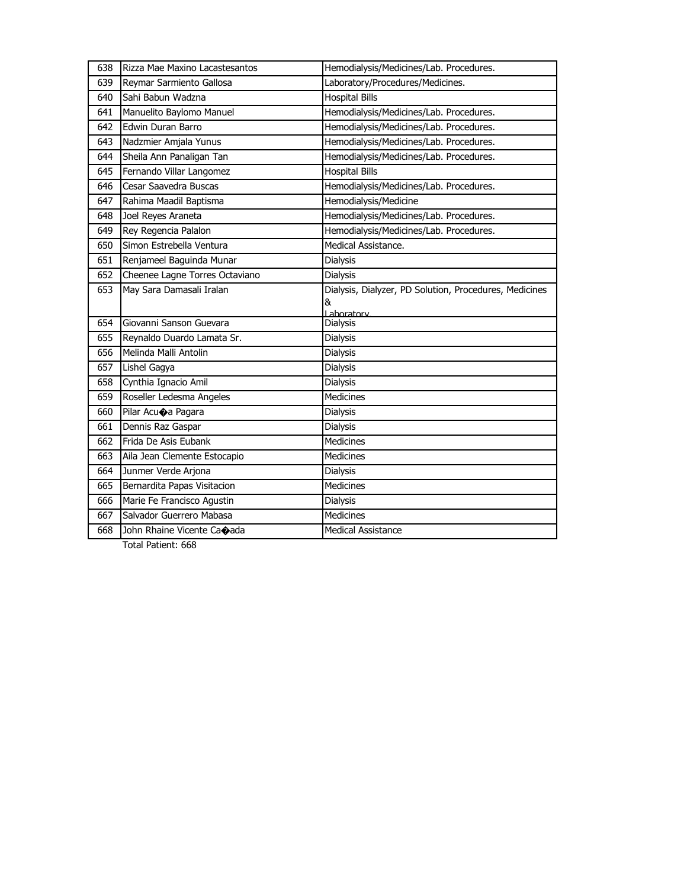| 638 | Rizza Mae Maxino Lacastesantos | Hemodialysis/Medicines/Lab. Procedures.                |
|-----|--------------------------------|--------------------------------------------------------|
| 639 | Reymar Sarmiento Gallosa       | Laboratory/Procedures/Medicines.                       |
| 640 | Sahi Babun Wadzna              | <b>Hospital Bills</b>                                  |
| 641 | Manuelito Baylomo Manuel       | Hemodialysis/Medicines/Lab. Procedures.                |
| 642 | Edwin Duran Barro              | Hemodialysis/Medicines/Lab. Procedures.                |
| 643 | Nadzmier Amjala Yunus          | Hemodialysis/Medicines/Lab. Procedures.                |
| 644 | Sheila Ann Panaligan Tan       | Hemodialysis/Medicines/Lab. Procedures.                |
| 645 | Fernando Villar Langomez       | <b>Hospital Bills</b>                                  |
| 646 | Cesar Saavedra Buscas          | Hemodialysis/Medicines/Lab. Procedures.                |
| 647 | Rahima Maadil Baptisma         | Hemodialysis/Medicine                                  |
| 648 | Joel Reyes Araneta             | Hemodialysis/Medicines/Lab. Procedures.                |
| 649 | Rey Regencia Palalon           | Hemodialysis/Medicines/Lab. Procedures.                |
| 650 | Simon Estrebella Ventura       | Medical Assistance.                                    |
| 651 | Renjameel Baguinda Munar       | <b>Dialysis</b>                                        |
| 652 | Cheenee Lagne Torres Octaviano | <b>Dialysis</b>                                        |
| 653 | May Sara Damasali Iralan       | Dialysis, Dialyzer, PD Solution, Procedures, Medicines |
|     |                                | &<br>Laboratory                                        |
| 654 | Giovanni Sanson Guevara        | Dialysis                                               |
| 655 | Reynaldo Duardo Lamata Sr.     | <b>Dialysis</b>                                        |
| 656 | Melinda Malli Antolin          | <b>Dialysis</b>                                        |
| 657 | Lishel Gagya                   | <b>Dialysis</b>                                        |
| 658 | Cynthia Ignacio Amil           | <b>Dialysis</b>                                        |
| 659 | Roseller Ledesma Angeles       | <b>Medicines</b>                                       |
| 660 | Pilar Acuoa Pagara             | <b>Dialysis</b>                                        |
| 661 | Dennis Raz Gaspar              | <b>Dialysis</b>                                        |
| 662 | Frida De Asis Eubank           | <b>Medicines</b>                                       |
| 663 | Aila Jean Clemente Estocapio   | <b>Medicines</b>                                       |
| 664 | Junmer Verde Arjona            | <b>Dialysis</b>                                        |
| 665 | Bernardita Papas Visitacion    | <b>Medicines</b>                                       |
|     |                                |                                                        |
| 666 | Marie Fe Francisco Agustin     | <b>Dialysis</b>                                        |
| 667 | Salvador Guerrero Mabasa       | <b>Medicines</b>                                       |
| 668 | John Rhaine Vicente Caoada     | <b>Medical Assistance</b>                              |

Total Patient: 668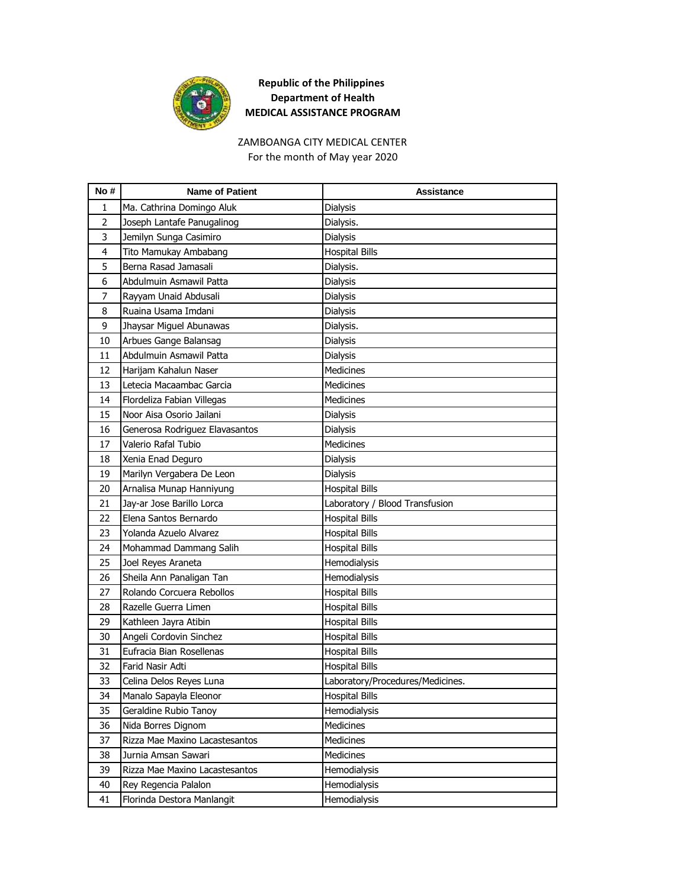

# ZAMBOANGA CITY MEDICAL CENTER

For the month of May year 2020

| No #           | <b>Name of Patient</b>         | <b>Assistance</b>                |
|----------------|--------------------------------|----------------------------------|
| 1              | Ma. Cathrina Domingo Aluk      | <b>Dialysis</b>                  |
| $\overline{2}$ | Joseph Lantafe Panugalinog     | Dialysis.                        |
| 3              | Jemilyn Sunga Casimiro         | <b>Dialysis</b>                  |
| 4              | Tito Mamukay Ambabang          | <b>Hospital Bills</b>            |
| 5              | Berna Rasad Jamasali           | Dialysis.                        |
| 6              | Abdulmuin Asmawil Patta        | Dialysis                         |
| 7              | Rayyam Unaid Abdusali          | <b>Dialysis</b>                  |
| 8              | Ruaina Usama Imdani            | <b>Dialysis</b>                  |
| 9              | Jhaysar Miguel Abunawas        | Dialysis.                        |
| 10             | Arbues Gange Balansag          | Dialysis                         |
| 11             | Abdulmuin Asmawil Patta        | Dialysis                         |
| 12             | Harijam Kahalun Naser          | <b>Medicines</b>                 |
| 13             | Letecia Macaambac Garcia       | <b>Medicines</b>                 |
| 14             | Flordeliza Fabian Villegas     | <b>Medicines</b>                 |
| 15             | Noor Aisa Osorio Jailani       | Dialysis                         |
| 16             | Generosa Rodriguez Elavasantos | Dialysis                         |
| 17             | Valerio Rafal Tubio            | <b>Medicines</b>                 |
| 18             | Xenia Enad Deguro              | <b>Dialysis</b>                  |
| 19             | Marilyn Vergabera De Leon      | <b>Dialysis</b>                  |
| 20             | Arnalisa Munap Hanniyung       | <b>Hospital Bills</b>            |
| 21             | Jay-ar Jose Barillo Lorca      | Laboratory / Blood Transfusion   |
| 22             | Elena Santos Bernardo          | <b>Hospital Bills</b>            |
| 23             | Yolanda Azuelo Alvarez         | <b>Hospital Bills</b>            |
| 24             | Mohammad Dammang Salih         | <b>Hospital Bills</b>            |
| 25             | Joel Reyes Araneta             | Hemodialysis                     |
| 26             | Sheila Ann Panaligan Tan       | Hemodialysis                     |
| 27             | Rolando Corcuera Rebollos      | <b>Hospital Bills</b>            |
| 28             | Razelle Guerra Limen           | <b>Hospital Bills</b>            |
| 29             | Kathleen Jayra Atibin          | <b>Hospital Bills</b>            |
| 30             | Angeli Cordovin Sinchez        | <b>Hospital Bills</b>            |
| 31             | Eufracia Bian Rosellenas       | <b>Hospital Bills</b>            |
| 32             | Farid Nasir Adti               | <b>Hospital Bills</b>            |
| 33             | Celina Delos Reyes Luna        | Laboratory/Procedures/Medicines. |
| 34             | Manalo Sapayla Eleonor         | <b>Hospital Bills</b>            |
| 35             | Geraldine Rubio Tanoy          | Hemodialysis                     |
| 36             | Nida Borres Dignom             | Medicines                        |
| 37             | Rizza Mae Maxino Lacastesantos | Medicines                        |
| 38             | Jurnia Amsan Sawari            | Medicines                        |
| 39             | Rizza Mae Maxino Lacastesantos | Hemodialysis                     |
| 40             | Rey Regencia Palalon           | Hemodialysis                     |
| 41             | Florinda Destora Manlangit     | Hemodialysis                     |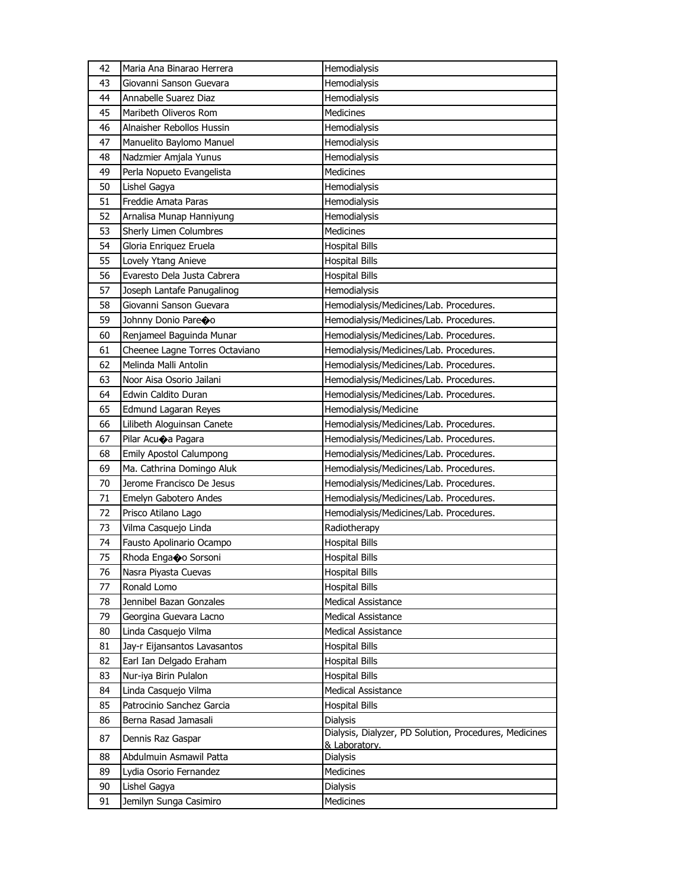| 42 | Maria Ana Binarao Herrera      | Hemodialysis                                                            |
|----|--------------------------------|-------------------------------------------------------------------------|
| 43 | Giovanni Sanson Guevara        | Hemodialysis                                                            |
| 44 | Annabelle Suarez Diaz          | Hemodialysis                                                            |
| 45 | Maribeth Oliveros Rom          | Medicines                                                               |
| 46 | Alnaisher Rebollos Hussin      | Hemodialysis                                                            |
| 47 | Manuelito Baylomo Manuel       | Hemodialysis                                                            |
| 48 | Nadzmier Amjala Yunus          | Hemodialysis                                                            |
| 49 | Perla Nopueto Evangelista      | <b>Medicines</b>                                                        |
| 50 | Lishel Gagya                   | Hemodialysis                                                            |
| 51 | Freddie Amata Paras            | Hemodialysis                                                            |
| 52 | Arnalisa Munap Hanniyung       | Hemodialysis                                                            |
| 53 | Sherly Limen Columbres         | <b>Medicines</b>                                                        |
| 54 | Gloria Enriquez Eruela         | <b>Hospital Bills</b>                                                   |
| 55 | Lovely Ytang Anieve            | <b>Hospital Bills</b>                                                   |
| 56 | Evaresto Dela Justa Cabrera    | <b>Hospital Bills</b>                                                   |
| 57 | Joseph Lantafe Panugalinog     | Hemodialysis                                                            |
| 58 | Giovanni Sanson Guevara        | Hemodialysis/Medicines/Lab. Procedures.                                 |
| 59 | Johnny Donio Pareco            | Hemodialysis/Medicines/Lab. Procedures.                                 |
| 60 | Renjameel Baguinda Munar       | Hemodialysis/Medicines/Lab. Procedures.                                 |
| 61 | Cheenee Lagne Torres Octaviano | Hemodialysis/Medicines/Lab. Procedures.                                 |
| 62 | Melinda Malli Antolin          | Hemodialysis/Medicines/Lab. Procedures.                                 |
| 63 | Noor Aisa Osorio Jailani       | Hemodialysis/Medicines/Lab. Procedures.                                 |
| 64 | Edwin Caldito Duran            | Hemodialysis/Medicines/Lab. Procedures.                                 |
| 65 | Edmund Lagaran Reyes           | Hemodialysis/Medicine                                                   |
| 66 | Lilibeth Aloguinsan Canete     | Hemodialysis/Medicines/Lab. Procedures.                                 |
| 67 | Pilar Acuoa Pagara             | Hemodialysis/Medicines/Lab. Procedures.                                 |
| 68 | Emily Apostol Calumpong        | Hemodialysis/Medicines/Lab. Procedures.                                 |
| 69 | Ma. Cathrina Domingo Aluk      | Hemodialysis/Medicines/Lab. Procedures.                                 |
| 70 | Jerome Francisco De Jesus      | Hemodialysis/Medicines/Lab. Procedures.                                 |
| 71 | Emelyn Gabotero Andes          | Hemodialysis/Medicines/Lab. Procedures.                                 |
| 72 | Prisco Atilano Lago            | Hemodialysis/Medicines/Lab. Procedures.                                 |
| 73 | Vilma Casquejo Linda           | Radiotherapy                                                            |
| 74 | Fausto Apolinario Ocampo       | <b>Hospital Bills</b>                                                   |
| 75 | Rhoda Enga�o Sorsoni           | <b>Hospital Bills</b>                                                   |
| 76 | Nasra Piyasta Cuevas           | <b>Hospital Bills</b>                                                   |
| 77 | Ronald Lomo                    | <b>Hospital Bills</b>                                                   |
| 78 | Jennibel Bazan Gonzales        | <b>Medical Assistance</b>                                               |
| 79 | Georgina Guevara Lacno         | <b>Medical Assistance</b>                                               |
| 80 | Linda Casquejo Vilma           | Medical Assistance                                                      |
| 81 | Jay-r Eijansantos Lavasantos   | <b>Hospital Bills</b>                                                   |
| 82 | Earl Ian Delgado Eraham        | <b>Hospital Bills</b>                                                   |
| 83 | Nur-iya Birin Pulalon          | <b>Hospital Bills</b>                                                   |
| 84 | Linda Casquejo Vilma           | <b>Medical Assistance</b>                                               |
| 85 | Patrocinio Sanchez Garcia      | <b>Hospital Bills</b>                                                   |
| 86 | Berna Rasad Jamasali           | <b>Dialysis</b>                                                         |
| 87 | Dennis Raz Gaspar              | Dialysis, Dialyzer, PD Solution, Procedures, Medicines<br>& Laboratory. |
| 88 | Abdulmuin Asmawil Patta        | Dialysis                                                                |
| 89 | Lydia Osorio Fernandez         | Medicines                                                               |
| 90 | Lishel Gagya                   | Dialysis                                                                |
| 91 | Jemilyn Sunga Casimiro         | <b>Medicines</b>                                                        |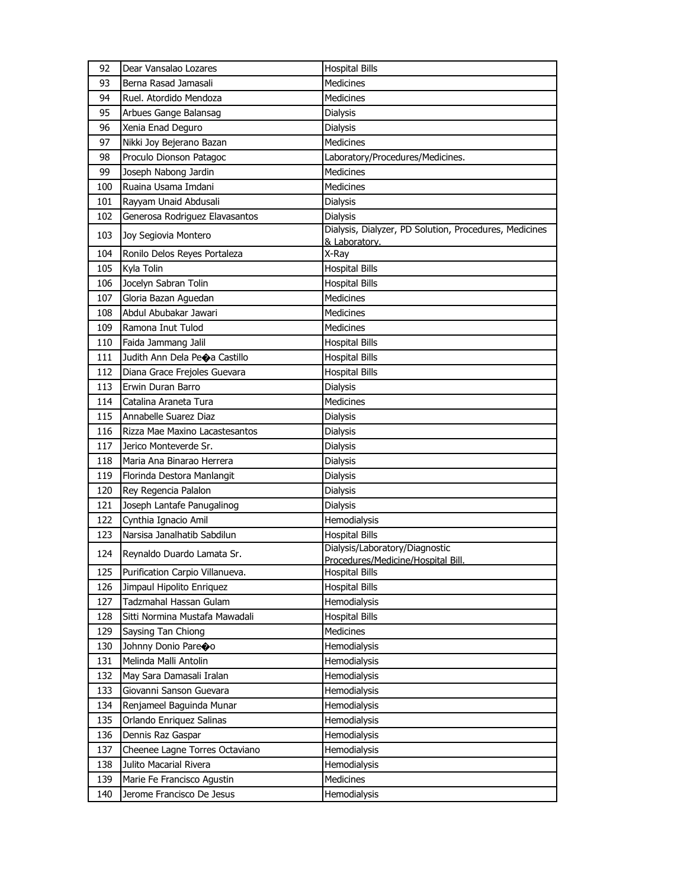| 92  | Dear Vansalao Lozares           | <b>Hospital Bills</b>                                  |
|-----|---------------------------------|--------------------------------------------------------|
| 93  | Berna Rasad Jamasali            | <b>Medicines</b>                                       |
| 94  | Ruel. Atordido Mendoza          | <b>Medicines</b>                                       |
| 95  | Arbues Gange Balansag           | Dialysis                                               |
| 96  | Xenia Enad Deguro               | Dialysis                                               |
| 97  | Nikki Joy Bejerano Bazan        | Medicines                                              |
| 98  | Proculo Dionson Patagoc         | Laboratory/Procedures/Medicines.                       |
| 99  | Joseph Nabong Jardin            | <b>Medicines</b>                                       |
| 100 | Ruaina Usama Imdani             | <b>Medicines</b>                                       |
| 101 | Rayyam Unaid Abdusali           | Dialysis                                               |
| 102 | Generosa Rodriguez Elavasantos  | <b>Dialysis</b>                                        |
| 103 | Joy Segiovia Montero            | Dialysis, Dialyzer, PD Solution, Procedures, Medicines |
|     |                                 | & Laboratory.                                          |
| 104 | Ronilo Delos Reyes Portaleza    | X-Ray                                                  |
| 105 | Kyla Tolin                      | <b>Hospital Bills</b>                                  |
| 106 | Jocelyn Sabran Tolin            | <b>Hospital Bills</b>                                  |
| 107 | Gloria Bazan Aguedan            | Medicines                                              |
| 108 | Abdul Abubakar Jawari           | <b>Medicines</b>                                       |
| 109 | Ramona Inut Tulod               | Medicines                                              |
| 110 | Faida Jammang Jalil             | <b>Hospital Bills</b>                                  |
| 111 | Judith Ann Dela Peoa Castillo   | <b>Hospital Bills</b>                                  |
| 112 | Diana Grace Frejoles Guevara    | <b>Hospital Bills</b>                                  |
| 113 | Erwin Duran Barro               | Dialysis                                               |
| 114 | Catalina Araneta Tura           | Medicines                                              |
| 115 | Annabelle Suarez Diaz           | Dialysis                                               |
| 116 | Rizza Mae Maxino Lacastesantos  | Dialysis                                               |
| 117 | Jerico Monteverde Sr.           | Dialysis                                               |
| 118 | Maria Ana Binarao Herrera       | Dialysis                                               |
| 119 | Florinda Destora Manlangit      | Dialysis                                               |
| 120 | Rey Regencia Palalon            | Dialysis                                               |
| 121 | Joseph Lantafe Panugalinog      | <b>Dialysis</b>                                        |
| 122 | Cynthia Ignacio Amil            | Hemodialysis                                           |
| 123 | Narsisa Janalhatib Sabdilun     | <b>Hospital Bills</b>                                  |
| 124 | Reynaldo Duardo Lamata Sr.      | Dialysis/Laboratory/Diagnostic                         |
|     |                                 | Procedures/Medicine/Hospital Bill.                     |
| 125 | Purification Carpio Villanueva. | <b>Hospital Bills</b>                                  |
| 126 | Jimpaul Hipolito Enriquez       | <b>Hospital Bills</b>                                  |
| 127 | Tadzmahal Hassan Gulam          | Hemodialysis                                           |
| 128 | Sitti Normina Mustafa Mawadali  | <b>Hospital Bills</b>                                  |
| 129 | Saysing Tan Chiong              | Medicines                                              |
| 130 | Johnny Donio Pareco             | Hemodialysis                                           |
| 131 | Melinda Malli Antolin           | Hemodialysis                                           |
| 132 | May Sara Damasali Iralan        | Hemodialysis                                           |
| 133 | Giovanni Sanson Guevara         | Hemodialysis                                           |
| 134 | Renjameel Baguinda Munar        | Hemodialysis                                           |
| 135 | Orlando Enriquez Salinas        | Hemodialysis                                           |
| 136 | Dennis Raz Gaspar               | Hemodialysis                                           |
| 137 | Cheenee Lagne Torres Octaviano  | Hemodialysis                                           |
| 138 | Julito Macarial Rivera          | Hemodialysis                                           |
| 139 | Marie Fe Francisco Agustin      | Medicines                                              |
| 140 | Jerome Francisco De Jesus       | Hemodialysis                                           |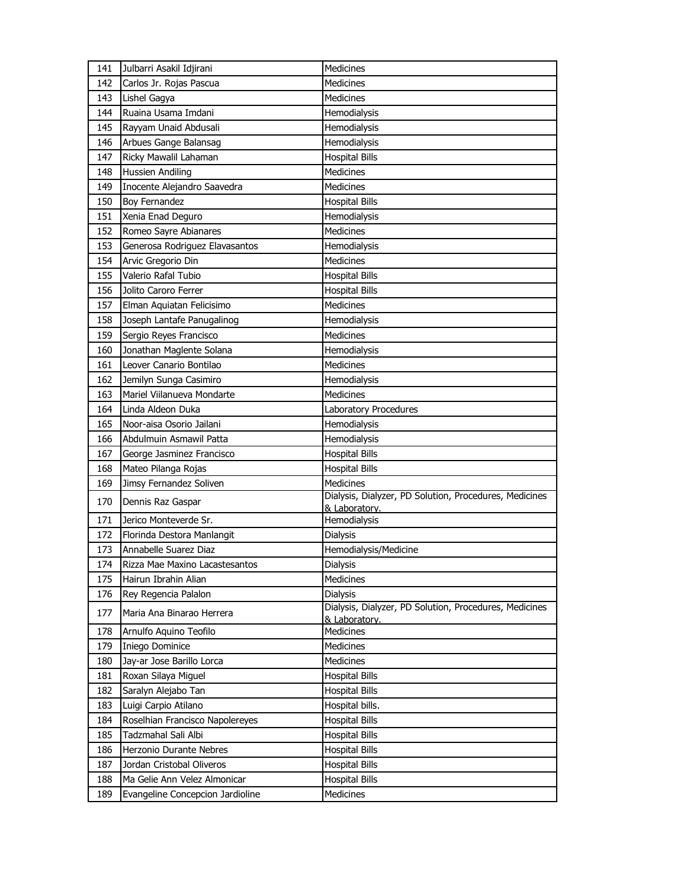| 141 | Julbarri Asakil Idjirani                               | Medicines                                              |
|-----|--------------------------------------------------------|--------------------------------------------------------|
| 142 | Carlos Jr. Rojas Pascua                                | Medicines                                              |
| 143 | Lishel Gagya                                           | <b>Medicines</b>                                       |
| 144 | Ruaina Usama Imdani                                    | Hemodialysis                                           |
| 145 | Rayyam Unaid Abdusali                                  | Hemodialysis                                           |
| 146 | Arbues Gange Balansag                                  | Hemodialysis                                           |
| 147 | Ricky Mawalil Lahaman                                  | <b>Hospital Bills</b>                                  |
| 148 | <b>Hussien Andiling</b>                                | <b>Medicines</b>                                       |
| 149 | Inocente Alejandro Saavedra                            | <b>Medicines</b>                                       |
| 150 | <b>Boy Fernandez</b>                                   | <b>Hospital Bills</b>                                  |
| 151 | Xenia Enad Deguro                                      | Hemodialysis                                           |
| 152 | Romeo Sayre Abianares                                  | Medicines                                              |
| 153 | Generosa Rodriguez Elavasantos                         | Hemodialysis                                           |
| 154 | Arvic Gregorio Din                                     | <b>Medicines</b>                                       |
| 155 | Valerio Rafal Tubio                                    | <b>Hospital Bills</b>                                  |
| 156 | Jolito Caroro Ferrer                                   | <b>Hospital Bills</b>                                  |
| 157 | Elman Aquiatan Felicisimo                              | <b>Medicines</b>                                       |
| 158 | Joseph Lantafe Panugalinog                             | Hemodialysis                                           |
| 159 | Sergio Reyes Francisco                                 | Medicines                                              |
| 160 | Jonathan Maglente Solana                               | Hemodialysis                                           |
| 161 | Leover Canario Bontilao                                | Medicines                                              |
| 162 | Jemilyn Sunga Casimiro                                 | Hemodialysis                                           |
| 163 | Mariel Viilanueva Mondarte                             | <b>Medicines</b>                                       |
| 164 | Linda Aldeon Duka                                      | Laboratory Procedures                                  |
| 165 | Noor-aisa Osorio Jailani                               | Hemodialysis                                           |
|     |                                                        |                                                        |
| 166 | Abdulmuin Asmawil Patta                                | Hemodialysis                                           |
| 167 | George Jasminez Francisco                              | <b>Hospital Bills</b>                                  |
| 168 | Mateo Pilanga Rojas                                    | <b>Hospital Bills</b>                                  |
| 169 | Jimsy Fernandez Soliven                                | Medicines                                              |
| 170 | Dennis Raz Gaspar                                      | Dialysis, Dialyzer, PD Solution, Procedures, Medicines |
| 171 | Jerico Monteverde Sr.                                  | & Laboratory.<br>Hemodialysis                          |
| 172 | Florinda Destora Manlangit                             | <b>Dialysis</b>                                        |
| 173 | Annabelle Suarez Diaz                                  | Hemodialysis/Medicine                                  |
| 174 |                                                        | Dialysis                                               |
| 175 | Rizza Mae Maxino Lacastesantos<br>Hairun Ibrahin Alian | Medicines                                              |
| 176 | Rey Regencia Palalon                                   | Dialysis                                               |
| 177 | Maria Ana Binarao Herrera                              | Dialysis, Dialyzer, PD Solution, Procedures, Medicines |
| 178 | Arnulfo Aquino Teofilo                                 | & Laboratory.<br>Medicines                             |
| 179 | Iniego Dominice                                        | Medicines                                              |
| 180 | Jay-ar Jose Barillo Lorca                              | <b>Medicines</b>                                       |
| 181 | Roxan Silaya Miguel                                    | <b>Hospital Bills</b>                                  |
| 182 | Saralyn Alejabo Tan                                    | <b>Hospital Bills</b>                                  |
| 183 | Luigi Carpio Atilano                                   | Hospital bills.                                        |
| 184 | Roselhian Francisco Napolereyes                        | <b>Hospital Bills</b>                                  |
| 185 | Tadzmahal Sali Albi                                    | <b>Hospital Bills</b>                                  |
| 186 | Herzonio Durante Nebres                                | <b>Hospital Bills</b>                                  |
| 187 | Jordan Cristobal Oliveros                              | <b>Hospital Bills</b>                                  |
| 188 | Ma Gelie Ann Velez Almonicar                           | <b>Hospital Bills</b>                                  |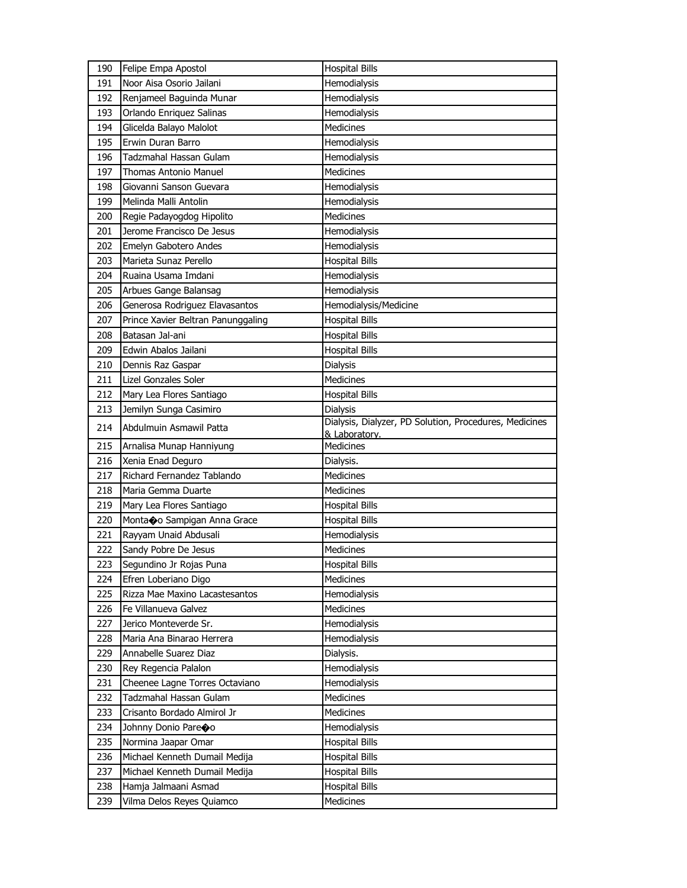| 190 | Felipe Empa Apostol                | <b>Hospital Bills</b>                                  |
|-----|------------------------------------|--------------------------------------------------------|
| 191 | Noor Aisa Osorio Jailani           | Hemodialysis                                           |
| 192 | Renjameel Baguinda Munar           | Hemodialysis                                           |
| 193 | Orlando Enriquez Salinas           | Hemodialysis                                           |
| 194 | Glicelda Balayo Malolot            | Medicines                                              |
| 195 | Erwin Duran Barro                  | Hemodialysis                                           |
| 196 | Tadzmahal Hassan Gulam             | Hemodialysis                                           |
| 197 | <b>Thomas Antonio Manuel</b>       | <b>Medicines</b>                                       |
| 198 | Giovanni Sanson Guevara            | Hemodialysis                                           |
| 199 | Melinda Malli Antolin              | Hemodialysis                                           |
| 200 | Regie Padayogdog Hipolito          | <b>Medicines</b>                                       |
| 201 | Jerome Francisco De Jesus          | Hemodialysis                                           |
| 202 | Emelyn Gabotero Andes              | Hemodialysis                                           |
| 203 | Marieta Sunaz Perello              | <b>Hospital Bills</b>                                  |
| 204 | Ruaina Usama Imdani                | Hemodialysis                                           |
| 205 | Arbues Gange Balansag              | Hemodialysis                                           |
| 206 | Generosa Rodriguez Elavasantos     | Hemodialysis/Medicine                                  |
| 207 | Prince Xavier Beltran Panunggaling | <b>Hospital Bills</b>                                  |
| 208 | Batasan Jal-ani                    | <b>Hospital Bills</b>                                  |
| 209 | Edwin Abalos Jailani               | <b>Hospital Bills</b>                                  |
| 210 | Dennis Raz Gaspar                  | Dialysis                                               |
| 211 | <b>Lizel Gonzales Soler</b>        | Medicines                                              |
| 212 | Mary Lea Flores Santiago           | <b>Hospital Bills</b>                                  |
| 213 | Jemilyn Sunga Casimiro             | Dialysis                                               |
|     |                                    | Dialysis, Dialyzer, PD Solution, Procedures, Medicines |
| 214 | Abdulmuin Asmawil Patta            | & Laboratory.                                          |
| 215 | Arnalisa Munap Hanniyung           | <b>Medicines</b>                                       |
| 216 | Xenia Enad Deguro                  | Dialysis.                                              |
| 217 | Richard Fernandez Tablando         | <b>Medicines</b>                                       |
| 218 | Maria Gemma Duarte                 | Medicines                                              |
| 219 | Mary Lea Flores Santiago           | <b>Hospital Bills</b>                                  |
| 220 | Montano Sampigan Anna Grace        | <b>Hospital Bills</b>                                  |
| 221 | Rayyam Unaid Abdusali              | Hemodialysis                                           |
| 222 | Sandy Pobre De Jesus               | Medicines                                              |
| 223 | Segundino Jr Rojas Puna            | <b>Hospital Bills</b>                                  |
| 224 | Efren Loberiano Digo               | Medicines                                              |
| 225 | Rizza Mae Maxino Lacastesantos     | Hemodialysis                                           |
| 226 | Fe Villanueva Galvez               | <b>Medicines</b>                                       |
| 227 | Jerico Monteverde Sr.              | Hemodialysis                                           |
| 228 | Maria Ana Binarao Herrera          | Hemodialysis                                           |
| 229 | Annabelle Suarez Diaz              | Dialysis.                                              |
| 230 | Rey Regencia Palalon               | Hemodialysis                                           |
| 231 | Cheenee Lagne Torres Octaviano     | Hemodialysis                                           |
| 232 | Tadzmahal Hassan Gulam             | Medicines                                              |
| 233 | Crisanto Bordado Almirol Jr        | Medicines                                              |
| 234 | Johnny Donio Pareoo                | Hemodialysis                                           |
| 235 | Normina Jaapar Omar                | <b>Hospital Bills</b>                                  |
| 236 | Michael Kenneth Dumail Medija      | Hospital Bills                                         |
| 237 | Michael Kenneth Dumail Medija      | <b>Hospital Bills</b>                                  |
| 238 | Hamja Jalmaani Asmad               | <b>Hospital Bills</b>                                  |
| 239 | Vilma Delos Reyes Quiamco          | Medicines                                              |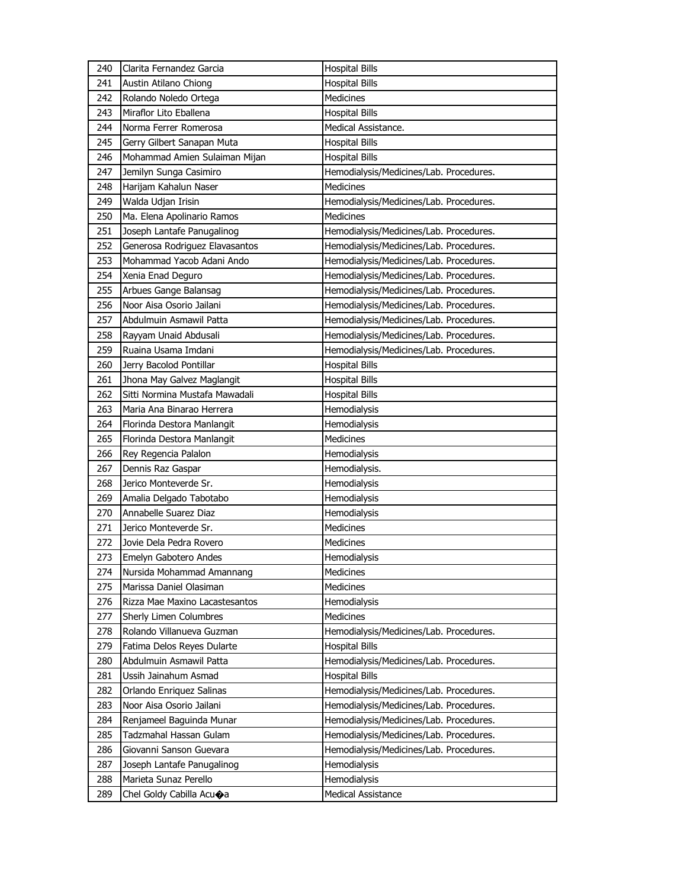| 240 | Clarita Fernandez Garcia       | <b>Hospital Bills</b>                   |
|-----|--------------------------------|-----------------------------------------|
| 241 | Austin Atilano Chiong          | <b>Hospital Bills</b>                   |
| 242 | Rolando Noledo Ortega          | Medicines                               |
| 243 | Miraflor Lito Eballena         | <b>Hospital Bills</b>                   |
| 244 | Norma Ferrer Romerosa          | Medical Assistance.                     |
| 245 | Gerry Gilbert Sanapan Muta     | <b>Hospital Bills</b>                   |
| 246 | Mohammad Amien Sulaiman Mijan  | <b>Hospital Bills</b>                   |
| 247 | Jemilyn Sunga Casimiro         | Hemodialysis/Medicines/Lab. Procedures. |
| 248 | Harijam Kahalun Naser          | <b>Medicines</b>                        |
| 249 | Walda Udjan Irisin             | Hemodialysis/Medicines/Lab. Procedures. |
| 250 | Ma. Elena Apolinario Ramos     | <b>Medicines</b>                        |
| 251 | Joseph Lantafe Panugalinog     | Hemodialysis/Medicines/Lab. Procedures. |
| 252 | Generosa Rodriguez Elavasantos | Hemodialysis/Medicines/Lab. Procedures. |
| 253 | Mohammad Yacob Adani Ando      | Hemodialysis/Medicines/Lab. Procedures. |
| 254 | Xenia Enad Deguro              | Hemodialysis/Medicines/Lab. Procedures. |
| 255 | Arbues Gange Balansag          | Hemodialysis/Medicines/Lab. Procedures. |
| 256 | Noor Aisa Osorio Jailani       | Hemodialysis/Medicines/Lab. Procedures. |
| 257 | Abdulmuin Asmawil Patta        | Hemodialysis/Medicines/Lab. Procedures. |
| 258 | Rayyam Unaid Abdusali          | Hemodialysis/Medicines/Lab. Procedures. |
| 259 | Ruaina Usama Imdani            | Hemodialysis/Medicines/Lab. Procedures. |
| 260 | Jerry Bacolod Pontillar        | <b>Hospital Bills</b>                   |
| 261 | Jhona May Galvez Maglangit     | <b>Hospital Bills</b>                   |
| 262 | Sitti Normina Mustafa Mawadali | <b>Hospital Bills</b>                   |
| 263 | Maria Ana Binarao Herrera      | Hemodialysis                            |
| 264 | Florinda Destora Manlangit     | Hemodialysis                            |
|     |                                |                                         |
| 265 | Florinda Destora Manlangit     | Medicines                               |
| 266 | Rey Regencia Palalon           | Hemodialysis                            |
| 267 | Dennis Raz Gaspar              | Hemodialysis.                           |
| 268 | Jerico Monteverde Sr.          | Hemodialysis                            |
| 269 | Amalia Delgado Tabotabo        | Hemodialysis                            |
| 270 | Annabelle Suarez Diaz          | Hemodialysis                            |
| 271 | Jerico Monteverde Sr.          | <b>Medicines</b>                        |
| 272 | Jovie Dela Pedra Rovero        | Medicines                               |
| 273 | Emelyn Gabotero Andes          | Hemodialysis                            |
| 274 | Nursida Mohammad Amannang      | Medicines                               |
| 275 | Marissa Daniel Olasiman        | Medicines                               |
| 276 | Rizza Mae Maxino Lacastesantos | Hemodialysis                            |
| 277 | Sherly Limen Columbres         | Medicines                               |
| 278 | Rolando Villanueva Guzman      | Hemodialysis/Medicines/Lab. Procedures. |
| 279 | Fatima Delos Reyes Dularte     | <b>Hospital Bills</b>                   |
| 280 | Abdulmuin Asmawil Patta        | Hemodialysis/Medicines/Lab. Procedures. |
| 281 | Ussih Jainahum Asmad           | <b>Hospital Bills</b>                   |
| 282 | Orlando Enriquez Salinas       | Hemodialysis/Medicines/Lab. Procedures. |
| 283 | Noor Aisa Osorio Jailani       | Hemodialysis/Medicines/Lab. Procedures. |
| 284 | Renjameel Baguinda Munar       | Hemodialysis/Medicines/Lab. Procedures. |
| 285 | Tadzmahal Hassan Gulam         | Hemodialysis/Medicines/Lab. Procedures. |
| 286 | Giovanni Sanson Guevara        | Hemodialysis/Medicines/Lab. Procedures. |
| 287 | Joseph Lantafe Panugalinog     | Hemodialysis                            |
| 288 | Marieta Sunaz Perello          | Hemodialysis                            |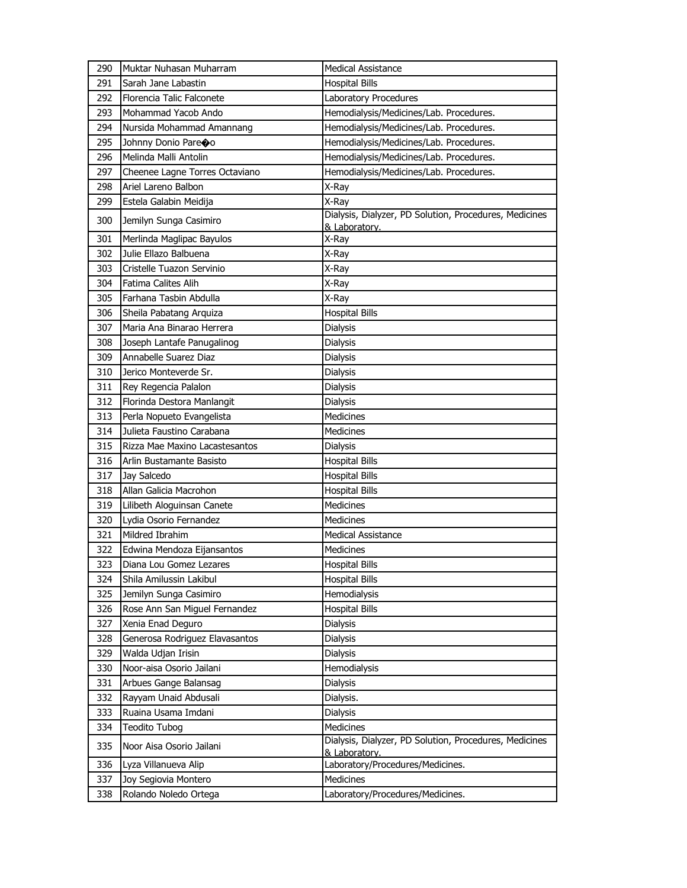| 291<br>Sarah Jane Labastin<br><b>Hospital Bills</b><br>292<br>Florencia Talic Falconete<br>Laboratory Procedures<br>293<br>Mohammad Yacob Ando<br>Hemodialysis/Medicines/Lab. Procedures.<br>294<br>Nursida Mohammad Amannang<br>Hemodialysis/Medicines/Lab. Procedures.<br>295<br>Johnny Donio Pareoo<br>Hemodialysis/Medicines/Lab. Procedures.<br>296<br>Melinda Malli Antolin<br>Hemodialysis/Medicines/Lab. Procedures.<br>297<br>Cheenee Lagne Torres Octaviano<br>Hemodialysis/Medicines/Lab. Procedures.<br>Ariel Lareno Balbon<br>298<br>X-Ray<br>Estela Galabin Meidija<br>299<br>X-Ray<br>Dialysis, Dialyzer, PD Solution, Procedures, Medicines<br>300<br>Jemilyn Sunga Casimiro<br>& Laboratory.<br>301<br>Merlinda Maglipac Bayulos<br>X-Ray<br>Julie Ellazo Balbuena<br>302<br>X-Ray<br>303<br>Cristelle Tuazon Servinio<br>X-Ray<br>Fatima Calites Alih<br>304<br>X-Ray<br>305<br>Farhana Tasbin Abdulla<br>X-Rav<br>306<br><b>Hospital Bills</b><br>Sheila Pabatang Arquiza<br>307<br>Maria Ana Binarao Herrera<br>Dialysis<br>308<br>Joseph Lantafe Panugalinog<br><b>Dialysis</b><br>309<br>Annabelle Suarez Diaz<br><b>Dialysis</b><br>310<br>Jerico Monteverde Sr.<br><b>Dialysis</b><br>311<br>Rey Regencia Palalon<br><b>Dialysis</b><br>Florinda Destora Manlangit<br>312<br>Dialysis<br>313<br>Perla Nopueto Evangelista<br><b>Medicines</b><br>Julieta Faustino Carabana<br>314<br><b>Medicines</b><br>315<br>Rizza Mae Maxino Lacastesantos<br>Dialysis<br>316<br>Arlin Bustamante Basisto<br><b>Hospital Bills</b><br>Jay Salcedo<br>317<br><b>Hospital Bills</b><br>Allan Galicia Macrohon<br>318<br><b>Hospital Bills</b><br>Medicines<br>319<br>Lilibeth Aloguinsan Canete<br>320<br>Lydia Osorio Fernandez<br>Medicines<br>321<br>Mildred Ibrahim<br><b>Medical Assistance</b><br>322<br>Edwina Mendoza Eijansantos<br>Medicines<br>323<br>Diana Lou Gomez Lezares<br><b>Hospital Bills</b><br>324<br>Shila Amilussin Lakibul<br><b>Hospital Bills</b><br>325<br>Jemilyn Sunga Casimiro<br>Hemodialysis<br>326<br>Rose Ann San Miguel Fernandez<br><b>Hospital Bills</b><br>327<br>Xenia Enad Deguro<br>Dialysis<br>328<br>Generosa Rodriguez Elavasantos<br><b>Dialysis</b><br>329<br>Walda Udjan Irisin<br><b>Dialysis</b><br>330<br>Noor-aisa Osorio Jailani<br>Hemodialysis<br>331<br>Arbues Gange Balansag<br>Dialysis<br>332<br>Rayyam Unaid Abdusali<br>Dialysis.<br>Ruaina Usama Imdani<br>333<br>Dialysis<br>334<br>Teodito Tubog<br>Medicines<br>Dialysis, Dialyzer, PD Solution, Procedures, Medicines<br>335<br>Noor Aisa Osorio Jailani<br>& Laboratory.<br>Laboratory/Procedures/Medicines.<br>336<br>Lyza Villanueva Alip<br>337<br>Joy Segiovia Montero<br><b>Medicines</b><br>338<br>Rolando Noledo Ortega<br>Laboratory/Procedures/Medicines. | 290 | Muktar Nuhasan Muharram | <b>Medical Assistance</b> |
|-------------------------------------------------------------------------------------------------------------------------------------------------------------------------------------------------------------------------------------------------------------------------------------------------------------------------------------------------------------------------------------------------------------------------------------------------------------------------------------------------------------------------------------------------------------------------------------------------------------------------------------------------------------------------------------------------------------------------------------------------------------------------------------------------------------------------------------------------------------------------------------------------------------------------------------------------------------------------------------------------------------------------------------------------------------------------------------------------------------------------------------------------------------------------------------------------------------------------------------------------------------------------------------------------------------------------------------------------------------------------------------------------------------------------------------------------------------------------------------------------------------------------------------------------------------------------------------------------------------------------------------------------------------------------------------------------------------------------------------------------------------------------------------------------------------------------------------------------------------------------------------------------------------------------------------------------------------------------------------------------------------------------------------------------------------------------------------------------------------------------------------------------------------------------------------------------------------------------------------------------------------------------------------------------------------------------------------------------------------------------------------------------------------------------------------------------------------------------------------------------------------------------------------------------------------------------------------------------------------------------------------------------------------------------------------------------------------------------------------------------------------------------------------------------|-----|-------------------------|---------------------------|
|                                                                                                                                                                                                                                                                                                                                                                                                                                                                                                                                                                                                                                                                                                                                                                                                                                                                                                                                                                                                                                                                                                                                                                                                                                                                                                                                                                                                                                                                                                                                                                                                                                                                                                                                                                                                                                                                                                                                                                                                                                                                                                                                                                                                                                                                                                                                                                                                                                                                                                                                                                                                                                                                                                                                                                                                 |     |                         |                           |
|                                                                                                                                                                                                                                                                                                                                                                                                                                                                                                                                                                                                                                                                                                                                                                                                                                                                                                                                                                                                                                                                                                                                                                                                                                                                                                                                                                                                                                                                                                                                                                                                                                                                                                                                                                                                                                                                                                                                                                                                                                                                                                                                                                                                                                                                                                                                                                                                                                                                                                                                                                                                                                                                                                                                                                                                 |     |                         |                           |
|                                                                                                                                                                                                                                                                                                                                                                                                                                                                                                                                                                                                                                                                                                                                                                                                                                                                                                                                                                                                                                                                                                                                                                                                                                                                                                                                                                                                                                                                                                                                                                                                                                                                                                                                                                                                                                                                                                                                                                                                                                                                                                                                                                                                                                                                                                                                                                                                                                                                                                                                                                                                                                                                                                                                                                                                 |     |                         |                           |
|                                                                                                                                                                                                                                                                                                                                                                                                                                                                                                                                                                                                                                                                                                                                                                                                                                                                                                                                                                                                                                                                                                                                                                                                                                                                                                                                                                                                                                                                                                                                                                                                                                                                                                                                                                                                                                                                                                                                                                                                                                                                                                                                                                                                                                                                                                                                                                                                                                                                                                                                                                                                                                                                                                                                                                                                 |     |                         |                           |
|                                                                                                                                                                                                                                                                                                                                                                                                                                                                                                                                                                                                                                                                                                                                                                                                                                                                                                                                                                                                                                                                                                                                                                                                                                                                                                                                                                                                                                                                                                                                                                                                                                                                                                                                                                                                                                                                                                                                                                                                                                                                                                                                                                                                                                                                                                                                                                                                                                                                                                                                                                                                                                                                                                                                                                                                 |     |                         |                           |
|                                                                                                                                                                                                                                                                                                                                                                                                                                                                                                                                                                                                                                                                                                                                                                                                                                                                                                                                                                                                                                                                                                                                                                                                                                                                                                                                                                                                                                                                                                                                                                                                                                                                                                                                                                                                                                                                                                                                                                                                                                                                                                                                                                                                                                                                                                                                                                                                                                                                                                                                                                                                                                                                                                                                                                                                 |     |                         |                           |
|                                                                                                                                                                                                                                                                                                                                                                                                                                                                                                                                                                                                                                                                                                                                                                                                                                                                                                                                                                                                                                                                                                                                                                                                                                                                                                                                                                                                                                                                                                                                                                                                                                                                                                                                                                                                                                                                                                                                                                                                                                                                                                                                                                                                                                                                                                                                                                                                                                                                                                                                                                                                                                                                                                                                                                                                 |     |                         |                           |
|                                                                                                                                                                                                                                                                                                                                                                                                                                                                                                                                                                                                                                                                                                                                                                                                                                                                                                                                                                                                                                                                                                                                                                                                                                                                                                                                                                                                                                                                                                                                                                                                                                                                                                                                                                                                                                                                                                                                                                                                                                                                                                                                                                                                                                                                                                                                                                                                                                                                                                                                                                                                                                                                                                                                                                                                 |     |                         |                           |
|                                                                                                                                                                                                                                                                                                                                                                                                                                                                                                                                                                                                                                                                                                                                                                                                                                                                                                                                                                                                                                                                                                                                                                                                                                                                                                                                                                                                                                                                                                                                                                                                                                                                                                                                                                                                                                                                                                                                                                                                                                                                                                                                                                                                                                                                                                                                                                                                                                                                                                                                                                                                                                                                                                                                                                                                 |     |                         |                           |
|                                                                                                                                                                                                                                                                                                                                                                                                                                                                                                                                                                                                                                                                                                                                                                                                                                                                                                                                                                                                                                                                                                                                                                                                                                                                                                                                                                                                                                                                                                                                                                                                                                                                                                                                                                                                                                                                                                                                                                                                                                                                                                                                                                                                                                                                                                                                                                                                                                                                                                                                                                                                                                                                                                                                                                                                 |     |                         |                           |
|                                                                                                                                                                                                                                                                                                                                                                                                                                                                                                                                                                                                                                                                                                                                                                                                                                                                                                                                                                                                                                                                                                                                                                                                                                                                                                                                                                                                                                                                                                                                                                                                                                                                                                                                                                                                                                                                                                                                                                                                                                                                                                                                                                                                                                                                                                                                                                                                                                                                                                                                                                                                                                                                                                                                                                                                 |     |                         |                           |
|                                                                                                                                                                                                                                                                                                                                                                                                                                                                                                                                                                                                                                                                                                                                                                                                                                                                                                                                                                                                                                                                                                                                                                                                                                                                                                                                                                                                                                                                                                                                                                                                                                                                                                                                                                                                                                                                                                                                                                                                                                                                                                                                                                                                                                                                                                                                                                                                                                                                                                                                                                                                                                                                                                                                                                                                 |     |                         |                           |
|                                                                                                                                                                                                                                                                                                                                                                                                                                                                                                                                                                                                                                                                                                                                                                                                                                                                                                                                                                                                                                                                                                                                                                                                                                                                                                                                                                                                                                                                                                                                                                                                                                                                                                                                                                                                                                                                                                                                                                                                                                                                                                                                                                                                                                                                                                                                                                                                                                                                                                                                                                                                                                                                                                                                                                                                 |     |                         |                           |
|                                                                                                                                                                                                                                                                                                                                                                                                                                                                                                                                                                                                                                                                                                                                                                                                                                                                                                                                                                                                                                                                                                                                                                                                                                                                                                                                                                                                                                                                                                                                                                                                                                                                                                                                                                                                                                                                                                                                                                                                                                                                                                                                                                                                                                                                                                                                                                                                                                                                                                                                                                                                                                                                                                                                                                                                 |     |                         |                           |
|                                                                                                                                                                                                                                                                                                                                                                                                                                                                                                                                                                                                                                                                                                                                                                                                                                                                                                                                                                                                                                                                                                                                                                                                                                                                                                                                                                                                                                                                                                                                                                                                                                                                                                                                                                                                                                                                                                                                                                                                                                                                                                                                                                                                                                                                                                                                                                                                                                                                                                                                                                                                                                                                                                                                                                                                 |     |                         |                           |
|                                                                                                                                                                                                                                                                                                                                                                                                                                                                                                                                                                                                                                                                                                                                                                                                                                                                                                                                                                                                                                                                                                                                                                                                                                                                                                                                                                                                                                                                                                                                                                                                                                                                                                                                                                                                                                                                                                                                                                                                                                                                                                                                                                                                                                                                                                                                                                                                                                                                                                                                                                                                                                                                                                                                                                                                 |     |                         |                           |
|                                                                                                                                                                                                                                                                                                                                                                                                                                                                                                                                                                                                                                                                                                                                                                                                                                                                                                                                                                                                                                                                                                                                                                                                                                                                                                                                                                                                                                                                                                                                                                                                                                                                                                                                                                                                                                                                                                                                                                                                                                                                                                                                                                                                                                                                                                                                                                                                                                                                                                                                                                                                                                                                                                                                                                                                 |     |                         |                           |
|                                                                                                                                                                                                                                                                                                                                                                                                                                                                                                                                                                                                                                                                                                                                                                                                                                                                                                                                                                                                                                                                                                                                                                                                                                                                                                                                                                                                                                                                                                                                                                                                                                                                                                                                                                                                                                                                                                                                                                                                                                                                                                                                                                                                                                                                                                                                                                                                                                                                                                                                                                                                                                                                                                                                                                                                 |     |                         |                           |
|                                                                                                                                                                                                                                                                                                                                                                                                                                                                                                                                                                                                                                                                                                                                                                                                                                                                                                                                                                                                                                                                                                                                                                                                                                                                                                                                                                                                                                                                                                                                                                                                                                                                                                                                                                                                                                                                                                                                                                                                                                                                                                                                                                                                                                                                                                                                                                                                                                                                                                                                                                                                                                                                                                                                                                                                 |     |                         |                           |
|                                                                                                                                                                                                                                                                                                                                                                                                                                                                                                                                                                                                                                                                                                                                                                                                                                                                                                                                                                                                                                                                                                                                                                                                                                                                                                                                                                                                                                                                                                                                                                                                                                                                                                                                                                                                                                                                                                                                                                                                                                                                                                                                                                                                                                                                                                                                                                                                                                                                                                                                                                                                                                                                                                                                                                                                 |     |                         |                           |
|                                                                                                                                                                                                                                                                                                                                                                                                                                                                                                                                                                                                                                                                                                                                                                                                                                                                                                                                                                                                                                                                                                                                                                                                                                                                                                                                                                                                                                                                                                                                                                                                                                                                                                                                                                                                                                                                                                                                                                                                                                                                                                                                                                                                                                                                                                                                                                                                                                                                                                                                                                                                                                                                                                                                                                                                 |     |                         |                           |
|                                                                                                                                                                                                                                                                                                                                                                                                                                                                                                                                                                                                                                                                                                                                                                                                                                                                                                                                                                                                                                                                                                                                                                                                                                                                                                                                                                                                                                                                                                                                                                                                                                                                                                                                                                                                                                                                                                                                                                                                                                                                                                                                                                                                                                                                                                                                                                                                                                                                                                                                                                                                                                                                                                                                                                                                 |     |                         |                           |
|                                                                                                                                                                                                                                                                                                                                                                                                                                                                                                                                                                                                                                                                                                                                                                                                                                                                                                                                                                                                                                                                                                                                                                                                                                                                                                                                                                                                                                                                                                                                                                                                                                                                                                                                                                                                                                                                                                                                                                                                                                                                                                                                                                                                                                                                                                                                                                                                                                                                                                                                                                                                                                                                                                                                                                                                 |     |                         |                           |
|                                                                                                                                                                                                                                                                                                                                                                                                                                                                                                                                                                                                                                                                                                                                                                                                                                                                                                                                                                                                                                                                                                                                                                                                                                                                                                                                                                                                                                                                                                                                                                                                                                                                                                                                                                                                                                                                                                                                                                                                                                                                                                                                                                                                                                                                                                                                                                                                                                                                                                                                                                                                                                                                                                                                                                                                 |     |                         |                           |
|                                                                                                                                                                                                                                                                                                                                                                                                                                                                                                                                                                                                                                                                                                                                                                                                                                                                                                                                                                                                                                                                                                                                                                                                                                                                                                                                                                                                                                                                                                                                                                                                                                                                                                                                                                                                                                                                                                                                                                                                                                                                                                                                                                                                                                                                                                                                                                                                                                                                                                                                                                                                                                                                                                                                                                                                 |     |                         |                           |
|                                                                                                                                                                                                                                                                                                                                                                                                                                                                                                                                                                                                                                                                                                                                                                                                                                                                                                                                                                                                                                                                                                                                                                                                                                                                                                                                                                                                                                                                                                                                                                                                                                                                                                                                                                                                                                                                                                                                                                                                                                                                                                                                                                                                                                                                                                                                                                                                                                                                                                                                                                                                                                                                                                                                                                                                 |     |                         |                           |
|                                                                                                                                                                                                                                                                                                                                                                                                                                                                                                                                                                                                                                                                                                                                                                                                                                                                                                                                                                                                                                                                                                                                                                                                                                                                                                                                                                                                                                                                                                                                                                                                                                                                                                                                                                                                                                                                                                                                                                                                                                                                                                                                                                                                                                                                                                                                                                                                                                                                                                                                                                                                                                                                                                                                                                                                 |     |                         |                           |
|                                                                                                                                                                                                                                                                                                                                                                                                                                                                                                                                                                                                                                                                                                                                                                                                                                                                                                                                                                                                                                                                                                                                                                                                                                                                                                                                                                                                                                                                                                                                                                                                                                                                                                                                                                                                                                                                                                                                                                                                                                                                                                                                                                                                                                                                                                                                                                                                                                                                                                                                                                                                                                                                                                                                                                                                 |     |                         |                           |
|                                                                                                                                                                                                                                                                                                                                                                                                                                                                                                                                                                                                                                                                                                                                                                                                                                                                                                                                                                                                                                                                                                                                                                                                                                                                                                                                                                                                                                                                                                                                                                                                                                                                                                                                                                                                                                                                                                                                                                                                                                                                                                                                                                                                                                                                                                                                                                                                                                                                                                                                                                                                                                                                                                                                                                                                 |     |                         |                           |
|                                                                                                                                                                                                                                                                                                                                                                                                                                                                                                                                                                                                                                                                                                                                                                                                                                                                                                                                                                                                                                                                                                                                                                                                                                                                                                                                                                                                                                                                                                                                                                                                                                                                                                                                                                                                                                                                                                                                                                                                                                                                                                                                                                                                                                                                                                                                                                                                                                                                                                                                                                                                                                                                                                                                                                                                 |     |                         |                           |
|                                                                                                                                                                                                                                                                                                                                                                                                                                                                                                                                                                                                                                                                                                                                                                                                                                                                                                                                                                                                                                                                                                                                                                                                                                                                                                                                                                                                                                                                                                                                                                                                                                                                                                                                                                                                                                                                                                                                                                                                                                                                                                                                                                                                                                                                                                                                                                                                                                                                                                                                                                                                                                                                                                                                                                                                 |     |                         |                           |
|                                                                                                                                                                                                                                                                                                                                                                                                                                                                                                                                                                                                                                                                                                                                                                                                                                                                                                                                                                                                                                                                                                                                                                                                                                                                                                                                                                                                                                                                                                                                                                                                                                                                                                                                                                                                                                                                                                                                                                                                                                                                                                                                                                                                                                                                                                                                                                                                                                                                                                                                                                                                                                                                                                                                                                                                 |     |                         |                           |
|                                                                                                                                                                                                                                                                                                                                                                                                                                                                                                                                                                                                                                                                                                                                                                                                                                                                                                                                                                                                                                                                                                                                                                                                                                                                                                                                                                                                                                                                                                                                                                                                                                                                                                                                                                                                                                                                                                                                                                                                                                                                                                                                                                                                                                                                                                                                                                                                                                                                                                                                                                                                                                                                                                                                                                                                 |     |                         |                           |
|                                                                                                                                                                                                                                                                                                                                                                                                                                                                                                                                                                                                                                                                                                                                                                                                                                                                                                                                                                                                                                                                                                                                                                                                                                                                                                                                                                                                                                                                                                                                                                                                                                                                                                                                                                                                                                                                                                                                                                                                                                                                                                                                                                                                                                                                                                                                                                                                                                                                                                                                                                                                                                                                                                                                                                                                 |     |                         |                           |
|                                                                                                                                                                                                                                                                                                                                                                                                                                                                                                                                                                                                                                                                                                                                                                                                                                                                                                                                                                                                                                                                                                                                                                                                                                                                                                                                                                                                                                                                                                                                                                                                                                                                                                                                                                                                                                                                                                                                                                                                                                                                                                                                                                                                                                                                                                                                                                                                                                                                                                                                                                                                                                                                                                                                                                                                 |     |                         |                           |
|                                                                                                                                                                                                                                                                                                                                                                                                                                                                                                                                                                                                                                                                                                                                                                                                                                                                                                                                                                                                                                                                                                                                                                                                                                                                                                                                                                                                                                                                                                                                                                                                                                                                                                                                                                                                                                                                                                                                                                                                                                                                                                                                                                                                                                                                                                                                                                                                                                                                                                                                                                                                                                                                                                                                                                                                 |     |                         |                           |
|                                                                                                                                                                                                                                                                                                                                                                                                                                                                                                                                                                                                                                                                                                                                                                                                                                                                                                                                                                                                                                                                                                                                                                                                                                                                                                                                                                                                                                                                                                                                                                                                                                                                                                                                                                                                                                                                                                                                                                                                                                                                                                                                                                                                                                                                                                                                                                                                                                                                                                                                                                                                                                                                                                                                                                                                 |     |                         |                           |
|                                                                                                                                                                                                                                                                                                                                                                                                                                                                                                                                                                                                                                                                                                                                                                                                                                                                                                                                                                                                                                                                                                                                                                                                                                                                                                                                                                                                                                                                                                                                                                                                                                                                                                                                                                                                                                                                                                                                                                                                                                                                                                                                                                                                                                                                                                                                                                                                                                                                                                                                                                                                                                                                                                                                                                                                 |     |                         |                           |
|                                                                                                                                                                                                                                                                                                                                                                                                                                                                                                                                                                                                                                                                                                                                                                                                                                                                                                                                                                                                                                                                                                                                                                                                                                                                                                                                                                                                                                                                                                                                                                                                                                                                                                                                                                                                                                                                                                                                                                                                                                                                                                                                                                                                                                                                                                                                                                                                                                                                                                                                                                                                                                                                                                                                                                                                 |     |                         |                           |
|                                                                                                                                                                                                                                                                                                                                                                                                                                                                                                                                                                                                                                                                                                                                                                                                                                                                                                                                                                                                                                                                                                                                                                                                                                                                                                                                                                                                                                                                                                                                                                                                                                                                                                                                                                                                                                                                                                                                                                                                                                                                                                                                                                                                                                                                                                                                                                                                                                                                                                                                                                                                                                                                                                                                                                                                 |     |                         |                           |
|                                                                                                                                                                                                                                                                                                                                                                                                                                                                                                                                                                                                                                                                                                                                                                                                                                                                                                                                                                                                                                                                                                                                                                                                                                                                                                                                                                                                                                                                                                                                                                                                                                                                                                                                                                                                                                                                                                                                                                                                                                                                                                                                                                                                                                                                                                                                                                                                                                                                                                                                                                                                                                                                                                                                                                                                 |     |                         |                           |
|                                                                                                                                                                                                                                                                                                                                                                                                                                                                                                                                                                                                                                                                                                                                                                                                                                                                                                                                                                                                                                                                                                                                                                                                                                                                                                                                                                                                                                                                                                                                                                                                                                                                                                                                                                                                                                                                                                                                                                                                                                                                                                                                                                                                                                                                                                                                                                                                                                                                                                                                                                                                                                                                                                                                                                                                 |     |                         |                           |
|                                                                                                                                                                                                                                                                                                                                                                                                                                                                                                                                                                                                                                                                                                                                                                                                                                                                                                                                                                                                                                                                                                                                                                                                                                                                                                                                                                                                                                                                                                                                                                                                                                                                                                                                                                                                                                                                                                                                                                                                                                                                                                                                                                                                                                                                                                                                                                                                                                                                                                                                                                                                                                                                                                                                                                                                 |     |                         |                           |
|                                                                                                                                                                                                                                                                                                                                                                                                                                                                                                                                                                                                                                                                                                                                                                                                                                                                                                                                                                                                                                                                                                                                                                                                                                                                                                                                                                                                                                                                                                                                                                                                                                                                                                                                                                                                                                                                                                                                                                                                                                                                                                                                                                                                                                                                                                                                                                                                                                                                                                                                                                                                                                                                                                                                                                                                 |     |                         |                           |
|                                                                                                                                                                                                                                                                                                                                                                                                                                                                                                                                                                                                                                                                                                                                                                                                                                                                                                                                                                                                                                                                                                                                                                                                                                                                                                                                                                                                                                                                                                                                                                                                                                                                                                                                                                                                                                                                                                                                                                                                                                                                                                                                                                                                                                                                                                                                                                                                                                                                                                                                                                                                                                                                                                                                                                                                 |     |                         |                           |
|                                                                                                                                                                                                                                                                                                                                                                                                                                                                                                                                                                                                                                                                                                                                                                                                                                                                                                                                                                                                                                                                                                                                                                                                                                                                                                                                                                                                                                                                                                                                                                                                                                                                                                                                                                                                                                                                                                                                                                                                                                                                                                                                                                                                                                                                                                                                                                                                                                                                                                                                                                                                                                                                                                                                                                                                 |     |                         |                           |
|                                                                                                                                                                                                                                                                                                                                                                                                                                                                                                                                                                                                                                                                                                                                                                                                                                                                                                                                                                                                                                                                                                                                                                                                                                                                                                                                                                                                                                                                                                                                                                                                                                                                                                                                                                                                                                                                                                                                                                                                                                                                                                                                                                                                                                                                                                                                                                                                                                                                                                                                                                                                                                                                                                                                                                                                 |     |                         |                           |
|                                                                                                                                                                                                                                                                                                                                                                                                                                                                                                                                                                                                                                                                                                                                                                                                                                                                                                                                                                                                                                                                                                                                                                                                                                                                                                                                                                                                                                                                                                                                                                                                                                                                                                                                                                                                                                                                                                                                                                                                                                                                                                                                                                                                                                                                                                                                                                                                                                                                                                                                                                                                                                                                                                                                                                                                 |     |                         |                           |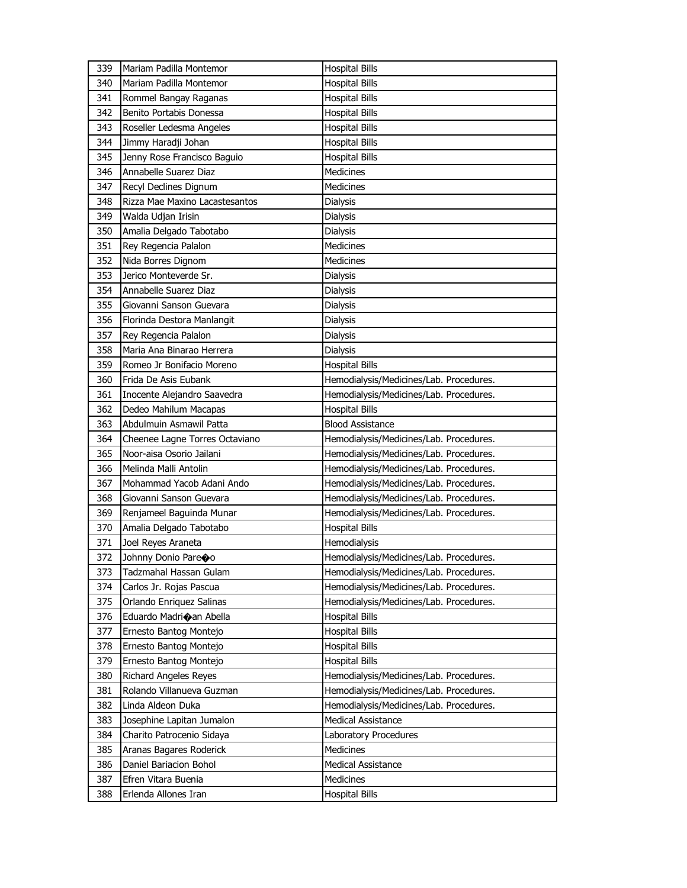| 339        | Mariam Padilla Montemor                     | <b>Hospital Bills</b>                     |
|------------|---------------------------------------------|-------------------------------------------|
| 340        | Mariam Padilla Montemor                     | <b>Hospital Bills</b>                     |
| 341        | Rommel Bangay Raganas                       | <b>Hospital Bills</b>                     |
| 342        | Benito Portabis Donessa                     | <b>Hospital Bills</b>                     |
| 343        | Roseller Ledesma Angeles                    | <b>Hospital Bills</b>                     |
| 344        | Jimmy Haradji Johan                         | <b>Hospital Bills</b>                     |
| 345        | Jenny Rose Francisco Baguio                 | <b>Hospital Bills</b>                     |
| 346        | Annabelle Suarez Diaz                       | Medicines                                 |
| 347        | Recyl Declines Dignum                       | <b>Medicines</b>                          |
| 348        | Rizza Mae Maxino Lacastesantos              | <b>Dialysis</b>                           |
| 349        | Walda Udjan Irisin                          | Dialysis                                  |
| 350        | Amalia Delgado Tabotabo                     | Dialysis                                  |
| 351        | Rey Regencia Palalon                        | <b>Medicines</b>                          |
| 352        | Nida Borres Dignom                          | <b>Medicines</b>                          |
| 353        | Jerico Monteverde Sr.                       | <b>Dialysis</b>                           |
| 354        | Annabelle Suarez Diaz                       | Dialysis                                  |
| 355        | Giovanni Sanson Guevara                     | <b>Dialysis</b>                           |
| 356        | Florinda Destora Manlangit                  | Dialysis                                  |
| 357        | Rey Regencia Palalon                        | <b>Dialysis</b>                           |
| 358        | Maria Ana Binarao Herrera                   | <b>Dialysis</b>                           |
| 359        | Romeo Jr Bonifacio Moreno                   | <b>Hospital Bills</b>                     |
| 360        | Frida De Asis Eubank                        | Hemodialysis/Medicines/Lab. Procedures.   |
| 361        | Inocente Alejandro Saavedra                 | Hemodialysis/Medicines/Lab. Procedures.   |
| 362        | Dedeo Mahilum Macapas                       | <b>Hospital Bills</b>                     |
| 363        | Abdulmuin Asmawil Patta                     | <b>Blood Assistance</b>                   |
|            |                                             |                                           |
|            |                                             |                                           |
| 364        | Cheenee Lagne Torres Octaviano              | Hemodialysis/Medicines/Lab. Procedures.   |
| 365        | Noor-aisa Osorio Jailani                    | Hemodialysis/Medicines/Lab. Procedures.   |
| 366        | Melinda Malli Antolin                       | Hemodialysis/Medicines/Lab. Procedures.   |
| 367        | Mohammad Yacob Adani Ando                   | Hemodialysis/Medicines/Lab. Procedures.   |
| 368        | Giovanni Sanson Guevara                     | Hemodialysis/Medicines/Lab. Procedures.   |
| 369        | Renjameel Baguinda Munar                    | Hemodialysis/Medicines/Lab. Procedures.   |
| 370        | Amalia Delgado Tabotabo                     | <b>Hospital Bills</b>                     |
| 371        | Joel Reyes Araneta                          | Hemodialysis                              |
| 372        | Johnny Donio Pareco                         | Hemodialysis/Medicines/Lab. Procedures.   |
| 373        | Tadzmahal Hassan Gulam                      | Hemodialysis/Medicines/Lab. Procedures.   |
| 374        | Carlos Jr. Rojas Pascua                     | Hemodialysis/Medicines/Lab. Procedures.   |
| 375        | Orlando Enriquez Salinas                    | Hemodialysis/Medicines/Lab. Procedures.   |
| 376        | Eduardo Madrioan Abella                     | <b>Hospital Bills</b>                     |
| 377        | Ernesto Bantog Montejo                      | <b>Hospital Bills</b>                     |
| 378        | Ernesto Bantog Montejo                      | <b>Hospital Bills</b>                     |
| 379        | Ernesto Bantog Montejo                      | <b>Hospital Bills</b>                     |
| 380        | <b>Richard Angeles Reyes</b>                | Hemodialysis/Medicines/Lab. Procedures.   |
| 381        | Rolando Villanueva Guzman                   | Hemodialysis/Medicines/Lab. Procedures.   |
| 382        | Linda Aldeon Duka                           | Hemodialysis/Medicines/Lab. Procedures.   |
| 383        | Josephine Lapitan Jumalon                   | Medical Assistance                        |
| 384        | Charito Patrocenio Sidaya                   | Laboratory Procedures                     |
| 385        | Aranas Bagares Roderick                     | <b>Medicines</b>                          |
| 386        | Daniel Bariacion Bohol                      | <b>Medical Assistance</b>                 |
| 387<br>388 | Efren Vitara Buenia<br>Erlenda Allones Iran | <b>Medicines</b><br><b>Hospital Bills</b> |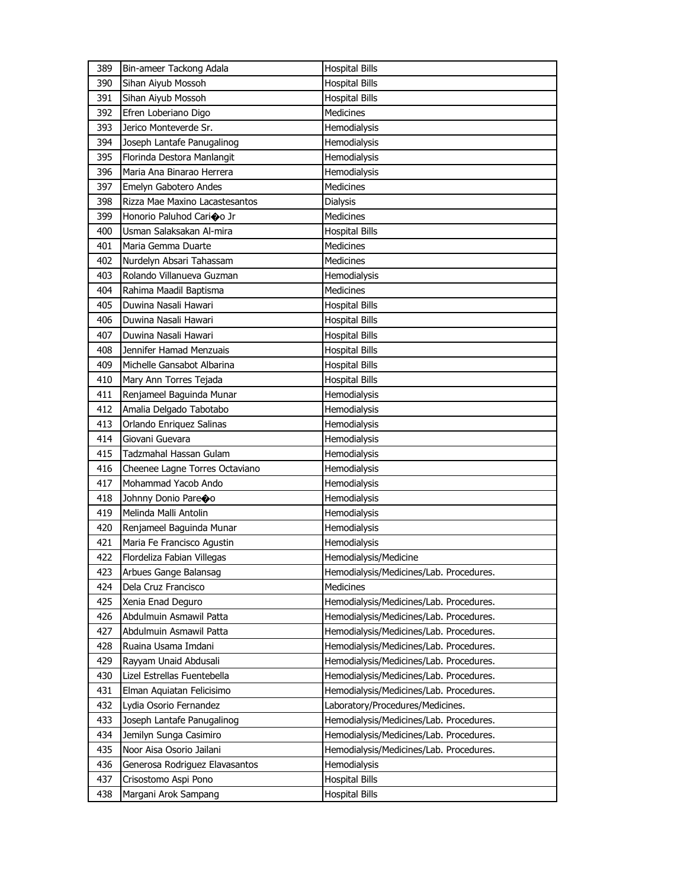| 389 | Bin-ameer Tackong Adala        | <b>Hospital Bills</b>                   |
|-----|--------------------------------|-----------------------------------------|
| 390 | Sihan Aiyub Mossoh             | <b>Hospital Bills</b>                   |
| 391 | Sihan Aiyub Mossoh             | <b>Hospital Bills</b>                   |
| 392 | Efren Loberiano Digo           | Medicines                               |
| 393 | Jerico Monteverde Sr.          | Hemodialysis                            |
| 394 | Joseph Lantafe Panugalinog     | <b>Hemodialvsis</b>                     |
| 395 | Florinda Destora Manlangit     | Hemodialysis                            |
| 396 | Maria Ana Binarao Herrera      | Hemodialysis                            |
| 397 | Emelyn Gabotero Andes          | <b>Medicines</b>                        |
| 398 | Rizza Mae Maxino Lacastesantos | <b>Dialysis</b>                         |
| 399 | Honorio Paluhod Carioo Jr      | Medicines                               |
| 400 | Usman Salaksakan Al-mira       | <b>Hospital Bills</b>                   |
| 401 | Maria Gemma Duarte             | <b>Medicines</b>                        |
| 402 | Nurdelyn Absari Tahassam       | Medicines                               |
| 403 | Rolando Villanueva Guzman      | Hemodialysis                            |
| 404 | Rahima Maadil Baptisma         | Medicines                               |
| 405 | Duwina Nasali Hawari           | <b>Hospital Bills</b>                   |
| 406 | Duwina Nasali Hawari           | <b>Hospital Bills</b>                   |
| 407 | Duwina Nasali Hawari           | <b>Hospital Bills</b>                   |
| 408 | Jennifer Hamad Menzuais        | <b>Hospital Bills</b>                   |
| 409 | Michelle Gansabot Albarina     | <b>Hospital Bills</b>                   |
| 410 | Mary Ann Torres Tejada         | <b>Hospital Bills</b>                   |
| 411 | Renjameel Baguinda Munar       | Hemodialysis                            |
| 412 | Amalia Delgado Tabotabo        | Hemodialysis                            |
| 413 | Orlando Enriquez Salinas       | Hemodialysis                            |
| 414 | Giovani Guevara                | Hemodialysis                            |
| 415 | Tadzmahal Hassan Gulam         | Hemodialysis                            |
| 416 | Cheenee Lagne Torres Octaviano | Hemodialysis                            |
| 417 | Mohammad Yacob Ando            | Hemodialysis                            |
| 418 | Johnny Donio Pareoo            | Hemodialysis                            |
| 419 | Melinda Malli Antolin          | Hemodialysis                            |
| 420 | Renjameel Baguinda Munar       | Hemodialysis                            |
| 421 | Maria Fe Francisco Agustin     | Hemodialysis                            |
| 422 | Flordeliza Fabian Villegas     | Hemodialysis/Medicine                   |
| 423 | Arbues Gange Balansag          | Hemodialysis/Medicines/Lab. Procedures. |
| 424 | Dela Cruz Francisco            | <b>Medicines</b>                        |
| 425 | Xenia Enad Deguro              | Hemodialysis/Medicines/Lab. Procedures. |
| 426 | Abdulmuin Asmawil Patta        | Hemodialysis/Medicines/Lab. Procedures. |
| 427 | Abdulmuin Asmawil Patta        | Hemodialysis/Medicines/Lab. Procedures. |
| 428 | Ruaina Usama Imdani            | Hemodialysis/Medicines/Lab. Procedures. |
| 429 | Rayyam Unaid Abdusali          | Hemodialysis/Medicines/Lab. Procedures. |
| 430 | Lizel Estrellas Fuentebella    | Hemodialysis/Medicines/Lab. Procedures. |
| 431 | Elman Aquiatan Felicisimo      | Hemodialysis/Medicines/Lab. Procedures. |
| 432 | Lydia Osorio Fernandez         | Laboratory/Procedures/Medicines.        |
| 433 | Joseph Lantafe Panugalinog     | Hemodialysis/Medicines/Lab. Procedures. |
| 434 | Jemilyn Sunga Casimiro         | Hemodialysis/Medicines/Lab. Procedures. |
| 435 | Noor Aisa Osorio Jailani       | Hemodialysis/Medicines/Lab. Procedures. |
| 436 | Generosa Rodriguez Elavasantos | Hemodialysis                            |
| 437 | Crisostomo Aspi Pono           | <b>Hospital Bills</b>                   |
| 438 | Margani Arok Sampang           | <b>Hospital Bills</b>                   |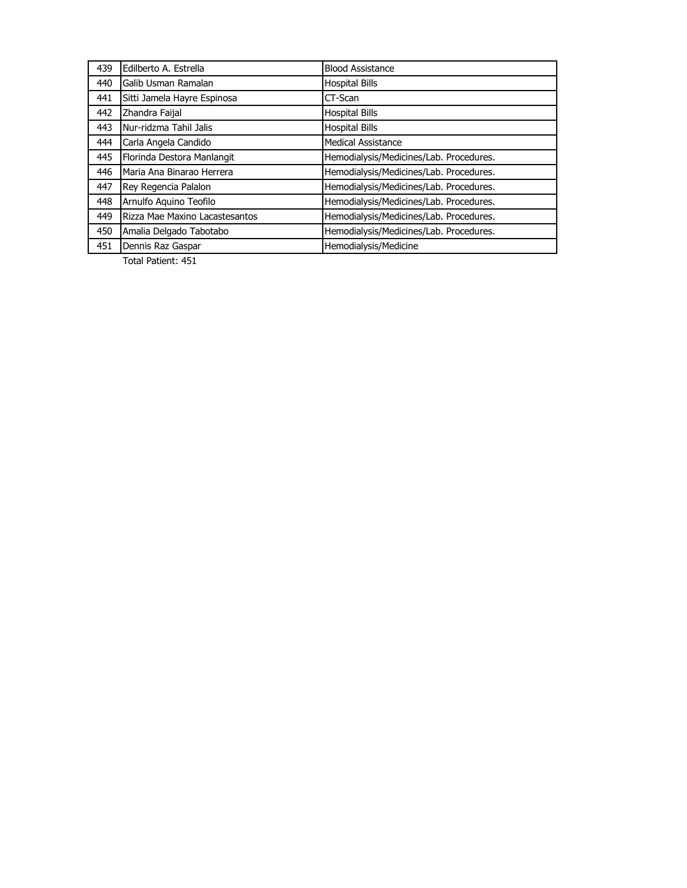| 439 | Edilberto A. Estrella          | <b>Blood Assistance</b>                 |
|-----|--------------------------------|-----------------------------------------|
| 440 | Galib Usman Ramalan            | <b>Hospital Bills</b>                   |
| 441 | Sitti Jamela Hayre Espinosa    | CT-Scan                                 |
| 442 | Zhandra Faijal                 | <b>Hospital Bills</b>                   |
| 443 | Nur-ridzma Tahil Jalis         | <b>Hospital Bills</b>                   |
| 444 | Carla Angela Candido           | <b>Medical Assistance</b>               |
| 445 | Florinda Destora Manlangit     | Hemodialysis/Medicines/Lab. Procedures. |
| 446 | Maria Ana Binarao Herrera      | Hemodialysis/Medicines/Lab. Procedures. |
| 447 | Rey Regencia Palalon           | Hemodialysis/Medicines/Lab. Procedures. |
| 448 | Arnulfo Aquino Teofilo         | Hemodialysis/Medicines/Lab. Procedures. |
| 449 | Rizza Mae Maxino Lacastesantos | Hemodialysis/Medicines/Lab. Procedures. |
| 450 | Amalia Delgado Tabotabo        | Hemodialysis/Medicines/Lab. Procedures. |
| 451 | Dennis Raz Gaspar              | Hemodialysis/Medicine                   |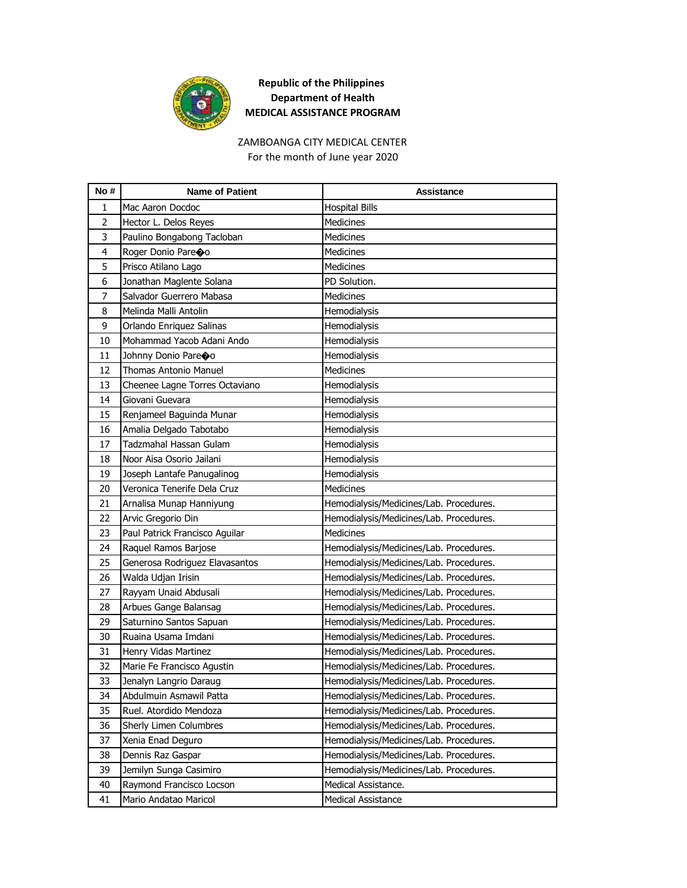

# ZAMBOANGA CITY MEDICAL CENTER

For the month of June year 2020

| No#            | <b>Name of Patient</b>         | Assistance                              |
|----------------|--------------------------------|-----------------------------------------|
| $\mathbf{1}$   | Mac Aaron Docdoc               | <b>Hospital Bills</b>                   |
| $\overline{2}$ | Hector L. Delos Reyes          | <b>Medicines</b>                        |
| 3              | Paulino Bongabong Tacloban     | <b>Medicines</b>                        |
| 4              | Roger Donio Pareoo             | <b>Medicines</b>                        |
| 5              | Prisco Atilano Lago            | <b>Medicines</b>                        |
| 6              | Jonathan Maglente Solana       | PD Solution.                            |
| 7              | Salvador Guerrero Mabasa       | <b>Medicines</b>                        |
| 8              | Melinda Malli Antolin          | Hemodialysis                            |
| 9              | Orlando Enriquez Salinas       | Hemodialysis                            |
| 10             | Mohammad Yacob Adani Ando      | Hemodialysis                            |
| 11             | Johnny Donio Pare�o            | Hemodialysis                            |
| 12             | Thomas Antonio Manuel          | <b>Medicines</b>                        |
| 13             | Cheenee Lagne Torres Octaviano | Hemodialysis                            |
| 14             | Giovani Guevara                | Hemodialysis                            |
| 15             | Renjameel Baguinda Munar       | Hemodialysis                            |
| 16             | Amalia Delgado Tabotabo        | Hemodialysis                            |
| 17             | Tadzmahal Hassan Gulam         | Hemodialysis                            |
| 18             | Noor Aisa Osorio Jailani       | Hemodialysis                            |
| 19             | Joseph Lantafe Panugalinog     | Hemodialysis                            |
| 20             | Veronica Tenerife Dela Cruz    | <b>Medicines</b>                        |
| 21             | Arnalisa Munap Hanniyung       | Hemodialysis/Medicines/Lab. Procedures. |
| 22             | Arvic Gregorio Din             | Hemodialysis/Medicines/Lab. Procedures. |
| 23             | Paul Patrick Francisco Aguilar | <b>Medicines</b>                        |
| 24             | Raquel Ramos Barjose           | Hemodialysis/Medicines/Lab. Procedures. |
| 25             | Generosa Rodriguez Elavasantos | Hemodialysis/Medicines/Lab. Procedures. |
| 26             | Walda Udjan Irisin             | Hemodialysis/Medicines/Lab. Procedures. |
| 27             | Rayyam Unaid Abdusali          | Hemodialysis/Medicines/Lab. Procedures. |
| 28             | Arbues Gange Balansag          | Hemodialysis/Medicines/Lab. Procedures. |
| 29             | Saturnino Santos Sapuan        | Hemodialysis/Medicines/Lab. Procedures. |
| 30             | Ruaina Usama Imdani            | Hemodialysis/Medicines/Lab. Procedures. |
| 31             | Henry Vidas Martinez           | Hemodialysis/Medicines/Lab. Procedures. |
| 32             | Marie Fe Francisco Agustin     | Hemodialysis/Medicines/Lab. Procedures. |
| 33             | Jenalyn Langrio Daraug         | Hemodialysis/Medicines/Lab. Procedures. |
| 34             | Abdulmuin Asmawil Patta        | Hemodialysis/Medicines/Lab. Procedures. |
| 35             | Ruel. Atordido Mendoza         | Hemodialysis/Medicines/Lab. Procedures. |
| 36             | Sherly Limen Columbres         | Hemodialysis/Medicines/Lab. Procedures. |
| 37             | Xenia Enad Deguro              | Hemodialysis/Medicines/Lab. Procedures. |
| 38             | Dennis Raz Gaspar              | Hemodialysis/Medicines/Lab. Procedures. |
| 39             | Jemilyn Sunga Casimiro         | Hemodialysis/Medicines/Lab. Procedures. |
| 40             | Raymond Francisco Locson       | Medical Assistance.                     |
| 41             | Mario Andatao Maricol          | Medical Assistance                      |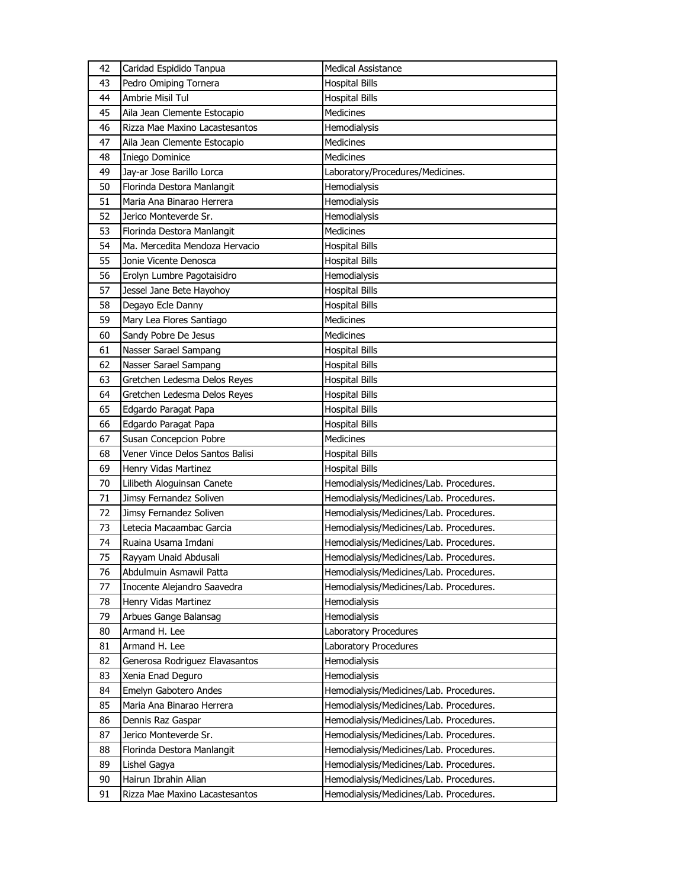| 42 | Caridad Espidido Tanpua         | <b>Medical Assistance</b>               |
|----|---------------------------------|-----------------------------------------|
| 43 | Pedro Omiping Tornera           | <b>Hospital Bills</b>                   |
| 44 | Ambrie Misil Tul                | <b>Hospital Bills</b>                   |
| 45 | Aila Jean Clemente Estocapio    | Medicines                               |
| 46 | Rizza Mae Maxino Lacastesantos  | Hemodialysis                            |
| 47 | Aila Jean Clemente Estocapio    | Medicines                               |
| 48 | Iniego Dominice                 | Medicines                               |
| 49 | Jay-ar Jose Barillo Lorca       | Laboratory/Procedures/Medicines.        |
| 50 | Florinda Destora Manlangit      | Hemodialysis                            |
| 51 | Maria Ana Binarao Herrera       | Hemodialysis                            |
| 52 | Jerico Monteverde Sr.           | Hemodialysis                            |
| 53 | Florinda Destora Manlangit      | <b>Medicines</b>                        |
| 54 | Ma. Mercedita Mendoza Hervacio  | <b>Hospital Bills</b>                   |
| 55 | Jonie Vicente Denosca           | <b>Hospital Bills</b>                   |
| 56 | Erolyn Lumbre Pagotaisidro      | Hemodialysis                            |
| 57 | Jessel Jane Bete Hayohoy        | <b>Hospital Bills</b>                   |
| 58 | Degayo Ecle Danny               | <b>Hospital Bills</b>                   |
| 59 | Mary Lea Flores Santiago        | Medicines                               |
| 60 | Sandy Pobre De Jesus            | Medicines                               |
| 61 | Nasser Sarael Sampang           | <b>Hospital Bills</b>                   |
| 62 | Nasser Sarael Sampang           | <b>Hospital Bills</b>                   |
| 63 | Gretchen Ledesma Delos Reyes    | <b>Hospital Bills</b>                   |
| 64 | Gretchen Ledesma Delos Reyes    | <b>Hospital Bills</b>                   |
| 65 | Edgardo Paragat Papa            | <b>Hospital Bills</b>                   |
| 66 | Edgardo Paragat Papa            | <b>Hospital Bills</b>                   |
|    |                                 |                                         |
| 67 | Susan Concepcion Pobre          | Medicines                               |
| 68 | Vener Vince Delos Santos Balisi | <b>Hospital Bills</b>                   |
| 69 | Henry Vidas Martinez            | <b>Hospital Bills</b>                   |
| 70 | Lilibeth Aloguinsan Canete      | Hemodialysis/Medicines/Lab. Procedures. |
| 71 | Jimsy Fernandez Soliven         | Hemodialysis/Medicines/Lab. Procedures. |
| 72 | Jimsy Fernandez Soliven         | Hemodialysis/Medicines/Lab. Procedures. |
| 73 | Letecia Macaambac Garcia        | Hemodialysis/Medicines/Lab. Procedures. |
| 74 | Ruaina Usama Imdani             | Hemodialysis/Medicines/Lab. Procedures. |
| 75 | Rayyam Unaid Abdusali           | Hemodialysis/Medicines/Lab. Procedures. |
| 76 | Abdulmuin Asmawil Patta         | Hemodialysis/Medicines/Lab. Procedures. |
| 77 | Inocente Alejandro Saavedra     | Hemodialysis/Medicines/Lab. Procedures. |
| 78 | Henry Vidas Martinez            | Hemodialysis                            |
| 79 | Arbues Gange Balansag           | Hemodialysis                            |
| 80 | Armand H. Lee                   | Laboratory Procedures                   |
| 81 | Armand H. Lee                   | Laboratory Procedures                   |
| 82 | Generosa Rodriguez Elavasantos  | Hemodialysis                            |
| 83 | Xenia Enad Deguro               | Hemodialysis                            |
| 84 | Emelyn Gabotero Andes           | Hemodialysis/Medicines/Lab. Procedures. |
| 85 | Maria Ana Binarao Herrera       | Hemodialysis/Medicines/Lab. Procedures. |
| 86 | Dennis Raz Gaspar               | Hemodialysis/Medicines/Lab. Procedures. |
| 87 | Jerico Monteverde Sr.           | Hemodialysis/Medicines/Lab. Procedures. |
| 88 | Florinda Destora Manlangit      | Hemodialysis/Medicines/Lab. Procedures. |
| 89 | Lishel Gagya                    | Hemodialysis/Medicines/Lab. Procedures. |
| 90 | Hairun Ibrahin Alian            | Hemodialysis/Medicines/Lab. Procedures. |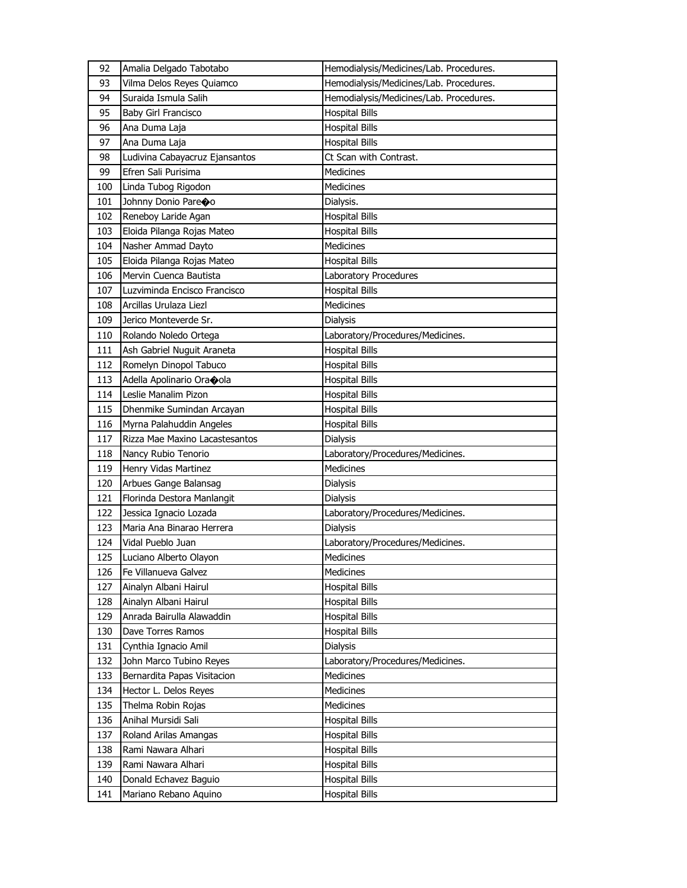| 92  | Amalia Delgado Tabotabo        | Hemodialysis/Medicines/Lab. Procedures. |
|-----|--------------------------------|-----------------------------------------|
| 93  | Vilma Delos Reyes Quiamco      | Hemodialysis/Medicines/Lab. Procedures. |
| 94  | Suraida Ismula Salih           | Hemodialysis/Medicines/Lab. Procedures. |
| 95  | Baby Girl Francisco            | <b>Hospital Bills</b>                   |
| 96  | Ana Duma Laja                  | <b>Hospital Bills</b>                   |
| 97  | Ana Duma Laja                  | <b>Hospital Bills</b>                   |
| 98  | Ludivina Cabayacruz Ejansantos | Ct Scan with Contrast.                  |
| 99  | Efren Sali Purisima            | <b>Medicines</b>                        |
| 100 | Linda Tubog Rigodon            | Medicines                               |
| 101 | Johnny Donio Pareco            | Dialysis.                               |
| 102 | Reneboy Laride Agan            | <b>Hospital Bills</b>                   |
| 103 | Eloida Pilanga Rojas Mateo     | <b>Hospital Bills</b>                   |
| 104 | Nasher Ammad Dayto             | Medicines                               |
| 105 | Eloida Pilanga Rojas Mateo     | <b>Hospital Bills</b>                   |
| 106 | Mervin Cuenca Bautista         | Laboratory Procedures                   |
| 107 | Luzviminda Encisco Francisco   | <b>Hospital Bills</b>                   |
| 108 | Arcillas Urulaza Liezl         | <b>Medicines</b>                        |
| 109 | Jerico Monteverde Sr.          | Dialysis                                |
| 110 | Rolando Noledo Ortega          | Laboratory/Procedures/Medicines.        |
| 111 | Ash Gabriel Nuguit Araneta     | <b>Hospital Bills</b>                   |
| 112 | Romelyn Dinopol Tabuco         | <b>Hospital Bills</b>                   |
| 113 | Adella Apolinario Oraoola      | <b>Hospital Bills</b>                   |
| 114 | Leslie Manalim Pizon           | <b>Hospital Bills</b>                   |
| 115 | Dhenmike Sumindan Arcayan      | <b>Hospital Bills</b>                   |
| 116 | Myrna Palahuddin Angeles       | <b>Hospital Bills</b>                   |
| 117 | Rizza Mae Maxino Lacastesantos | <b>Dialysis</b>                         |
| 118 | Nancy Rubio Tenorio            | Laboratory/Procedures/Medicines.        |
| 119 | Henry Vidas Martinez           | Medicines                               |
| 120 | Arbues Gange Balansag          | <b>Dialysis</b>                         |
| 121 | Florinda Destora Manlangit     | Dialysis                                |
| 122 |                                |                                         |
|     | Jessica Ignacio Lozada         | Laboratory/Procedures/Medicines.        |
| 123 | Maria Ana Binarao Herrera      | <b>Dialysis</b>                         |
| 124 | Vidal Pueblo Juan              | Laboratory/Procedures/Medicines.        |
| 125 | Luciano Alberto Olayon         | Medicines                               |
| 126 | Fe Villanueva Galvez           | Medicines                               |
| 127 | Ainalyn Albani Hairul          | <b>Hospital Bills</b>                   |
| 128 | Ainalyn Albani Hairul          | <b>Hospital Bills</b>                   |
| 129 | Anrada Bairulla Alawaddin      | <b>Hospital Bills</b>                   |
| 130 | Dave Torres Ramos              | <b>Hospital Bills</b>                   |
| 131 | Cynthia Ignacio Amil           | Dialysis                                |
| 132 | John Marco Tubino Reyes        | Laboratory/Procedures/Medicines.        |
| 133 | Bernardita Papas Visitacion    | <b>Medicines</b>                        |
| 134 | Hector L. Delos Reyes          | Medicines                               |
| 135 | Thelma Robin Rojas             | Medicines                               |
| 136 | Anihal Mursidi Sali            | <b>Hospital Bills</b>                   |
| 137 | Roland Arilas Amangas          | <b>Hospital Bills</b>                   |
| 138 | Rami Nawara Alhari             | Hospital Bills                          |
| 139 | Rami Nawara Alhari             | <b>Hospital Bills</b>                   |
| 140 | Donald Echavez Baguio          | <b>Hospital Bills</b>                   |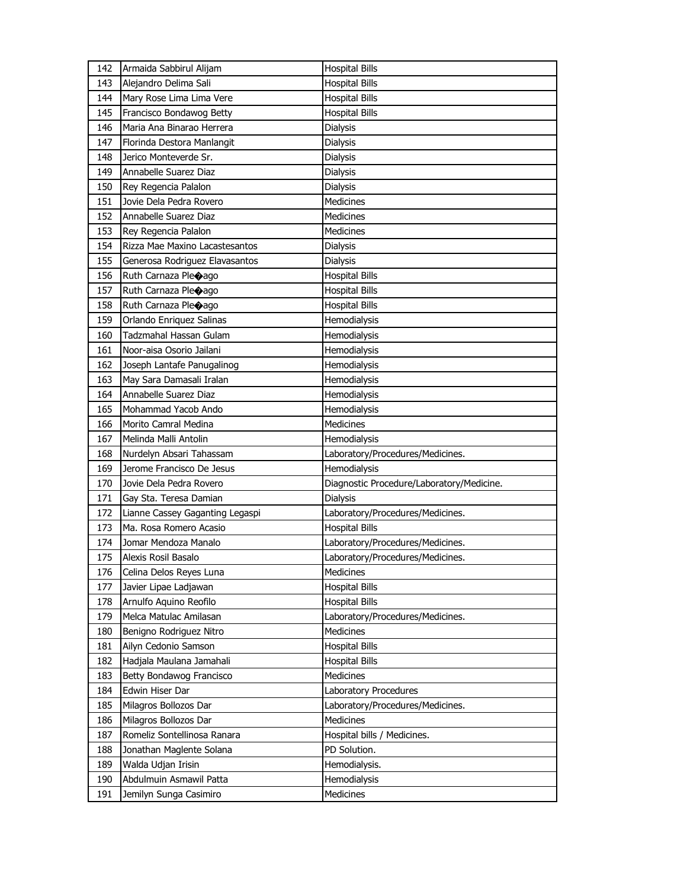| 142        | Armaida Sabbirul Alijam                           | <b>Hospital Bills</b>                          |
|------------|---------------------------------------------------|------------------------------------------------|
| 143        | Alejandro Delima Sali                             | <b>Hospital Bills</b>                          |
| 144        | Mary Rose Lima Lima Vere                          | <b>Hospital Bills</b>                          |
| 145        | Francisco Bondawog Betty                          | <b>Hospital Bills</b>                          |
| 146        | Maria Ana Binarao Herrera                         | Dialysis                                       |
| 147        | Florinda Destora Manlangit                        | Dialysis                                       |
| 148        | Jerico Monteverde Sr.                             | Dialysis                                       |
| 149        | Annabelle Suarez Diaz                             | Dialysis                                       |
| 150        | Rey Regencia Palalon                              | Dialysis                                       |
| 151        | Jovie Dela Pedra Rovero                           | <b>Medicines</b>                               |
| 152        | Annabelle Suarez Diaz                             | Medicines                                      |
| 153        | Rey Regencia Palalon                              | Medicines                                      |
| 154        | Rizza Mae Maxino Lacastesantos                    | Dialysis                                       |
| 155        | Generosa Rodriguez Elavasantos                    | Dialysis                                       |
| 156        | Ruth Carnaza Ple $\bullet$ ago                    | <b>Hospital Bills</b>                          |
| 157        | Ruth Carnaza Pleoago                              | <b>Hospital Bills</b>                          |
| 158        | Ruth Carnaza Pleoago                              | <b>Hospital Bills</b>                          |
| 159        | Orlando Enriquez Salinas                          | Hemodialysis                                   |
| 160        | Tadzmahal Hassan Gulam                            | Hemodialysis                                   |
| 161        | Noor-aisa Osorio Jailani                          | Hemodialysis                                   |
| 162        | Joseph Lantafe Panugalinog                        | Hemodialysis                                   |
| 163        | May Sara Damasali Iralan                          | Hemodialysis                                   |
| 164        | Annabelle Suarez Diaz                             | Hemodialysis                                   |
| 165        | Mohammad Yacob Ando                               | Hemodialysis                                   |
| 166        | Morito Camral Medina                              | Medicines                                      |
|            |                                                   |                                                |
|            |                                                   |                                                |
| 167        | Melinda Malli Antolin                             | Hemodialysis                                   |
| 168        | Nurdelyn Absari Tahassam                          | Laboratory/Procedures/Medicines.               |
| 169        | Jerome Francisco De Jesus                         | Hemodialysis                                   |
| 170        | Jovie Dela Pedra Rovero                           | Diagnostic Procedure/Laboratory/Medicine.      |
| 171        | Gay Sta. Teresa Damian                            | Dialysis                                       |
| 172        | Lianne Cassey Gaganting Legaspi                   | Laboratory/Procedures/Medicines.               |
| 173        | Ma. Rosa Romero Acasio                            | <b>Hospital Bills</b>                          |
| 174        | Jomar Mendoza Manalo<br>Alexis Rosil Basalo       | Laboratory/Procedures/Medicines.               |
| 175        |                                                   | Laboratory/Procedures/Medicines.               |
| 176        | Celina Delos Reyes Luna                           | Medicines                                      |
| 177        | Javier Lipae Ladjawan                             | <b>Hospital Bills</b>                          |
| 178        | Arnulfo Aquino Reofilo                            | <b>Hospital Bills</b>                          |
| 179        | Melca Matulac Amilasan                            | Laboratory/Procedures/Medicines.               |
| 180        | Benigno Rodriguez Nitro                           | <b>Medicines</b>                               |
| 181        | Ailyn Cedonio Samson                              | <b>Hospital Bills</b><br><b>Hospital Bills</b> |
| 182        | Hadjala Maulana Jamahali                          |                                                |
| 183        | Betty Bondawog Francisco                          | Medicines                                      |
| 184        | Edwin Hiser Dar                                   | Laboratory Procedures                          |
| 185        | Milagros Bollozos Dar                             | Laboratory/Procedures/Medicines.               |
| 186        | Milagros Bollozos Dar                             | Medicines                                      |
| 187        | Romeliz Sontellinosa Ranara                       | Hospital bills / Medicines.                    |
| 188        | Jonathan Maglente Solana                          | PD Solution.                                   |
| 189        | Walda Udjan Irisin                                | Hemodialysis.                                  |
| 190<br>191 | Abdulmuin Asmawil Patta<br>Jemilyn Sunga Casimiro | Hemodialysis<br>Medicines                      |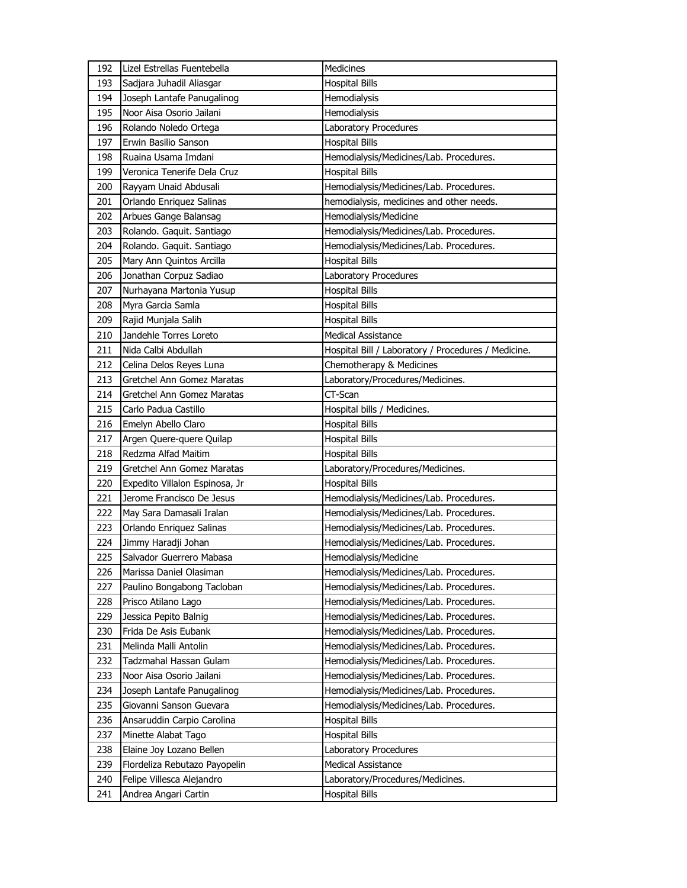| 192 | Lizel Estrellas Fuentebella    | Medicines                                           |
|-----|--------------------------------|-----------------------------------------------------|
| 193 | Sadjara Juhadil Aliasgar       | <b>Hospital Bills</b>                               |
| 194 | Joseph Lantafe Panugalinog     | Hemodialysis                                        |
| 195 | Noor Aisa Osorio Jailani       | Hemodialysis                                        |
| 196 | Rolando Noledo Ortega          | Laboratory Procedures                               |
| 197 | Erwin Basilio Sanson           | <b>Hospital Bills</b>                               |
| 198 | Ruaina Usama Imdani            | Hemodialysis/Medicines/Lab. Procedures.             |
| 199 | Veronica Tenerife Dela Cruz    | <b>Hospital Bills</b>                               |
| 200 | Rayyam Unaid Abdusali          | Hemodialysis/Medicines/Lab. Procedures.             |
| 201 | Orlando Enriquez Salinas       | hemodialysis, medicines and other needs.            |
| 202 | Arbues Gange Balansag          | Hemodialysis/Medicine                               |
| 203 | Rolando. Gaquit. Santiago      | Hemodialysis/Medicines/Lab. Procedures.             |
| 204 | Rolando. Gaquit. Santiago      | Hemodialysis/Medicines/Lab. Procedures.             |
| 205 | Mary Ann Quintos Arcilla       | <b>Hospital Bills</b>                               |
| 206 | Jonathan Corpuz Sadiao         | Laboratory Procedures                               |
| 207 | Nurhayana Martonia Yusup       | Hospital Bills                                      |
| 208 | Myra Garcia Samla              | <b>Hospital Bills</b>                               |
| 209 | Rajid Munjala Salih            | <b>Hospital Bills</b>                               |
| 210 | Jandehle Torres Loreto         | <b>Medical Assistance</b>                           |
| 211 | Nida Calbi Abdullah            | Hospital Bill / Laboratory / Procedures / Medicine. |
| 212 | Celina Delos Reyes Luna        | Chemotherapy & Medicines                            |
| 213 | Gretchel Ann Gomez Maratas     | Laboratory/Procedures/Medicines.                    |
| 214 | Gretchel Ann Gomez Maratas     | CT-Scan                                             |
| 215 | Carlo Padua Castillo           | Hospital bills / Medicines.                         |
| 216 | Emelyn Abello Claro            | <b>Hospital Bills</b>                               |
|     |                                |                                                     |
| 217 | Argen Quere-quere Quilap       | <b>Hospital Bills</b>                               |
| 218 | Redzma Alfad Maitim            | <b>Hospital Bills</b>                               |
| 219 | Gretchel Ann Gomez Maratas     | Laboratory/Procedures/Medicines.                    |
| 220 | Expedito Villalon Espinosa, Jr | <b>Hospital Bills</b>                               |
| 221 | Jerome Francisco De Jesus      | Hemodialysis/Medicines/Lab. Procedures.             |
| 222 | May Sara Damasali Iralan       | Hemodialysis/Medicines/Lab. Procedures.             |
| 223 | Orlando Enriquez Salinas       | Hemodialysis/Medicines/Lab. Procedures.             |
| 224 | Jimmy Haradji Johan            | Hemodialysis/Medicines/Lab. Procedures.             |
| 225 | Salvador Guerrero Mabasa       | Hemodialysis/Medicine                               |
| 226 | Marissa Daniel Olasiman        | Hemodialysis/Medicines/Lab. Procedures.             |
| 227 | Paulino Bongabong Tacloban     | Hemodialysis/Medicines/Lab. Procedures.             |
| 228 | Prisco Atilano Lago            | Hemodialysis/Medicines/Lab. Procedures.             |
| 229 | Jessica Pepito Balnig          | Hemodialysis/Medicines/Lab. Procedures.             |
| 230 | Frida De Asis Eubank           | Hemodialysis/Medicines/Lab. Procedures.             |
| 231 | Melinda Malli Antolin          | Hemodialysis/Medicines/Lab. Procedures.             |
| 232 | Tadzmahal Hassan Gulam         | Hemodialysis/Medicines/Lab. Procedures.             |
| 233 | Noor Aisa Osorio Jailani       | Hemodialysis/Medicines/Lab. Procedures.             |
| 234 | Joseph Lantafe Panugalinog     | Hemodialysis/Medicines/Lab. Procedures.             |
| 235 | Giovanni Sanson Guevara        | Hemodialysis/Medicines/Lab. Procedures.             |
| 236 | Ansaruddin Carpio Carolina     | <b>Hospital Bills</b>                               |
| 237 | Minette Alabat Tago            | Hospital Bills                                      |
| 238 | Elaine Joy Lozano Bellen       | Laboratory Procedures                               |
| 239 | Flordeliza Rebutazo Payopelin  | Medical Assistance                                  |
| 240 | Felipe Villesca Alejandro      | Laboratory/Procedures/Medicines.                    |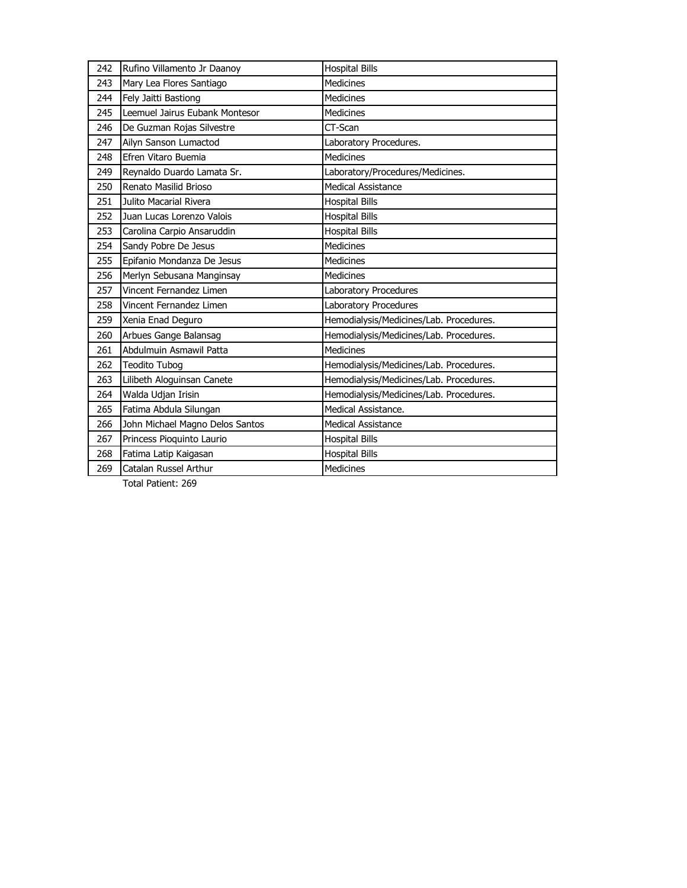| 242 | Rufino Villamento Jr Daanoy     | <b>Hospital Bills</b>                   |
|-----|---------------------------------|-----------------------------------------|
| 243 | Mary Lea Flores Santiago        | <b>Medicines</b>                        |
| 244 | Fely Jaitti Bastiong            | <b>Medicines</b>                        |
| 245 | Leemuel Jairus Eubank Montesor  | <b>Medicines</b>                        |
| 246 | De Guzman Rojas Silvestre       | CT-Scan                                 |
| 247 | Ailyn Sanson Lumactod           | Laboratory Procedures.                  |
| 248 | Efren Vitaro Buemia             | <b>Medicines</b>                        |
| 249 | Reynaldo Duardo Lamata Sr.      | Laboratory/Procedures/Medicines.        |
| 250 | Renato Masilid Brioso           | <b>Medical Assistance</b>               |
| 251 | Julito Macarial Rivera          | <b>Hospital Bills</b>                   |
| 252 | Juan Lucas Lorenzo Valois       | <b>Hospital Bills</b>                   |
| 253 | Carolina Carpio Ansaruddin      | <b>Hospital Bills</b>                   |
| 254 | Sandy Pobre De Jesus            | <b>Medicines</b>                        |
| 255 | Epifanio Mondanza De Jesus      | <b>Medicines</b>                        |
| 256 | Merlyn Sebusana Manginsay       | <b>Medicines</b>                        |
| 257 | Vincent Fernandez Limen         | Laboratory Procedures                   |
| 258 | Vincent Fernandez Limen         | Laboratory Procedures                   |
| 259 | Xenia Enad Deguro               | Hemodialysis/Medicines/Lab. Procedures. |
| 260 | Arbues Gange Balansag           | Hemodialysis/Medicines/Lab. Procedures. |
| 261 | Abdulmuin Asmawil Patta         | Medicines                               |
| 262 | <b>Teodito Tubog</b>            | Hemodialysis/Medicines/Lab. Procedures. |
| 263 | Lilibeth Aloguinsan Canete      | Hemodialysis/Medicines/Lab. Procedures. |
| 264 | Walda Udjan Irisin              | Hemodialysis/Medicines/Lab. Procedures. |
| 265 | Fatima Abdula Silungan          | Medical Assistance.                     |
| 266 | John Michael Magno Delos Santos | <b>Medical Assistance</b>               |
| 267 | Princess Pioquinto Laurio       | <b>Hospital Bills</b>                   |
| 268 | Fatima Latip Kaigasan           | <b>Hospital Bills</b>                   |
| 269 | Catalan Russel Arthur           | Medicines                               |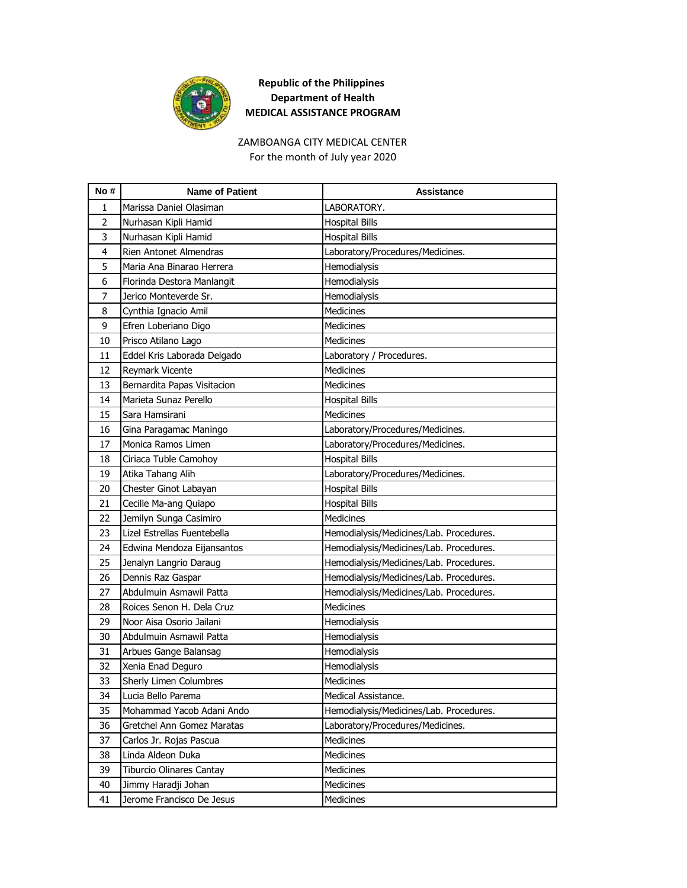

# ZAMBOANGA CITY MEDICAL CENTER

For the month of July year 2020

| No#            | <b>Name of Patient</b>        | Assistance                              |
|----------------|-------------------------------|-----------------------------------------|
| 1              | Marissa Daniel Olasiman       | LABORATORY.                             |
| $\overline{2}$ | Nurhasan Kipli Hamid          | <b>Hospital Bills</b>                   |
| 3              | Nurhasan Kipli Hamid          | <b>Hospital Bills</b>                   |
| 4              | Rien Antonet Almendras        | Laboratory/Procedures/Medicines.        |
| 5              | Maria Ana Binarao Herrera     | Hemodialysis                            |
| 6              | Florinda Destora Manlangit    | Hemodialysis                            |
| 7              | Jerico Monteverde Sr.         | Hemodialysis                            |
| 8              | Cynthia Ignacio Amil          | <b>Medicines</b>                        |
| 9              | Efren Loberiano Digo          | <b>Medicines</b>                        |
| 10             | Prisco Atilano Lago           | Medicines                               |
| 11             | Eddel Kris Laborada Delgado   | Laboratory / Procedures.                |
| 12             | Reymark Vicente               | <b>Medicines</b>                        |
| 13             | Bernardita Papas Visitacion   | <b>Medicines</b>                        |
| 14             | Marieta Sunaz Perello         | <b>Hospital Bills</b>                   |
| 15             | Sara Hamsirani                | Medicines                               |
| 16             | Gina Paragamac Maningo        | Laboratory/Procedures/Medicines.        |
| 17             | Monica Ramos Limen            | Laboratory/Procedures/Medicines.        |
| 18             | Ciriaca Tuble Camohoy         | <b>Hospital Bills</b>                   |
| 19             | Atika Tahang Alih             | Laboratory/Procedures/Medicines.        |
| 20             | Chester Ginot Labayan         | <b>Hospital Bills</b>                   |
| 21             | Cecille Ma-ang Quiapo         | <b>Hospital Bills</b>                   |
| 22             | Jemilyn Sunga Casimiro        | Medicines                               |
| 23             | Lizel Estrellas Fuentebella   | Hemodialysis/Medicines/Lab. Procedures. |
| 24             | Edwina Mendoza Eijansantos    | Hemodialysis/Medicines/Lab. Procedures. |
| 25             | Jenalyn Langrio Daraug        | Hemodialysis/Medicines/Lab. Procedures. |
| 26             | Dennis Raz Gaspar             | Hemodialysis/Medicines/Lab. Procedures. |
| 27             | Abdulmuin Asmawil Patta       | Hemodialysis/Medicines/Lab. Procedures. |
| 28             | Roices Senon H. Dela Cruz     | Medicines                               |
| 29             | Noor Aisa Osorio Jailani      | Hemodialysis                            |
| 30             | Abdulmuin Asmawil Patta       | Hemodialysis                            |
| 31             | Arbues Gange Balansag         | Hemodialysis                            |
| 32             | Xenia Enad Deguro             | Hemodialysis                            |
| 33             | <b>Sherly Limen Columbres</b> | <b>Medicines</b>                        |
| 34             | Lucia Bello Parema            | Medical Assistance.                     |
| 35             | Mohammad Yacob Adani Ando     | Hemodialysis/Medicines/Lab. Procedures. |
| 36             | Gretchel Ann Gomez Maratas    | Laboratory/Procedures/Medicines.        |
| 37             | Carlos Jr. Rojas Pascua       | Medicines                               |
| 38             | Linda Aldeon Duka             | <b>Medicines</b>                        |
| 39             | Tiburcio Olinares Cantay      | Medicines                               |
| 40             | Jimmy Haradji Johan           | Medicines                               |
| 41             | Jerome Francisco De Jesus     | Medicines                               |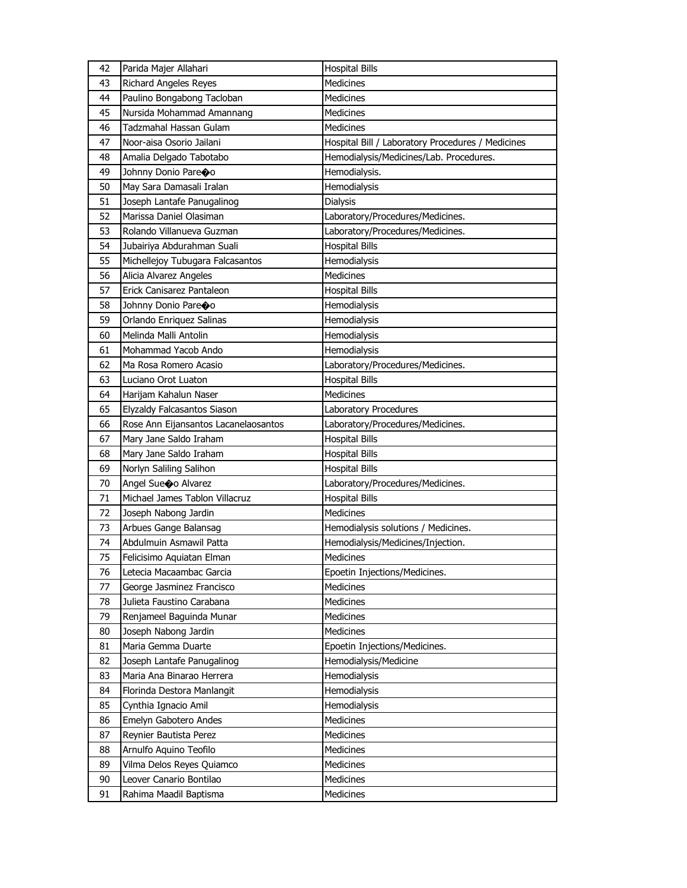| 42 | Parida Majer Allahari                | <b>Hospital Bills</b>                             |
|----|--------------------------------------|---------------------------------------------------|
| 43 | <b>Richard Angeles Reyes</b>         | <b>Medicines</b>                                  |
| 44 | Paulino Bongabong Tacloban           | <b>Medicines</b>                                  |
| 45 | Nursida Mohammad Amannang            | <b>Medicines</b>                                  |
| 46 | Tadzmahal Hassan Gulam               | <b>Medicines</b>                                  |
| 47 | Noor-aisa Osorio Jailani             | Hospital Bill / Laboratory Procedures / Medicines |
| 48 | Amalia Delgado Tabotabo              | Hemodialysis/Medicines/Lab. Procedures.           |
| 49 | Johnny Donio Pareoo                  | Hemodialysis.                                     |
| 50 | May Sara Damasali Iralan             | Hemodialysis                                      |
| 51 | Joseph Lantafe Panugalinog           | Dialysis                                          |
| 52 | Marissa Daniel Olasiman              | Laboratory/Procedures/Medicines.                  |
| 53 | Rolando Villanueva Guzman            | Laboratory/Procedures/Medicines.                  |
| 54 | Jubairiya Abdurahman Suali           | <b>Hospital Bills</b>                             |
| 55 | Michellejoy Tubugara Falcasantos     | Hemodialysis                                      |
| 56 | Alicia Alvarez Angeles               | <b>Medicines</b>                                  |
| 57 | Erick Canisarez Pantaleon            | <b>Hospital Bills</b>                             |
| 58 | Johnny Donio Pareoo                  | Hemodialysis                                      |
| 59 | Orlando Enriquez Salinas             | Hemodialysis                                      |
| 60 | Melinda Malli Antolin                | Hemodialysis                                      |
| 61 | Mohammad Yacob Ando                  | Hemodialysis                                      |
| 62 | Ma Rosa Romero Acasio                | Laboratory/Procedures/Medicines.                  |
| 63 | Luciano Orot Luaton                  | <b>Hospital Bills</b>                             |
| 64 | Harijam Kahalun Naser                | <b>Medicines</b>                                  |
| 65 | Elyzaldy Falcasantos Siason          | Laboratory Procedures                             |
| 66 | Rose Ann Eijansantos Lacanelaosantos | Laboratory/Procedures/Medicines.                  |
| 67 | Mary Jane Saldo Iraham               | <b>Hospital Bills</b>                             |
| 68 | Mary Jane Saldo Iraham               | <b>Hospital Bills</b>                             |
| 69 | Norlyn Saliling Salihon              | <b>Hospital Bills</b>                             |
| 70 | Angel Sueco Alvarez                  | Laboratory/Procedures/Medicines.                  |
| 71 | Michael James Tablon Villacruz       | <b>Hospital Bills</b>                             |
| 72 | Joseph Nabong Jardin                 | <b>Medicines</b>                                  |
| 73 | Arbues Gange Balansag                | Hemodialysis solutions / Medicines.               |
| 74 | Abdulmuin Asmawil Patta              | Hemodialysis/Medicines/Injection.                 |
| 75 | Felicisimo Aquiatan Elman            | Medicines                                         |
| 76 | Letecia Macaambac Garcia             | Epoetin Injections/Medicines.                     |
| 77 | George Jasminez Francisco            | Medicines                                         |
| 78 | Julieta Faustino Carabana            | Medicines                                         |
| 79 | Renjameel Baguinda Munar             | Medicines                                         |
| 80 | Joseph Nabong Jardin                 | Medicines                                         |
| 81 | Maria Gemma Duarte                   | Epoetin Injections/Medicines.                     |
| 82 | Joseph Lantafe Panugalinog           | Hemodialysis/Medicine                             |
| 83 | Maria Ana Binarao Herrera            | Hemodialysis                                      |
| 84 | Florinda Destora Manlangit           | Hemodialysis                                      |
| 85 | Cynthia Ignacio Amil                 | Hemodialysis                                      |
| 86 | Emelyn Gabotero Andes                | Medicines                                         |
| 87 | Reynier Bautista Perez               | Medicines                                         |
| 88 | Arnulfo Aquino Teofilo               | Medicines                                         |
| 89 | Vilma Delos Reyes Quiamco            | Medicines                                         |
| 90 | Leover Canario Bontilao              | <b>Medicines</b>                                  |
| 91 | Rahima Maadil Baptisma               | Medicines                                         |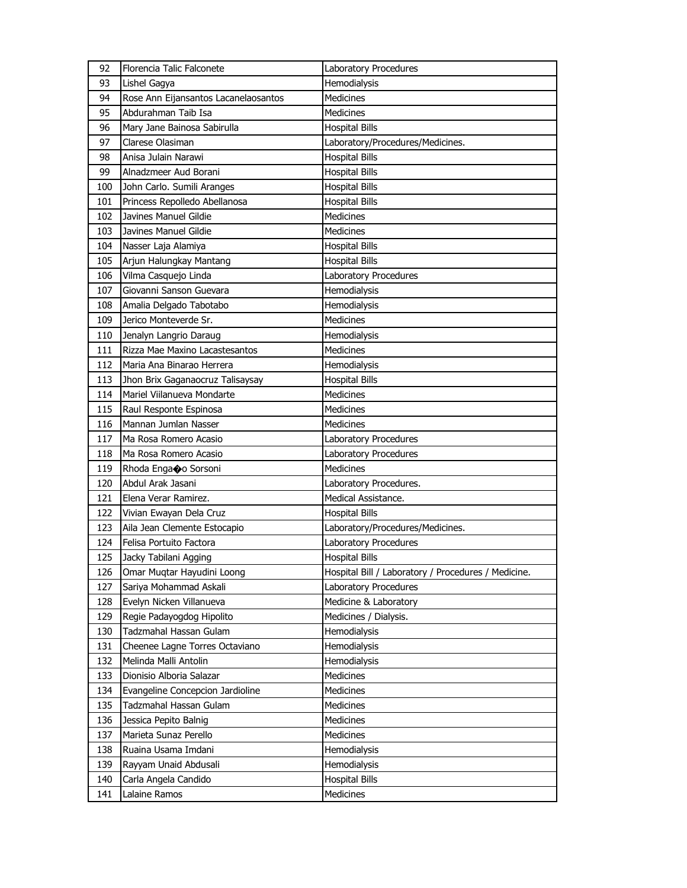| 92  | Florencia Talic Falconete            | Laboratory Procedures                               |
|-----|--------------------------------------|-----------------------------------------------------|
| 93  | Lishel Gagya                         | Hemodialysis                                        |
| 94  | Rose Ann Eijansantos Lacanelaosantos | Medicines                                           |
| 95  | Abdurahman Taib Isa                  | <b>Medicines</b>                                    |
| 96  | Mary Jane Bainosa Sabirulla          | <b>Hospital Bills</b>                               |
| 97  | Clarese Olasiman                     | Laboratory/Procedures/Medicines.                    |
| 98  | Anisa Julain Narawi                  | <b>Hospital Bills</b>                               |
| 99  | Alnadzmeer Aud Borani                | <b>Hospital Bills</b>                               |
| 100 | John Carlo. Sumili Aranges           | <b>Hospital Bills</b>                               |
| 101 | Princess Repolledo Abellanosa        | <b>Hospital Bills</b>                               |
| 102 | Javines Manuel Gildie                | <b>Medicines</b>                                    |
| 103 | Javines Manuel Gildie                | Medicines                                           |
| 104 | Nasser Laja Alamiya                  | <b>Hospital Bills</b>                               |
| 105 | Arjun Halungkay Mantang              | <b>Hospital Bills</b>                               |
| 106 | Vilma Casquejo Linda                 | Laboratory Procedures                               |
| 107 | Giovanni Sanson Guevara              | Hemodialysis                                        |
| 108 | Amalia Delgado Tabotabo              | Hemodialysis                                        |
| 109 | Jerico Monteverde Sr.                | Medicines                                           |
| 110 | Jenalyn Langrio Daraug               | Hemodialysis                                        |
| 111 | Rizza Mae Maxino Lacastesantos       | Medicines                                           |
| 112 | Maria Ana Binarao Herrera            | Hemodialysis                                        |
| 113 | Jhon Brix Gaganaocruz Talisaysay     | <b>Hospital Bills</b>                               |
| 114 | Mariel Viilanueva Mondarte           | <b>Medicines</b>                                    |
| 115 | Raul Responte Espinosa               | Medicines                                           |
| 116 | Mannan Jumlan Nasser                 | <b>Medicines</b>                                    |
| 117 | Ma Rosa Romero Acasio                | Laboratory Procedures                               |
| 118 | Ma Rosa Romero Acasio                | Laboratory Procedures                               |
| 119 | Rhoda Enga�o Sorsoni                 | <b>Medicines</b>                                    |
| 120 | Abdul Arak Jasani                    | Laboratory Procedures.                              |
| 121 | Elena Verar Ramirez.                 | Medical Assistance.                                 |
| 122 | Vivian Ewayan Dela Cruz              | <b>Hospital Bills</b>                               |
| 123 | Aila Jean Clemente Estocapio         | Laboratory/Procedures/Medicines.                    |
| 124 | Felisa Portuito Factora              | Laboratory Procedures                               |
| 125 | Jacky Tabilani Agging                | <b>Hospital Bills</b>                               |
| 126 | Omar Muqtar Hayudini Loong           | Hospital Bill / Laboratory / Procedures / Medicine. |
| 127 | Sariya Mohammad Askali               | Laboratory Procedures                               |
| 128 | Evelyn Nicken Villanueva             | Medicine & Laboratory                               |
| 129 | Regie Padayogdog Hipolito            | Medicines / Dialysis.                               |
| 130 | Tadzmahal Hassan Gulam               | Hemodialysis                                        |
| 131 | Cheenee Lagne Torres Octaviano       | Hemodialysis                                        |
| 132 | Melinda Malli Antolin                | Hemodialysis                                        |
| 133 | Dionisio Alboria Salazar             | <b>Medicines</b>                                    |
| 134 | Evangeline Concepcion Jardioline     | Medicines                                           |
| 135 | Tadzmahal Hassan Gulam               | <b>Medicines</b>                                    |
| 136 | Jessica Pepito Balnig                | <b>Medicines</b>                                    |
| 137 | Marieta Sunaz Perello                | Medicines                                           |
| 138 | Ruaina Usama Imdani                  | Hemodialysis                                        |
| 139 | Rayyam Unaid Abdusali                | Hemodialysis                                        |
| 140 | Carla Angela Candido                 | <b>Hospital Bills</b>                               |
| 141 | Lalaine Ramos                        | Medicines                                           |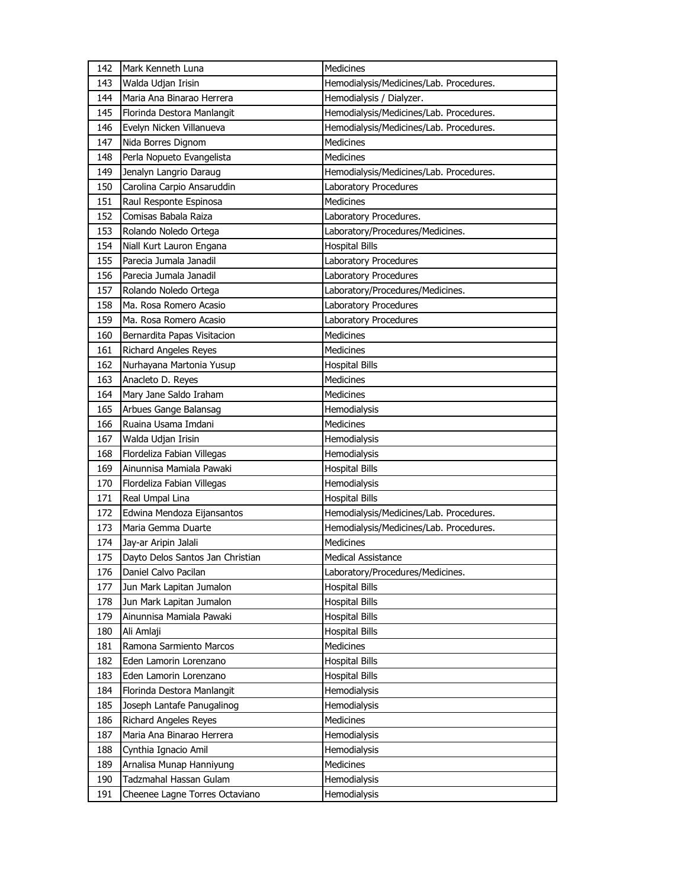| 142 | Mark Kenneth Luna                | Medicines                               |
|-----|----------------------------------|-----------------------------------------|
| 143 | Walda Udjan Irisin               | Hemodialysis/Medicines/Lab. Procedures. |
| 144 | Maria Ana Binarao Herrera        | Hemodialysis / Dialyzer.                |
| 145 | Florinda Destora Manlangit       | Hemodialysis/Medicines/Lab. Procedures. |
| 146 | Evelyn Nicken Villanueva         | Hemodialysis/Medicines/Lab. Procedures. |
| 147 | Nida Borres Dignom               | Medicines                               |
| 148 | Perla Nopueto Evangelista        | Medicines                               |
| 149 | Jenalyn Langrio Daraug           | Hemodialysis/Medicines/Lab. Procedures. |
| 150 | Carolina Carpio Ansaruddin       | Laboratory Procedures                   |
| 151 | Raul Responte Espinosa           | <b>Medicines</b>                        |
| 152 | Comisas Babala Raiza             | Laboratory Procedures.                  |
| 153 | Rolando Noledo Ortega            | Laboratory/Procedures/Medicines.        |
| 154 | Niall Kurt Lauron Engana         | <b>Hospital Bills</b>                   |
| 155 | Parecia Jumala Janadil           | Laboratory Procedures                   |
| 156 | Parecia Jumala Janadil           | Laboratory Procedures                   |
| 157 | Rolando Noledo Ortega            | Laboratory/Procedures/Medicines.        |
| 158 | Ma. Rosa Romero Acasio           | Laboratory Procedures                   |
| 159 | Ma. Rosa Romero Acasio           | Laboratory Procedures                   |
| 160 | Bernardita Papas Visitacion      | Medicines                               |
| 161 | <b>Richard Angeles Reyes</b>     | <b>Medicines</b>                        |
| 162 | Nurhayana Martonia Yusup         | <b>Hospital Bills</b>                   |
| 163 | Anacleto D. Reyes                | <b>Medicines</b>                        |
| 164 | Mary Jane Saldo Iraham           | <b>Medicines</b>                        |
| 165 | Arbues Gange Balansag            | Hemodialysis                            |
| 166 | Ruaina Usama Imdani              | Medicines                               |
|     |                                  |                                         |
| 167 | Walda Udjan Irisin               | Hemodialysis                            |
| 168 | Flordeliza Fabian Villegas       | Hemodialysis                            |
| 169 | Ainunnisa Mamiala Pawaki         | <b>Hospital Bills</b>                   |
| 170 | Flordeliza Fabian Villegas       | Hemodialysis                            |
| 171 | Real Umpal Lina                  | <b>Hospital Bills</b>                   |
| 172 | Edwina Mendoza Eijansantos       | Hemodialysis/Medicines/Lab. Procedures. |
| 173 | Maria Gemma Duarte               | Hemodialysis/Medicines/Lab. Procedures. |
| 174 | Jay-ar Aripin Jalali             | Medicines                               |
| 175 | Dayto Delos Santos Jan Christian | <b>Medical Assistance</b>               |
| 176 | Daniel Calvo Pacilan             | Laboratory/Procedures/Medicines.        |
| 177 | Jun Mark Lapitan Jumalon         | <b>Hospital Bills</b>                   |
| 178 | Jun Mark Lapitan Jumalon         | <b>Hospital Bills</b>                   |
| 179 | Ainunnisa Mamiala Pawaki         | <b>Hospital Bills</b>                   |
| 180 | Ali Amlaji                       | <b>Hospital Bills</b>                   |
| 181 | Ramona Sarmiento Marcos          | Medicines                               |
| 182 | Eden Lamorin Lorenzano           | <b>Hospital Bills</b>                   |
| 183 | Eden Lamorin Lorenzano           | <b>Hospital Bills</b>                   |
| 184 | Florinda Destora Manlangit       | Hemodialysis                            |
| 185 | Joseph Lantafe Panugalinog       | Hemodialysis                            |
| 186 | <b>Richard Angeles Reyes</b>     | Medicines                               |
| 187 | Maria Ana Binarao Herrera        | Hemodialysis                            |
| 188 | Cynthia Ignacio Amil             | Hemodialysis                            |
| 189 | Arnalisa Munap Hanniyung         | Medicines                               |
| 190 | Tadzmahal Hassan Gulam           | Hemodialysis                            |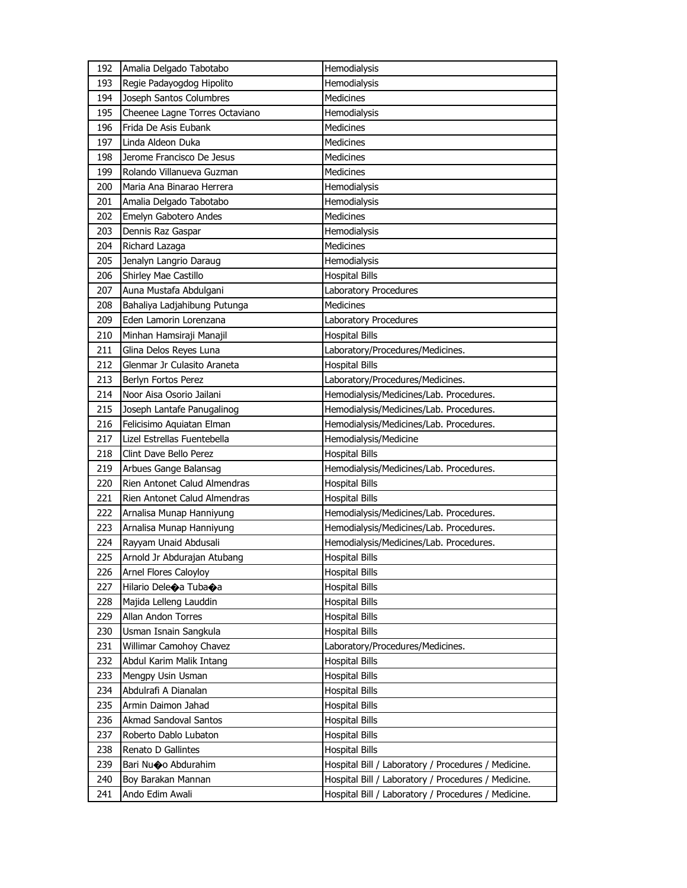| 192 | Amalia Delgado Tabotabo        | Hemodialysis                                        |
|-----|--------------------------------|-----------------------------------------------------|
| 193 | Regie Padayogdog Hipolito      | Hemodialysis                                        |
| 194 | Joseph Santos Columbres        | <b>Medicines</b>                                    |
| 195 | Cheenee Lagne Torres Octaviano | Hemodialysis                                        |
| 196 | Frida De Asis Eubank           | Medicines                                           |
| 197 | Linda Aldeon Duka              | Medicines                                           |
| 198 | Jerome Francisco De Jesus      | <b>Medicines</b>                                    |
| 199 | Rolando Villanueva Guzman      | <b>Medicines</b>                                    |
| 200 | Maria Ana Binarao Herrera      | Hemodialysis                                        |
| 201 | Amalia Delgado Tabotabo        | Hemodialysis                                        |
| 202 | Emelyn Gabotero Andes          | Medicines                                           |
| 203 | Dennis Raz Gaspar              | Hemodialysis                                        |
| 204 | Richard Lazaga                 | <b>Medicines</b>                                    |
| 205 | Jenalyn Langrio Daraug         | Hemodialysis                                        |
| 206 | Shirley Mae Castillo           | <b>Hospital Bills</b>                               |
| 207 | Auna Mustafa Abdulgani         | Laboratory Procedures                               |
| 208 | Bahaliya Ladjahibung Putunga   | Medicines                                           |
| 209 | Eden Lamorin Lorenzana         | Laboratory Procedures                               |
| 210 | Minhan Hamsiraji Manajil       | <b>Hospital Bills</b>                               |
| 211 | Glina Delos Reyes Luna         | Laboratory/Procedures/Medicines.                    |
| 212 | Glenmar Jr Culasito Araneta    | <b>Hospital Bills</b>                               |
| 213 | Berlyn Fortos Perez            | Laboratory/Procedures/Medicines.                    |
| 214 | Noor Aisa Osorio Jailani       | Hemodialysis/Medicines/Lab. Procedures.             |
| 215 | Joseph Lantafe Panugalinog     | Hemodialysis/Medicines/Lab. Procedures.             |
| 216 | Felicisimo Aquiatan Elman      | Hemodialysis/Medicines/Lab. Procedures.             |
|     |                                |                                                     |
| 217 | Lizel Estrellas Fuentebella    | Hemodialysis/Medicine                               |
| 218 | Clint Dave Bello Perez         | <b>Hospital Bills</b>                               |
| 219 | Arbues Gange Balansag          | Hemodialysis/Medicines/Lab. Procedures.             |
| 220 | Rien Antonet Calud Almendras   | <b>Hospital Bills</b>                               |
| 221 | Rien Antonet Calud Almendras   | <b>Hospital Bills</b>                               |
| 222 | Arnalisa Munap Hanniyung       | Hemodialysis/Medicines/Lab. Procedures.             |
| 223 | Arnalisa Munap Hanniyung       | Hemodialysis/Medicines/Lab. Procedures.             |
| 224 | Rayyam Unaid Abdusali          | Hemodialysis/Medicines/Lab. Procedures.             |
| 225 | Arnold Jr Abdurajan Atubang    | <b>Hospital Bills</b>                               |
| 226 | Arnel Flores Caloyloy          | <b>Hospital Bills</b>                               |
| 227 | Hilario Dele�a Tuba�a          | <b>Hospital Bills</b>                               |
| 228 | Majida Lelleng Lauddin         | <b>Hospital Bills</b>                               |
| 229 | Allan Andon Torres             | <b>Hospital Bills</b>                               |
| 230 | Usman Isnain Sangkula          | <b>Hospital Bills</b>                               |
| 231 | Willimar Camohoy Chavez        | Laboratory/Procedures/Medicines.                    |
| 232 | Abdul Karim Malik Intang       | <b>Hospital Bills</b>                               |
| 233 | Mengpy Usin Usman              | <b>Hospital Bills</b>                               |
| 234 | Abdulrafi A Dianalan           | <b>Hospital Bills</b>                               |
| 235 | Armin Daimon Jahad             | <b>Hospital Bills</b>                               |
| 236 | Akmad Sandoval Santos          | <b>Hospital Bills</b>                               |
| 237 | Roberto Dablo Lubaton          | Hospital Bills                                      |
| 238 | Renato D Gallintes             | Hospital Bills                                      |
| 239 | Bari Nu�o Abdurahim            | Hospital Bill / Laboratory / Procedures / Medicine. |
| 240 | Boy Barakan Mannan             | Hospital Bill / Laboratory / Procedures / Medicine. |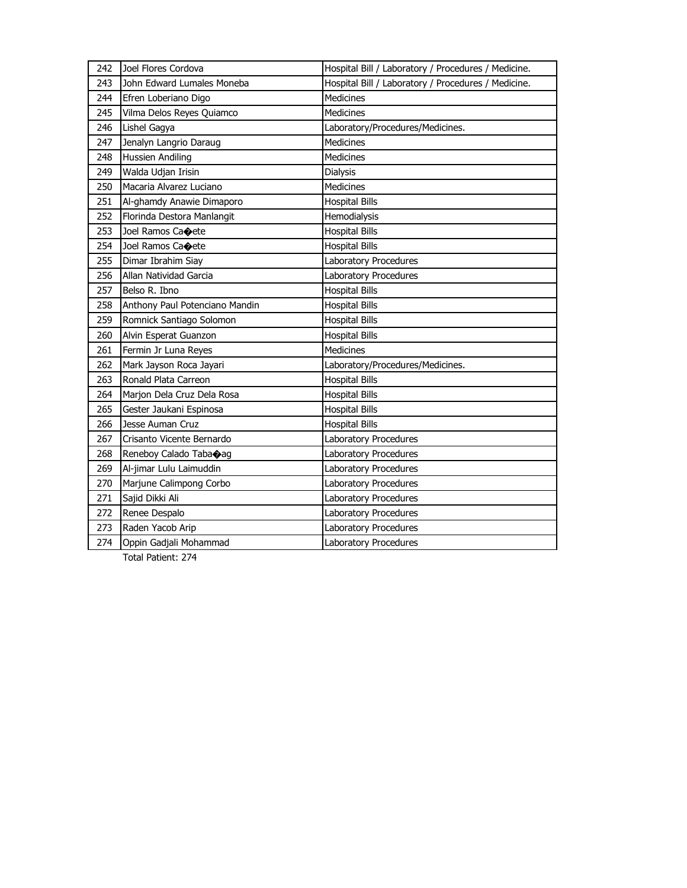| 242 | Joel Flores Cordova            | Hospital Bill / Laboratory / Procedures / Medicine. |
|-----|--------------------------------|-----------------------------------------------------|
| 243 | John Edward Lumales Moneba     | Hospital Bill / Laboratory / Procedures / Medicine. |
| 244 | Efren Loberiano Digo           | Medicines                                           |
| 245 | Vilma Delos Reyes Quiamco      | <b>Medicines</b>                                    |
| 246 | Lishel Gagya                   | Laboratory/Procedures/Medicines.                    |
| 247 | Jenalyn Langrio Daraug         | Medicines                                           |
| 248 | <b>Hussien Andiling</b>        | Medicines                                           |
| 249 | Walda Udjan Irisin             | Dialysis                                            |
| 250 | Macaria Alvarez Luciano        | <b>Medicines</b>                                    |
| 251 | Al-ghamdy Anawie Dimaporo      | <b>Hospital Bills</b>                               |
| 252 | Florinda Destora Manlangit     | Hemodialysis                                        |
| 253 | Joel Ramos Caoete              | <b>Hospital Bills</b>                               |
| 254 | Joel Ramos Caoete              | <b>Hospital Bills</b>                               |
| 255 | Dimar Ibrahim Siay             | Laboratory Procedures                               |
| 256 | Allan Natividad Garcia         | <b>Laboratory Procedures</b>                        |
| 257 | Belso R. Ibno                  | <b>Hospital Bills</b>                               |
| 258 | Anthony Paul Potenciano Mandin | <b>Hospital Bills</b>                               |
| 259 | Romnick Santiago Solomon       | <b>Hospital Bills</b>                               |
| 260 | Alvin Esperat Guanzon          | <b>Hospital Bills</b>                               |
| 261 | Fermin Jr Luna Reyes           | <b>Medicines</b>                                    |
| 262 | Mark Jayson Roca Jayari        | Laboratory/Procedures/Medicines.                    |
| 263 | Ronald Plata Carreon           | <b>Hospital Bills</b>                               |
| 264 | Marjon Dela Cruz Dela Rosa     | <b>Hospital Bills</b>                               |
| 265 | Gester Jaukani Espinosa        | <b>Hospital Bills</b>                               |
| 266 | Jesse Auman Cruz               | <b>Hospital Bills</b>                               |
| 267 | Crisanto Vicente Bernardo      | Laboratory Procedures                               |
| 268 | Reneboy Calado Tabaoag         | Laboratory Procedures                               |
| 269 | Al-jimar Lulu Laimuddin        | Laboratory Procedures                               |
| 270 | Marjune Calimpong Corbo        | Laboratory Procedures                               |
| 271 | Sajid Dikki Ali                | Laboratory Procedures                               |
| 272 | Renee Despalo                  | Laboratory Procedures                               |
| 273 | Raden Yacob Arip               | Laboratory Procedures                               |
| 274 | Oppin Gadjali Mohammad         | Laboratory Procedures                               |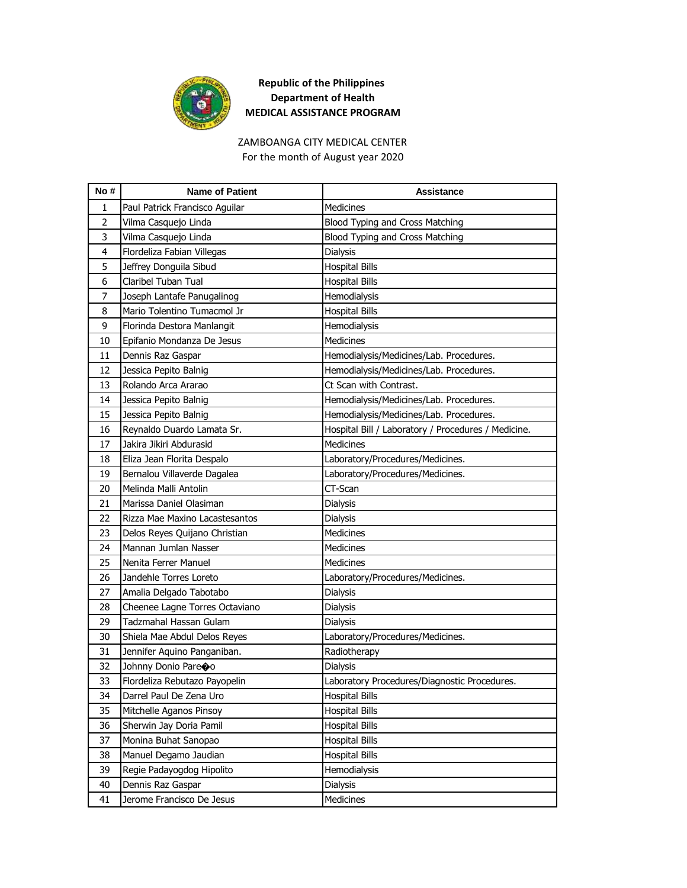

#### ZAMBOANGA CITY MEDICAL CENTER For the month of August year 2020

| No#            | <b>Name of Patient</b>         | Assistance                                          |
|----------------|--------------------------------|-----------------------------------------------------|
| 1              | Paul Patrick Francisco Aguilar | Medicines                                           |
| $\overline{2}$ | Vilma Casquejo Linda           | Blood Typing and Cross Matching                     |
| 3              | Vilma Casquejo Linda           | Blood Typing and Cross Matching                     |
| 4              | Flordeliza Fabian Villegas     | <b>Dialysis</b>                                     |
| 5              | Jeffrey Donguila Sibud         | <b>Hospital Bills</b>                               |
| 6              | Claribel Tuban Tual            | <b>Hospital Bills</b>                               |
| 7              | Joseph Lantafe Panugalinog     | Hemodialysis                                        |
| 8              | Mario Tolentino Tumacmol Jr    | <b>Hospital Bills</b>                               |
| 9              | Florinda Destora Manlangit     | Hemodialysis                                        |
| 10             | Epifanio Mondanza De Jesus     | <b>Medicines</b>                                    |
| 11             | Dennis Raz Gaspar              | Hemodialysis/Medicines/Lab. Procedures.             |
| 12             | Jessica Pepito Balnig          | Hemodialysis/Medicines/Lab. Procedures.             |
| 13             | Rolando Arca Ararao            | Ct Scan with Contrast.                              |
| 14             | Jessica Pepito Balnig          | Hemodialysis/Medicines/Lab. Procedures.             |
| 15             | Jessica Pepito Balnig          | Hemodialysis/Medicines/Lab. Procedures.             |
| 16             | Reynaldo Duardo Lamata Sr.     | Hospital Bill / Laboratory / Procedures / Medicine. |
| 17             | Jakira Jikiri Abdurasid        | Medicines                                           |
| 18             | Eliza Jean Florita Despalo     | Laboratory/Procedures/Medicines.                    |
| 19             | Bernalou Villaverde Dagalea    | Laboratory/Procedures/Medicines.                    |
| 20             | Melinda Malli Antolin          | CT-Scan                                             |
| 21             | Marissa Daniel Olasiman        | Dialysis                                            |
| 22             | Rizza Mae Maxino Lacastesantos | Dialysis                                            |
| 23             | Delos Reyes Quijano Christian  | <b>Medicines</b>                                    |
| 24             | Mannan Jumlan Nasser           | <b>Medicines</b>                                    |
| 25             | Nenita Ferrer Manuel           | Medicines                                           |
| 26             | Jandehle Torres Loreto         | Laboratory/Procedures/Medicines.                    |
| 27             | Amalia Delgado Tabotabo        | <b>Dialysis</b>                                     |
| 28             | Cheenee Lagne Torres Octaviano | Dialysis                                            |
| 29             | Tadzmahal Hassan Gulam         | <b>Dialysis</b>                                     |
| 30             | Shiela Mae Abdul Delos Reyes   | Laboratory/Procedures/Medicines.                    |
| 31             | Jennifer Aquino Panganiban.    | Radiotherapy                                        |
| 32             | Johnny Donio Pareoo            | <b>Dialysis</b>                                     |
| 33             | Flordeliza Rebutazo Payopelin  | Laboratory Procedures/Diagnostic Procedures.        |
| 34             | Darrel Paul De Zena Uro        | <b>Hospital Bills</b>                               |
| 35             | Mitchelle Aganos Pinsoy        | <b>Hospital Bills</b>                               |
| 36             | Sherwin Jay Doria Pamil        | <b>Hospital Bills</b>                               |
| 37             | Monina Buhat Sanopao           | <b>Hospital Bills</b>                               |
| 38             | Manuel Degamo Jaudian          | <b>Hospital Bills</b>                               |
| 39             | Regie Padayogdog Hipolito      | Hemodialysis                                        |
| 40             | Dennis Raz Gaspar              | Dialysis                                            |
| 41             | Jerome Francisco De Jesus      | Medicines                                           |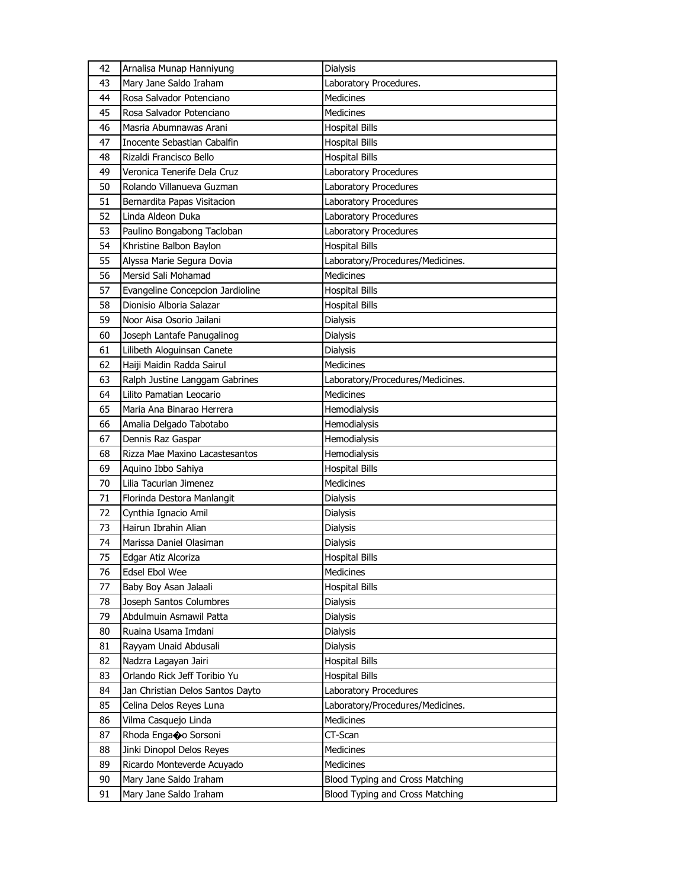| 42 | Arnalisa Munap Hanniyung         | <b>Dialysis</b>                  |
|----|----------------------------------|----------------------------------|
| 43 | Mary Jane Saldo Iraham           | Laboratory Procedures.           |
| 44 | Rosa Salvador Potenciano         | <b>Medicines</b>                 |
| 45 | Rosa Salvador Potenciano         | Medicines                        |
| 46 | Masria Abumnawas Arani           | <b>Hospital Bills</b>            |
| 47 | Inocente Sebastian Cabalfin      | <b>Hospital Bills</b>            |
| 48 | Rizaldi Francisco Bello          | <b>Hospital Bills</b>            |
| 49 | Veronica Tenerife Dela Cruz      | Laboratory Procedures            |
| 50 | Rolando Villanueva Guzman        | Laboratory Procedures            |
| 51 | Bernardita Papas Visitacion      | Laboratory Procedures            |
| 52 | Linda Aldeon Duka                | Laboratory Procedures            |
| 53 | Paulino Bongabong Tacloban       | <b>Laboratory Procedures</b>     |
| 54 | Khristine Balbon Baylon          | <b>Hospital Bills</b>            |
| 55 | Alyssa Marie Segura Dovia        | Laboratory/Procedures/Medicines. |
| 56 | Mersid Sali Mohamad              | <b>Medicines</b>                 |
| 57 | Evangeline Concepcion Jardioline | <b>Hospital Bills</b>            |
| 58 | Dionisio Alboria Salazar         | <b>Hospital Bills</b>            |
| 59 | Noor Aisa Osorio Jailani         | Dialysis                         |
| 60 | Joseph Lantafe Panugalinog       | Dialysis                         |
| 61 | Lilibeth Aloguinsan Canete       | Dialysis                         |
| 62 | Haiji Maidin Radda Sairul        | <b>Medicines</b>                 |
| 63 | Ralph Justine Langgam Gabrines   | Laboratory/Procedures/Medicines. |
| 64 | Lilito Pamatian Leocario         | <b>Medicines</b>                 |
| 65 | Maria Ana Binarao Herrera        | Hemodialysis                     |
| 66 | Amalia Delgado Tabotabo          | Hemodialysis                     |
| 67 | Dennis Raz Gaspar                | Hemodialysis                     |
| 68 | Rizza Mae Maxino Lacastesantos   | Hemodialysis                     |
| 69 | Aquino Ibbo Sahiya               | <b>Hospital Bills</b>            |
| 70 | Lilia Tacurian Jimenez           | Medicines                        |
| 71 | Florinda Destora Manlangit       | Dialysis                         |
| 72 | Cynthia Ignacio Amil             | Dialysis                         |
| 73 | Hairun Ibrahin Alian             | Dialysis                         |
| 74 | Marissa Daniel Olasiman          | Dialysis                         |
| 75 | Edgar Atiz Alcoriza              | <b>Hospital Bills</b>            |
| 76 | Edsel Ebol Wee                   | Medicines                        |
| 77 | Baby Boy Asan Jalaali            | <b>Hospital Bills</b>            |
| 78 | Joseph Santos Columbres          | <b>Dialysis</b>                  |
| 79 | Abdulmuin Asmawil Patta          | Dialysis                         |
| 80 | Ruaina Usama Imdani              | Dialysis                         |
| 81 | Rayyam Unaid Abdusali            | Dialysis                         |
| 82 | Nadzra Lagayan Jairi             | <b>Hospital Bills</b>            |
| 83 | Orlando Rick Jeff Toribio Yu     | <b>Hospital Bills</b>            |
| 84 | Jan Christian Delos Santos Dayto | Laboratory Procedures            |
| 85 | Celina Delos Reyes Luna          | Laboratory/Procedures/Medicines. |
| 86 | Vilma Casquejo Linda             | Medicines                        |
| 87 | Rhoda Enga�o Sorsoni             | CT-Scan                          |
| 88 | Jinki Dinopol Delos Reyes        | Medicines                        |
| 89 | Ricardo Monteverde Acuyado       | Medicines                        |
| 90 | Mary Jane Saldo Iraham           | Blood Typing and Cross Matching  |
| 91 | Mary Jane Saldo Iraham           | Blood Typing and Cross Matching  |
|    |                                  |                                  |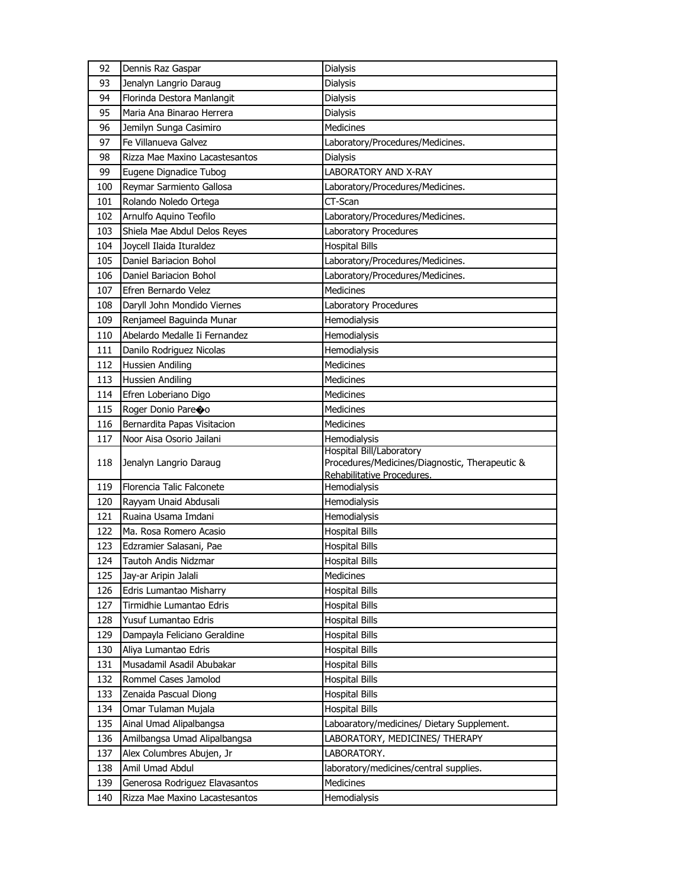| 92         | Dennis Raz Gaspar                                                | Dialysis                                       |
|------------|------------------------------------------------------------------|------------------------------------------------|
| 93         | Jenalyn Langrio Daraug                                           | <b>Dialysis</b>                                |
| 94         | Florinda Destora Manlangit                                       | Dialysis                                       |
| 95         | Maria Ana Binarao Herrera                                        | <b>Dialysis</b>                                |
| 96         | Jemilyn Sunga Casimiro                                           | <b>Medicines</b>                               |
| 97         | Fe Villanueva Galvez                                             | Laboratory/Procedures/Medicines.               |
| 98         | Rizza Mae Maxino Lacastesantos                                   | <b>Dialysis</b>                                |
| 99         | Eugene Dignadice Tubog                                           | <b>LABORATORY AND X-RAY</b>                    |
| 100        | Reymar Sarmiento Gallosa                                         | Laboratory/Procedures/Medicines.               |
| 101        | Rolando Noledo Ortega                                            | CT-Scan                                        |
| 102        | Arnulfo Aquino Teofilo                                           | Laboratory/Procedures/Medicines.               |
| 103        | Shiela Mae Abdul Delos Reyes                                     | Laboratory Procedures                          |
| 104        | Joycell Ilaida Ituraldez                                         | <b>Hospital Bills</b>                          |
| 105        | Daniel Bariacion Bohol                                           | Laboratory/Procedures/Medicines.               |
| 106        | Daniel Bariacion Bohol                                           | Laboratory/Procedures/Medicines.               |
| 107        | Efren Bernardo Velez                                             | Medicines                                      |
| 108        | Daryll John Mondido Viernes                                      | Laboratory Procedures                          |
| 109        | Renjameel Baguinda Munar                                         | Hemodialysis                                   |
| 110        | Abelardo Medalle Ii Fernandez                                    | Hemodialysis                                   |
| 111        | Danilo Rodriguez Nicolas                                         | Hemodialysis                                   |
| 112        | Hussien Andiling                                                 | <b>Medicines</b>                               |
| 113        | Hussien Andiling                                                 | <b>Medicines</b>                               |
| 114        | Efren Loberiano Digo                                             | <b>Medicines</b>                               |
| 115        | Roger Donio Pareoo                                               | <b>Medicines</b>                               |
| 116        | Bernardita Papas Visitacion                                      | Medicines                                      |
| 117        | Noor Aisa Osorio Jailani                                         | Hemodialysis                                   |
|            |                                                                  |                                                |
|            |                                                                  | Hospital Bill/Laboratory                       |
| 118        | Jenalyn Langrio Daraug                                           | Procedures/Medicines/Diagnostic, Therapeutic & |
|            |                                                                  | Rehabilitative Procedures.                     |
| 119        | Florencia Talic Falconete                                        | Hemodialysis                                   |
| 120        | Rayyam Unaid Abdusali                                            | Hemodialysis                                   |
| 121        | Ruaina Usama Imdani                                              | Hemodialysis                                   |
| 122        | Ma. Rosa Romero Acasio                                           | <b>Hospital Bills</b>                          |
| 123        | Edzramier Salasani, Pae                                          | <b>Hospital Bills</b>                          |
| 124        | Tautoh Andis Nidzmar                                             | <b>Hospital Bills</b>                          |
| 125        | Jay-ar Aripin Jalali                                             | Medicines                                      |
| 126        | Edris Lumantao Misharry                                          | <b>Hospital Bills</b>                          |
| 127        | Tirmidhie Lumantao Edris                                         | <b>Hospital Bills</b>                          |
| 128        | Yusuf Lumantao Edris                                             | <b>Hospital Bills</b>                          |
| 129        | Dampayla Feliciano Geraldine                                     | <b>Hospital Bills</b>                          |
| 130        | Aliya Lumantao Edris                                             | <b>Hospital Bills</b>                          |
| 131        | Musadamil Asadil Abubakar                                        | <b>Hospital Bills</b>                          |
| 132        | Rommel Cases Jamolod                                             | <b>Hospital Bills</b>                          |
| 133        | Zenaida Pascual Diong                                            | <b>Hospital Bills</b>                          |
| 134        | Omar Tulaman Mujala                                              | <b>Hospital Bills</b>                          |
| 135        | Ainal Umad Alipalbangsa                                          | Laboaratory/medicines/ Dietary Supplement.     |
| 136        | Amilbangsa Umad Alipalbangsa                                     | LABORATORY, MEDICINES/ THERAPY                 |
| 137        | Alex Columbres Abujen, Jr                                        | LABORATORY.                                    |
| 138        | Amil Umad Abdul                                                  | laboratory/medicines/central supplies.         |
| 139<br>140 | Generosa Rodriguez Elavasantos<br>Rizza Mae Maxino Lacastesantos | Medicines<br>Hemodialysis                      |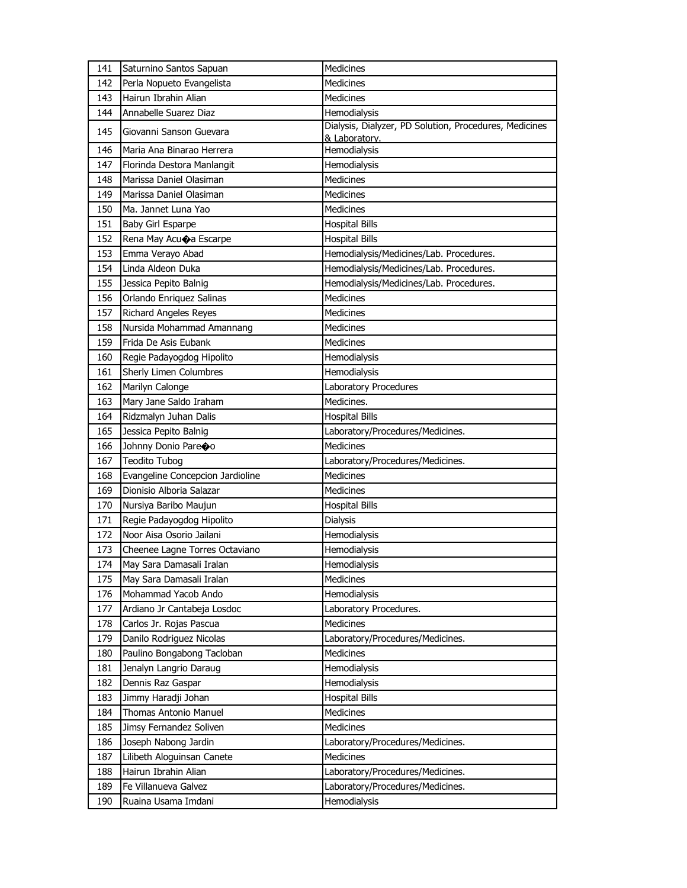| 141 | Saturnino Santos Sapuan          | Medicines                                                               |
|-----|----------------------------------|-------------------------------------------------------------------------|
| 142 | Perla Nopueto Evangelista        | Medicines                                                               |
| 143 | Hairun Ibrahin Alian             | <b>Medicines</b>                                                        |
| 144 | Annabelle Suarez Diaz            | Hemodialysis                                                            |
| 145 | Giovanni Sanson Guevara          | Dialysis, Dialyzer, PD Solution, Procedures, Medicines<br>& Laboratory. |
| 146 | Maria Ana Binarao Herrera        | Hemodialysis                                                            |
| 147 | Florinda Destora Manlangit       | Hemodialysis                                                            |
| 148 | Marissa Daniel Olasiman          | <b>Medicines</b>                                                        |
| 149 | Marissa Daniel Olasiman          | <b>Medicines</b>                                                        |
| 150 | Ma. Jannet Luna Yao              | <b>Medicines</b>                                                        |
| 151 | Baby Girl Esparpe                | <b>Hospital Bills</b>                                                   |
| 152 | Rena May Acuoa Escarpe           | <b>Hospital Bills</b>                                                   |
| 153 | Emma Verayo Abad                 | Hemodialysis/Medicines/Lab. Procedures.                                 |
| 154 | Linda Aldeon Duka                | Hemodialysis/Medicines/Lab. Procedures.                                 |
| 155 | Jessica Pepito Balnig            | Hemodialysis/Medicines/Lab. Procedures.                                 |
| 156 | Orlando Enriquez Salinas         | <b>Medicines</b>                                                        |
| 157 | <b>Richard Angeles Reyes</b>     | Medicines                                                               |
| 158 | Nursida Mohammad Amannang        | Medicines                                                               |
| 159 | Frida De Asis Eubank             | Medicines                                                               |
| 160 | Regie Padayogdog Hipolito        | Hemodialysis                                                            |
| 161 | Sherly Limen Columbres           | Hemodialysis                                                            |
| 162 | Marilyn Calonge                  | Laboratory Procedures                                                   |
| 163 | Mary Jane Saldo Iraham           | Medicines.                                                              |
| 164 | Ridzmalyn Juhan Dalis            | <b>Hospital Bills</b>                                                   |
| 165 | Jessica Pepito Balnig            | Laboratory/Procedures/Medicines.                                        |
| 166 | Johnny Donio Pareoo              | <b>Medicines</b>                                                        |
| 167 | <b>Teodito Tubog</b>             | Laboratory/Procedures/Medicines.                                        |
| 168 | Evangeline Concepcion Jardioline | Medicines                                                               |
| 169 | Dionisio Alboria Salazar         | <b>Medicines</b>                                                        |
| 170 | Nursiya Baribo Maujun            | <b>Hospital Bills</b>                                                   |
| 171 | Regie Padayogdog Hipolito        | <b>Dialysis</b>                                                         |
| 172 | Noor Aisa Osorio Jailani         | Hemodialysis                                                            |
| 173 | Cheenee Lagne Torres Octaviano   | Hemodialysis                                                            |
| 174 | May Sara Damasali Iralan         | Hemodialysis                                                            |
| 175 | May Sara Damasali Iralan         | Medicines                                                               |
| 176 | Mohammad Yacob Ando              | Hemodialysis                                                            |
| 177 | Ardiano Jr Cantabeja Losdoc      | Laboratory Procedures.                                                  |
| 178 | Carlos Jr. Rojas Pascua          | Medicines                                                               |
| 179 | Danilo Rodriguez Nicolas         | Laboratory/Procedures/Medicines.                                        |
| 180 | Paulino Bongabong Tacloban       | Medicines                                                               |
| 181 | Jenalyn Langrio Daraug           | Hemodialysis                                                            |
| 182 | Dennis Raz Gaspar                | Hemodialysis                                                            |
| 183 | Jimmy Haradji Johan              | <b>Hospital Bills</b>                                                   |
| 184 | <b>Thomas Antonio Manuel</b>     | Medicines                                                               |
| 185 | Jimsy Fernandez Soliven          | Medicines                                                               |
| 186 | Joseph Nabong Jardin             | Laboratory/Procedures/Medicines.                                        |
| 187 | Lilibeth Aloguinsan Canete       | Medicines                                                               |
| 188 | Hairun Ibrahin Alian             | Laboratory/Procedures/Medicines.                                        |
| 189 | Fe Villanueva Galvez             | Laboratory/Procedures/Medicines.                                        |
| 190 | Ruaina Usama Imdani              | Hemodialysis                                                            |
|     |                                  |                                                                         |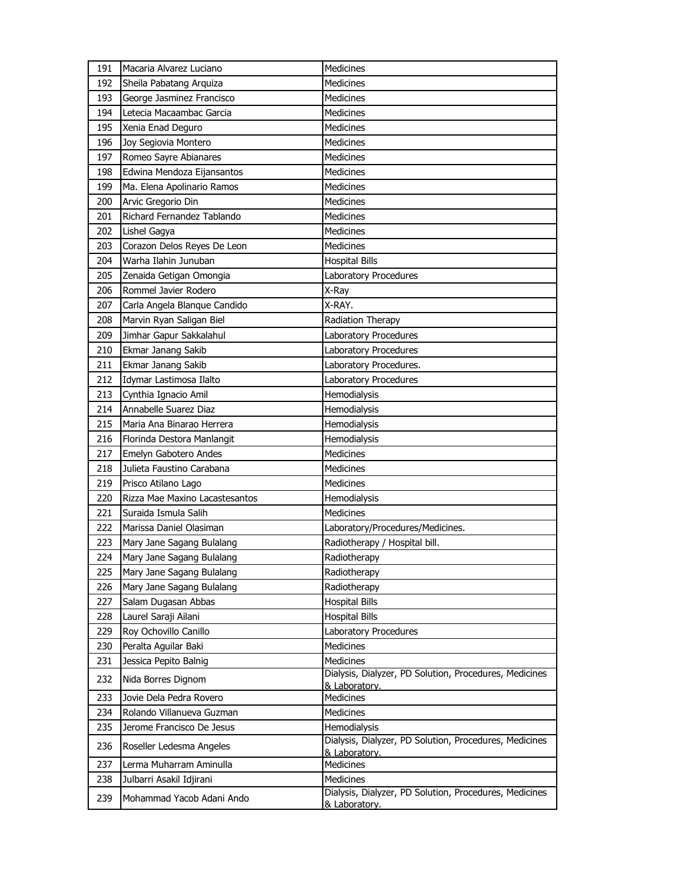| 191 | Macaria Alvarez Luciano        | Medicines                                                               |
|-----|--------------------------------|-------------------------------------------------------------------------|
| 192 | Sheila Pabatang Arguiza        | Medicines                                                               |
| 193 | George Jasminez Francisco      | <b>Medicines</b>                                                        |
| 194 | Letecia Macaambac Garcia       | Medicines                                                               |
| 195 | Xenia Enad Deguro              | Medicines                                                               |
| 196 | Joy Segiovia Montero           | Medicines                                                               |
| 197 | Romeo Sayre Abianares          | Medicines                                                               |
| 198 | Edwina Mendoza Eijansantos     | <b>Medicines</b>                                                        |
| 199 | Ma. Elena Apolinario Ramos     | <b>Medicines</b>                                                        |
| 200 | Arvic Gregorio Din             | Medicines                                                               |
| 201 | Richard Fernandez Tablando     | <b>Medicines</b>                                                        |
| 202 | Lishel Gagya                   | Medicines                                                               |
| 203 | Corazon Delos Reyes De Leon    | <b>Medicines</b>                                                        |
| 204 | Warha Ilahin Junuban           | <b>Hospital Bills</b>                                                   |
| 205 | Zenaida Getigan Omongia        | Laboratory Procedures                                                   |
| 206 | Rommel Javier Rodero           | X-Ray                                                                   |
| 207 | Carla Angela Blanque Candido   | X-RAY.                                                                  |
| 208 | Marvin Ryan Saligan Biel       | Radiation Therapy                                                       |
| 209 | Jimhar Gapur Sakkalahul        | Laboratory Procedures                                                   |
| 210 | Ekmar Janang Sakib             | Laboratory Procedures                                                   |
| 211 | Ekmar Janang Sakib             | Laboratory Procedures.                                                  |
| 212 | Idymar Lastimosa Ilalto        | Laboratory Procedures                                                   |
| 213 | Cynthia Ignacio Amil           | Hemodialysis                                                            |
| 214 | Annabelle Suarez Diaz          | Hemodialysis                                                            |
| 215 | Maria Ana Binarao Herrera      | Hemodialysis                                                            |
| 216 | Florinda Destora Manlangit     | Hemodialysis                                                            |
| 217 | Emelyn Gabotero Andes          | Medicines                                                               |
| 218 | Julieta Faustino Carabana      | <b>Medicines</b>                                                        |
| 219 | Prisco Atilano Lago            | <b>Medicines</b>                                                        |
| 220 | Rizza Mae Maxino Lacastesantos | Hemodialysis                                                            |
| 221 | Suraida Ismula Salih           | Medicines                                                               |
| 222 | Marissa Daniel Olasiman        | Laboratory/Procedures/Medicines.                                        |
| 223 | Mary Jane Sagang Bulalang      | Radiotherapy / Hospital bill.                                           |
| 224 | Mary Jane Sagang Bulalang      | Radiotherapv                                                            |
| 225 | Mary Jane Sagang Bulalang      | Radiotherapy                                                            |
| 226 | Mary Jane Sagang Bulalang      | Radiotherapy                                                            |
| 227 | Salam Dugasan Abbas            | <b>Hospital Bills</b>                                                   |
| 228 | Laurel Saraji Ailani           | <b>Hospital Bills</b>                                                   |
| 229 | Roy Ochovillo Canillo          | Laboratory Procedures                                                   |
| 230 | Peralta Aguilar Baki           | <b>Medicines</b>                                                        |
| 231 | Jessica Pepito Balnig          | Medicines                                                               |
| 232 | Nida Borres Dignom             | Dialysis, Dialyzer, PD Solution, Procedures, Medicines<br>& Laboratory. |
| 233 | Jovie Dela Pedra Rovero        | Medicines                                                               |
| 234 | Rolando Villanueva Guzman      | <b>Medicines</b>                                                        |
| 235 | Jerome Francisco De Jesus      | Hemodialysis                                                            |
| 236 | Roseller Ledesma Angeles       | Dialysis, Dialyzer, PD Solution, Procedures, Medicines<br>& Laboratory. |
| 237 | Lerma Muharram Aminulla        | Medicines                                                               |
| 238 | Julbarri Asakil Idjirani       | <b>Medicines</b>                                                        |
| 239 | Mohammad Yacob Adani Ando      | Dialysis, Dialyzer, PD Solution, Procedures, Medicines<br>& Laboratory. |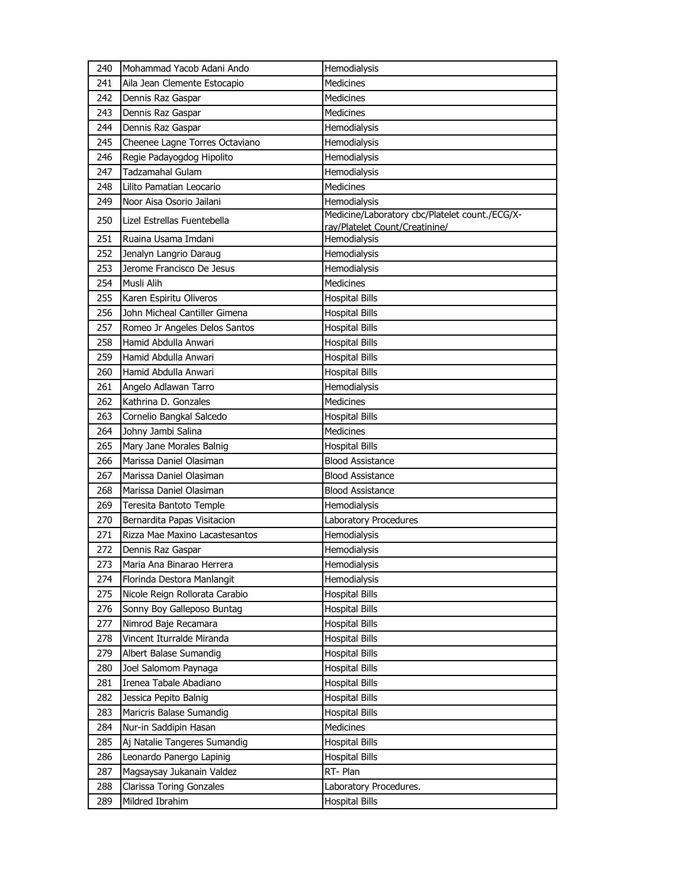| 240 | Mohammad Yacob Adani Ando      | Hemodialysis                                                                     |
|-----|--------------------------------|----------------------------------------------------------------------------------|
| 241 | Aila Jean Clemente Estocapio   | <b>Medicines</b>                                                                 |
| 242 | Dennis Raz Gaspar              | <b>Medicines</b>                                                                 |
| 243 | Dennis Raz Gaspar              | <b>Medicines</b>                                                                 |
| 244 | Dennis Raz Gaspar              | Hemodialysis                                                                     |
| 245 | Cheenee Lagne Torres Octaviano | Hemodialysis                                                                     |
| 246 | Regie Padayogdog Hipolito      | Hemodialysis                                                                     |
| 247 | <b>Tadzamahal Gulam</b>        | Hemodialysis                                                                     |
| 248 | Lilito Pamatian Leocario       | <b>Medicines</b>                                                                 |
| 249 | Noor Aisa Osorio Jailani       | Hemodialysis                                                                     |
| 250 | Lizel Estrellas Fuentebella    | Medicine/Laboratory cbc/Platelet count./ECG/X-<br>ray/Platelet Count/Creatinine/ |
| 251 | Ruaina Usama Imdani            | Hemodialysis                                                                     |
| 252 | Jenalyn Langrio Daraug         | Hemodialysis                                                                     |
| 253 | Jerome Francisco De Jesus      | Hemodialysis                                                                     |
| 254 | Musli Alih                     | Medicines                                                                        |
| 255 | Karen Espiritu Oliveros        | <b>Hospital Bills</b>                                                            |
| 256 | John Micheal Cantiller Gimena  | <b>Hospital Bills</b>                                                            |
| 257 | Romeo Jr Angeles Delos Santos  | <b>Hospital Bills</b>                                                            |
| 258 | Hamid Abdulla Anwari           | <b>Hospital Bills</b>                                                            |
| 259 | Hamid Abdulla Anwari           | <b>Hospital Bills</b>                                                            |
| 260 | Hamid Abdulla Anwari           | <b>Hospital Bills</b>                                                            |
| 261 | Angelo Adlawan Tarro           | Hemodialysis                                                                     |
| 262 | Kathrina D. Gonzales           | <b>Medicines</b>                                                                 |
| 263 | Cornelio Bangkal Salcedo       | <b>Hospital Bills</b>                                                            |
| 264 | Johny Jambi Salina             | Medicines                                                                        |
| 265 | Mary Jane Morales Balnig       | <b>Hospital Bills</b>                                                            |
| 266 | Marissa Daniel Olasiman        | <b>Blood Assistance</b>                                                          |
| 267 | Marissa Daniel Olasiman        | <b>Blood Assistance</b>                                                          |
| 268 | Marissa Daniel Olasiman        | <b>Blood Assistance</b>                                                          |
| 269 | Teresita Bantoto Temple        | Hemodialysis                                                                     |
| 270 | Bernardita Papas Visitacion    | Laboratory Procedures                                                            |
| 271 | Rizza Mae Maxino Lacastesantos | Hemodialysis                                                                     |
| 272 | Dennis Raz Gaspar              | Hemodialysis                                                                     |
| 273 | Maria Ana Binarao Herrera      | Hemodialysis                                                                     |
| 274 | Florinda Destora Manlangit     | Hemodialysis                                                                     |
| 275 | Nicole Reign Rollorata Carabio | <b>Hospital Bills</b>                                                            |
| 276 | Sonny Boy Galleposo Buntag     | <b>Hospital Bills</b>                                                            |
| 277 | Nimrod Baje Recamara           | <b>Hospital Bills</b>                                                            |
| 278 | Vincent Iturralde Miranda      | <b>Hospital Bills</b>                                                            |
| 279 | Albert Balase Sumandig         | <b>Hospital Bills</b>                                                            |
| 280 | Joel Salomom Paynaga           | <b>Hospital Bills</b>                                                            |
| 281 | Irenea Tabale Abadiano         | <b>Hospital Bills</b>                                                            |
| 282 | Jessica Pepito Balnig          | <b>Hospital Bills</b>                                                            |
| 283 | Maricris Balase Sumandig       | <b>Hospital Bills</b>                                                            |
| 284 | Nur-in Saddipin Hasan          | Medicines                                                                        |
| 285 | Aj Natalie Tangeres Sumandig   | <b>Hospital Bills</b>                                                            |
| 286 | Leonardo Panergo Lapinig       | <b>Hospital Bills</b>                                                            |
| 287 | Magsaysay Jukanain Valdez      | RT-Plan                                                                          |
| 288 | Clarissa Toring Gonzales       | Laboratory Procedures.                                                           |
| 289 | Mildred Ibrahim                | <b>Hospital Bills</b>                                                            |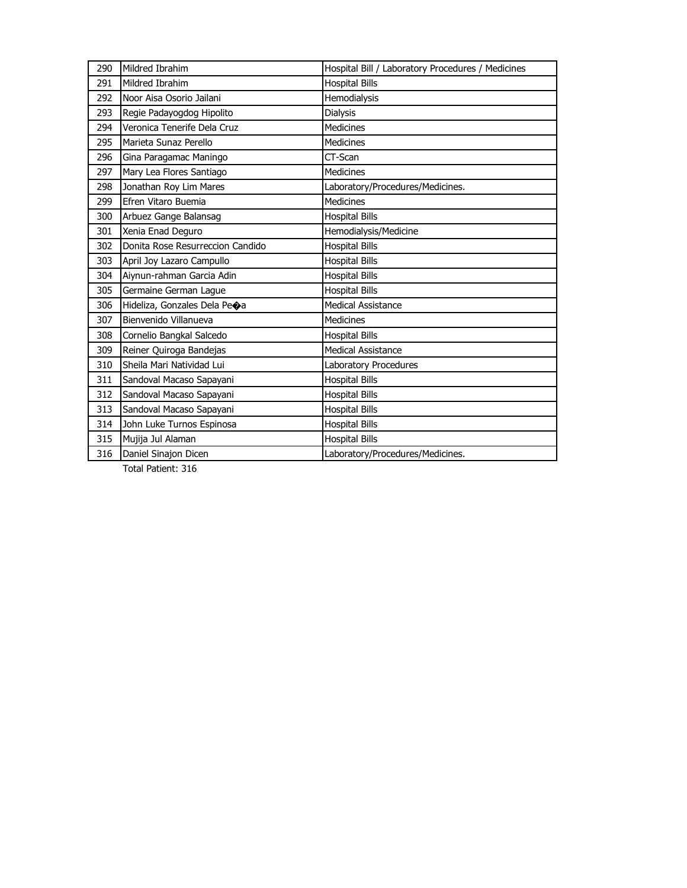| 290 | Mildred Ibrahim                  | Hospital Bill / Laboratory Procedures / Medicines |
|-----|----------------------------------|---------------------------------------------------|
| 291 | Mildred Ibrahim                  | <b>Hospital Bills</b>                             |
| 292 | Noor Aisa Osorio Jailani         | Hemodialysis                                      |
| 293 | Regie Padayogdog Hipolito        | <b>Dialysis</b>                                   |
| 294 | Veronica Tenerife Dela Cruz      | <b>Medicines</b>                                  |
| 295 | Marieta Sunaz Perello            | <b>Medicines</b>                                  |
| 296 | Gina Paragamac Maningo           | CT-Scan                                           |
| 297 | Mary Lea Flores Santiago         | <b>Medicines</b>                                  |
| 298 | Jonathan Roy Lim Mares           | Laboratory/Procedures/Medicines.                  |
| 299 | Efren Vitaro Buemia              | <b>Medicines</b>                                  |
| 300 | Arbuez Gange Balansag            | <b>Hospital Bills</b>                             |
| 301 | Xenia Enad Deguro                | Hemodialysis/Medicine                             |
| 302 | Donita Rose Resurreccion Candido | <b>Hospital Bills</b>                             |
| 303 | April Joy Lazaro Campullo        | <b>Hospital Bills</b>                             |
| 304 | Aiynun-rahman Garcia Adin        | <b>Hospital Bills</b>                             |
| 305 | Germaine German Lague            | <b>Hospital Bills</b>                             |
| 306 | Hideliza, Gonzales Dela Peoa     | <b>Medical Assistance</b>                         |
| 307 | Bienvenido Villanueva            | Medicines                                         |
| 308 | Cornelio Bangkal Salcedo         | <b>Hospital Bills</b>                             |
| 309 | Reiner Quiroga Bandejas          | Medical Assistance                                |
| 310 | Sheila Mari Natividad Lui        | Laboratory Procedures                             |
| 311 | Sandoval Macaso Sapayani         | <b>Hospital Bills</b>                             |
| 312 | Sandoval Macaso Sapayani         | <b>Hospital Bills</b>                             |
| 313 | Sandoval Macaso Sapayani         | <b>Hospital Bills</b>                             |
| 314 | John Luke Turnos Espinosa        | <b>Hospital Bills</b>                             |
| 315 | Mujija Jul Alaman                | <b>Hospital Bills</b>                             |
| 316 | Daniel Sinajon Dicen             | Laboratory/Procedures/Medicines.                  |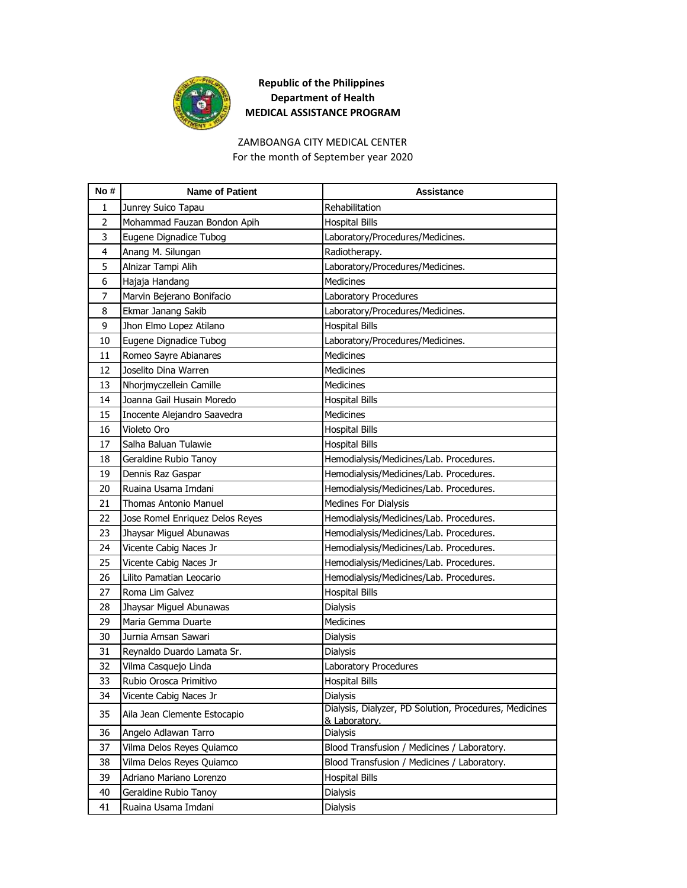

#### ZAMBOANGA CITY MEDICAL CENTER For the month of September year 2020

| No#            | <b>Name of Patient</b>          | <b>Assistance</b>                                                       |
|----------------|---------------------------------|-------------------------------------------------------------------------|
| 1              | Junrey Suico Tapau              | Rehabilitation                                                          |
| $\overline{2}$ | Mohammad Fauzan Bondon Apih     | <b>Hospital Bills</b>                                                   |
| 3              | Eugene Dignadice Tubog          | Laboratory/Procedures/Medicines.                                        |
| 4              | Anang M. Silungan               | Radiotherapy.                                                           |
| 5              | Alnizar Tampi Alih              | Laboratory/Procedures/Medicines.                                        |
| 6              | Hajaja Handang                  | <b>Medicines</b>                                                        |
| 7              | Marvin Bejerano Bonifacio       | Laboratory Procedures                                                   |
| 8              | Ekmar Janang Sakib              | Laboratory/Procedures/Medicines.                                        |
| 9              | Jhon Elmo Lopez Atilano         | <b>Hospital Bills</b>                                                   |
| 10             | Eugene Dignadice Tubog          | Laboratory/Procedures/Medicines.                                        |
| 11             | Romeo Sayre Abianares           | Medicines                                                               |
| 12             | Joselito Dina Warren            | <b>Medicines</b>                                                        |
| 13             | Nhorjmyczellein Camille         | <b>Medicines</b>                                                        |
| 14             | Joanna Gail Husain Moredo       | <b>Hospital Bills</b>                                                   |
| 15             | Inocente Alejandro Saavedra     | Medicines                                                               |
| 16             | Violeto Oro                     | <b>Hospital Bills</b>                                                   |
| 17             | Salha Baluan Tulawie            | <b>Hospital Bills</b>                                                   |
| 18             | Geraldine Rubio Tanoy           | Hemodialysis/Medicines/Lab. Procedures.                                 |
| 19             | Dennis Raz Gaspar               | Hemodialysis/Medicines/Lab. Procedures.                                 |
| 20             | Ruaina Usama Imdani             | Hemodialysis/Medicines/Lab. Procedures.                                 |
| 21             | <b>Thomas Antonio Manuel</b>    | Medines For Dialysis                                                    |
| 22             | Jose Romel Enriquez Delos Reyes | Hemodialysis/Medicines/Lab. Procedures.                                 |
| 23             | Jhaysar Miguel Abunawas         | Hemodialysis/Medicines/Lab. Procedures.                                 |
| 24             | Vicente Cabig Naces Jr          | Hemodialysis/Medicines/Lab. Procedures.                                 |
| 25             | Vicente Cabig Naces Jr          | Hemodialysis/Medicines/Lab. Procedures.                                 |
| 26             | Lilito Pamatian Leocario        | Hemodialysis/Medicines/Lab. Procedures.                                 |
| 27             | Roma Lim Galvez                 | <b>Hospital Bills</b>                                                   |
| 28             | Jhaysar Miguel Abunawas         | <b>Dialysis</b>                                                         |
| 29             | Maria Gemma Duarte              | <b>Medicines</b>                                                        |
| 30             | Jurnia Amsan Sawari             | Dialysis                                                                |
| 31             | Reynaldo Duardo Lamata Sr.      | <b>Dialysis</b>                                                         |
| 32             | Vilma Casquejo Linda            | Laboratory Procedures                                                   |
| 33             | Rubio Orosca Primitivo          | <b>Hospital Bills</b>                                                   |
| 34             | Vicente Cabig Naces Jr          | Dialysis                                                                |
| 35             | Aila Jean Clemente Estocapio    | Dialysis, Dialyzer, PD Solution, Procedures, Medicines<br>& Laboratory. |
| 36             | Angelo Adlawan Tarro            | Dialysis                                                                |
| 37             | Vilma Delos Reyes Quiamco       | Blood Transfusion / Medicines / Laboratory.                             |
| 38             | Vilma Delos Reyes Quiamco       | Blood Transfusion / Medicines / Laboratory.                             |
| 39             | Adriano Mariano Lorenzo         | <b>Hospital Bills</b>                                                   |
| 40             | Geraldine Rubio Tanoy           | Dialysis                                                                |
| 41             | Ruaina Usama Imdani             | Dialysis                                                                |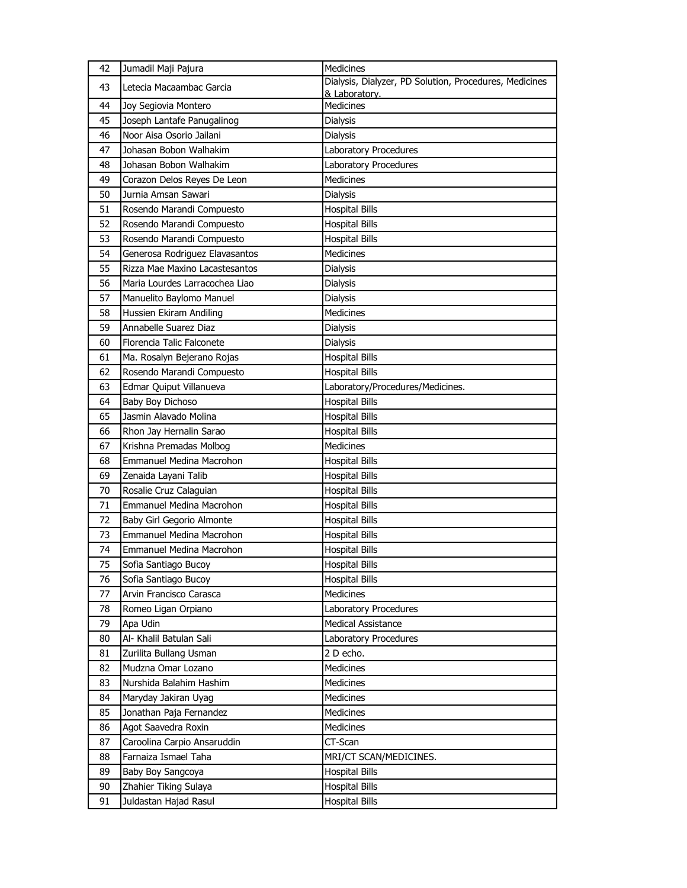| 42 | Jumadil Maji Pajura             | Medicines                                                               |
|----|---------------------------------|-------------------------------------------------------------------------|
| 43 | Letecia Macaambac Garcia        | Dialysis, Dialyzer, PD Solution, Procedures, Medicines<br>& Laboratory. |
| 44 | Joy Segiovia Montero            | Medicines                                                               |
| 45 | Joseph Lantafe Panugalinog      | Dialysis                                                                |
| 46 | Noor Aisa Osorio Jailani        | <b>Dialysis</b>                                                         |
| 47 | Johasan Bobon Walhakim          | Laboratory Procedures                                                   |
| 48 | Johasan Bobon Walhakim          | Laboratory Procedures                                                   |
| 49 | Corazon Delos Reyes De Leon     | <b>Medicines</b>                                                        |
| 50 | Jurnia Amsan Sawari             | <b>Dialysis</b>                                                         |
| 51 | Rosendo Marandi Compuesto       | <b>Hospital Bills</b>                                                   |
| 52 | Rosendo Marandi Compuesto       | <b>Hospital Bills</b>                                                   |
| 53 | Rosendo Marandi Compuesto       | <b>Hospital Bills</b>                                                   |
| 54 | Generosa Rodriguez Elavasantos  | <b>Medicines</b>                                                        |
| 55 | Rizza Mae Maxino Lacastesantos  | <b>Dialysis</b>                                                         |
| 56 | Maria Lourdes Larracochea Liao  | <b>Dialysis</b>                                                         |
| 57 | Manuelito Baylomo Manuel        | Dialysis                                                                |
| 58 | Hussien Ekiram Andiling         | <b>Medicines</b>                                                        |
| 59 | Annabelle Suarez Diaz           | <b>Dialysis</b>                                                         |
| 60 | Florencia Talic Falconete       | <b>Dialysis</b>                                                         |
| 61 | Ma. Rosalyn Bejerano Rojas      | <b>Hospital Bills</b>                                                   |
| 62 | Rosendo Marandi Compuesto       | <b>Hospital Bills</b>                                                   |
| 63 | Edmar Quiput Villanueva         | Laboratory/Procedures/Medicines.                                        |
| 64 | Baby Boy Dichoso                | <b>Hospital Bills</b>                                                   |
| 65 | Jasmin Alavado Molina           | <b>Hospital Bills</b>                                                   |
| 66 | Rhon Jay Hernalin Sarao         | <b>Hospital Bills</b>                                                   |
| 67 | Krishna Premadas Molbog         | Medicines                                                               |
| 68 | <b>Emmanuel Medina Macrohon</b> | <b>Hospital Bills</b>                                                   |
| 69 | Zenaida Layani Talib            | <b>Hospital Bills</b>                                                   |
| 70 | Rosalie Cruz Calaguian          | <b>Hospital Bills</b>                                                   |
| 71 | <b>Emmanuel Medina Macrohon</b> | <b>Hospital Bills</b>                                                   |
| 72 | Baby Girl Gegorio Almonte       | <b>Hospital Bills</b>                                                   |
| 73 | Emmanuel Medina Macrohon        | <b>Hospital Bills</b>                                                   |
| 74 | Emmanuel Medina Macrohon        | <b>Hospital Bills</b>                                                   |
| 75 | Sofia Santiago Bucoy            | <b>Hospital Bills</b>                                                   |
| 76 | Sofia Santiago Bucoy            | <b>Hospital Bills</b>                                                   |
| 77 | Arvin Francisco Carasca         | Medicines                                                               |
| 78 | Romeo Ligan Orpiano             | Laboratory Procedures                                                   |
| 79 | Apa Udin                        | <b>Medical Assistance</b>                                               |
| 80 | Al- Khalil Batulan Sali         | Laboratory Procedures                                                   |
| 81 | Zurilita Bullang Usman          | 2 D echo.                                                               |
| 82 | Mudzna Omar Lozano              | Medicines                                                               |
| 83 | Nurshida Balahim Hashim         | Medicines                                                               |
| 84 | Maryday Jakiran Uyag            | Medicines                                                               |
| 85 | Jonathan Paja Fernandez         | Medicines                                                               |
| 86 | Agot Saavedra Roxin             | <b>Medicines</b>                                                        |
| 87 | Caroolina Carpio Ansaruddin     | CT-Scan                                                                 |
| 88 | Farnaiza Ismael Taha            | MRI/CT SCAN/MEDICINES.                                                  |
| 89 | Baby Boy Sangcoya               | <b>Hospital Bills</b>                                                   |
| 90 | Zhahier Tiking Sulaya           | <b>Hospital Bills</b>                                                   |
| 91 | Juldastan Hajad Rasul           | <b>Hospital Bills</b>                                                   |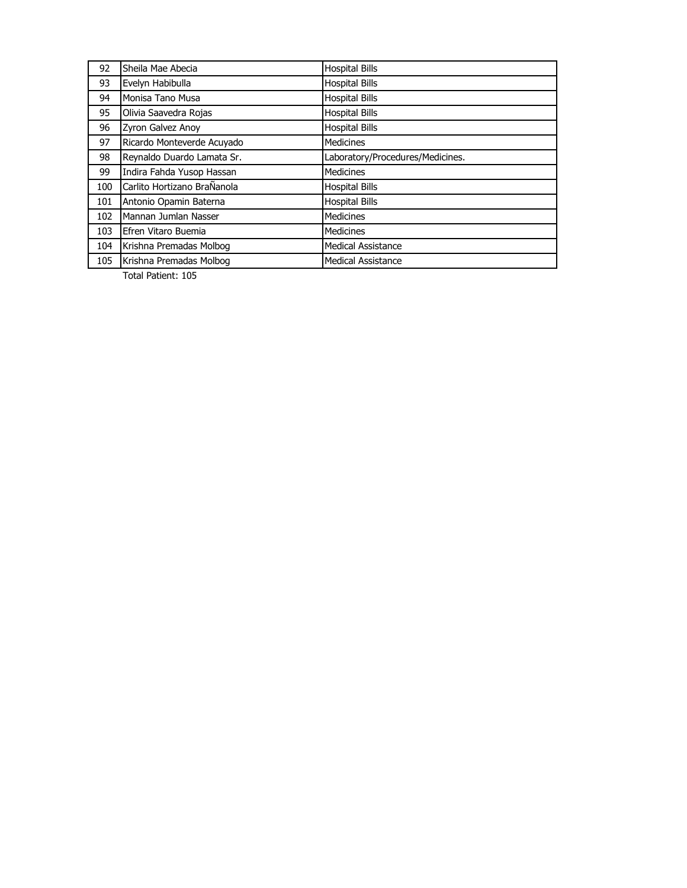| 92  | Sheila Mae Abecia           | <b>Hospital Bills</b>            |
|-----|-----------------------------|----------------------------------|
| 93  | Evelyn Habibulla            | <b>Hospital Bills</b>            |
| 94  | Monisa Tano Musa            | <b>Hospital Bills</b>            |
| 95  | Olivia Saavedra Rojas       | <b>Hospital Bills</b>            |
| 96  | Zyron Galvez Anoy           | <b>Hospital Bills</b>            |
| 97  | Ricardo Monteverde Acuyado  | <b>Medicines</b>                 |
| 98  | Reynaldo Duardo Lamata Sr.  | Laboratory/Procedures/Medicines. |
| 99  | Indira Fahda Yusop Hassan   | <b>Medicines</b>                 |
| 100 | Carlito Hortizano BraÑanola | <b>Hospital Bills</b>            |
| 101 |                             |                                  |
|     | Antonio Opamin Baterna      | <b>Hospital Bills</b>            |
| 102 | Mannan Jumlan Nasser        | <b>Medicines</b>                 |
| 103 | Efren Vitaro Buemia         | <b>Medicines</b>                 |
| 104 | Krishna Premadas Molbog     | <b>Medical Assistance</b>        |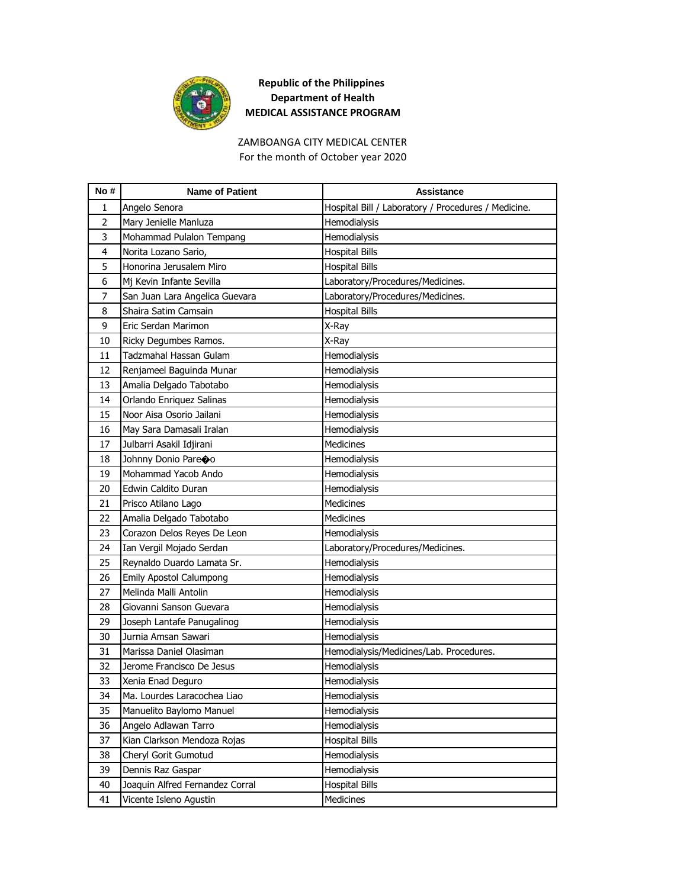

#### ZAMBOANGA CITY MEDICAL CENTER For the month of October year 2020

| No #           | <b>Name of Patient</b>          | <b>Assistance</b>                                   |
|----------------|---------------------------------|-----------------------------------------------------|
| 1              | Angelo Senora                   | Hospital Bill / Laboratory / Procedures / Medicine. |
| $\overline{2}$ | Mary Jenielle Manluza           | Hemodialysis                                        |
| 3              | Mohammad Pulalon Tempang        | Hemodialysis                                        |
| 4              | Norita Lozano Sario,            | <b>Hospital Bills</b>                               |
| 5              | Honorina Jerusalem Miro         | <b>Hospital Bills</b>                               |
| 6              | Mj Kevin Infante Sevilla        | Laboratory/Procedures/Medicines.                    |
| 7              | San Juan Lara Angelica Guevara  | Laboratory/Procedures/Medicines.                    |
| 8              | Shaira Satim Camsain            | <b>Hospital Bills</b>                               |
| 9              | Eric Serdan Marimon             | X-Ray                                               |
| 10             | Ricky Degumbes Ramos.           | X-Ray                                               |
| 11             | Tadzmahal Hassan Gulam          | Hemodialysis                                        |
| 12             | Renjameel Baguinda Munar        | Hemodialysis                                        |
| 13             | Amalia Delgado Tabotabo         | Hemodialysis                                        |
| 14             | Orlando Enriquez Salinas        | Hemodialysis                                        |
| 15             | Noor Aisa Osorio Jailani        | Hemodialysis                                        |
| 16             | May Sara Damasali Iralan        | Hemodialysis                                        |
| 17             | Julbarri Asakil Idjirani        | Medicines                                           |
| 18             | Johnny Donio Pareoo             | Hemodialysis                                        |
| 19             | Mohammad Yacob Ando             | Hemodialysis                                        |
| 20             | Edwin Caldito Duran             | Hemodialysis                                        |
| 21             | Prisco Atilano Lago             | Medicines                                           |
| 22             | Amalia Delgado Tabotabo         | Medicines                                           |
| 23             | Corazon Delos Reyes De Leon     | Hemodialysis                                        |
| 24             | Ian Vergil Mojado Serdan        | Laboratory/Procedures/Medicines.                    |
| 25             | Reynaldo Duardo Lamata Sr.      | Hemodialysis                                        |
| 26             | <b>Emily Apostol Calumpong</b>  | Hemodialysis                                        |
| 27             | Melinda Malli Antolin           | Hemodialysis                                        |
| 28             | Giovanni Sanson Guevara         | Hemodialysis                                        |
| 29             | Joseph Lantafe Panugalinog      | Hemodialysis                                        |
| 30             | Jurnia Amsan Sawari             | Hemodialysis                                        |
| 31             | Marissa Daniel Olasiman         | Hemodialysis/Medicines/Lab. Procedures.             |
| 32             | Jerome Francisco De Jesus       | Hemodialysis                                        |
| 33             | Xenia Enad Deguro               | Hemodialysis                                        |
| 34             | Ma. Lourdes Laracochea Liao     | Hemodialysis                                        |
| 35             | Manuelito Baylomo Manuel        | Hemodialysis                                        |
| 36             | Angelo Adlawan Tarro            | Hemodialysis                                        |
| 37             | Kian Clarkson Mendoza Rojas     | <b>Hospital Bills</b>                               |
| 38             | Cheryl Gorit Gumotud            | Hemodialysis                                        |
| 39             | Dennis Raz Gaspar               | Hemodialysis                                        |
| 40             | Joaquin Alfred Fernandez Corral | <b>Hospital Bills</b>                               |
| 41             | Vicente Isleno Agustin          | Medicines                                           |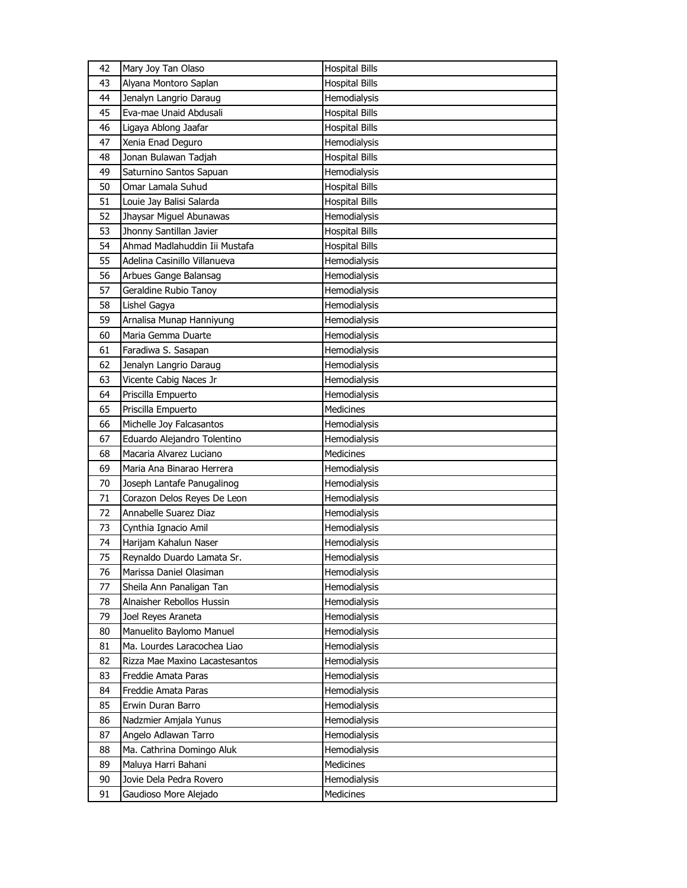| 42       | Mary Joy Tan Olaso                               | <b>Hospital Bills</b>     |
|----------|--------------------------------------------------|---------------------------|
| 43       | Alyana Montoro Saplan                            | <b>Hospital Bills</b>     |
| 44       | Jenalyn Langrio Daraug                           | Hemodialysis              |
| 45       | Eva-mae Unaid Abdusali                           | <b>Hospital Bills</b>     |
| 46       | Ligaya Ablong Jaafar                             | <b>Hospital Bills</b>     |
| 47       | Xenia Enad Deguro                                | Hemodialysis              |
| 48       | Jonan Bulawan Tadjah                             | <b>Hospital Bills</b>     |
| 49       | Saturnino Santos Sapuan                          | Hemodialysis              |
| 50       | Omar Lamala Suhud                                | <b>Hospital Bills</b>     |
| 51       | Louie Jay Balisi Salarda                         | <b>Hospital Bills</b>     |
| 52       | Jhaysar Miguel Abunawas                          | Hemodialysis              |
| 53       | Jhonny Santillan Javier                          | <b>Hospital Bills</b>     |
| 54       | Ahmad Madlahuddin Iii Mustafa                    | <b>Hospital Bills</b>     |
| 55       | Adelina Casinillo Villanueva                     | Hemodialysis              |
| 56       | Arbues Gange Balansag                            | Hemodialysis              |
| 57       | Geraldine Rubio Tanoy                            | Hemodialysis              |
| 58       | Lishel Gagya                                     | Hemodialysis              |
| 59       | Arnalisa Munap Hanniyung                         | Hemodialysis              |
| 60       | Maria Gemma Duarte                               | Hemodialysis              |
| 61       | Faradiwa S. Sasapan                              | Hemodialysis              |
| 62       | Jenalyn Langrio Daraug                           | Hemodialysis              |
| 63       | Vicente Cabig Naces Jr                           | Hemodialysis              |
| 64       | Priscilla Empuerto                               | Hemodialysis              |
| 65       | Priscilla Empuerto                               | Medicines                 |
| 66       | Michelle Joy Falcasantos                         | Hemodialysis              |
|          |                                                  |                           |
|          |                                                  |                           |
| 67       | Eduardo Alejandro Tolentino                      | Hemodialysis              |
| 68       | Macaria Alvarez Luciano                          | <b>Medicines</b>          |
| 69       | Maria Ana Binarao Herrera                        | Hemodialysis              |
| 70       | Joseph Lantafe Panugalinog                       | Hemodialysis              |
| 71       | Corazon Delos Reyes De Leon                      | Hemodialysis              |
| 72       | Annabelle Suarez Diaz                            | Hemodialysis              |
| 73       | Cynthia Ignacio Amil                             | Hemodialysis              |
| 74       | Harijam Kahalun Naser                            | Hemodialysis              |
| 75       | Reynaldo Duardo Lamata Sr.                       | Hemodialysis              |
| 76       | Marissa Daniel Olasiman                          | Hemodialysis              |
| 77       | Sheila Ann Panaligan Tan                         | Hemodialysis              |
| 78       | Alnaisher Rebollos Hussin                        | Hemodialysis              |
| 79       | Joel Reyes Araneta                               | Hemodialysis              |
| 80       | Manuelito Baylomo Manuel                         | Hemodialysis              |
| 81       | Ma. Lourdes Laracochea Liao                      | Hemodialysis              |
| 82       | Rizza Mae Maxino Lacastesantos                   | Hemodialysis              |
| 83       | Freddie Amata Paras                              | Hemodialysis              |
| 84       | Freddie Amata Paras                              | Hemodialysis              |
| 85       | Erwin Duran Barro                                | Hemodialysis              |
| 86       | Nadzmier Amjala Yunus                            | Hemodialysis              |
| 87       | Angelo Adlawan Tarro                             | Hemodialysis              |
| 88       | Ma. Cathrina Domingo Aluk                        | Hemodialysis              |
| 89       | Maluya Harri Bahani                              | Medicines                 |
| 90<br>91 | Jovie Dela Pedra Rovero<br>Gaudioso More Alejado | Hemodialysis<br>Medicines |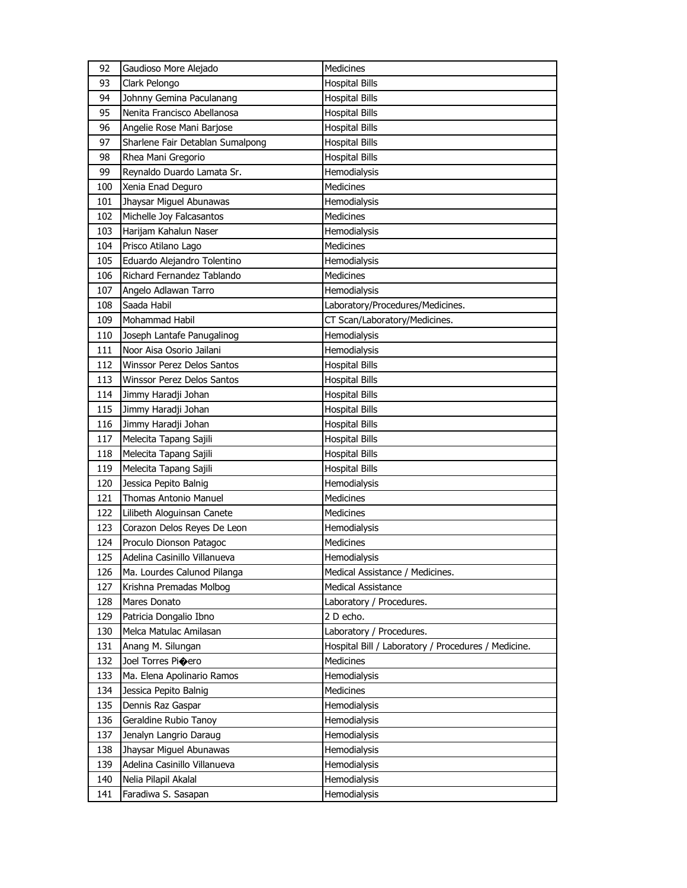| 92  | Gaudioso More Alejado            | Medicines                                           |
|-----|----------------------------------|-----------------------------------------------------|
| 93  | Clark Pelongo                    | <b>Hospital Bills</b>                               |
| 94  | Johnny Gemina Paculanang         | <b>Hospital Bills</b>                               |
| 95  | Nenita Francisco Abellanosa      | <b>Hospital Bills</b>                               |
| 96  | Angelie Rose Mani Barjose        | <b>Hospital Bills</b>                               |
| 97  | Sharlene Fair Detablan Sumalpong | <b>Hospital Bills</b>                               |
| 98  | Rhea Mani Gregorio               | <b>Hospital Bills</b>                               |
| 99  | Reynaldo Duardo Lamata Sr.       | Hemodialysis                                        |
| 100 | Xenia Enad Deguro                | Medicines                                           |
| 101 | Jhaysar Miguel Abunawas          | Hemodialysis                                        |
| 102 | Michelle Joy Falcasantos         | <b>Medicines</b>                                    |
| 103 | Harijam Kahalun Naser            | Hemodialysis                                        |
| 104 | Prisco Atilano Lago              | <b>Medicines</b>                                    |
| 105 | Eduardo Alejandro Tolentino      | Hemodialysis                                        |
| 106 | Richard Fernandez Tablando       | Medicines                                           |
| 107 | Angelo Adlawan Tarro             | Hemodialysis                                        |
| 108 | Saada Habil                      | Laboratory/Procedures/Medicines.                    |
| 109 | Mohammad Habil                   | CT Scan/Laboratory/Medicines.                       |
| 110 | Joseph Lantafe Panugalinog       | Hemodialysis                                        |
| 111 | Noor Aisa Osorio Jailani         | Hemodialysis                                        |
| 112 | Winssor Perez Delos Santos       | <b>Hospital Bills</b>                               |
| 113 | Winssor Perez Delos Santos       | <b>Hospital Bills</b>                               |
| 114 | Jimmy Haradji Johan              | <b>Hospital Bills</b>                               |
| 115 | Jimmy Haradji Johan              | <b>Hospital Bills</b>                               |
| 116 | Jimmy Haradji Johan              | <b>Hospital Bills</b>                               |
| 117 | Melecita Tapang Sajili           | <b>Hospital Bills</b>                               |
| 118 | Melecita Tapang Sajili           | Hospital Bills                                      |
| 119 | Melecita Tapang Sajili           | <b>Hospital Bills</b>                               |
| 120 | Jessica Pepito Balnig            | Hemodialysis                                        |
| 121 | <b>Thomas Antonio Manuel</b>     | Medicines                                           |
| 122 | Lilibeth Aloguinsan Canete       | Medicines                                           |
| 123 | Corazon Delos Reyes De Leon      | Hemodialysis                                        |
| 124 | Proculo Dionson Patagoc          | <b>Medicines</b>                                    |
| 125 | Adelina Casinillo Villanueva     | Hemodialysis                                        |
| 126 | Ma. Lourdes Calunod Pilanga      | Medical Assistance / Medicines.                     |
| 127 | Krishna Premadas Molbog          | Medical Assistance                                  |
| 128 | Mares Donato                     | Laboratory / Procedures.                            |
| 129 | Patricia Dongalio Ibno           | 2 D echo.                                           |
| 130 | Melca Matulac Amilasan           | Laboratory / Procedures.                            |
| 131 | Anang M. Silungan                | Hospital Bill / Laboratory / Procedures / Medicine. |
| 132 | Joel Torres Pioero               | Medicines                                           |
| 133 | Ma. Elena Apolinario Ramos       | Hemodialysis                                        |
| 134 | Jessica Pepito Balnig            | Medicines                                           |
| 135 | Dennis Raz Gaspar                | Hemodialysis                                        |
| 136 | Geraldine Rubio Tanoy            | Hemodialysis                                        |
| 137 | Jenalyn Langrio Daraug           | Hemodialysis                                        |
| 138 | Jhaysar Miguel Abunawas          | Hemodialysis                                        |
| 139 | Adelina Casinillo Villanueva     | Hemodialysis                                        |
| 140 | Nelia Pilapil Akalal             | Hemodialysis                                        |
| 141 | Faradiwa S. Sasapan              | Hemodialysis                                        |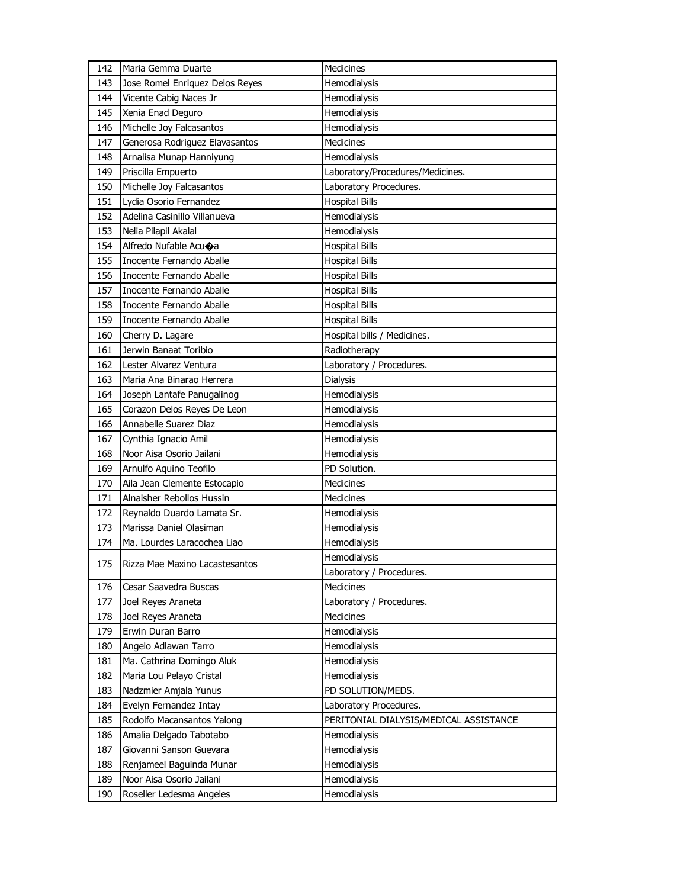| 142 | Maria Gemma Duarte              | Medicines                              |
|-----|---------------------------------|----------------------------------------|
| 143 | Jose Romel Enriquez Delos Reyes | Hemodialysis                           |
| 144 | Vicente Cabig Naces Jr          | Hemodialysis                           |
| 145 | Xenia Enad Deguro               | Hemodialysis                           |
| 146 | Michelle Joy Falcasantos        | Hemodialysis                           |
| 147 | Generosa Rodriguez Elavasantos  | <b>Medicines</b>                       |
| 148 | Arnalisa Munap Hanniyung        | Hemodialysis                           |
| 149 | Priscilla Empuerto              | Laboratory/Procedures/Medicines.       |
| 150 | Michelle Joy Falcasantos        | Laboratory Procedures.                 |
| 151 | Lydia Osorio Fernandez          | <b>Hospital Bills</b>                  |
| 152 | Adelina Casinillo Villanueva    | Hemodialysis                           |
| 153 | Nelia Pilapil Akalal            | Hemodialysis                           |
| 154 | Alfredo Nufable Acuoa           | <b>Hospital Bills</b>                  |
| 155 | Inocente Fernando Aballe        | <b>Hospital Bills</b>                  |
| 156 | Inocente Fernando Aballe        | <b>Hospital Bills</b>                  |
| 157 | Inocente Fernando Aballe        | <b>Hospital Bills</b>                  |
| 158 | Inocente Fernando Aballe        | <b>Hospital Bills</b>                  |
| 159 | Inocente Fernando Aballe        | <b>Hospital Bills</b>                  |
| 160 | Cherry D. Lagare                | Hospital bills / Medicines.            |
| 161 | Jerwin Banaat Toribio           | Radiotherapy                           |
| 162 | Lester Alvarez Ventura          | Laboratory / Procedures.               |
| 163 | Maria Ana Binarao Herrera       | Dialysis                               |
| 164 | Joseph Lantafe Panugalinog      | Hemodialysis                           |
| 165 | Corazon Delos Reyes De Leon     | Hemodialysis                           |
| 166 | Annabelle Suarez Diaz           | Hemodialysis                           |
|     | Cynthia Ignacio Amil            | Hemodialysis                           |
| 167 |                                 |                                        |
| 168 | Noor Aisa Osorio Jailani        | Hemodialysis                           |
| 169 | Arnulfo Aquino Teofilo          | PD Solution.                           |
| 170 | Aila Jean Clemente Estocapio    | <b>Medicines</b>                       |
| 171 | Alnaisher Rebollos Hussin       | <b>Medicines</b>                       |
| 172 | Reynaldo Duardo Lamata Sr.      | Hemodialysis                           |
| 173 | Marissa Daniel Olasiman         | Hemodialysis                           |
| 174 | Ma. Lourdes Laracochea Liao     | Hemodialysis                           |
|     |                                 | Hemodialysis                           |
| 175 | Rizza Mae Maxino Lacastesantos  | Laboratory / Procedures.               |
| 176 | Cesar Saavedra Buscas           | Medicines                              |
| 177 | Joel Reyes Araneta              | Laboratory / Procedures.               |
| 178 | Joel Reyes Araneta              | <b>Medicines</b>                       |
| 179 | Erwin Duran Barro               | Hemodialysis                           |
| 180 | Angelo Adlawan Tarro            | Hemodialysis                           |
| 181 | Ma. Cathrina Domingo Aluk       | Hemodialysis                           |
| 182 | Maria Lou Pelayo Cristal        | Hemodialysis                           |
| 183 | Nadzmier Amjala Yunus           | PD SOLUTION/MEDS.                      |
| 184 | Evelyn Fernandez Intay          | Laboratory Procedures.                 |
| 185 | Rodolfo Macansantos Yalong      | PERITONIAL DIALYSIS/MEDICAL ASSISTANCE |
| 186 | Amalia Delgado Tabotabo         | Hemodialysis                           |
| 187 | Giovanni Sanson Guevara         | Hemodialysis                           |
| 188 | Renjameel Baguinda Munar        | Hemodialysis                           |
| 189 | Noor Aisa Osorio Jailani        | Hemodialysis                           |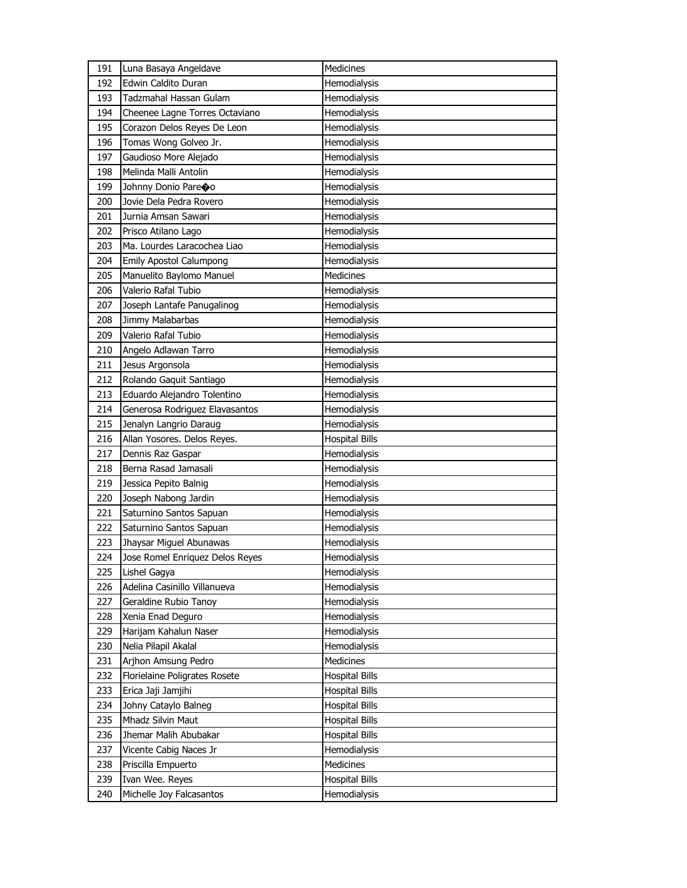| 191 | Luna Basaya Angeldave           | Medicines             |
|-----|---------------------------------|-----------------------|
| 192 | <b>Edwin Caldito Duran</b>      | Hemodialysis          |
| 193 | Tadzmahal Hassan Gulam          | Hemodialysis          |
| 194 | Cheenee Lagne Torres Octaviano  | Hemodialysis          |
| 195 | Corazon Delos Reyes De Leon     | Hemodialysis          |
| 196 | Tomas Wong Golveo Jr.           | Hemodialysis          |
| 197 | Gaudioso More Alejado           | Hemodialysis          |
| 198 | Melinda Malli Antolin           | Hemodialysis          |
| 199 | Johnny Donio Pareoo             | Hemodialysis          |
| 200 | Jovie Dela Pedra Rovero         | Hemodialysis          |
| 201 | Jurnia Amsan Sawari             | Hemodialysis          |
| 202 | Prisco Atilano Lago             | Hemodialysis          |
| 203 | Ma. Lourdes Laracochea Liao     | Hemodialysis          |
| 204 | <b>Emily Apostol Calumpong</b>  | Hemodialysis          |
| 205 | Manuelito Baylomo Manuel        | Medicines             |
| 206 | Valerio Rafal Tubio             | Hemodialysis          |
| 207 | Joseph Lantafe Panugalinog      | Hemodialysis          |
| 208 | Jimmy Malabarbas                | Hemodialysis          |
| 209 | Valerio Rafal Tubio             | Hemodialysis          |
| 210 | Angelo Adlawan Tarro            | Hemodialysis          |
| 211 | Jesus Argonsola                 | Hemodialysis          |
| 212 | Rolando Gaquit Santiago         | Hemodialysis          |
| 213 | Eduardo Alejandro Tolentino     | Hemodialysis          |
| 214 | Generosa Rodriguez Elavasantos  | Hemodialysis          |
| 215 | Jenalyn Langrio Daraug          | Hemodialysis          |
| 216 | Allan Yosores. Delos Reyes.     | <b>Hospital Bills</b> |
| 217 | Dennis Raz Gaspar               | Hemodialysis          |
| 218 | Berna Rasad Jamasali            | Hemodialysis          |
| 219 | Jessica Pepito Balnig           | Hemodialysis          |
| 220 | Joseph Nabong Jardin            | Hemodialysis          |
| 221 | Saturnino Santos Sapuan         | Hemodialysis          |
| 222 | Saturnino Santos Sapuan         | Hemodialysis          |
| 223 | Jhaysar Miguel Abunawas         | Hemodialysis          |
| 224 | Jose Romel Enriquez Delos Reyes | Hemodialysis          |
| 225 | Lishel Gagya                    | Hemodialysis          |
| 226 | Adelina Casinillo Villanueva    | Hemodialysis          |
| 227 | Geraldine Rubio Tanoy           | Hemodialysis          |
| 228 | Xenia Enad Deguro               | Hemodialysis          |
| 229 | Harijam Kahalun Naser           | Hemodialysis          |
| 230 | Nelia Pilapil Akalal            | Hemodialysis          |
| 231 | Arjhon Amsung Pedro             | Medicines             |
| 232 | Florielaine Poligrates Rosete   | <b>Hospital Bills</b> |
| 233 | Erica Jaji Jamjihi              | <b>Hospital Bills</b> |
| 234 | Johny Cataylo Balneg            | <b>Hospital Bills</b> |
| 235 | Mhadz Silvin Maut               | <b>Hospital Bills</b> |
| 236 | Jhemar Malih Abubakar           | <b>Hospital Bills</b> |
| 237 | Vicente Cabig Naces Jr          | Hemodialysis          |
| 238 | Priscilla Empuerto              | Medicines             |
| 239 | Ivan Wee. Reyes                 | <b>Hospital Bills</b> |
| 240 | Michelle Joy Falcasantos        | Hemodialysis          |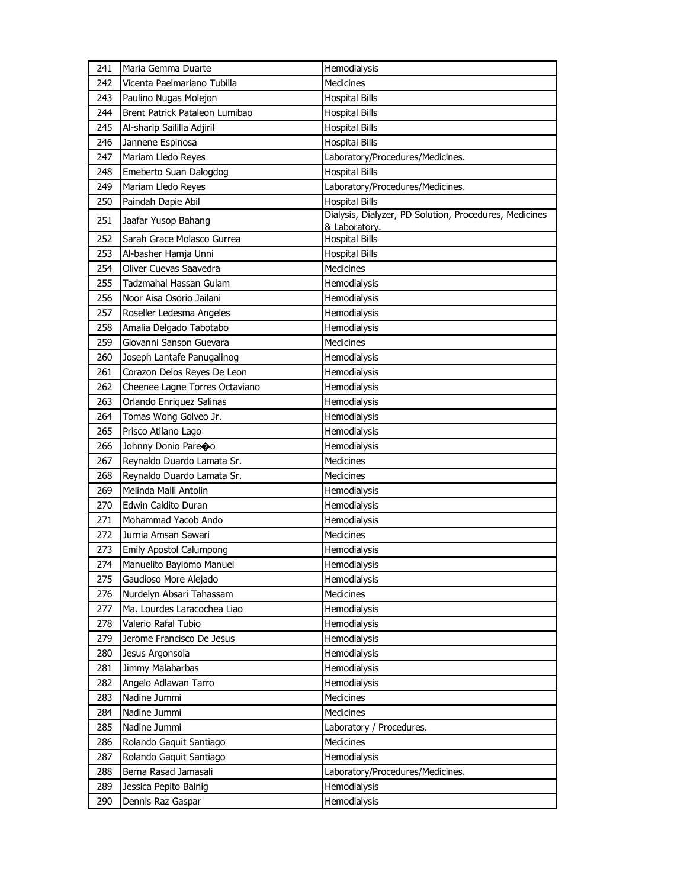| Medicines<br>242<br>Vicenta Paelmariano Tubilla<br>243<br>Paulino Nugas Molejon<br><b>Hospital Bills</b><br>244<br>Brent Patrick Pataleon Lumibao<br><b>Hospital Bills</b><br>245<br>Al-sharip Saililla Adjiril<br><b>Hospital Bills</b><br>Jannene Espinosa<br><b>Hospital Bills</b><br>246<br>Laboratory/Procedures/Medicines.<br>247<br>Mariam Lledo Reyes<br><b>Hospital Bills</b><br>248<br>Emeberto Suan Dalogdog<br>Laboratory/Procedures/Medicines.<br>249<br>Mariam Lledo Reyes<br><b>Hospital Bills</b><br>250<br>Paindah Dapie Abil<br>Dialysis, Dialyzer, PD Solution, Procedures, Medicines<br>251<br>Jaafar Yusop Bahang<br>& Laboratory.<br>252<br>Sarah Grace Molasco Gurrea<br><b>Hospital Bills</b><br>253<br>Al-basher Hamja Unni<br><b>Hospital Bills</b><br>Oliver Cuevas Saavedra<br>Medicines<br>254<br>255<br>Tadzmahal Hassan Gulam<br>Hemodialysis<br>256<br>Noor Aisa Osorio Jailani<br>Hemodialysis<br>257<br>Roseller Ledesma Angeles<br>Hemodialysis<br>258<br>Amalia Delgado Tabotabo<br>Hemodialysis<br>259<br>Giovanni Sanson Guevara<br>Medicines<br>260<br>Joseph Lantafe Panugalinog<br>Hemodialysis<br>261<br>Corazon Delos Reyes De Leon<br>Hemodialysis<br>262<br>Cheenee Lagne Torres Octaviano<br>Hemodialysis<br>263<br>Orlando Enriquez Salinas<br>Hemodialysis<br>Tomas Wong Golveo Jr.<br>Hemodialysis<br>264<br>Prisco Atilano Lago<br>Hemodialysis<br>265<br>Hemodialysis<br>266<br>Johnny Donio Pareoo<br><b>Medicines</b><br>267<br>Reynaldo Duardo Lamata Sr.<br>Medicines<br>268<br>Reynaldo Duardo Lamata Sr.<br>Melinda Malli Antolin<br>269<br>Hemodialysis<br>Edwin Caldito Duran<br>Hemodialysis<br>270<br>271<br>Mohammad Yacob Ando<br>Hemodialysis<br>272<br>Jurnia Amsan Sawari<br>Medicines<br>273<br><b>Emily Apostol Calumpong</b><br>Hemodialysis<br>Manuelito Baylomo Manuel<br>Hemodialysis<br>274<br>Gaudioso More Alejado<br>Hemodialysis<br>275<br>276<br>Nurdelyn Absari Tahassam<br>Medicines<br>Ma. Lourdes Laracochea Liao<br>277<br>Hemodialysis<br>Valerio Rafal Tubio<br>278<br>Hemodialysis<br>Jerome Francisco De Jesus<br>279<br>Hemodialysis<br>Jesus Argonsola<br>Hemodialysis<br>280<br>Hemodialysis<br>281<br>Jimmy Malabarbas<br>Angelo Adlawan Tarro<br>Hemodialysis<br>282<br>Nadine Jummi<br>Medicines<br>283<br>284<br>Nadine Jummi<br>Medicines<br>Nadine Jummi<br>285<br>Laboratory / Procedures.<br>286<br>Rolando Gaquit Santiago<br>Medicines<br>287<br>Rolando Gaquit Santiago<br>Hemodialysis<br>Berna Rasad Jamasali<br>288<br>Laboratory/Procedures/Medicines.<br>289<br>Jessica Pepito Balnig<br>Hemodialysis<br>Dennis Raz Gaspar<br>Hemodialysis<br>290 | 241 | Maria Gemma Duarte | Hemodialysis |
|-------------------------------------------------------------------------------------------------------------------------------------------------------------------------------------------------------------------------------------------------------------------------------------------------------------------------------------------------------------------------------------------------------------------------------------------------------------------------------------------------------------------------------------------------------------------------------------------------------------------------------------------------------------------------------------------------------------------------------------------------------------------------------------------------------------------------------------------------------------------------------------------------------------------------------------------------------------------------------------------------------------------------------------------------------------------------------------------------------------------------------------------------------------------------------------------------------------------------------------------------------------------------------------------------------------------------------------------------------------------------------------------------------------------------------------------------------------------------------------------------------------------------------------------------------------------------------------------------------------------------------------------------------------------------------------------------------------------------------------------------------------------------------------------------------------------------------------------------------------------------------------------------------------------------------------------------------------------------------------------------------------------------------------------------------------------------------------------------------------------------------------------------------------------------------------------------------------------------------------------------------------------------------------------------------------------------------------------------------------------------------------------------------------------------------------------------------------------------------------------------------------------------------------------------------------------------------------------------------------------------------------------------------------|-----|--------------------|--------------|
|                                                                                                                                                                                                                                                                                                                                                                                                                                                                                                                                                                                                                                                                                                                                                                                                                                                                                                                                                                                                                                                                                                                                                                                                                                                                                                                                                                                                                                                                                                                                                                                                                                                                                                                                                                                                                                                                                                                                                                                                                                                                                                                                                                                                                                                                                                                                                                                                                                                                                                                                                                                                                                                             |     |                    |              |
|                                                                                                                                                                                                                                                                                                                                                                                                                                                                                                                                                                                                                                                                                                                                                                                                                                                                                                                                                                                                                                                                                                                                                                                                                                                                                                                                                                                                                                                                                                                                                                                                                                                                                                                                                                                                                                                                                                                                                                                                                                                                                                                                                                                                                                                                                                                                                                                                                                                                                                                                                                                                                                                             |     |                    |              |
|                                                                                                                                                                                                                                                                                                                                                                                                                                                                                                                                                                                                                                                                                                                                                                                                                                                                                                                                                                                                                                                                                                                                                                                                                                                                                                                                                                                                                                                                                                                                                                                                                                                                                                                                                                                                                                                                                                                                                                                                                                                                                                                                                                                                                                                                                                                                                                                                                                                                                                                                                                                                                                                             |     |                    |              |
|                                                                                                                                                                                                                                                                                                                                                                                                                                                                                                                                                                                                                                                                                                                                                                                                                                                                                                                                                                                                                                                                                                                                                                                                                                                                                                                                                                                                                                                                                                                                                                                                                                                                                                                                                                                                                                                                                                                                                                                                                                                                                                                                                                                                                                                                                                                                                                                                                                                                                                                                                                                                                                                             |     |                    |              |
|                                                                                                                                                                                                                                                                                                                                                                                                                                                                                                                                                                                                                                                                                                                                                                                                                                                                                                                                                                                                                                                                                                                                                                                                                                                                                                                                                                                                                                                                                                                                                                                                                                                                                                                                                                                                                                                                                                                                                                                                                                                                                                                                                                                                                                                                                                                                                                                                                                                                                                                                                                                                                                                             |     |                    |              |
|                                                                                                                                                                                                                                                                                                                                                                                                                                                                                                                                                                                                                                                                                                                                                                                                                                                                                                                                                                                                                                                                                                                                                                                                                                                                                                                                                                                                                                                                                                                                                                                                                                                                                                                                                                                                                                                                                                                                                                                                                                                                                                                                                                                                                                                                                                                                                                                                                                                                                                                                                                                                                                                             |     |                    |              |
|                                                                                                                                                                                                                                                                                                                                                                                                                                                                                                                                                                                                                                                                                                                                                                                                                                                                                                                                                                                                                                                                                                                                                                                                                                                                                                                                                                                                                                                                                                                                                                                                                                                                                                                                                                                                                                                                                                                                                                                                                                                                                                                                                                                                                                                                                                                                                                                                                                                                                                                                                                                                                                                             |     |                    |              |
|                                                                                                                                                                                                                                                                                                                                                                                                                                                                                                                                                                                                                                                                                                                                                                                                                                                                                                                                                                                                                                                                                                                                                                                                                                                                                                                                                                                                                                                                                                                                                                                                                                                                                                                                                                                                                                                                                                                                                                                                                                                                                                                                                                                                                                                                                                                                                                                                                                                                                                                                                                                                                                                             |     |                    |              |
|                                                                                                                                                                                                                                                                                                                                                                                                                                                                                                                                                                                                                                                                                                                                                                                                                                                                                                                                                                                                                                                                                                                                                                                                                                                                                                                                                                                                                                                                                                                                                                                                                                                                                                                                                                                                                                                                                                                                                                                                                                                                                                                                                                                                                                                                                                                                                                                                                                                                                                                                                                                                                                                             |     |                    |              |
|                                                                                                                                                                                                                                                                                                                                                                                                                                                                                                                                                                                                                                                                                                                                                                                                                                                                                                                                                                                                                                                                                                                                                                                                                                                                                                                                                                                                                                                                                                                                                                                                                                                                                                                                                                                                                                                                                                                                                                                                                                                                                                                                                                                                                                                                                                                                                                                                                                                                                                                                                                                                                                                             |     |                    |              |
|                                                                                                                                                                                                                                                                                                                                                                                                                                                                                                                                                                                                                                                                                                                                                                                                                                                                                                                                                                                                                                                                                                                                                                                                                                                                                                                                                                                                                                                                                                                                                                                                                                                                                                                                                                                                                                                                                                                                                                                                                                                                                                                                                                                                                                                                                                                                                                                                                                                                                                                                                                                                                                                             |     |                    |              |
|                                                                                                                                                                                                                                                                                                                                                                                                                                                                                                                                                                                                                                                                                                                                                                                                                                                                                                                                                                                                                                                                                                                                                                                                                                                                                                                                                                                                                                                                                                                                                                                                                                                                                                                                                                                                                                                                                                                                                                                                                                                                                                                                                                                                                                                                                                                                                                                                                                                                                                                                                                                                                                                             |     |                    |              |
|                                                                                                                                                                                                                                                                                                                                                                                                                                                                                                                                                                                                                                                                                                                                                                                                                                                                                                                                                                                                                                                                                                                                                                                                                                                                                                                                                                                                                                                                                                                                                                                                                                                                                                                                                                                                                                                                                                                                                                                                                                                                                                                                                                                                                                                                                                                                                                                                                                                                                                                                                                                                                                                             |     |                    |              |
|                                                                                                                                                                                                                                                                                                                                                                                                                                                                                                                                                                                                                                                                                                                                                                                                                                                                                                                                                                                                                                                                                                                                                                                                                                                                                                                                                                                                                                                                                                                                                                                                                                                                                                                                                                                                                                                                                                                                                                                                                                                                                                                                                                                                                                                                                                                                                                                                                                                                                                                                                                                                                                                             |     |                    |              |
|                                                                                                                                                                                                                                                                                                                                                                                                                                                                                                                                                                                                                                                                                                                                                                                                                                                                                                                                                                                                                                                                                                                                                                                                                                                                                                                                                                                                                                                                                                                                                                                                                                                                                                                                                                                                                                                                                                                                                                                                                                                                                                                                                                                                                                                                                                                                                                                                                                                                                                                                                                                                                                                             |     |                    |              |
|                                                                                                                                                                                                                                                                                                                                                                                                                                                                                                                                                                                                                                                                                                                                                                                                                                                                                                                                                                                                                                                                                                                                                                                                                                                                                                                                                                                                                                                                                                                                                                                                                                                                                                                                                                                                                                                                                                                                                                                                                                                                                                                                                                                                                                                                                                                                                                                                                                                                                                                                                                                                                                                             |     |                    |              |
|                                                                                                                                                                                                                                                                                                                                                                                                                                                                                                                                                                                                                                                                                                                                                                                                                                                                                                                                                                                                                                                                                                                                                                                                                                                                                                                                                                                                                                                                                                                                                                                                                                                                                                                                                                                                                                                                                                                                                                                                                                                                                                                                                                                                                                                                                                                                                                                                                                                                                                                                                                                                                                                             |     |                    |              |
|                                                                                                                                                                                                                                                                                                                                                                                                                                                                                                                                                                                                                                                                                                                                                                                                                                                                                                                                                                                                                                                                                                                                                                                                                                                                                                                                                                                                                                                                                                                                                                                                                                                                                                                                                                                                                                                                                                                                                                                                                                                                                                                                                                                                                                                                                                                                                                                                                                                                                                                                                                                                                                                             |     |                    |              |
|                                                                                                                                                                                                                                                                                                                                                                                                                                                                                                                                                                                                                                                                                                                                                                                                                                                                                                                                                                                                                                                                                                                                                                                                                                                                                                                                                                                                                                                                                                                                                                                                                                                                                                                                                                                                                                                                                                                                                                                                                                                                                                                                                                                                                                                                                                                                                                                                                                                                                                                                                                                                                                                             |     |                    |              |
|                                                                                                                                                                                                                                                                                                                                                                                                                                                                                                                                                                                                                                                                                                                                                                                                                                                                                                                                                                                                                                                                                                                                                                                                                                                                                                                                                                                                                                                                                                                                                                                                                                                                                                                                                                                                                                                                                                                                                                                                                                                                                                                                                                                                                                                                                                                                                                                                                                                                                                                                                                                                                                                             |     |                    |              |
|                                                                                                                                                                                                                                                                                                                                                                                                                                                                                                                                                                                                                                                                                                                                                                                                                                                                                                                                                                                                                                                                                                                                                                                                                                                                                                                                                                                                                                                                                                                                                                                                                                                                                                                                                                                                                                                                                                                                                                                                                                                                                                                                                                                                                                                                                                                                                                                                                                                                                                                                                                                                                                                             |     |                    |              |
|                                                                                                                                                                                                                                                                                                                                                                                                                                                                                                                                                                                                                                                                                                                                                                                                                                                                                                                                                                                                                                                                                                                                                                                                                                                                                                                                                                                                                                                                                                                                                                                                                                                                                                                                                                                                                                                                                                                                                                                                                                                                                                                                                                                                                                                                                                                                                                                                                                                                                                                                                                                                                                                             |     |                    |              |
|                                                                                                                                                                                                                                                                                                                                                                                                                                                                                                                                                                                                                                                                                                                                                                                                                                                                                                                                                                                                                                                                                                                                                                                                                                                                                                                                                                                                                                                                                                                                                                                                                                                                                                                                                                                                                                                                                                                                                                                                                                                                                                                                                                                                                                                                                                                                                                                                                                                                                                                                                                                                                                                             |     |                    |              |
|                                                                                                                                                                                                                                                                                                                                                                                                                                                                                                                                                                                                                                                                                                                                                                                                                                                                                                                                                                                                                                                                                                                                                                                                                                                                                                                                                                                                                                                                                                                                                                                                                                                                                                                                                                                                                                                                                                                                                                                                                                                                                                                                                                                                                                                                                                                                                                                                                                                                                                                                                                                                                                                             |     |                    |              |
|                                                                                                                                                                                                                                                                                                                                                                                                                                                                                                                                                                                                                                                                                                                                                                                                                                                                                                                                                                                                                                                                                                                                                                                                                                                                                                                                                                                                                                                                                                                                                                                                                                                                                                                                                                                                                                                                                                                                                                                                                                                                                                                                                                                                                                                                                                                                                                                                                                                                                                                                                                                                                                                             |     |                    |              |
|                                                                                                                                                                                                                                                                                                                                                                                                                                                                                                                                                                                                                                                                                                                                                                                                                                                                                                                                                                                                                                                                                                                                                                                                                                                                                                                                                                                                                                                                                                                                                                                                                                                                                                                                                                                                                                                                                                                                                                                                                                                                                                                                                                                                                                                                                                                                                                                                                                                                                                                                                                                                                                                             |     |                    |              |
|                                                                                                                                                                                                                                                                                                                                                                                                                                                                                                                                                                                                                                                                                                                                                                                                                                                                                                                                                                                                                                                                                                                                                                                                                                                                                                                                                                                                                                                                                                                                                                                                                                                                                                                                                                                                                                                                                                                                                                                                                                                                                                                                                                                                                                                                                                                                                                                                                                                                                                                                                                                                                                                             |     |                    |              |
|                                                                                                                                                                                                                                                                                                                                                                                                                                                                                                                                                                                                                                                                                                                                                                                                                                                                                                                                                                                                                                                                                                                                                                                                                                                                                                                                                                                                                                                                                                                                                                                                                                                                                                                                                                                                                                                                                                                                                                                                                                                                                                                                                                                                                                                                                                                                                                                                                                                                                                                                                                                                                                                             |     |                    |              |
|                                                                                                                                                                                                                                                                                                                                                                                                                                                                                                                                                                                                                                                                                                                                                                                                                                                                                                                                                                                                                                                                                                                                                                                                                                                                                                                                                                                                                                                                                                                                                                                                                                                                                                                                                                                                                                                                                                                                                                                                                                                                                                                                                                                                                                                                                                                                                                                                                                                                                                                                                                                                                                                             |     |                    |              |
|                                                                                                                                                                                                                                                                                                                                                                                                                                                                                                                                                                                                                                                                                                                                                                                                                                                                                                                                                                                                                                                                                                                                                                                                                                                                                                                                                                                                                                                                                                                                                                                                                                                                                                                                                                                                                                                                                                                                                                                                                                                                                                                                                                                                                                                                                                                                                                                                                                                                                                                                                                                                                                                             |     |                    |              |
|                                                                                                                                                                                                                                                                                                                                                                                                                                                                                                                                                                                                                                                                                                                                                                                                                                                                                                                                                                                                                                                                                                                                                                                                                                                                                                                                                                                                                                                                                                                                                                                                                                                                                                                                                                                                                                                                                                                                                                                                                                                                                                                                                                                                                                                                                                                                                                                                                                                                                                                                                                                                                                                             |     |                    |              |
|                                                                                                                                                                                                                                                                                                                                                                                                                                                                                                                                                                                                                                                                                                                                                                                                                                                                                                                                                                                                                                                                                                                                                                                                                                                                                                                                                                                                                                                                                                                                                                                                                                                                                                                                                                                                                                                                                                                                                                                                                                                                                                                                                                                                                                                                                                                                                                                                                                                                                                                                                                                                                                                             |     |                    |              |
|                                                                                                                                                                                                                                                                                                                                                                                                                                                                                                                                                                                                                                                                                                                                                                                                                                                                                                                                                                                                                                                                                                                                                                                                                                                                                                                                                                                                                                                                                                                                                                                                                                                                                                                                                                                                                                                                                                                                                                                                                                                                                                                                                                                                                                                                                                                                                                                                                                                                                                                                                                                                                                                             |     |                    |              |
|                                                                                                                                                                                                                                                                                                                                                                                                                                                                                                                                                                                                                                                                                                                                                                                                                                                                                                                                                                                                                                                                                                                                                                                                                                                                                                                                                                                                                                                                                                                                                                                                                                                                                                                                                                                                                                                                                                                                                                                                                                                                                                                                                                                                                                                                                                                                                                                                                                                                                                                                                                                                                                                             |     |                    |              |
|                                                                                                                                                                                                                                                                                                                                                                                                                                                                                                                                                                                                                                                                                                                                                                                                                                                                                                                                                                                                                                                                                                                                                                                                                                                                                                                                                                                                                                                                                                                                                                                                                                                                                                                                                                                                                                                                                                                                                                                                                                                                                                                                                                                                                                                                                                                                                                                                                                                                                                                                                                                                                                                             |     |                    |              |
|                                                                                                                                                                                                                                                                                                                                                                                                                                                                                                                                                                                                                                                                                                                                                                                                                                                                                                                                                                                                                                                                                                                                                                                                                                                                                                                                                                                                                                                                                                                                                                                                                                                                                                                                                                                                                                                                                                                                                                                                                                                                                                                                                                                                                                                                                                                                                                                                                                                                                                                                                                                                                                                             |     |                    |              |
|                                                                                                                                                                                                                                                                                                                                                                                                                                                                                                                                                                                                                                                                                                                                                                                                                                                                                                                                                                                                                                                                                                                                                                                                                                                                                                                                                                                                                                                                                                                                                                                                                                                                                                                                                                                                                                                                                                                                                                                                                                                                                                                                                                                                                                                                                                                                                                                                                                                                                                                                                                                                                                                             |     |                    |              |
|                                                                                                                                                                                                                                                                                                                                                                                                                                                                                                                                                                                                                                                                                                                                                                                                                                                                                                                                                                                                                                                                                                                                                                                                                                                                                                                                                                                                                                                                                                                                                                                                                                                                                                                                                                                                                                                                                                                                                                                                                                                                                                                                                                                                                                                                                                                                                                                                                                                                                                                                                                                                                                                             |     |                    |              |
|                                                                                                                                                                                                                                                                                                                                                                                                                                                                                                                                                                                                                                                                                                                                                                                                                                                                                                                                                                                                                                                                                                                                                                                                                                                                                                                                                                                                                                                                                                                                                                                                                                                                                                                                                                                                                                                                                                                                                                                                                                                                                                                                                                                                                                                                                                                                                                                                                                                                                                                                                                                                                                                             |     |                    |              |
|                                                                                                                                                                                                                                                                                                                                                                                                                                                                                                                                                                                                                                                                                                                                                                                                                                                                                                                                                                                                                                                                                                                                                                                                                                                                                                                                                                                                                                                                                                                                                                                                                                                                                                                                                                                                                                                                                                                                                                                                                                                                                                                                                                                                                                                                                                                                                                                                                                                                                                                                                                                                                                                             |     |                    |              |
|                                                                                                                                                                                                                                                                                                                                                                                                                                                                                                                                                                                                                                                                                                                                                                                                                                                                                                                                                                                                                                                                                                                                                                                                                                                                                                                                                                                                                                                                                                                                                                                                                                                                                                                                                                                                                                                                                                                                                                                                                                                                                                                                                                                                                                                                                                                                                                                                                                                                                                                                                                                                                                                             |     |                    |              |
|                                                                                                                                                                                                                                                                                                                                                                                                                                                                                                                                                                                                                                                                                                                                                                                                                                                                                                                                                                                                                                                                                                                                                                                                                                                                                                                                                                                                                                                                                                                                                                                                                                                                                                                                                                                                                                                                                                                                                                                                                                                                                                                                                                                                                                                                                                                                                                                                                                                                                                                                                                                                                                                             |     |                    |              |
|                                                                                                                                                                                                                                                                                                                                                                                                                                                                                                                                                                                                                                                                                                                                                                                                                                                                                                                                                                                                                                                                                                                                                                                                                                                                                                                                                                                                                                                                                                                                                                                                                                                                                                                                                                                                                                                                                                                                                                                                                                                                                                                                                                                                                                                                                                                                                                                                                                                                                                                                                                                                                                                             |     |                    |              |
|                                                                                                                                                                                                                                                                                                                                                                                                                                                                                                                                                                                                                                                                                                                                                                                                                                                                                                                                                                                                                                                                                                                                                                                                                                                                                                                                                                                                                                                                                                                                                                                                                                                                                                                                                                                                                                                                                                                                                                                                                                                                                                                                                                                                                                                                                                                                                                                                                                                                                                                                                                                                                                                             |     |                    |              |
|                                                                                                                                                                                                                                                                                                                                                                                                                                                                                                                                                                                                                                                                                                                                                                                                                                                                                                                                                                                                                                                                                                                                                                                                                                                                                                                                                                                                                                                                                                                                                                                                                                                                                                                                                                                                                                                                                                                                                                                                                                                                                                                                                                                                                                                                                                                                                                                                                                                                                                                                                                                                                                                             |     |                    |              |
|                                                                                                                                                                                                                                                                                                                                                                                                                                                                                                                                                                                                                                                                                                                                                                                                                                                                                                                                                                                                                                                                                                                                                                                                                                                                                                                                                                                                                                                                                                                                                                                                                                                                                                                                                                                                                                                                                                                                                                                                                                                                                                                                                                                                                                                                                                                                                                                                                                                                                                                                                                                                                                                             |     |                    |              |
|                                                                                                                                                                                                                                                                                                                                                                                                                                                                                                                                                                                                                                                                                                                                                                                                                                                                                                                                                                                                                                                                                                                                                                                                                                                                                                                                                                                                                                                                                                                                                                                                                                                                                                                                                                                                                                                                                                                                                                                                                                                                                                                                                                                                                                                                                                                                                                                                                                                                                                                                                                                                                                                             |     |                    |              |
|                                                                                                                                                                                                                                                                                                                                                                                                                                                                                                                                                                                                                                                                                                                                                                                                                                                                                                                                                                                                                                                                                                                                                                                                                                                                                                                                                                                                                                                                                                                                                                                                                                                                                                                                                                                                                                                                                                                                                                                                                                                                                                                                                                                                                                                                                                                                                                                                                                                                                                                                                                                                                                                             |     |                    |              |
|                                                                                                                                                                                                                                                                                                                                                                                                                                                                                                                                                                                                                                                                                                                                                                                                                                                                                                                                                                                                                                                                                                                                                                                                                                                                                                                                                                                                                                                                                                                                                                                                                                                                                                                                                                                                                                                                                                                                                                                                                                                                                                                                                                                                                                                                                                                                                                                                                                                                                                                                                                                                                                                             |     |                    |              |